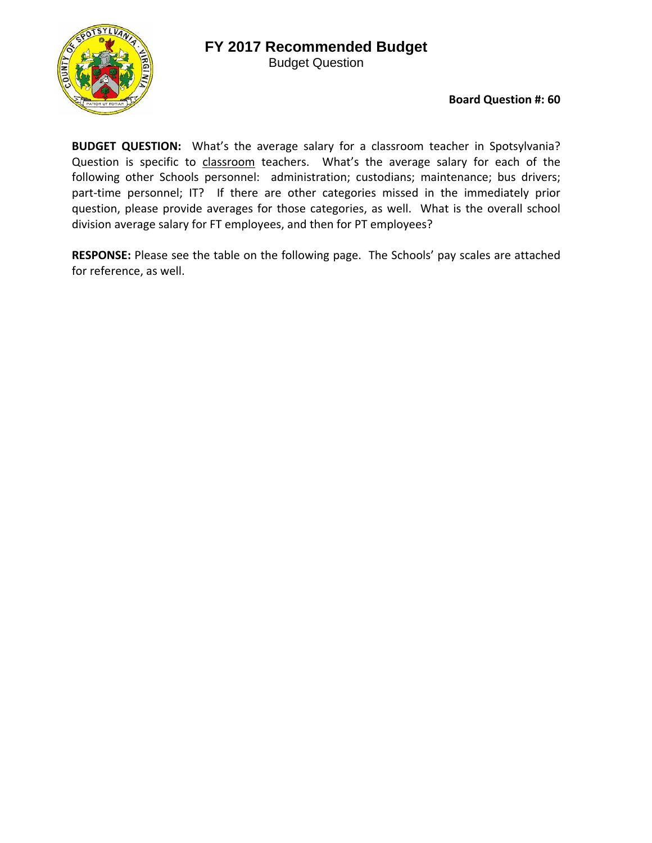Budget Question



**Board Question #: 60**

**BUDGET QUESTION:** What's the average salary for a classroom teacher in Spotsylvania? Question is specific to classroom teachers. What's the average salary for each of the following other Schools personnel: administration; custodians; maintenance; bus drivers; part-time personnel; IT? If there are other categories missed in the immediately prior question, please provide averages for those categories, as well. What is the overall school division average salary for FT employees, and then for PT employees?

**RESPONSE:** Please see the table on the following page. The Schools' pay scales are attached for reference, as well.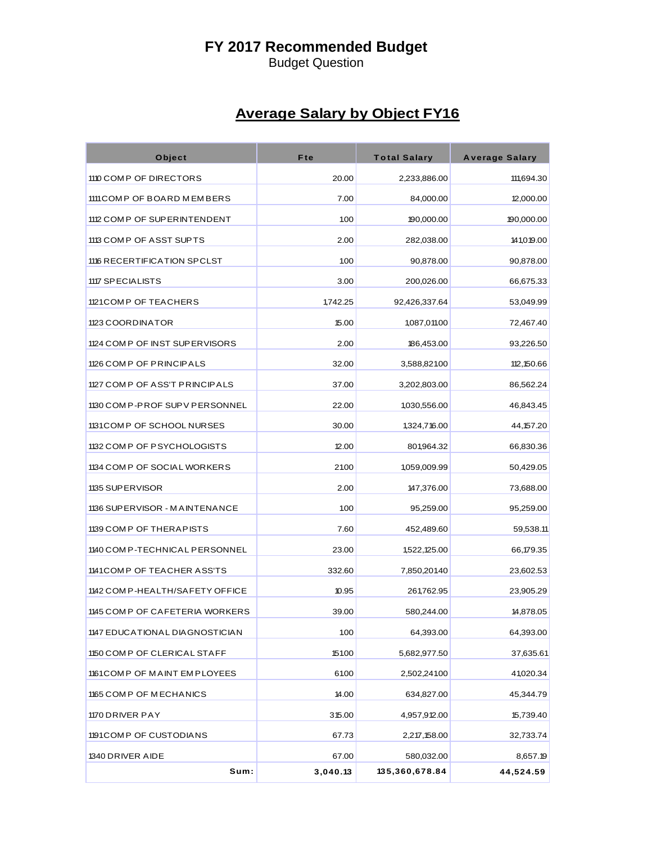# **FY 2017 Recommended Budget**

Budget Question

# **Average Salary by Object FY16**

| Object                           | Fte      | <b>Total Salary</b> | <b>Average Salary</b> |
|----------------------------------|----------|---------------------|-----------------------|
| 1110 COMP OF DIRECTORS           | 20.00    | 2,233,886.00        | 111,694.30            |
| 1111 COMP OF BOARD MEMBERS       | 7.00     | 84,000.00           | 12,000.00             |
| 1112 COMP OF SUPERINTENDENT      | 1.00     | 190,000.00          | 190,000.00            |
| 1113 COMP OF ASST SUPTS          | 2.00     | 282,038.00          | 141,019.00            |
| 1116 RECERTIFICATION SPCLST      | 1.00     | 90,878.00           | 90,878.00             |
| 1117 SPECIALISTS                 | 3.00     | 200,026.00          | 66,675.33             |
| 1121 COMP OF TEACHERS            | 1,742.25 | 92,426,337.64       | 53,049.99             |
| 1123 COORDINATOR                 | 15.00    | 1,087,011.00        | 72,467.40             |
| 1124 COMP OF INST SUPERVISORS    | 2.00     | 186,453.00          | 93,226.50             |
| 1126 COMP OF PRINCIPALS          | 32.00    | 3,588,82100         | 112,150.66            |
| 1127 COMP OF ASS'T PRINCIPALS    | 37.00    | 3,202,803.00        | 86,562.24             |
| 1130 COMP-PROF SUPV PERSONNEL    | 22.00    | 1,030,556.00        | 46,843.45             |
| 1131 COMP OF SCHOOL NURSES       | 30.00    | 1,324,716.00        | 44,157.20             |
| 1132 COMP OF PSYCHOLOGISTS       | 12.00    | 801,964.32          | 66,830.36             |
| 1134 COMP OF SOCIAL WORKERS      | 21.00    | 1,059,009.99        | 50,429.05             |
| 1135 SUP ER VISOR                | 2.00     | 147,376.00          | 73,688.00             |
| 1136 SUPERVISOR - MAINTENANCE    | 1.00     | 95,259.00           | 95,259.00             |
| 1139 COMP OF THERAPISTS          | 7.60     | 452,489.60          | 59,538.11             |
| 1140 COM P-TECHNICAL PERSONNEL   | 23.00    | 1,522,125.00        | 66,179.35             |
| 1141 COMP OF TEACHER ASS'TS      | 332.60   | 7,850,201.40        | 23,602.53             |
| 1142 COMP-HEALTH/SAFETY OFFICE   | 10.95    | 261,762.95          | 23,905.29             |
| 1145 COMP OF CAFETERIA WORKERS   | 39.00    | 580,244.00          | 14,878.05             |
| 1147 EDUCATIONAL DIA GNOSTICIA N | 1.00     | 64,393.00           | 64,393.00             |
| 1150 COMP OF CLERICAL STAFF      | 151.00   | 5,682,977.50        | 37,635.61             |
| 1161 COMP OF MAINT EMPLOYEES     | 6100     | 2,502,241.00        | 41,020.34             |
| 1165 COMP OF MECHANICS           | 14.00    | 634,827.00          | 45,344.79             |
| 1170 DRIVER PAY                  | 315.00   | 4,957,912.00        | 15,739.40             |
| 1191 COMP OF CUSTODIANS          | 67.73    | 2,217,158.00        | 32,733.74             |
| 1340 DRIVER AIDE                 | 67.00    | 580,032.00          | 8,657.19              |
| Sum:                             | 3,040.13 | 135,360,678.84      | 44,524.59             |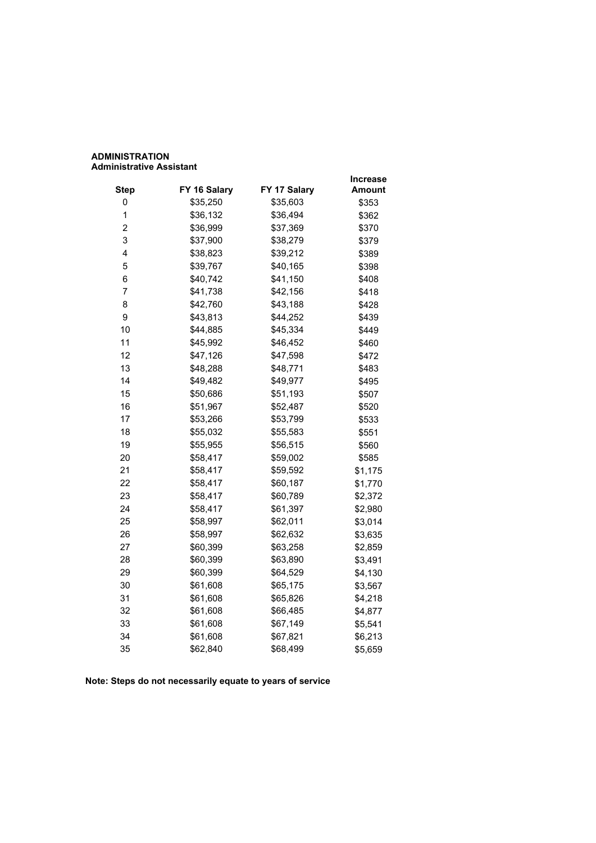# **ADMINISTRATION Administrative Assistant**

|                |              |              | Increase |
|----------------|--------------|--------------|----------|
| <b>Step</b>    | FY 16 Salary | FY 17 Salary | Amount   |
| 0              | \$35,250     | \$35,603     | \$353    |
| 1              | \$36,132     | \$36,494     | \$362    |
| $\overline{c}$ | \$36,999     | \$37,369     | \$370    |
| 3              | \$37,900     | \$38,279     | \$379    |
| 4              | \$38,823     | \$39,212     | \$389    |
| 5              | \$39,767     | \$40,165     | \$398    |
| 6              | \$40,742     | \$41,150     | \$408    |
| 7              | \$41,738     | \$42,156     | \$418    |
| 8              | \$42,760     | \$43,188     | \$428    |
| 9              | \$43,813     | \$44,252     | \$439    |
| 10             | \$44,885     | \$45,334     | \$449    |
| 11             | \$45,992     | \$46,452     | \$460    |
| 12             | \$47,126     | \$47,598     | \$472    |
| 13             | \$48,288     | \$48,771     | \$483    |
| 14             | \$49,482     | \$49,977     | \$495    |
| 15             | \$50,686     | \$51,193     | \$507    |
| 16             | \$51,967     | \$52,487     | \$520    |
| 17             | \$53,266     | \$53,799     | \$533    |
| 18             | \$55,032     | \$55,583     | \$551    |
| 19             | \$55,955     | \$56,515     | \$560    |
| 20             | \$58,417     | \$59,002     | \$585    |
| 21             | \$58,417     | \$59,592     | \$1,175  |
| 22             | \$58,417     | \$60,187     | \$1,770  |
| 23             | \$58,417     | \$60,789     | \$2,372  |
| 24             | \$58,417     | \$61,397     | \$2,980  |
| 25             | \$58,997     | \$62,011     | \$3,014  |
| 26             | \$58,997     | \$62,632     | \$3,635  |
| 27             | \$60,399     | \$63,258     | \$2,859  |
| 28             | \$60,399     | \$63,890     | \$3,491  |
| 29             | \$60,399     | \$64,529     | \$4,130  |
| 30             | \$61,608     | \$65,175     | \$3,567  |
| 31             | \$61,608     | \$65,826     | \$4,218  |
| 32             | \$61,608     | \$66,485     | \$4,877  |
| 33             | \$61,608     | \$67,149     | \$5,541  |
| 34             | \$61,608     | \$67,821     | \$6,213  |
| 35             | \$62,840     | \$68,499     | \$5,659  |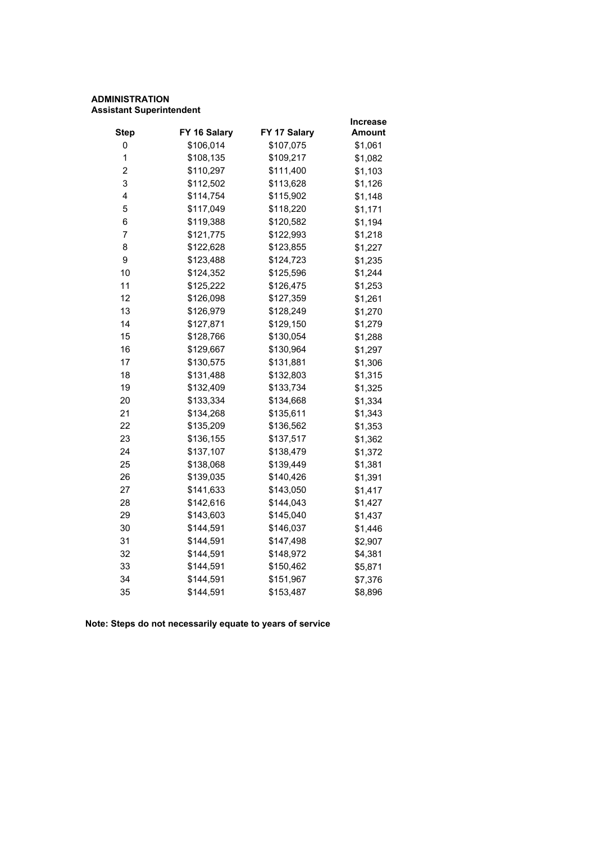# **ADMINISTRATION Assistant Superintendent**

|                         |              |              | Increase |
|-------------------------|--------------|--------------|----------|
| <b>Step</b>             | FY 16 Salary | FY 17 Salary | Amount   |
| 0                       | \$106,014    | \$107,075    | \$1,061  |
| 1                       | \$108,135    | \$109,217    | \$1,082  |
| $\overline{\mathbf{c}}$ | \$110,297    | \$111,400    | \$1,103  |
| 3                       | \$112,502    | \$113,628    | \$1,126  |
| 4                       | \$114,754    | \$115,902    | \$1,148  |
| 5                       | \$117,049    | \$118,220    | \$1,171  |
| 6                       | \$119,388    | \$120,582    | \$1,194  |
| $\overline{7}$          | \$121,775    | \$122,993    | \$1,218  |
| 8                       | \$122,628    | \$123,855    | \$1,227  |
| 9                       | \$123,488    | \$124,723    | \$1,235  |
| 10                      | \$124,352    | \$125,596    | \$1,244  |
| 11                      | \$125,222    | \$126,475    | \$1,253  |
| 12                      | \$126,098    | \$127,359    | \$1,261  |
| 13                      | \$126,979    | \$128,249    | \$1,270  |
| 14                      | \$127,871    | \$129,150    | \$1,279  |
| 15                      | \$128,766    | \$130,054    | \$1,288  |
| 16                      | \$129,667    | \$130,964    | \$1,297  |
| 17                      | \$130,575    | \$131,881    | \$1,306  |
| 18                      | \$131,488    | \$132,803    | \$1,315  |
| 19                      | \$132,409    | \$133,734    | \$1,325  |
| 20                      | \$133,334    | \$134,668    | \$1,334  |
| 21                      | \$134,268    | \$135,611    | \$1,343  |
| 22                      | \$135,209    | \$136,562    | \$1,353  |
| 23                      | \$136,155    | \$137,517    | \$1,362  |
| 24                      | \$137,107    | \$138,479    | \$1,372  |
| 25                      | \$138,068    | \$139,449    | \$1,381  |
| 26                      | \$139,035    | \$140,426    | \$1,391  |
| 27                      | \$141,633    | \$143,050    | \$1,417  |
| 28                      | \$142,616    | \$144,043    | \$1,427  |
| 29                      | \$143,603    | \$145,040    | \$1,437  |
| 30                      | \$144,591    | \$146,037    | \$1,446  |
| 31                      | \$144,591    | \$147,498    | \$2,907  |
| 32                      | \$144,591    | \$148,972    | \$4,381  |
| 33                      | \$144,591    | \$150,462    | \$5,871  |
| 34                      | \$144,591    | \$151,967    | \$7,376  |
| 35                      | \$144,591    | \$153,487    | \$8,896  |
|                         |              |              |          |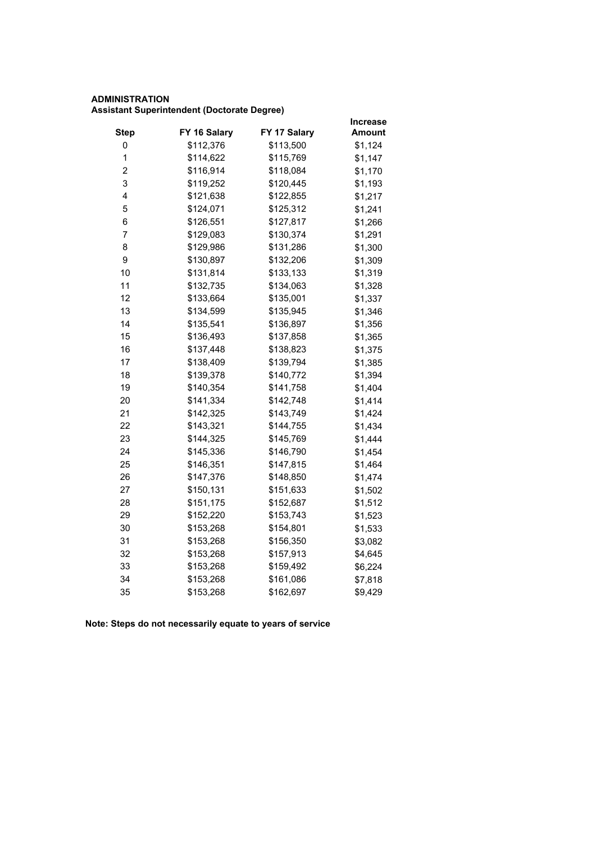# **ADMINISTRATION Assistant Superintendent (Doctorate Degree)**

|                         |              |              | <b>Increase</b> |
|-------------------------|--------------|--------------|-----------------|
| <b>Step</b>             | FY 16 Salary | FY 17 Salary | Amount          |
| 0                       | \$112,376    | \$113,500    | \$1,124         |
| $\mathbf 1$             | \$114,622    | \$115,769    | \$1,147         |
| $\overline{\mathbf{c}}$ | \$116,914    | \$118,084    | \$1,170         |
| 3                       | \$119,252    | \$120,445    | \$1,193         |
| 4                       | \$121,638    | \$122,855    | \$1,217         |
| 5                       | \$124,071    | \$125,312    | \$1,241         |
| 6                       | \$126,551    | \$127,817    | \$1,266         |
| 7                       | \$129,083    | \$130,374    | \$1,291         |
| 8                       | \$129,986    | \$131,286    | \$1,300         |
| 9                       | \$130,897    | \$132,206    | \$1,309         |
| 10                      | \$131,814    | \$133,133    | \$1,319         |
| 11                      | \$132,735    | \$134,063    | \$1,328         |
| 12                      | \$133,664    | \$135,001    | \$1,337         |
| 13                      | \$134,599    | \$135,945    | \$1,346         |
| 14                      | \$135,541    | \$136,897    | \$1,356         |
| 15                      | \$136,493    | \$137,858    | \$1,365         |
| 16                      | \$137,448    | \$138,823    | \$1,375         |
| 17                      | \$138,409    | \$139,794    | \$1,385         |
| 18                      | \$139,378    | \$140,772    | \$1,394         |
| 19                      | \$140,354    | \$141,758    | \$1,404         |
| 20                      | \$141,334    | \$142,748    | \$1,414         |
| 21                      | \$142,325    | \$143,749    | \$1,424         |
| 22                      | \$143,321    | \$144,755    | \$1,434         |
| 23                      | \$144,325    | \$145,769    | \$1,444         |
| 24                      | \$145,336    | \$146,790    | \$1,454         |
| 25                      | \$146,351    | \$147,815    | \$1,464         |
| 26                      | \$147,376    | \$148,850    | \$1,474         |
| 27                      | \$150,131    | \$151,633    | \$1,502         |
| 28                      | \$151,175    | \$152,687    | \$1,512         |
| 29                      | \$152,220    | \$153,743    | \$1,523         |
| 30                      | \$153,268    | \$154,801    | \$1,533         |
| 31                      | \$153,268    | \$156,350    | \$3,082         |
| 32                      | \$153,268    | \$157,913    | \$4,645         |
| 33                      | \$153,268    | \$159,492    | \$6,224         |
| 34                      | \$153,268    | \$161,086    | \$7,818         |
| 35                      | \$153,268    | \$162,697    | \$9,429         |
|                         |              |              |                 |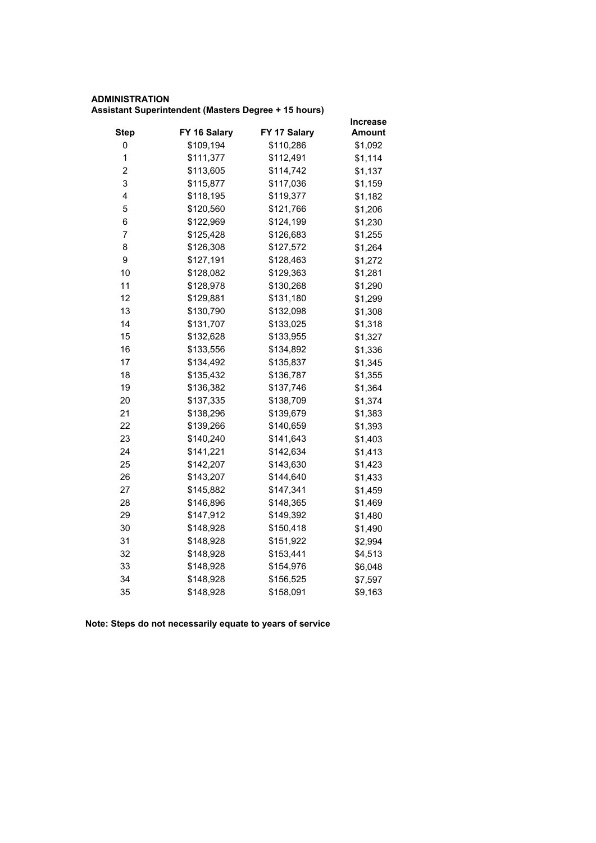# **ADMINISTRATION Assistant Superintendent (Masters Degree + 15 hours)**

|                         |              |              | <b>Increase</b> |
|-------------------------|--------------|--------------|-----------------|
| <b>Step</b>             | FY 16 Salary | FY 17 Salary | <b>Amount</b>   |
| 0                       | \$109,194    | \$110,286    | \$1,092         |
| $\mathbf 1$             | \$111,377    | \$112,491    | \$1,114         |
| $\overline{\mathbf{c}}$ | \$113,605    | \$114,742    | \$1,137         |
| 3                       | \$115,877    | \$117,036    | \$1,159         |
| 4                       | \$118,195    | \$119,377    | \$1,182         |
| 5                       | \$120,560    | \$121,766    | \$1,206         |
| 6                       | \$122,969    | \$124,199    | \$1,230         |
| 7                       | \$125,428    | \$126,683    | \$1,255         |
| 8                       | \$126,308    | \$127,572    | \$1,264         |
| 9                       | \$127,191    | \$128,463    | \$1,272         |
| 10                      | \$128,082    | \$129,363    | \$1,281         |
| 11                      | \$128,978    | \$130,268    | \$1,290         |
| 12                      | \$129,881    | \$131,180    | \$1,299         |
| 13                      | \$130,790    | \$132,098    | \$1,308         |
| 14                      | \$131,707    | \$133,025    | \$1,318         |
| 15                      | \$132,628    | \$133,955    | \$1,327         |
| 16                      | \$133,556    | \$134,892    | \$1,336         |
| 17                      | \$134,492    | \$135,837    | \$1,345         |
| 18                      | \$135,432    | \$136,787    | \$1,355         |
| 19                      | \$136,382    | \$137,746    | \$1,364         |
| 20                      | \$137,335    | \$138,709    | \$1,374         |
| 21                      | \$138,296    | \$139,679    | \$1,383         |
| 22                      | \$139,266    | \$140,659    | \$1,393         |
| 23                      | \$140,240    | \$141,643    | \$1,403         |
| 24                      | \$141,221    | \$142,634    | \$1,413         |
| 25                      | \$142,207    | \$143,630    | \$1,423         |
| 26                      | \$143,207    | \$144,640    | \$1,433         |
| 27                      | \$145,882    | \$147,341    | \$1,459         |
| 28                      | \$146,896    | \$148,365    | \$1,469         |
| 29                      | \$147,912    | \$149,392    | \$1,480         |
| 30                      | \$148,928    | \$150,418    | \$1,490         |
| 31                      | \$148,928    | \$151,922    | \$2,994         |
| 32                      | \$148,928    | \$153,441    | \$4,513         |
| 33                      | \$148,928    | \$154,976    | \$6,048         |
| 34                      | \$148,928    | \$156,525    | \$7,597         |
| 35                      | \$148,928    | \$158,091    | \$9,163         |
|                         |              |              |                 |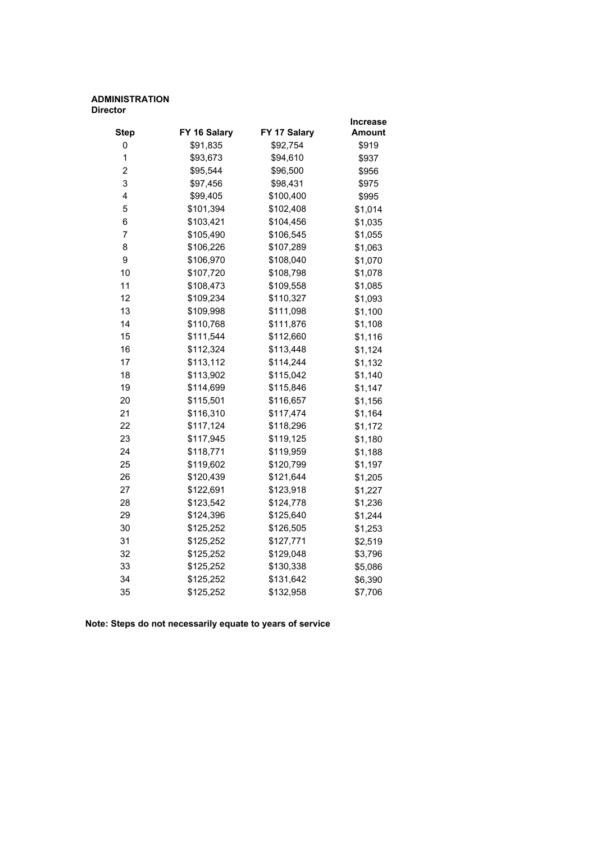#### **ADMINISTRATION Director**

|                |              |              | Increase |
|----------------|--------------|--------------|----------|
| <b>Step</b>    | FY 16 Salary | FY 17 Salary | Amount   |
| 0              | \$91,835     | \$92,754     | \$919    |
| $\mathbf{1}$   | \$93,673     | \$94,610     | \$937    |
| $\overline{c}$ | \$95,544     | \$96,500     | \$956    |
| 3              | \$97,456     | \$98,431     | \$975    |
| 4              | \$99,405     | \$100,400    | \$995    |
| 5              | \$101,394    | \$102,408    | \$1,014  |
| 6              | \$103,421    | \$104,456    | \$1,035  |
| 7              | \$105,490    | \$106,545    | \$1,055  |
| 8              | \$106,226    | \$107,289    | \$1,063  |
| 9              | \$106,970    | \$108,040    | \$1,070  |
| 10             | \$107,720    | \$108,798    | \$1,078  |
| 11             | \$108,473    | \$109,558    | \$1,085  |
| 12             | \$109,234    | \$110,327    | \$1,093  |
| 13             | \$109,998    | \$111,098    | \$1,100  |
| 14             | \$110,768    | \$111,876    | \$1,108  |
| 15             | \$111,544    | \$112,660    | \$1,116  |
| 16             | \$112,324    | \$113,448    | \$1,124  |
| 17             | \$113,112    | \$114,244    | \$1,132  |
| 18             | \$113,902    | \$115,042    | \$1,140  |
| 19             | \$114,699    | \$115,846    | \$1,147  |
| 20             | \$115,501    | \$116,657    | \$1,156  |
| 21             | \$116,310    | \$117,474    | \$1,164  |
| 22             | \$117,124    | \$118,296    | \$1,172  |
| 23             | \$117,945    | \$119,125    | \$1,180  |
| 24             | \$118,771    | \$119,959    | \$1,188  |
| 25             | \$119,602    | \$120,799    | \$1,197  |
| 26             | \$120,439    | \$121,644    | \$1,205  |
| 27             | \$122,691    | \$123,918    | \$1,227  |
| 28             | \$123,542    | \$124,778    | \$1,236  |
| 29             | \$124,396    | \$125,640    | \$1,244  |
| 30             | \$125,252    | \$126,505    | \$1,253  |
| 31             | \$125,252    | \$127,771    | \$2,519  |
| 32             | \$125,252    | \$129,048    | \$3,796  |
| 33             | \$125,252    | \$130,338    | \$5,086  |
| 34             | \$125,252    | \$131,642    | \$6,390  |
| 35             | \$125,252    | \$132,958    | \$7,706  |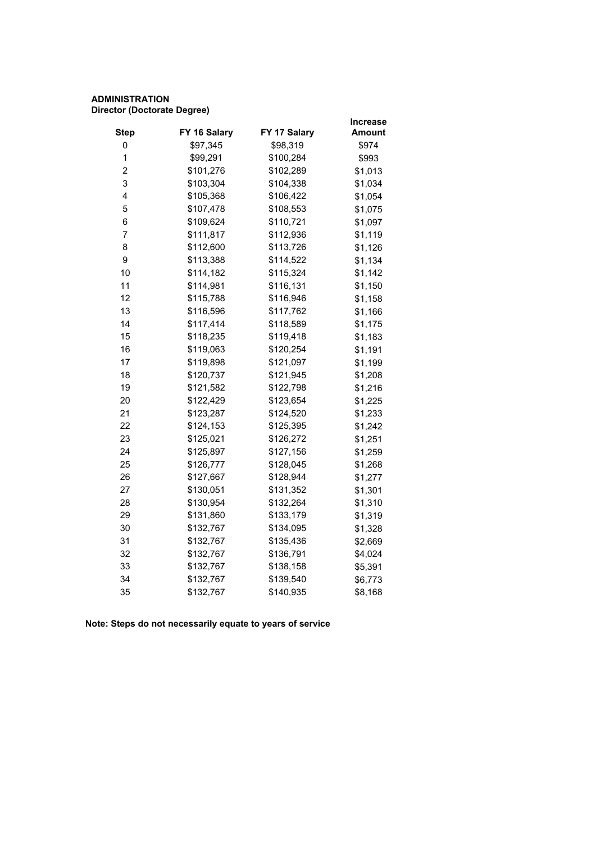# **ADMINISTRATION Director (Doctorate Degree)**

|           |              | <b>Increase</b> |
|-----------|--------------|-----------------|
|           |              | Amount          |
| \$97,345  | \$98,319     | \$974           |
| \$99,291  | \$100,284    | \$993           |
| \$101,276 | \$102,289    | \$1,013         |
| \$103,304 | \$104,338    | \$1,034         |
| \$105,368 | \$106,422    | \$1,054         |
| \$107,478 | \$108,553    | \$1,075         |
| \$109,624 | \$110,721    | \$1,097         |
| \$111,817 | \$112,936    | \$1,119         |
| \$112,600 | \$113,726    | \$1,126         |
| \$113,388 | \$114,522    | \$1,134         |
| \$114,182 | \$115,324    | \$1,142         |
| \$114,981 | \$116,131    | \$1,150         |
| \$115,788 | \$116,946    | \$1,158         |
| \$116,596 | \$117,762    | \$1,166         |
| \$117,414 | \$118,589    | \$1,175         |
| \$118,235 | \$119,418    | \$1,183         |
| \$119,063 | \$120,254    | \$1,191         |
| \$119,898 | \$121,097    | \$1,199         |
| \$120,737 | \$121,945    | \$1,208         |
| \$121,582 | \$122,798    | \$1,216         |
| \$122,429 | \$123,654    | \$1,225         |
| \$123,287 | \$124,520    | \$1,233         |
| \$124,153 | \$125,395    | \$1,242         |
| \$125,021 | \$126,272    | \$1,251         |
| \$125,897 | \$127,156    | \$1,259         |
| \$126,777 | \$128,045    | \$1,268         |
| \$127,667 | \$128,944    | \$1,277         |
| \$130,051 | \$131,352    | \$1,301         |
| \$130,954 | \$132,264    | \$1,310         |
| \$131,860 | \$133,179    | \$1,319         |
| \$132,767 | \$134,095    | \$1,328         |
| \$132,767 | \$135,436    | \$2,669         |
| \$132,767 | \$136,791    | \$4,024         |
| \$132,767 | \$138,158    | \$5,391         |
| \$132,767 | \$139,540    | \$6,773         |
| \$132,767 | \$140,935    | \$8,168         |
|           | FY 16 Salary | FY 17 Salary    |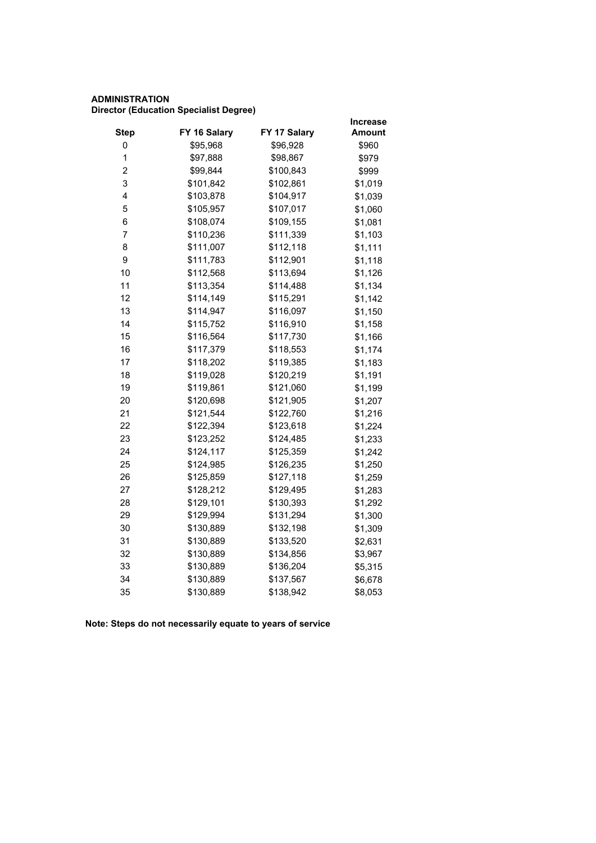# **ADMINISTRATION Director (Education Specialist Degree)**

|                         |              |              | <b>Increase</b> |  |
|-------------------------|--------------|--------------|-----------------|--|
| <b>Step</b>             | FY 16 Salary | FY 17 Salary | <b>Amount</b>   |  |
| 0                       | \$95,968     | \$96,928     | \$960           |  |
| $\mathbf 1$             | \$97,888     | \$98,867     | \$979           |  |
| $\overline{\mathbf{c}}$ | \$99,844     | \$100,843    | \$999           |  |
| 3                       | \$101,842    | \$102,861    | \$1,019         |  |
| 4                       | \$103,878    | \$104,917    | \$1,039         |  |
| 5                       | \$105,957    | \$107,017    | \$1,060         |  |
| 6                       | \$108,074    | \$109,155    | \$1,081         |  |
| 7                       | \$110,236    | \$111,339    | \$1,103         |  |
| 8                       | \$111,007    | \$112,118    | \$1,111         |  |
| 9                       | \$111,783    | \$112,901    | \$1,118         |  |
| 10                      | \$112,568    | \$113,694    | \$1,126         |  |
| 11                      | \$113,354    | \$114,488    | \$1,134         |  |
| 12                      | \$114,149    | \$115,291    | \$1,142         |  |
| 13                      | \$114,947    | \$116,097    | \$1,150         |  |
| 14                      | \$115,752    | \$116,910    | \$1,158         |  |
| 15                      | \$116,564    | \$117,730    | \$1,166         |  |
| 16                      | \$117,379    | \$118,553    | \$1,174         |  |
| 17                      | \$118,202    | \$119,385    | \$1,183         |  |
| 18                      | \$119,028    | \$120,219    | \$1,191         |  |
| 19                      | \$119,861    | \$121,060    | \$1,199         |  |
| 20                      | \$120,698    | \$121,905    | \$1,207         |  |
| 21                      | \$121,544    | \$122,760    | \$1,216         |  |
| 22                      | \$122,394    | \$123,618    | \$1,224         |  |
| 23                      | \$123,252    | \$124,485    | \$1,233         |  |
| 24                      | \$124,117    | \$125,359    | \$1,242         |  |
| 25                      | \$124,985    | \$126,235    | \$1,250         |  |
| 26                      | \$125,859    | \$127,118    | \$1,259         |  |
| 27                      | \$128,212    | \$129,495    | \$1,283         |  |
| 28                      | \$129,101    | \$130,393    | \$1,292         |  |
| 29                      | \$129,994    | \$131,294    | \$1,300         |  |
| 30                      | \$130,889    | \$132,198    | \$1,309         |  |
| 31                      | \$130,889    | \$133,520    | \$2,631         |  |
| 32                      | \$130,889    | \$134,856    | \$3,967         |  |
| 33                      | \$130,889    | \$136,204    | \$5,315         |  |
| 34                      | \$130,889    | \$137,567    | \$6,678         |  |
| 35                      | \$130,889    | \$138,942    | \$8,053         |  |
|                         |              |              |                 |  |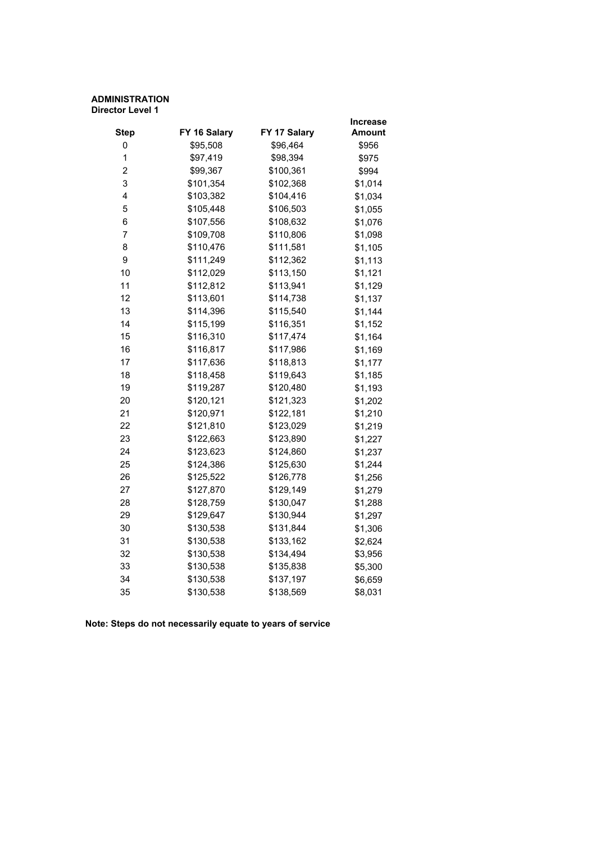#### **ADMINISTRATION Director Level 1**

|                |              |              | Increase      |
|----------------|--------------|--------------|---------------|
| <b>Step</b>    | FY 16 Salary | FY 17 Salary | <b>Amount</b> |
| 0              | \$95,508     | \$96,464     | \$956         |
| 1              | \$97,419     | \$98,394     | \$975         |
| $\overline{c}$ | \$99,367     | \$100,361    | \$994         |
| 3              | \$101,354    | \$102,368    | \$1,014       |
| 4              | \$103,382    | \$104,416    | \$1,034       |
| 5              | \$105,448    | \$106,503    | \$1,055       |
| 6              | \$107,556    | \$108,632    | \$1,076       |
| 7              | \$109,708    | \$110,806    | \$1,098       |
| 8              | \$110,476    | \$111,581    | \$1,105       |
| 9              | \$111,249    | \$112,362    | \$1,113       |
| 10             | \$112,029    | \$113,150    | \$1,121       |
| 11             | \$112,812    | \$113,941    | \$1,129       |
| 12             | \$113,601    | \$114,738    | \$1,137       |
| 13             | \$114,396    | \$115,540    | \$1,144       |
| 14             | \$115,199    | \$116,351    | \$1,152       |
| 15             | \$116,310    | \$117,474    | \$1,164       |
| 16             | \$116,817    | \$117,986    | \$1,169       |
| 17             | \$117,636    | \$118,813    | \$1,177       |
| 18             | \$118,458    | \$119,643    | \$1,185       |
| 19             | \$119,287    | \$120,480    | \$1,193       |
| 20             | \$120,121    | \$121,323    | \$1,202       |
| 21             | \$120,971    | \$122,181    | \$1,210       |
| 22             | \$121,810    | \$123,029    | \$1,219       |
| 23             | \$122,663    | \$123,890    | \$1,227       |
| 24             | \$123,623    | \$124,860    | \$1,237       |
| 25             | \$124,386    | \$125,630    | \$1,244       |
| 26             | \$125,522    | \$126,778    | \$1,256       |
| 27             | \$127,870    | \$129,149    | \$1,279       |
| 28             | \$128,759    | \$130,047    | \$1,288       |
| 29             | \$129,647    | \$130,944    | \$1,297       |
| 30             | \$130,538    | \$131,844    | \$1,306       |
| 31             | \$130,538    | \$133,162    | \$2,624       |
| 32             | \$130,538    | \$134,494    | \$3,956       |
| 33             | \$130,538    | \$135,838    | \$5,300       |
| 34             | \$130,538    | \$137,197    | \$6,659       |
| 35             | \$130,538    | \$138,569    | \$8,031       |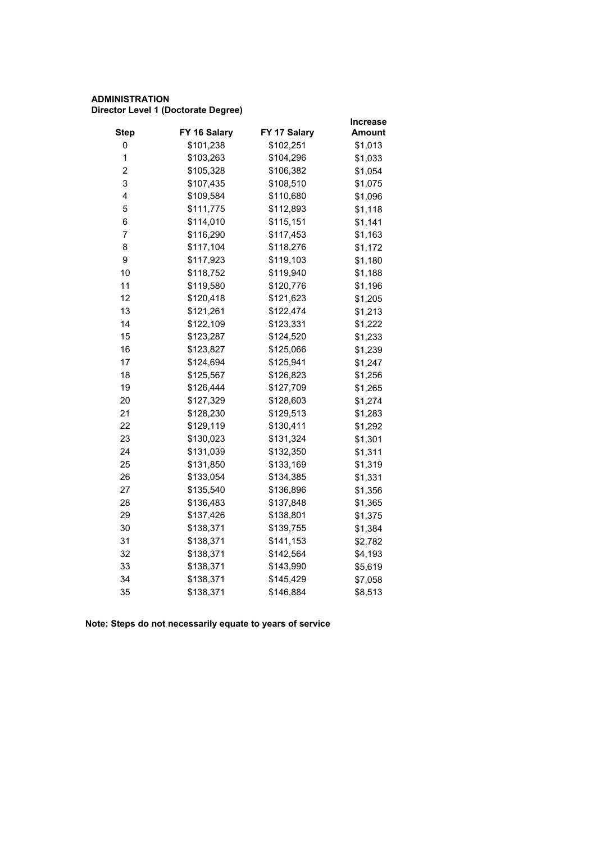# **ADMINISTRATION Director Level 1 (Doctorate Degree)**

|                         |              |              | <b>Increase</b> |
|-------------------------|--------------|--------------|-----------------|
| <b>Step</b>             | FY 16 Salary | FY 17 Salary | <b>Amount</b>   |
| 0                       | \$101,238    | \$102,251    | \$1,013         |
| $\mathbf 1$             | \$103,263    | \$104,296    | \$1,033         |
| $\overline{\mathbf{c}}$ | \$105,328    | \$106,382    | \$1,054         |
| 3                       | \$107,435    | \$108,510    | \$1,075         |
| 4                       | \$109,584    | \$110,680    | \$1,096         |
| 5                       | \$111,775    | \$112,893    | \$1,118         |
| 6                       | \$114,010    | \$115,151    | \$1,141         |
| 7                       | \$116,290    | \$117,453    | \$1,163         |
| 8                       | \$117,104    | \$118,276    | \$1,172         |
| 9                       | \$117,923    | \$119,103    | \$1,180         |
| 10                      | \$118,752    | \$119,940    | \$1,188         |
| 11                      | \$119,580    | \$120,776    | \$1,196         |
| 12                      | \$120,418    | \$121,623    | \$1,205         |
| 13                      | \$121,261    | \$122,474    | \$1,213         |
| 14                      | \$122,109    | \$123,331    | \$1,222         |
| 15                      | \$123,287    | \$124,520    | \$1,233         |
| 16                      | \$123,827    | \$125,066    | \$1,239         |
| 17                      | \$124,694    | \$125,941    | \$1,247         |
| 18                      | \$125,567    | \$126,823    | \$1,256         |
| 19                      | \$126,444    | \$127,709    | \$1,265         |
| 20                      | \$127,329    | \$128,603    | \$1,274         |
| 21                      | \$128,230    | \$129,513    | \$1,283         |
| 22                      | \$129,119    | \$130,411    | \$1,292         |
| 23                      | \$130,023    | \$131,324    | \$1,301         |
| 24                      | \$131,039    | \$132,350    | \$1,311         |
| 25                      | \$131,850    | \$133,169    | \$1,319         |
| 26                      | \$133,054    | \$134,385    | \$1,331         |
| 27                      | \$135,540    | \$136,896    | \$1,356         |
| 28                      | \$136,483    | \$137,848    | \$1,365         |
| 29                      | \$137,426    | \$138,801    | \$1,375         |
| 30                      | \$138,371    | \$139,755    | \$1,384         |
| 31                      | \$138,371    | \$141,153    | \$2,782         |
| 32                      | \$138,371    | \$142,564    | \$4,193         |
| 33                      | \$138,371    | \$143,990    | \$5,619         |
| 34                      | \$138,371    | \$145,429    | \$7,058         |
| 35                      | \$138,371    | \$146,884    | \$8,513         |
|                         |              |              |                 |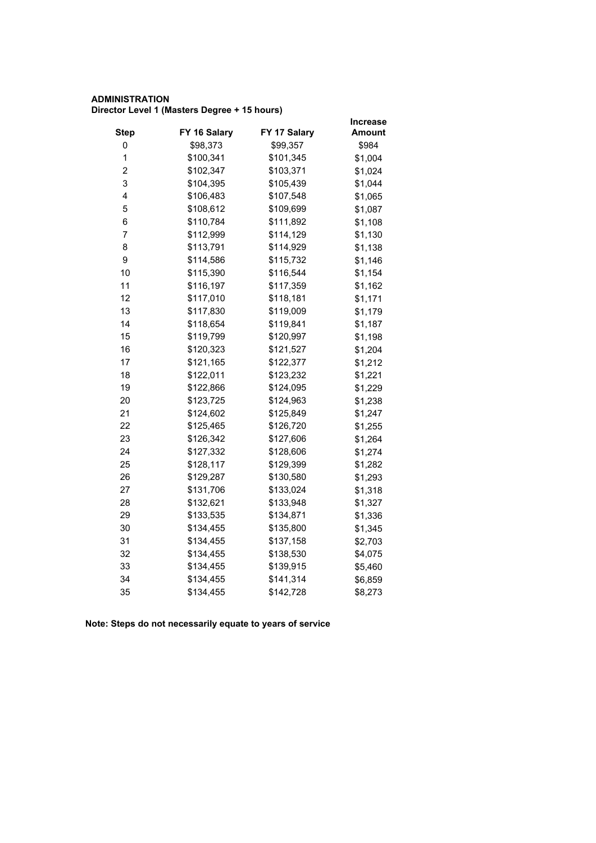# **ADMINISTRATION Director Level 1 (Masters Degree + 15 hours)**

|             |              |              | <b>Increase</b> |
|-------------|--------------|--------------|-----------------|
| <b>Step</b> | FY 16 Salary | FY 17 Salary | <b>Amount</b>   |
| 0           | \$98,373     | \$99,357     | \$984           |
| $\mathbf 1$ | \$100,341    | \$101,345    | \$1,004         |
| 2           | \$102,347    | \$103,371    | \$1,024         |
| 3           | \$104,395    | \$105,439    | \$1,044         |
| 4           | \$106,483    | \$107,548    | \$1,065         |
| 5           | \$108,612    | \$109,699    | \$1,087         |
| 6           | \$110,784    | \$111,892    | \$1,108         |
| 7           | \$112,999    | \$114,129    | \$1,130         |
| 8           | \$113,791    | \$114,929    | \$1,138         |
| 9           | \$114,586    | \$115,732    | \$1,146         |
| 10          | \$115,390    | \$116,544    | \$1,154         |
| 11          | \$116,197    | \$117,359    | \$1,162         |
| 12          | \$117,010    | \$118,181    | \$1,171         |
| 13          | \$117,830    | \$119,009    | \$1,179         |
| 14          | \$118,654    | \$119,841    | \$1,187         |
| 15          | \$119,799    | \$120,997    | \$1,198         |
| 16          | \$120,323    | \$121,527    | \$1,204         |
| 17          | \$121,165    | \$122,377    | \$1,212         |
| 18          | \$122,011    | \$123,232    | \$1,221         |
| 19          | \$122,866    | \$124,095    | \$1,229         |
| 20          | \$123,725    | \$124,963    | \$1,238         |
| 21          | \$124,602    | \$125,849    | \$1,247         |
| 22          | \$125,465    | \$126,720    | \$1,255         |
| 23          | \$126,342    | \$127,606    | \$1,264         |
| 24          | \$127,332    | \$128,606    | \$1,274         |
| 25          | \$128,117    | \$129,399    | \$1,282         |
| 26          | \$129,287    | \$130,580    | \$1,293         |
| 27          | \$131,706    | \$133,024    | \$1,318         |
| 28          | \$132,621    | \$133,948    | \$1,327         |
| 29          | \$133,535    | \$134,871    | \$1,336         |
| 30          | \$134,455    | \$135,800    | \$1,345         |
| 31          | \$134,455    | \$137,158    | \$2,703         |
| 32          | \$134,455    | \$138,530    | \$4,075         |
| 33          | \$134,455    | \$139,915    | \$5,460         |
| 34          | \$134,455    | \$141,314    | \$6,859         |
| 35          | \$134,455    | \$142,728    | \$8,273         |
|             |              |              |                 |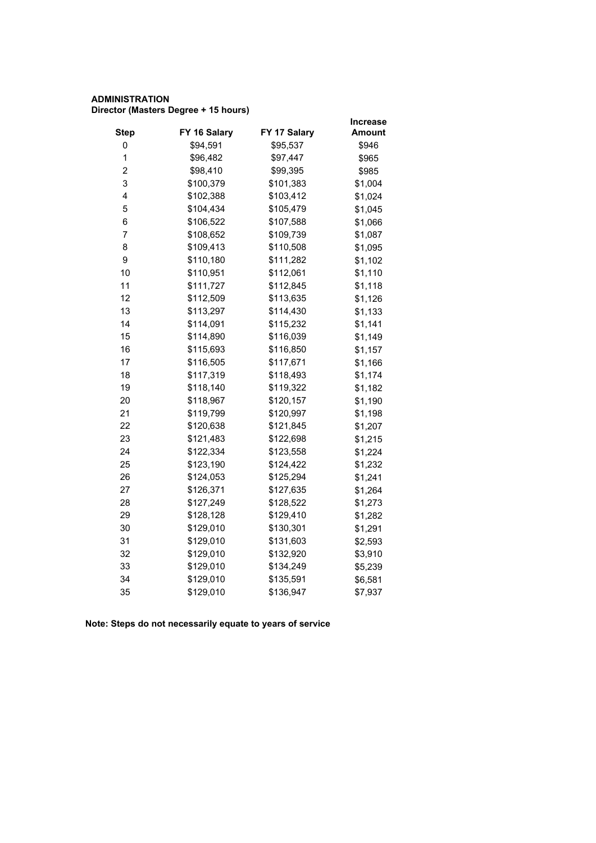# **ADMINISTRATION Director (Masters Degree + 15 hours)**

|                         |              |              | <b>Increase</b> |
|-------------------------|--------------|--------------|-----------------|
| <b>Step</b>             | FY 16 Salary | FY 17 Salary | Amount          |
| 0                       | \$94,591     | \$95,537     | \$946           |
| 1                       | \$96,482     | \$97,447     | \$965           |
| $\overline{\mathbf{c}}$ | \$98,410     | \$99,395     | \$985           |
| 3                       | \$100,379    | \$101,383    | \$1,004         |
| 4                       | \$102,388    | \$103,412    | \$1,024         |
| 5                       | \$104,434    | \$105,479    | \$1,045         |
| 6                       | \$106,522    | \$107,588    | \$1,066         |
| 7                       | \$108,652    | \$109,739    | \$1,087         |
| 8                       | \$109,413    | \$110,508    | \$1,095         |
| 9                       | \$110,180    | \$111,282    | \$1,102         |
| 10                      | \$110,951    | \$112,061    | \$1,110         |
| 11                      | \$111,727    | \$112,845    | \$1,118         |
| 12                      | \$112,509    | \$113,635    | \$1,126         |
| 13                      | \$113,297    | \$114,430    | \$1,133         |
| 14                      | \$114,091    | \$115,232    | \$1,141         |
| 15                      | \$114,890    | \$116,039    | \$1,149         |
| 16                      | \$115,693    | \$116,850    | \$1,157         |
| 17                      | \$116,505    | \$117,671    | \$1,166         |
| 18                      | \$117,319    | \$118,493    | \$1,174         |
| 19                      | \$118,140    | \$119,322    | \$1,182         |
| 20                      | \$118,967    | \$120,157    | \$1,190         |
| 21                      | \$119,799    | \$120,997    | \$1,198         |
| 22                      | \$120,638    | \$121,845    | \$1,207         |
| 23                      | \$121,483    | \$122,698    | \$1,215         |
| 24                      | \$122,334    | \$123,558    | \$1,224         |
| 25                      | \$123,190    | \$124,422    | \$1,232         |
| 26                      | \$124,053    | \$125,294    | \$1,241         |
| 27                      | \$126,371    | \$127,635    | \$1,264         |
| 28                      | \$127,249    | \$128,522    | \$1,273         |
| 29                      | \$128,128    | \$129,410    | \$1,282         |
| 30                      | \$129,010    | \$130,301    | \$1,291         |
| 31                      | \$129,010    | \$131,603    | \$2,593         |
| 32                      | \$129,010    | \$132,920    | \$3,910         |
| 33                      | \$129,010    | \$134,249    | \$5,239         |
| 34                      | \$129,010    | \$135,591    | \$6,581         |
| 35                      | \$129,010    | \$136,947    | \$7,937         |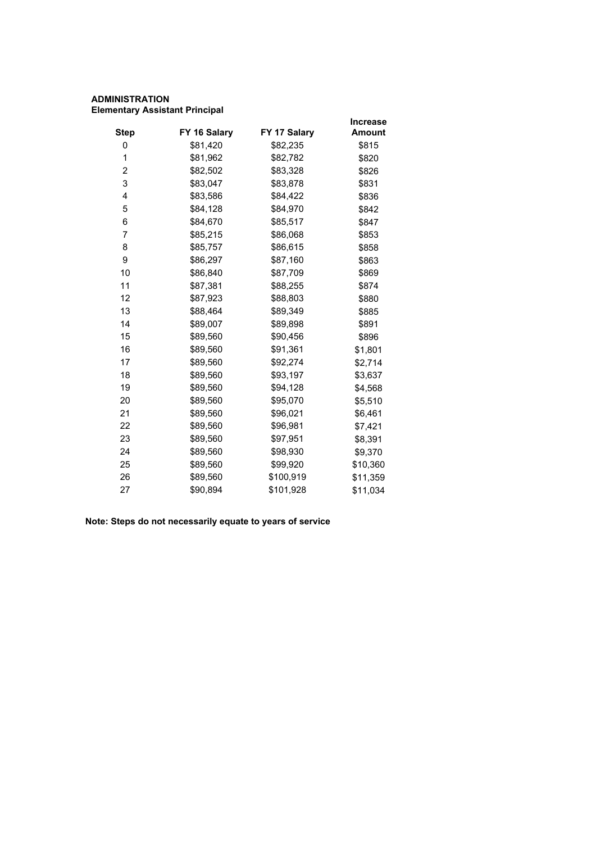# **ADMINISTRATION Elementary Assistant Principal**

|             |              |              | <b>Increase</b> |
|-------------|--------------|--------------|-----------------|
| <b>Step</b> | FY 16 Salary | FY 17 Salary | <b>Amount</b>   |
| 0           | \$81,420     | \$82,235     | \$815           |
| 1           | \$81,962     | \$82,782     | \$820           |
| 2           | \$82,502     | \$83,328     | \$826           |
| 3           | \$83,047     | \$83,878     | \$831           |
| 4           | \$83,586     | \$84,422     | \$836           |
| 5           | \$84,128     | \$84,970     | \$842           |
| 6           | \$84,670     | \$85,517     | \$847           |
| 7           | \$85,215     | \$86,068     | \$853           |
| 8           | \$85,757     | \$86,615     | \$858           |
| 9           | \$86,297     | \$87,160     | \$863           |
| 10          | \$86,840     | \$87,709     | \$869           |
| 11          | \$87,381     | \$88,255     | \$874           |
| 12          | \$87,923     | \$88,803     | \$880           |
| 13          | \$88,464     | \$89,349     | \$885           |
| 14          | \$89,007     | \$89,898     | \$891           |
| 15          | \$89,560     | \$90,456     | \$896           |
| 16          | \$89,560     | \$91,361     | \$1,801         |
| 17          | \$89,560     | \$92,274     | \$2,714         |
| 18          | \$89,560     | \$93,197     | \$3,637         |
| 19          | \$89,560     | \$94,128     | \$4,568         |
| 20          | \$89,560     | \$95,070     | \$5,510         |
| 21          | \$89,560     | \$96,021     | \$6,461         |
| 22          | \$89,560     | \$96,981     | \$7,421         |
| 23          | \$89,560     | \$97,951     | \$8,391         |
| 24          | \$89,560     | \$98,930     | \$9,370         |
| 25          | \$89,560     | \$99,920     | \$10,360        |
| 26          | \$89,560     | \$100,919    | \$11,359        |
| 27          | \$90,894     | \$101,928    | \$11,034        |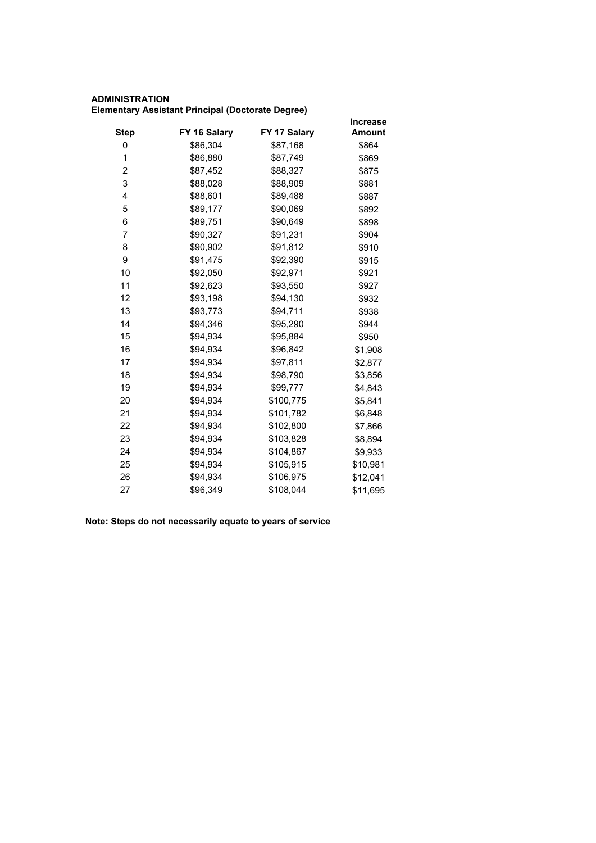# **ADMINISTRATION Elementary Assistant Principal (Doctorate Degree)**

|             |              |              | <b>Increase</b> |
|-------------|--------------|--------------|-----------------|
| <b>Step</b> | FY 16 Salary | FY 17 Salary | <b>Amount</b>   |
| 0           | \$86,304     | \$87,168     | \$864           |
| 1           | \$86,880     | \$87,749     | \$869           |
| 2           | \$87,452     | \$88,327     | \$875           |
| 3           | \$88,028     | \$88,909     | \$881           |
| 4           | \$88,601     | \$89,488     | \$887           |
| 5           | \$89,177     | \$90,069     | \$892           |
| 6           | \$89,751     | \$90,649     | \$898           |
| 7           | \$90,327     | \$91,231     | \$904           |
| 8           | \$90,902     | \$91,812     | \$910           |
| 9           | \$91,475     | \$92,390     | \$915           |
| 10          | \$92,050     | \$92,971     | \$921           |
| 11          | \$92,623     | \$93,550     | \$927           |
| 12          | \$93,198     | \$94,130     | \$932           |
| 13          | \$93,773     | \$94,711     | \$938           |
| 14          | \$94,346     | \$95,290     | \$944           |
| 15          | \$94,934     | \$95,884     | \$950           |
| 16          | \$94,934     | \$96,842     | \$1,908         |
| 17          | \$94,934     | \$97,811     | \$2,877         |
| 18          | \$94,934     | \$98,790     | \$3,856         |
| 19          | \$94,934     | \$99,777     | \$4,843         |
| 20          | \$94,934     | \$100,775    | \$5,841         |
| 21          | \$94,934     | \$101,782    | \$6,848         |
| 22          | \$94,934     | \$102,800    | \$7,866         |
| 23          | \$94,934     | \$103,828    | \$8,894         |
| 24          | \$94,934     | \$104,867    | \$9,933         |
| 25          | \$94,934     | \$105,915    | \$10,981        |
| 26          | \$94,934     | \$106,975    | \$12,041        |
| 27          | \$96,349     | \$108,044    | \$11,695        |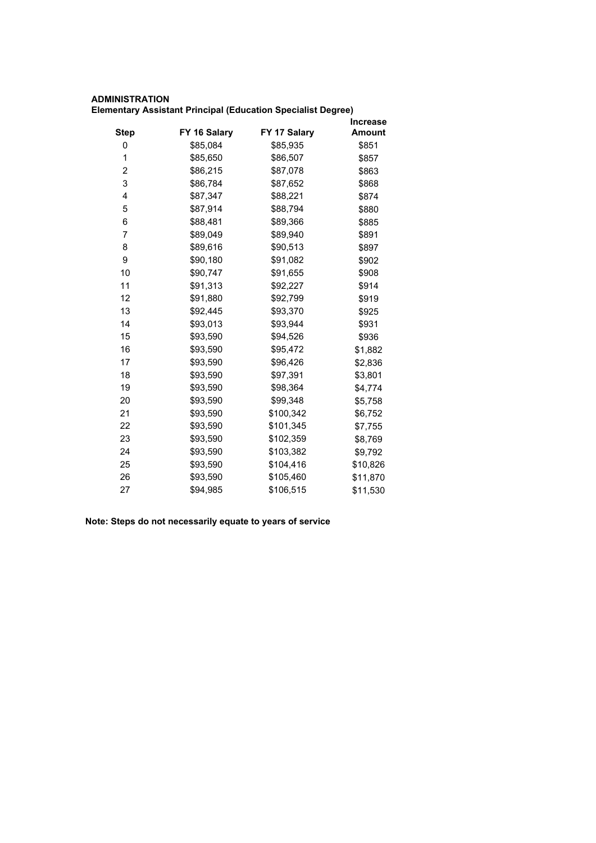# **ADMINISTRATION**

**Elementary Assistant Principal (Education Specialist Degree)**

|      |              |              | <b>Increase</b> |
|------|--------------|--------------|-----------------|
| Step | FY 16 Salary | FY 17 Salary | <b>Amount</b>   |
| 0    | \$85,084     | \$85,935     | \$851           |
| 1    | \$85,650     | \$86,507     | \$857           |
| 2    | \$86,215     | \$87,078     | \$863           |
| 3    | \$86,784     | \$87,652     | \$868           |
| 4    | \$87,347     | \$88,221     | \$874           |
| 5    | \$87,914     | \$88,794     | \$880           |
| 6    | \$88,481     | \$89,366     | \$885           |
| 7    | \$89,049     | \$89,940     | \$891           |
| 8    | \$89,616     | \$90,513     | \$897           |
| 9    | \$90,180     | \$91,082     | \$902           |
| 10   | \$90,747     | \$91,655     | \$908           |
| 11   | \$91,313     | \$92,227     | \$914           |
| 12   | \$91,880     | \$92,799     | \$919           |
| 13   | \$92,445     | \$93,370     | \$925           |
| 14   | \$93,013     | \$93,944     | \$931           |
| 15   | \$93,590     | \$94,526     | \$936           |
| 16   | \$93,590     | \$95,472     | \$1,882         |
| 17   | \$93,590     | \$96,426     | \$2,836         |
| 18   | \$93,590     | \$97,391     | \$3,801         |
| 19   | \$93,590     | \$98,364     | \$4,774         |
| 20   | \$93,590     | \$99,348     | \$5,758         |
| 21   | \$93,590     | \$100,342    | \$6,752         |
| 22   | \$93,590     | \$101,345    | \$7,755         |
| 23   | \$93,590     | \$102,359    | \$8,769         |
| 24   | \$93,590     | \$103,382    | \$9,792         |
| 25   | \$93,590     | \$104,416    | \$10,826        |
| 26   | \$93,590     | \$105,460    | \$11,870        |
| 27   | \$94,985     | \$106,515    | \$11,530        |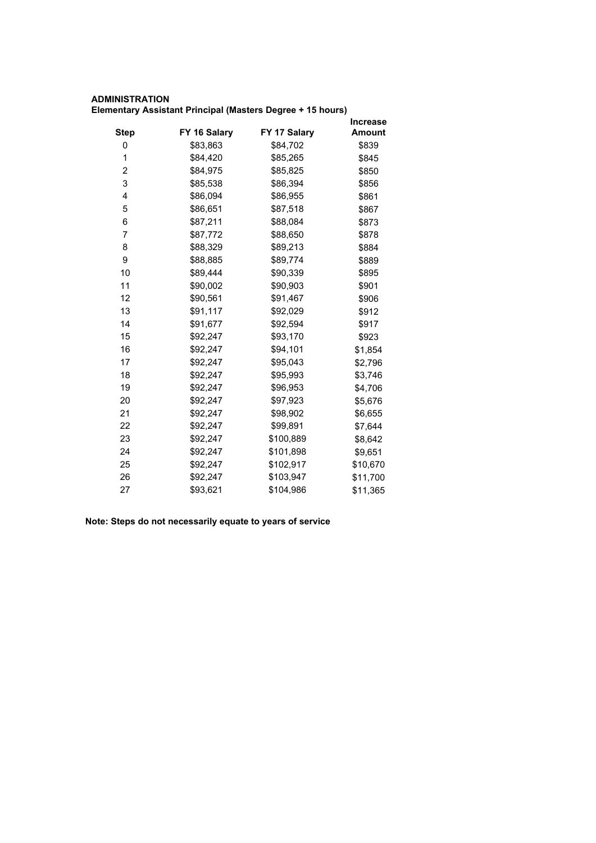# **ADMINISTRATION Elementary Assistant Principal (Masters Degree + 15 hours)**

|             |              |              | Increase      |
|-------------|--------------|--------------|---------------|
| <b>Step</b> | FY 16 Salary | FY 17 Salary | <b>Amount</b> |
| 0           | \$83,863     | \$84,702     | \$839         |
| 1           | \$84,420     | \$85,265     | \$845         |
| 2           | \$84,975     | \$85,825     | \$850         |
| 3           | \$85,538     | \$86,394     | \$856         |
| 4           | \$86,094     | \$86,955     | \$861         |
| 5           | \$86,651     | \$87,518     | \$867         |
| 6           | \$87,211     | \$88,084     | \$873         |
| 7           | \$87,772     | \$88,650     | \$878         |
| 8           | \$88,329     | \$89,213     | \$884         |
| 9           | \$88,885     | \$89,774     | \$889         |
| 10          | \$89,444     | \$90,339     | \$895         |
| 11          | \$90,002     | \$90,903     | \$901         |
| 12          | \$90,561     | \$91,467     | \$906         |
| 13          | \$91,117     | \$92,029     | \$912         |
| 14          | \$91,677     | \$92,594     | \$917         |
| 15          | \$92,247     | \$93,170     | \$923         |
| 16          | \$92,247     | \$94,101     | \$1,854       |
| 17          | \$92,247     | \$95,043     | \$2,796       |
| 18          | \$92,247     | \$95,993     | \$3,746       |
| 19          | \$92,247     | \$96,953     | \$4,706       |
| 20          | \$92,247     | \$97,923     | \$5,676       |
| 21          | \$92,247     | \$98,902     | \$6,655       |
| 22          | \$92,247     | \$99,891     | \$7,644       |
| 23          | \$92,247     | \$100,889    | \$8,642       |
| 24          | \$92,247     | \$101,898    | \$9,651       |
| 25          | \$92,247     | \$102,917    | \$10,670      |
| 26          | \$92,247     | \$103,947    | \$11,700      |
| 27          | \$93,621     | \$104,986    | \$11,365      |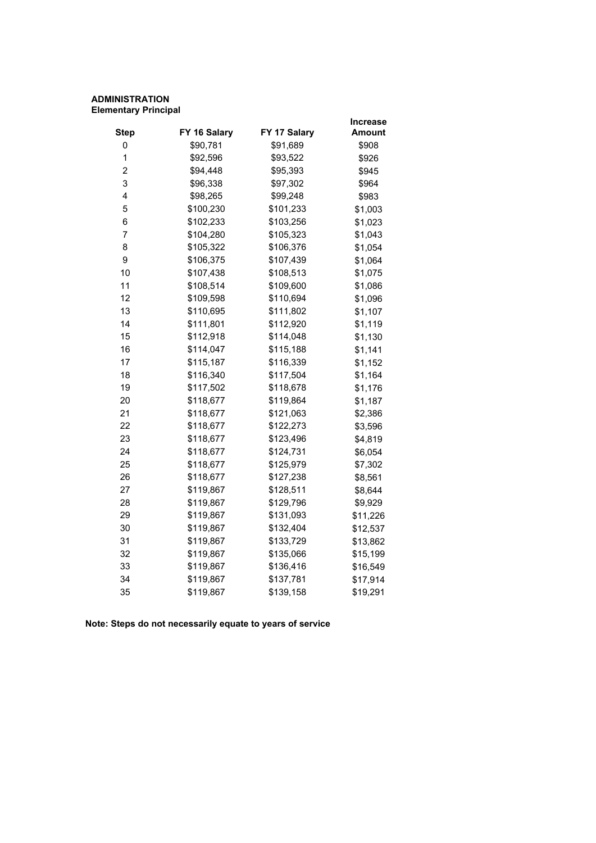# **ADMINISTRATION Elementary Principal**

|                |              |              | <b>Increase</b> |
|----------------|--------------|--------------|-----------------|
| <b>Step</b>    | FY 16 Salary | FY 17 Salary | <b>Amount</b>   |
| 0              | \$90,781     | \$91,689     | \$908           |
| 1              | \$92,596     | \$93,522     | \$926           |
| $\overline{c}$ | \$94,448     | \$95,393     | \$945           |
| 3              | \$96,338     | \$97,302     | \$964           |
| 4              | \$98,265     | \$99,248     | \$983           |
| 5              | \$100,230    | \$101,233    | \$1,003         |
| 6              | \$102,233    | \$103,256    | \$1,023         |
| 7              | \$104,280    | \$105,323    | \$1,043         |
| 8              | \$105,322    | \$106,376    | \$1,054         |
| 9              | \$106,375    | \$107,439    | \$1,064         |
| 10             | \$107,438    | \$108,513    | \$1,075         |
| 11             | \$108,514    | \$109,600    | \$1,086         |
| 12             | \$109,598    | \$110,694    | \$1,096         |
| 13             | \$110,695    | \$111,802    | \$1,107         |
| 14             | \$111,801    | \$112,920    | \$1,119         |
| 15             | \$112,918    | \$114,048    | \$1,130         |
| 16             | \$114,047    | \$115,188    | \$1,141         |
| 17             | \$115,187    | \$116,339    | \$1,152         |
| 18             | \$116,340    | \$117,504    | \$1,164         |
| 19             | \$117,502    | \$118,678    | \$1,176         |
| 20             | \$118,677    | \$119,864    | \$1,187         |
| 21             | \$118,677    | \$121,063    | \$2,386         |
| 22             | \$118,677    | \$122,273    | \$3,596         |
| 23             | \$118,677    | \$123,496    | \$4,819         |
| 24             | \$118,677    | \$124,731    | \$6,054         |
| 25             | \$118,677    | \$125,979    | \$7,302         |
| 26             | \$118,677    | \$127,238    | \$8,561         |
| 27             | \$119,867    | \$128,511    | \$8,644         |
| 28             | \$119,867    | \$129,796    | \$9,929         |
| 29             | \$119,867    | \$131,093    | \$11,226        |
| 30             | \$119,867    | \$132,404    | \$12,537        |
| 31             | \$119,867    | \$133,729    | \$13,862        |
| 32             | \$119,867    | \$135,066    | \$15,199        |
| 33             | \$119,867    | \$136,416    | \$16,549        |
| 34             | \$119,867    | \$137,781    | \$17,914        |
| 35             | \$119,867    | \$139,158    | \$19,291        |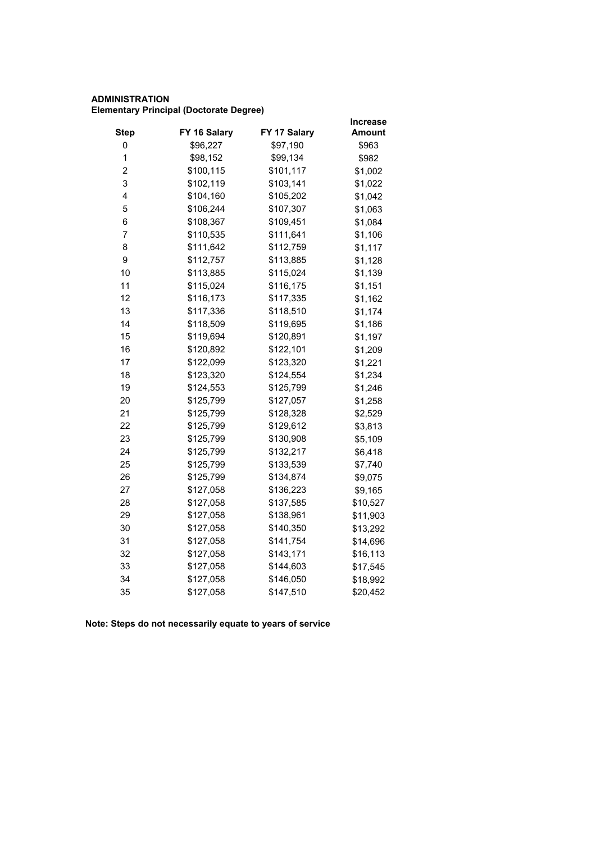# **ADMINISTRATION Elementary Principal (Doctorate Degree)**

|                         |              |              | Increase      |
|-------------------------|--------------|--------------|---------------|
| <b>Step</b>             | FY 16 Salary | FY 17 Salary | <b>Amount</b> |
| 0                       | \$96,227     | \$97,190     | \$963         |
| $\mathbf 1$             | \$98,152     | \$99,134     | \$982         |
| $\overline{\mathbf{c}}$ | \$100,115    | \$101,117    | \$1,002       |
| 3                       | \$102,119    | \$103,141    | \$1,022       |
| 4                       | \$104,160    | \$105,202    | \$1,042       |
| 5                       | \$106,244    | \$107,307    | \$1,063       |
| 6                       | \$108,367    | \$109,451    | \$1,084       |
| 7                       | \$110,535    | \$111,641    | \$1,106       |
| 8                       | \$111,642    | \$112,759    | \$1,117       |
| 9                       | \$112,757    | \$113,885    | \$1,128       |
| 10                      | \$113,885    | \$115,024    | \$1,139       |
| 11                      | \$115,024    | \$116,175    | \$1,151       |
| 12                      | \$116,173    | \$117,335    | \$1,162       |
| 13                      | \$117,336    | \$118,510    | \$1,174       |
| 14                      | \$118,509    | \$119,695    | \$1,186       |
| 15                      | \$119,694    | \$120,891    | \$1,197       |
| 16                      | \$120,892    | \$122,101    | \$1,209       |
| 17                      | \$122,099    | \$123,320    | \$1,221       |
| 18                      | \$123,320    | \$124,554    | \$1,234       |
| 19                      | \$124,553    | \$125,799    | \$1,246       |
| 20                      | \$125,799    | \$127,057    | \$1,258       |
| 21                      | \$125,799    | \$128,328    | \$2,529       |
| 22                      | \$125,799    | \$129,612    | \$3,813       |
| 23                      | \$125,799    | \$130,908    | \$5,109       |
| 24                      | \$125,799    | \$132,217    | \$6,418       |
| 25                      | \$125,799    | \$133,539    | \$7,740       |
| 26                      | \$125,799    | \$134,874    | \$9,075       |
| 27                      | \$127,058    | \$136,223    | \$9,165       |
| 28                      | \$127,058    | \$137,585    | \$10,527      |
| 29                      | \$127,058    | \$138,961    | \$11,903      |
| 30                      | \$127,058    | \$140,350    | \$13,292      |
| 31                      | \$127,058    | \$141,754    | \$14,696      |
| 32                      | \$127,058    | \$143,171    | \$16,113      |
| 33                      | \$127,058    | \$144,603    | \$17,545      |
| 34                      | \$127,058    | \$146,050    | \$18,992      |
| 35                      | \$127,058    | \$147,510    | \$20,452      |
|                         |              |              |               |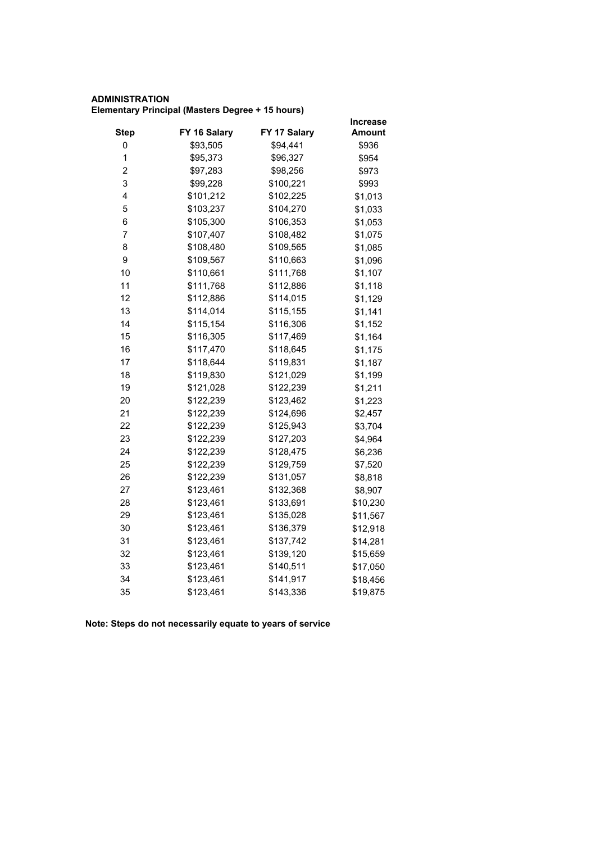# **ADMINISTRATION Elementary Principal (Masters Degree + 15 hours)**

|           |              | <b>Increase</b> |
|-----------|--------------|-----------------|
|           |              | <b>Amount</b>   |
| \$93,505  | \$94,441     | \$936           |
| \$95,373  | \$96,327     | \$954           |
| \$97,283  | \$98,256     | \$973           |
| \$99,228  | \$100,221    | \$993           |
| \$101,212 | \$102,225    | \$1,013         |
| \$103,237 | \$104,270    | \$1,033         |
| \$105,300 | \$106,353    | \$1,053         |
| \$107,407 | \$108,482    | \$1,075         |
| \$108,480 | \$109,565    | \$1,085         |
| \$109,567 | \$110,663    | \$1,096         |
| \$110,661 | \$111,768    | \$1,107         |
| \$111,768 | \$112,886    | \$1,118         |
| \$112,886 | \$114,015    | \$1,129         |
| \$114,014 | \$115,155    | \$1,141         |
| \$115,154 | \$116,306    | \$1,152         |
| \$116,305 | \$117,469    | \$1,164         |
| \$117,470 | \$118,645    | \$1,175         |
| \$118,644 | \$119,831    | \$1,187         |
| \$119,830 | \$121,029    | \$1,199         |
| \$121,028 | \$122,239    | \$1,211         |
| \$122,239 | \$123,462    | \$1,223         |
| \$122,239 | \$124,696    | \$2,457         |
| \$122,239 | \$125,943    | \$3,704         |
| \$122,239 | \$127,203    | \$4,964         |
| \$122,239 | \$128,475    | \$6,236         |
| \$122,239 | \$129,759    | \$7,520         |
| \$122,239 | \$131,057    | \$8,818         |
| \$123,461 | \$132,368    | \$8,907         |
| \$123,461 | \$133,691    | \$10,230        |
| \$123,461 | \$135,028    | \$11,567        |
| \$123,461 | \$136,379    | \$12,918        |
| \$123,461 | \$137,742    | \$14,281        |
| \$123,461 | \$139,120    | \$15,659        |
| \$123,461 | \$140,511    | \$17,050        |
| \$123,461 | \$141,917    | \$18,456        |
| \$123,461 | \$143,336    | \$19,875        |
|           | FY 16 Salary | FY 17 Salary    |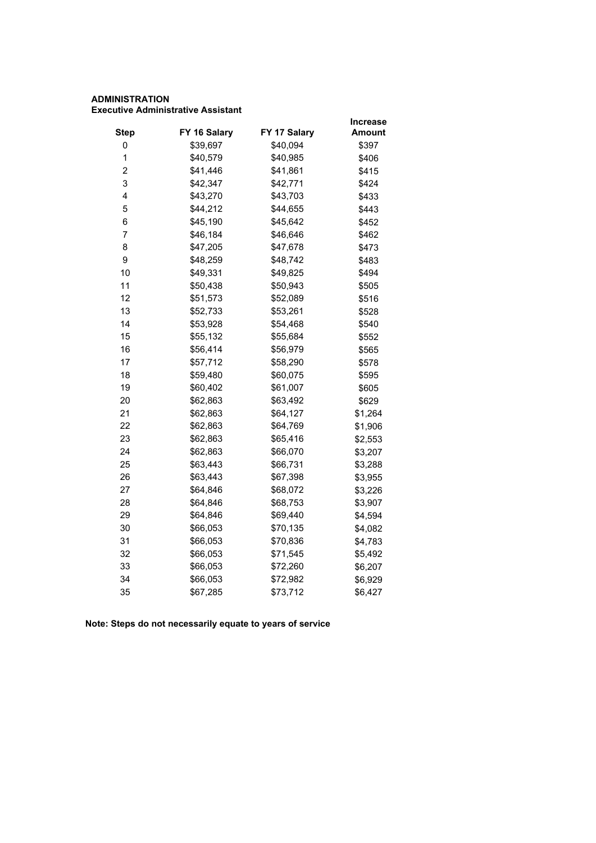#### **ADMINISTRATION Executive Administrative Assistant**

|                         |              |              | <b>Increase</b> |
|-------------------------|--------------|--------------|-----------------|
| <b>Step</b>             | FY 16 Salary | FY 17 Salary | Amount          |
| 0                       | \$39,697     | \$40,094     | \$397           |
| 1                       | \$40,579     | \$40,985     | \$406           |
| $\overline{\mathbf{c}}$ | \$41,446     | \$41,861     | \$415           |
| 3                       | \$42,347     | \$42,771     | \$424           |
| 4                       | \$43,270     | \$43,703     | \$433           |
| 5                       | \$44,212     | \$44,655     | \$443           |
| 6                       | \$45,190     | \$45,642     | \$452           |
| $\overline{7}$          | \$46,184     | \$46,646     | \$462           |
| 8                       | \$47,205     | \$47,678     | \$473           |
| 9                       | \$48,259     | \$48,742     | \$483           |
| 10                      | \$49,331     | \$49,825     | \$494           |
| 11                      | \$50,438     | \$50,943     | \$505           |
| 12                      | \$51,573     | \$52,089     | \$516           |
| 13                      | \$52,733     | \$53,261     | \$528           |
| 14                      | \$53,928     | \$54,468     | \$540           |
| 15                      | \$55,132     | \$55,684     | \$552           |
| 16                      | \$56,414     | \$56,979     | \$565           |
| 17                      | \$57,712     | \$58,290     | \$578           |
| 18                      | \$59,480     | \$60,075     | \$595           |
| 19                      | \$60,402     | \$61,007     | \$605           |
| 20                      | \$62,863     | \$63,492     | \$629           |
| 21                      | \$62,863     | \$64,127     | \$1,264         |
| 22                      | \$62,863     | \$64,769     | \$1,906         |
| 23                      | \$62,863     | \$65,416     | \$2,553         |
| 24                      | \$62,863     | \$66,070     | \$3,207         |
| 25                      | \$63,443     | \$66,731     | \$3,288         |
| 26                      | \$63,443     | \$67,398     | \$3,955         |
| 27                      | \$64,846     | \$68,072     | \$3,226         |
| 28                      | \$64,846     | \$68,753     | \$3,907         |
| 29                      | \$64,846     | \$69,440     | \$4,594         |
| 30                      | \$66,053     | \$70,135     | \$4,082         |
| 31                      | \$66,053     | \$70,836     | \$4,783         |
| 32                      | \$66,053     | \$71,545     | \$5,492         |
| 33                      | \$66,053     | \$72,260     | \$6,207         |
| 34                      | \$66,053     | \$72,982     | \$6,929         |
| 35                      | \$67,285     | \$73,712     | \$6,427         |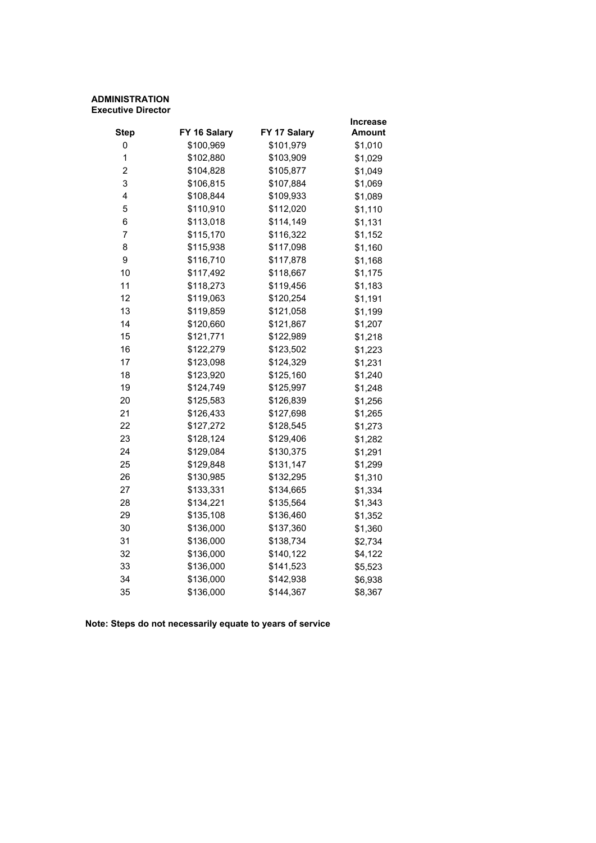#### **ADMINISTRATION Executive Director**

|              |              | Increase      |
|--------------|--------------|---------------|
| FY 16 Salary | FY 17 Salary | <b>Amount</b> |
|              |              | \$1,010       |
| \$102,880    | \$103,909    | \$1,029       |
| \$104,828    | \$105,877    | \$1,049       |
| \$106,815    | \$107,884    | \$1,069       |
| \$108,844    | \$109,933    | \$1,089       |
| \$110,910    | \$112,020    | \$1,110       |
| \$113,018    | \$114,149    | \$1,131       |
| \$115,170    | \$116,322    | \$1,152       |
| \$115,938    | \$117,098    | \$1,160       |
| \$116,710    | \$117,878    | \$1,168       |
| \$117,492    | \$118,667    | \$1,175       |
| \$118,273    | \$119,456    | \$1,183       |
| \$119,063    | \$120,254    | \$1,191       |
| \$119,859    | \$121,058    | \$1,199       |
| \$120,660    | \$121,867    | \$1,207       |
| \$121,771    | \$122,989    | \$1,218       |
| \$122,279    | \$123,502    | \$1,223       |
| \$123,098    | \$124,329    | \$1,231       |
| \$123,920    | \$125,160    | \$1,240       |
| \$124,749    | \$125,997    | \$1,248       |
| \$125,583    | \$126,839    | \$1,256       |
| \$126,433    | \$127,698    | \$1,265       |
| \$127,272    | \$128,545    | \$1,273       |
| \$128,124    | \$129,406    | \$1,282       |
| \$129,084    | \$130,375    | \$1,291       |
| \$129,848    | \$131,147    | \$1,299       |
| \$130,985    | \$132,295    | \$1,310       |
| \$133,331    | \$134,665    | \$1,334       |
| \$134,221    | \$135,564    | \$1,343       |
| \$135,108    | \$136,460    | \$1,352       |
| \$136,000    | \$137,360    | \$1,360       |
| \$136,000    | \$138,734    | \$2,734       |
| \$136,000    | \$140,122    | \$4,122       |
| \$136,000    | \$141,523    | \$5,523       |
| \$136,000    | \$142,938    | \$6,938       |
| \$136,000    | \$144,367    | \$8,367       |
|              | \$100,969    | \$101,979     |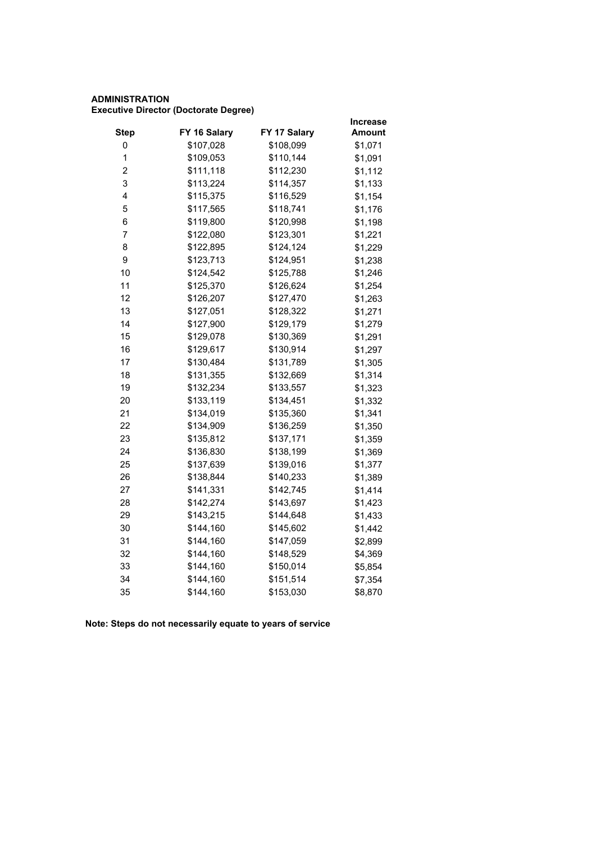# **ADMINISTRATION Executive Director (Doctorate Degree)**

|                         |              |              | <b>Increase</b> |
|-------------------------|--------------|--------------|-----------------|
| <b>Step</b>             | FY 16 Salary | FY 17 Salary | <b>Amount</b>   |
| 0                       | \$107,028    | \$108,099    | \$1,071         |
| 1                       | \$109,053    | \$110,144    | \$1,091         |
| $\overline{\mathbf{c}}$ | \$111,118    | \$112,230    | \$1,112         |
| 3                       | \$113,224    | \$114,357    | \$1,133         |
| 4                       | \$115,375    | \$116,529    | \$1,154         |
| 5                       | \$117,565    | \$118,741    | \$1,176         |
| 6                       | \$119,800    | \$120,998    | \$1,198         |
| 7                       | \$122,080    | \$123,301    | \$1,221         |
| 8                       | \$122,895    | \$124,124    | \$1,229         |
| 9                       | \$123,713    | \$124,951    | \$1,238         |
| 10                      | \$124,542    | \$125,788    | \$1,246         |
| 11                      | \$125,370    | \$126,624    | \$1,254         |
| 12                      | \$126,207    | \$127,470    | \$1,263         |
| 13                      | \$127,051    | \$128,322    | \$1,271         |
| 14                      | \$127,900    | \$129,179    | \$1,279         |
| 15                      | \$129,078    | \$130,369    | \$1,291         |
| 16                      | \$129,617    | \$130,914    | \$1,297         |
| 17                      | \$130,484    | \$131,789    | \$1,305         |
| 18                      | \$131,355    | \$132,669    | \$1,314         |
| 19                      | \$132,234    | \$133,557    | \$1,323         |
| 20                      | \$133,119    | \$134,451    | \$1,332         |
| 21                      | \$134,019    | \$135,360    | \$1,341         |
| 22                      | \$134,909    | \$136,259    | \$1,350         |
| 23                      | \$135,812    | \$137,171    | \$1,359         |
| 24                      | \$136,830    | \$138,199    | \$1,369         |
| 25                      | \$137,639    | \$139,016    | \$1,377         |
| 26                      | \$138,844    | \$140,233    | \$1,389         |
| 27                      | \$141,331    | \$142,745    | \$1,414         |
| 28                      | \$142,274    | \$143,697    | \$1,423         |
| 29                      | \$143,215    | \$144,648    | \$1,433         |
| 30                      | \$144,160    | \$145,602    | \$1,442         |
| 31                      | \$144,160    | \$147,059    | \$2,899         |
| 32                      | \$144,160    | \$148,529    | \$4,369         |
| 33                      | \$144,160    | \$150,014    | \$5,854         |
| 34                      | \$144,160    | \$151,514    | \$7,354         |
| 35                      | \$144,160    | \$153,030    | \$8,870         |
|                         |              |              |                 |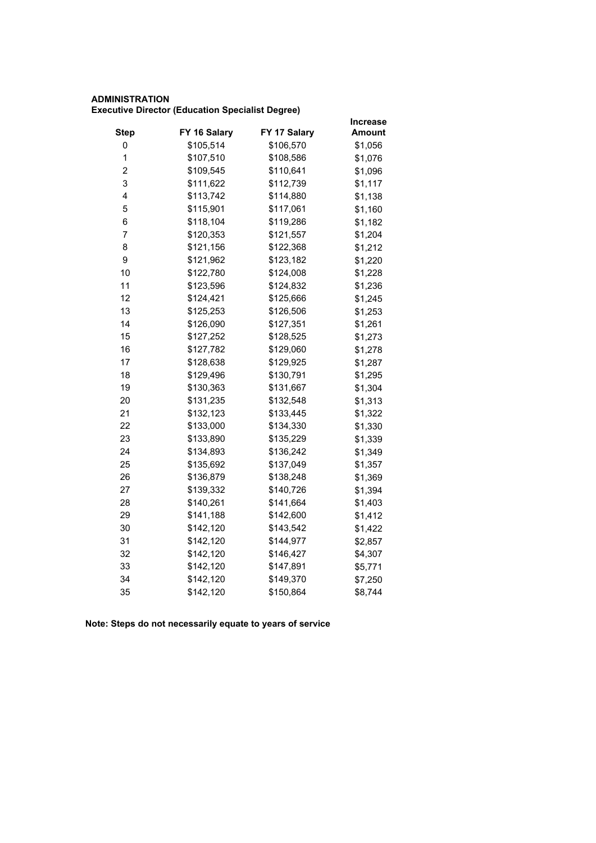# **ADMINISTRATION Executive Director (Education Specialist Degree)**

|              |           | <b>Increase</b> |
|--------------|-----------|-----------------|
| FY 16 Salary |           | Amount          |
| \$105,514    | \$106,570 | \$1,056         |
| \$107,510    | \$108,586 | \$1,076         |
| \$109,545    | \$110,641 | \$1,096         |
| \$111,622    | \$112,739 | \$1,117         |
| \$113,742    | \$114,880 | \$1,138         |
| \$115,901    | \$117,061 | \$1,160         |
| \$118,104    | \$119,286 | \$1,182         |
| \$120,353    | \$121,557 | \$1,204         |
| \$121,156    | \$122,368 | \$1,212         |
| \$121,962    | \$123,182 | \$1,220         |
| \$122,780    | \$124,008 | \$1,228         |
| \$123,596    | \$124,832 | \$1,236         |
| \$124,421    | \$125,666 | \$1,245         |
| \$125,253    | \$126,506 | \$1,253         |
| \$126,090    | \$127,351 | \$1,261         |
| \$127,252    | \$128,525 | \$1,273         |
| \$127,782    | \$129,060 | \$1,278         |
| \$128,638    | \$129,925 | \$1,287         |
| \$129,496    | \$130,791 | \$1,295         |
| \$130,363    | \$131,667 | \$1,304         |
| \$131,235    | \$132,548 | \$1,313         |
| \$132,123    | \$133,445 | \$1,322         |
| \$133,000    | \$134,330 | \$1,330         |
| \$133,890    | \$135,229 | \$1,339         |
| \$134,893    | \$136,242 | \$1,349         |
| \$135,692    | \$137,049 | \$1,357         |
| \$136,879    | \$138,248 | \$1,369         |
| \$139,332    | \$140,726 | \$1,394         |
| \$140,261    | \$141,664 | \$1,403         |
| \$141,188    | \$142,600 | \$1,412         |
| \$142,120    | \$143,542 | \$1,422         |
| \$142,120    | \$144,977 | \$2,857         |
| \$142,120    | \$146,427 | \$4,307         |
| \$142,120    | \$147,891 | \$5,771         |
| \$142,120    | \$149,370 | \$7,250         |
| \$142,120    | \$150,864 | \$8,744         |
|              |           | FY 17 Salary    |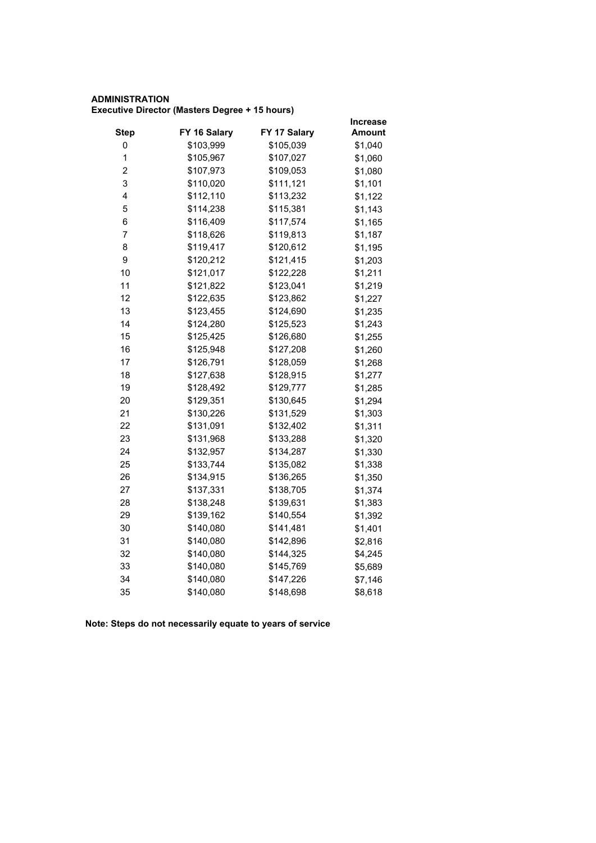# **ADMINISTRATION Executive Director (Masters Degree + 15 hours)**

|                |              |              | <b>Increase</b> |
|----------------|--------------|--------------|-----------------|
| <b>Step</b>    | FY 16 Salary | FY 17 Salary | <b>Amount</b>   |
| 0              | \$103,999    | \$105,039    | \$1,040         |
| $\mathbf 1$    | \$105,967    | \$107,027    | \$1,060         |
| 2              | \$107,973    | \$109,053    | \$1,080         |
| 3              | \$110,020    | \$111,121    | \$1,101         |
| 4              | \$112,110    | \$113,232    | \$1,122         |
| 5              | \$114,238    | \$115,381    | \$1,143         |
| 6              | \$116,409    | \$117,574    | \$1,165         |
| $\overline{7}$ | \$118,626    | \$119,813    | \$1,187         |
| 8              | \$119,417    | \$120,612    | \$1,195         |
| 9              | \$120,212    | \$121,415    | \$1,203         |
| 10             | \$121,017    | \$122,228    | \$1,211         |
| 11             | \$121,822    | \$123,041    | \$1,219         |
| 12             | \$122,635    | \$123,862    | \$1,227         |
| 13             | \$123,455    | \$124,690    | \$1,235         |
| 14             | \$124,280    | \$125,523    | \$1,243         |
| 15             | \$125,425    | \$126,680    | \$1,255         |
| 16             | \$125,948    | \$127,208    | \$1,260         |
| 17             | \$126,791    | \$128,059    | \$1,268         |
| 18             | \$127,638    | \$128,915    | \$1,277         |
| 19             | \$128,492    | \$129,777    | \$1,285         |
| 20             | \$129,351    | \$130,645    | \$1,294         |
| 21             | \$130,226    | \$131,529    | \$1,303         |
| 22             | \$131,091    | \$132,402    | \$1,311         |
| 23             | \$131,968    | \$133,288    | \$1,320         |
| 24             | \$132,957    | \$134,287    | \$1,330         |
| 25             | \$133,744    | \$135,082    | \$1,338         |
| 26             | \$134,915    | \$136,265    | \$1,350         |
| 27             | \$137,331    | \$138,705    | \$1,374         |
| 28             | \$138,248    | \$139,631    | \$1,383         |
| 29             | \$139,162    | \$140,554    | \$1,392         |
| 30             | \$140,080    | \$141,481    | \$1,401         |
| 31             | \$140,080    | \$142,896    | \$2,816         |
| 32             | \$140,080    | \$144,325    | \$4,245         |
| 33             | \$140,080    | \$145,769    | \$5,689         |
| 34             | \$140,080    | \$147,226    | \$7,146         |
| 35             | \$140,080    | \$148,698    | \$8,618         |
|                |              |              |                 |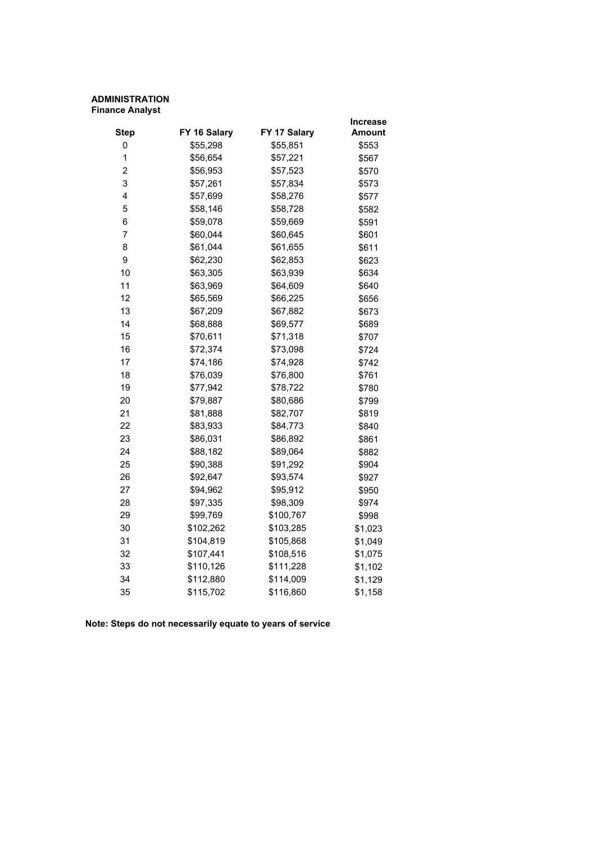# **ADMINISTRATION Finance Analyst**

|                |              |              | Increase |
|----------------|--------------|--------------|----------|
| <b>Step</b>    | FY 16 Salary | FY 17 Salary | Amount   |
| 0              | \$55,298     | \$55,851     | \$553    |
| 1              | \$56,654     | \$57,221     | \$567    |
| $\overline{2}$ | \$56,953     | \$57,523     | \$570    |
| 3              | \$57,261     | \$57,834     | \$573    |
| 4              | \$57,699     | \$58,276     | \$577    |
| 5              | \$58,146     | \$58,728     | \$582    |
| 6              | \$59,078     | \$59,669     | \$591    |
| 7              | \$60,044     | \$60,645     | \$601    |
| 8              | \$61,044     | \$61,655     | \$611    |
| 9              | \$62,230     | \$62,853     | \$623    |
| 10             | \$63,305     | \$63,939     | \$634    |
| 11             | \$63,969     | \$64,609     | \$640    |
| 12             | \$65,569     | \$66,225     | \$656    |
| 13             | \$67,209     | \$67,882     | \$673    |
| 14             | \$68,888     | \$69,577     | \$689    |
| 15             | \$70,611     | \$71,318     | \$707    |
| 16             | \$72,374     | \$73,098     | \$724    |
| 17             | \$74,186     | \$74,928     | \$742    |
| 18             | \$76,039     | \$76,800     | \$761    |
| 19             | \$77,942     | \$78,722     | \$780    |
| 20             | \$79,887     | \$80,686     | \$799    |
| 21             | \$81,888     | \$82,707     | \$819    |
| 22             | \$83,933     | \$84,773     | \$840    |
| 23             | \$86,031     | \$86,892     | \$861    |
| 24             | \$88,182     | \$89,064     | \$882    |
| 25             | \$90,388     | \$91,292     | \$904    |
| 26             | \$92,647     | \$93,574     | \$927    |
| 27             | \$94,962     | \$95,912     | \$950    |
| 28             | \$97,335     | \$98,309     | \$974    |
| 29             | \$99,769     | \$100,767    | \$998    |
| 30             | \$102,262    | \$103,285    | \$1,023  |
| 31             | \$104,819    | \$105,868    | \$1,049  |
| 32             | \$107,441    | \$108,516    | \$1,075  |
| 33             | \$110,126    | \$111,228    | \$1,102  |
| 34             | \$112,880    | \$114,009    | \$1,129  |
| 35             | \$115,702    | \$116,860    | \$1,158  |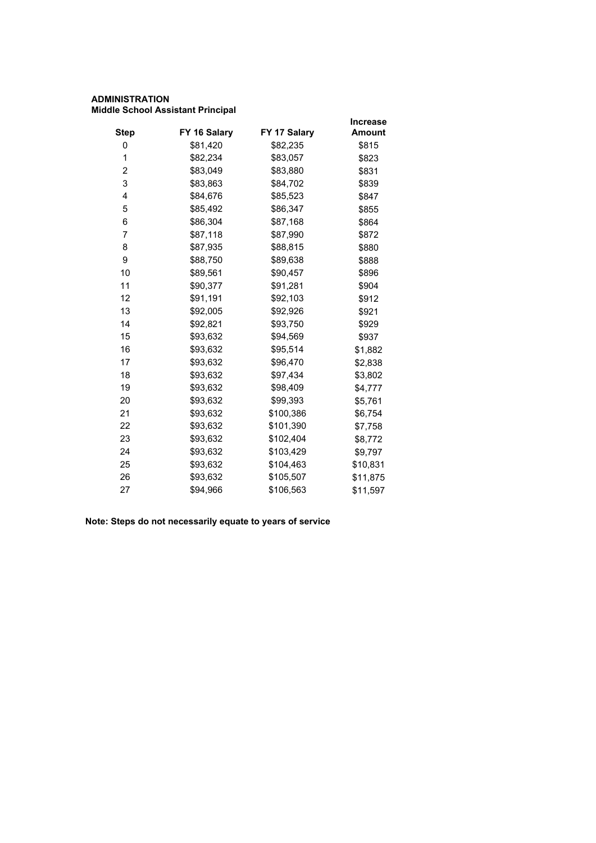# **ADMINISTRATION Middle School Assistant Principal**

|             |              |              | <b>Increase</b> |
|-------------|--------------|--------------|-----------------|
| <b>Step</b> | FY 16 Salary | FY 17 Salary | <b>Amount</b>   |
| 0           | \$81,420     | \$82,235     | \$815           |
| 1           | \$82,234     | \$83,057     | \$823           |
| 2           | \$83,049     | \$83,880     | \$831           |
| 3           | \$83,863     | \$84,702     | \$839           |
| 4           | \$84,676     | \$85,523     | \$847           |
| 5           | \$85,492     | \$86,347     | \$855           |
| 6           | \$86,304     | \$87,168     | \$864           |
| 7           | \$87,118     | \$87,990     | \$872           |
| 8           | \$87,935     | \$88,815     | \$880           |
| 9           | \$88,750     | \$89,638     | \$888           |
| 10          | \$89,561     | \$90,457     | \$896           |
| 11          | \$90,377     | \$91,281     | \$904           |
| 12          | \$91,191     | \$92,103     | \$912           |
| 13          | \$92,005     | \$92,926     | \$921           |
| 14          | \$92,821     | \$93,750     | \$929           |
| 15          | \$93,632     | \$94,569     | \$937           |
| 16          | \$93,632     | \$95,514     | \$1,882         |
| 17          | \$93,632     | \$96,470     | \$2,838         |
| 18          | \$93,632     | \$97,434     | \$3,802         |
| 19          | \$93,632     | \$98,409     | \$4,777         |
| 20          | \$93,632     | \$99,393     | \$5,761         |
| 21          | \$93,632     | \$100,386    | \$6,754         |
| 22          | \$93,632     | \$101,390    | \$7,758         |
| 23          | \$93,632     | \$102,404    | \$8,772         |
| 24          | \$93,632     | \$103,429    | \$9,797         |
| 25          | \$93,632     | \$104,463    | \$10,831        |
| 26          | \$93,632     | \$105,507    | \$11,875        |
| 27          | \$94,966     | \$106,563    | \$11,597        |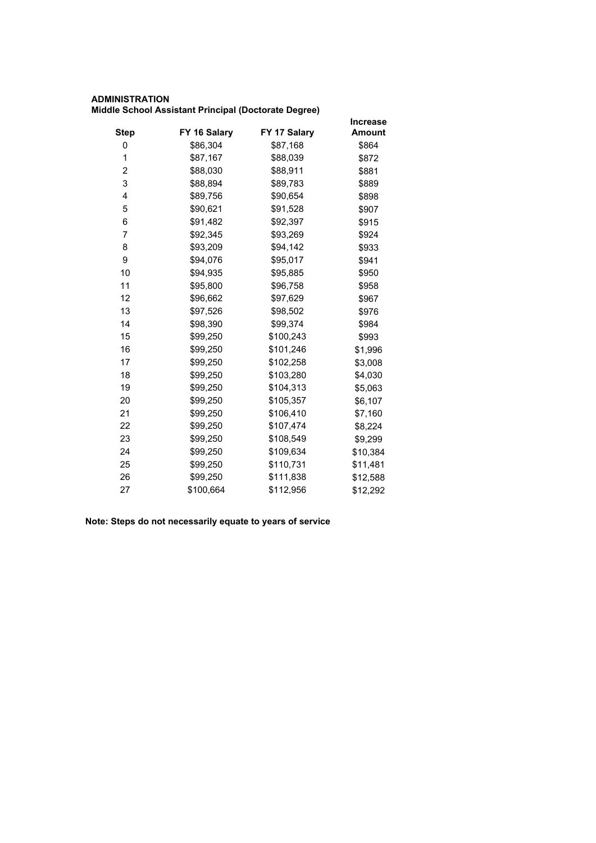# **ADMINISTRATION**

| Middle School Assistant Principal (Doctorate Degree) |  |  |  |  |
|------------------------------------------------------|--|--|--|--|
|------------------------------------------------------|--|--|--|--|

|             |              |              | <b>Increase</b> |
|-------------|--------------|--------------|-----------------|
| <b>Step</b> | FY 16 Salary | FY 17 Salary | <b>Amount</b>   |
| 0           | \$86,304     | \$87,168     | \$864           |
| 1           | \$87,167     | \$88,039     | \$872           |
| 2           | \$88,030     | \$88,911     | \$881           |
| 3           | \$88,894     | \$89,783     | \$889           |
| 4           | \$89,756     | \$90,654     | \$898           |
| 5           | \$90,621     | \$91,528     | \$907           |
| 6           | \$91,482     | \$92,397     | \$915           |
| 7           | \$92,345     | \$93,269     | \$924           |
| 8           | \$93,209     | \$94,142     | \$933           |
| 9           | \$94,076     | \$95,017     | \$941           |
| 10          | \$94,935     | \$95,885     | \$950           |
| 11          | \$95,800     | \$96,758     | \$958           |
| 12          | \$96,662     | \$97,629     | \$967           |
| 13          | \$97,526     | \$98,502     | \$976           |
| 14          | \$98,390     | \$99,374     | \$984           |
| 15          | \$99,250     | \$100,243    | \$993           |
| 16          | \$99,250     | \$101,246    | \$1,996         |
| 17          | \$99,250     | \$102,258    | \$3,008         |
| 18          | \$99,250     | \$103,280    | \$4,030         |
| 19          | \$99,250     | \$104,313    | \$5,063         |
| 20          | \$99,250     | \$105,357    | \$6,107         |
| 21          | \$99,250     | \$106,410    | \$7,160         |
| 22          | \$99,250     | \$107,474    | \$8,224         |
| 23          | \$99,250     | \$108,549    | \$9,299         |
| 24          | \$99,250     | \$109,634    | \$10,384        |
| 25          | \$99,250     | \$110,731    | \$11,481        |
| 26          | \$99,250     | \$111,838    | \$12,588        |
| 27          | \$100,664    | \$112,956    | \$12,292        |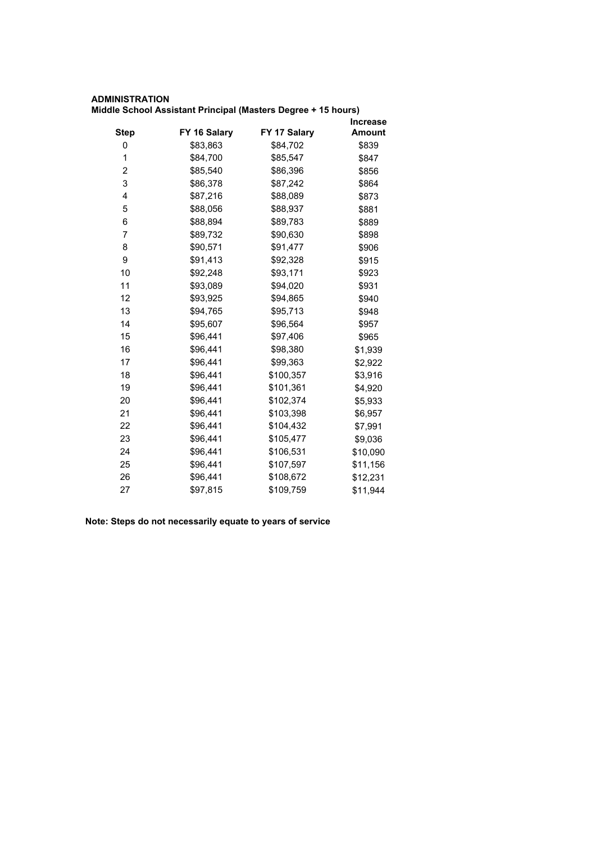# **ADMINISTRATION Middle School Assistant Principal (Masters Degree + 15 hours)**

|             |              |              | <b>Increase</b> |
|-------------|--------------|--------------|-----------------|
| <b>Step</b> | FY 16 Salary | FY 17 Salary | <b>Amount</b>   |
| 0           | \$83,863     | \$84,702     | \$839           |
| 1           | \$84,700     | \$85,547     | \$847           |
| 2           | \$85,540     | \$86,396     | \$856           |
| 3           | \$86,378     | \$87,242     | \$864           |
| 4           | \$87,216     | \$88,089     | \$873           |
| 5           | \$88,056     | \$88,937     | \$881           |
| 6           | \$88,894     | \$89,783     | \$889           |
| 7           | \$89,732     | \$90,630     | \$898           |
| 8           | \$90,571     | \$91,477     | \$906           |
| 9           | \$91,413     | \$92,328     | \$915           |
| 10          | \$92,248     | \$93,171     | \$923           |
| 11          | \$93,089     | \$94,020     | \$931           |
| 12          | \$93,925     | \$94,865     | \$940           |
| 13          | \$94,765     | \$95,713     | \$948           |
| 14          | \$95,607     | \$96,564     | \$957           |
| 15          | \$96,441     | \$97,406     | \$965           |
| 16          | \$96,441     | \$98,380     | \$1,939         |
| 17          | \$96,441     | \$99,363     | \$2,922         |
| 18          | \$96,441     | \$100,357    | \$3,916         |
| 19          | \$96,441     | \$101,361    | \$4,920         |
| 20          | \$96,441     | \$102,374    | \$5,933         |
| 21          | \$96,441     | \$103,398    | \$6,957         |
| 22          | \$96,441     | \$104,432    | \$7,991         |
| 23          | \$96,441     | \$105,477    | \$9,036         |
| 24          | \$96,441     | \$106,531    | \$10,090        |
| 25          | \$96,441     | \$107,597    | \$11,156        |
| 26          | \$96,441     | \$108,672    | \$12,231        |
| 27          | \$97,815     | \$109,759    | \$11,944        |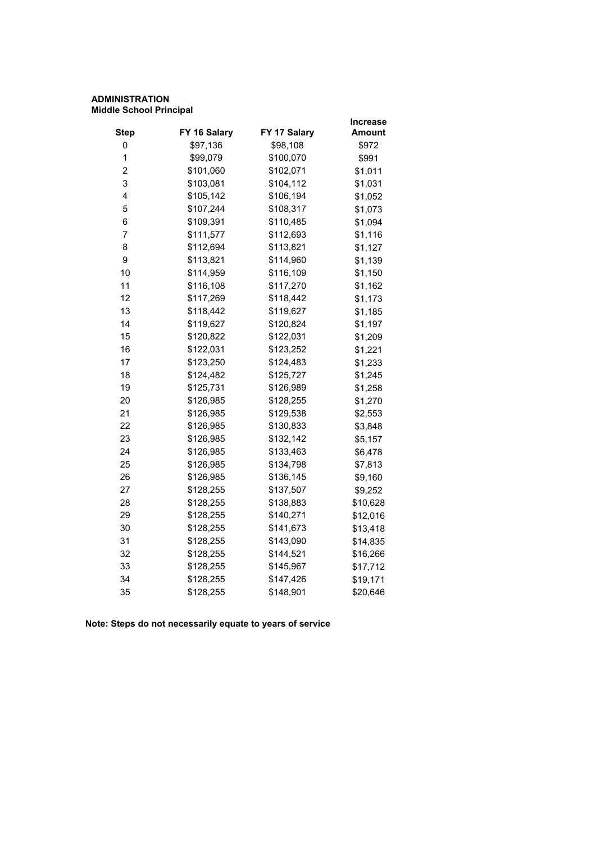#### **ADMINISTRATION Middle School Principal**

|              |              | Increase                           |
|--------------|--------------|------------------------------------|
| FY 16 Salary | FY 17 Salary | <b>Amount</b>                      |
| \$97,136     |              | \$972                              |
| \$99,079     | \$100,070    | \$991                              |
| \$101,060    |              | \$1,011                            |
| \$103,081    | \$104,112    | \$1,031                            |
| \$105,142    |              | \$1,052                            |
| \$107,244    | \$108,317    | \$1,073                            |
| \$109,391    | \$110,485    | \$1,094                            |
| \$111,577    | \$112,693    | \$1,116                            |
| \$112,694    | \$113,821    | \$1,127                            |
| \$113,821    | \$114,960    | \$1,139                            |
| \$114,959    | \$116,109    | \$1,150                            |
| \$116,108    | \$117,270    | \$1,162                            |
| \$117,269    | \$118,442    | \$1,173                            |
| \$118,442    | \$119,627    | \$1,185                            |
| \$119,627    | \$120,824    | \$1,197                            |
| \$120,822    | \$122,031    | \$1,209                            |
| \$122,031    | \$123,252    | \$1,221                            |
| \$123,250    | \$124,483    | \$1,233                            |
| \$124,482    | \$125,727    | \$1,245                            |
| \$125,731    | \$126,989    | \$1,258                            |
| \$126,985    | \$128,255    | \$1,270                            |
| \$126,985    | \$129,538    | \$2,553                            |
| \$126,985    | \$130,833    | \$3,848                            |
| \$126,985    | \$132,142    | \$5,157                            |
| \$126,985    | \$133,463    | \$6,478                            |
| \$126,985    | \$134,798    | \$7,813                            |
| \$126,985    | \$136,145    | \$9,160                            |
| \$128,255    | \$137,507    | \$9,252                            |
| \$128,255    | \$138,883    | \$10,628                           |
| \$128,255    | \$140,271    | \$12,016                           |
| \$128,255    | \$141,673    | \$13,418                           |
| \$128,255    | \$143,090    | \$14,835                           |
| \$128,255    | \$144,521    | \$16,266                           |
| \$128,255    | \$145,967    | \$17,712                           |
| \$128,255    | \$147,426    | \$19,171                           |
| \$128,255    | \$148,901    | \$20,646                           |
|              |              | \$98,108<br>\$102,071<br>\$106,194 |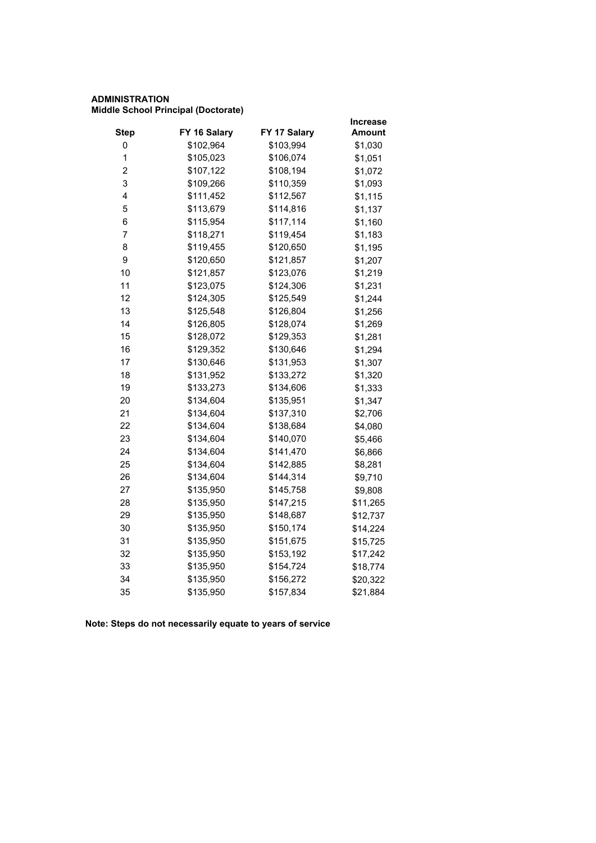# **ADMINISTRATION Middle School Principal (Doctorate)**

|                         |              |              | Increase      |
|-------------------------|--------------|--------------|---------------|
| <b>Step</b>             | FY 16 Salary | FY 17 Salary | <b>Amount</b> |
| 0                       | \$102,964    | \$103,994    | \$1,030       |
| 1                       | \$105,023    | \$106,074    | \$1,051       |
| $\overline{\mathbf{c}}$ | \$107,122    | \$108,194    | \$1,072       |
| 3                       | \$109,266    | \$110,359    | \$1,093       |
| 4                       | \$111,452    | \$112,567    | \$1,115       |
| 5                       | \$113,679    | \$114,816    | \$1,137       |
| 6                       | \$115,954    | \$117,114    | \$1,160       |
| 7                       | \$118,271    | \$119,454    | \$1,183       |
| 8                       | \$119,455    | \$120,650    | \$1,195       |
| 9                       | \$120,650    | \$121,857    | \$1,207       |
| 10                      | \$121,857    | \$123,076    | \$1,219       |
| 11                      | \$123,075    | \$124,306    | \$1,231       |
| 12                      | \$124,305    | \$125,549    | \$1,244       |
| 13                      | \$125,548    | \$126,804    | \$1,256       |
| 14                      | \$126,805    | \$128,074    | \$1,269       |
| 15                      | \$128,072    | \$129,353    | \$1,281       |
| 16                      | \$129,352    | \$130,646    | \$1,294       |
| 17                      | \$130,646    | \$131,953    | \$1,307       |
| 18                      | \$131,952    | \$133,272    | \$1,320       |
| 19                      | \$133,273    | \$134,606    | \$1,333       |
| 20                      | \$134,604    | \$135,951    | \$1,347       |
| 21                      | \$134,604    | \$137,310    | \$2,706       |
| 22                      | \$134,604    | \$138,684    | \$4,080       |
| 23                      | \$134,604    | \$140,070    | \$5,466       |
| 24                      | \$134,604    | \$141,470    | \$6,866       |
| 25                      | \$134,604    | \$142,885    | \$8,281       |
| 26                      | \$134,604    | \$144,314    | \$9,710       |
| 27                      | \$135,950    | \$145,758    | \$9,808       |
| 28                      | \$135,950    | \$147,215    | \$11,265      |
| 29                      | \$135,950    | \$148,687    | \$12,737      |
| 30                      | \$135,950    | \$150,174    | \$14,224      |
| 31                      | \$135,950    | \$151,675    | \$15,725      |
| 32                      | \$135,950    | \$153,192    | \$17,242      |
| 33                      | \$135,950    | \$154,724    | \$18,774      |
| 34                      | \$135,950    | \$156,272    | \$20,322      |
| 35                      | \$135,950    | \$157,834    | \$21,884      |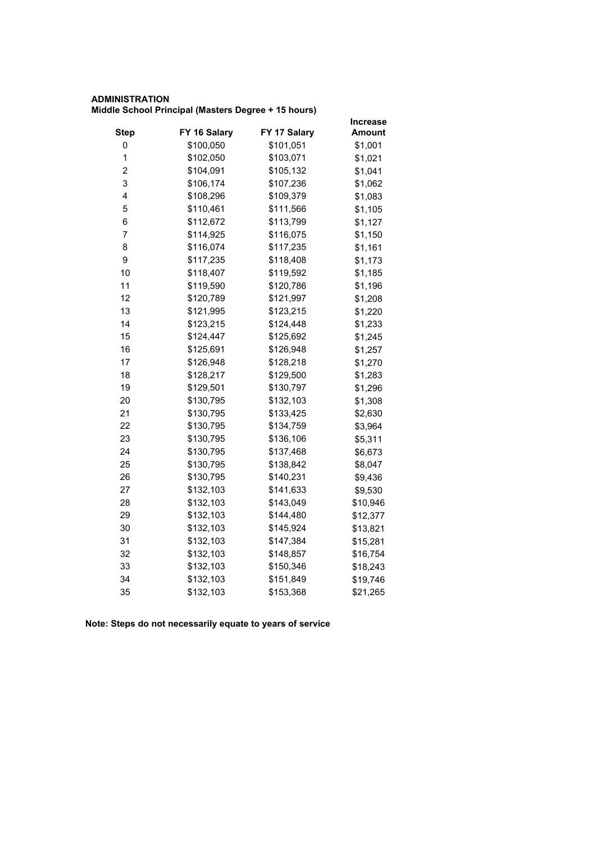# **ADMINISTRATION Middle School Principal (Masters Degree + 15 hours)**

|                         |              |              | Increase      |
|-------------------------|--------------|--------------|---------------|
| <b>Step</b>             | FY 16 Salary | FY 17 Salary | <b>Amount</b> |
| 0                       | \$100,050    | \$101,051    | \$1,001       |
| $\mathbf 1$             | \$102,050    | \$103,071    | \$1,021       |
| $\overline{\mathbf{c}}$ | \$104,091    | \$105,132    | \$1,041       |
| 3                       | \$106,174    | \$107,236    | \$1,062       |
| 4                       | \$108,296    | \$109,379    | \$1,083       |
| 5                       | \$110,461    | \$111,566    | \$1,105       |
| 6                       | \$112,672    | \$113,799    | \$1,127       |
| $\overline{7}$          | \$114,925    | \$116,075    | \$1,150       |
| 8                       | \$116,074    | \$117,235    | \$1,161       |
| 9                       | \$117,235    | \$118,408    | \$1,173       |
| 10                      | \$118,407    | \$119,592    | \$1,185       |
| 11                      | \$119,590    | \$120,786    | \$1,196       |
| 12                      | \$120,789    | \$121,997    | \$1,208       |
| 13                      | \$121,995    | \$123,215    | \$1,220       |
| 14                      | \$123,215    | \$124,448    | \$1,233       |
| 15                      | \$124,447    | \$125,692    | \$1,245       |
| 16                      | \$125,691    | \$126,948    | \$1,257       |
| 17                      | \$126,948    | \$128,218    | \$1,270       |
| 18                      | \$128,217    | \$129,500    | \$1,283       |
| 19                      | \$129,501    | \$130,797    | \$1,296       |
| 20                      | \$130,795    | \$132,103    | \$1,308       |
| 21                      | \$130,795    | \$133,425    | \$2,630       |
| 22                      | \$130,795    | \$134,759    | \$3,964       |
| 23                      | \$130,795    | \$136,106    | \$5,311       |
| 24                      | \$130,795    | \$137,468    | \$6,673       |
| 25                      | \$130,795    | \$138,842    | \$8,047       |
| 26                      | \$130,795    | \$140,231    | \$9,436       |
| 27                      | \$132,103    | \$141,633    | \$9,530       |
| 28                      | \$132,103    | \$143,049    | \$10,946      |
| 29                      | \$132,103    | \$144,480    | \$12,377      |
| 30                      | \$132,103    | \$145,924    | \$13,821      |
| 31                      | \$132,103    | \$147,384    | \$15,281      |
| 32                      | \$132,103    | \$148,857    | \$16,754      |
| 33                      | \$132,103    | \$150,346    | \$18,243      |
| 34                      | \$132,103    | \$151,849    | \$19,746      |
| 35                      | \$132,103    | \$153,368    | \$21,265      |
|                         |              |              |               |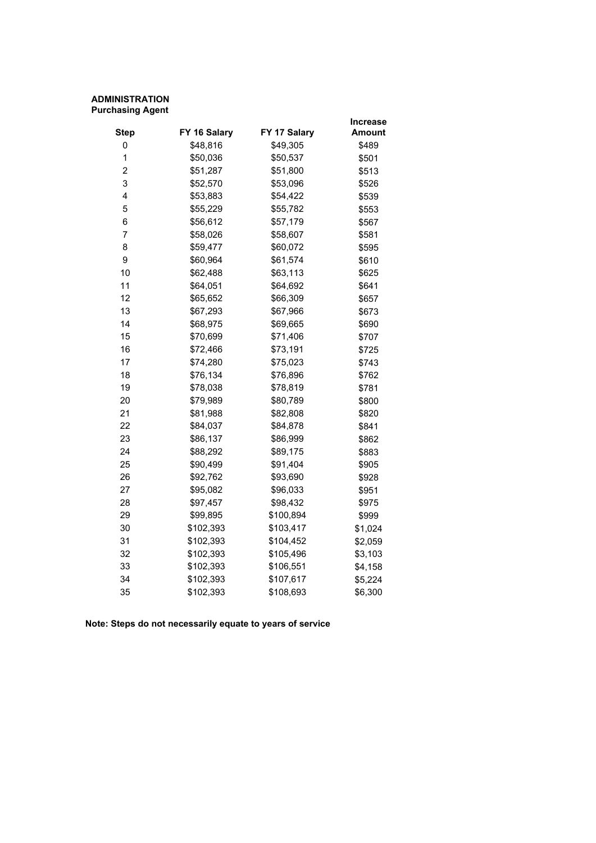# **ADMINISTRATION Purchasing Agent**

|                         |              |              | <b>Increase</b> |
|-------------------------|--------------|--------------|-----------------|
| <b>Step</b>             | FY 16 Salary | FY 17 Salary | Amount          |
| 0                       | \$48,816     | \$49,305     | \$489           |
| 1                       | \$50,036     | \$50,537     | \$501           |
| $\overline{\mathbf{c}}$ | \$51,287     | \$51,800     | \$513           |
| 3                       | \$52,570     | \$53,096     | \$526           |
| 4                       | \$53,883     | \$54,422     | \$539           |
| 5                       | \$55,229     | \$55,782     | \$553           |
| 6                       | \$56,612     | \$57,179     | \$567           |
| 7                       | \$58,026     | \$58,607     | \$581           |
| 8                       | \$59,477     | \$60,072     | \$595           |
| 9                       | \$60,964     | \$61,574     | \$610           |
| 10                      | \$62,488     | \$63,113     | \$625           |
| 11                      | \$64,051     | \$64,692     | \$641           |
| 12                      | \$65,652     | \$66,309     | \$657           |
| 13                      | \$67,293     | \$67,966     | \$673           |
| 14                      | \$68,975     | \$69,665     | \$690           |
| 15                      | \$70,699     | \$71,406     | \$707           |
| 16                      | \$72,466     | \$73,191     | \$725           |
| 17                      | \$74,280     | \$75,023     | \$743           |
| 18                      | \$76,134     | \$76,896     | \$762           |
| 19                      | \$78,038     | \$78,819     | \$781           |
| 20                      | \$79,989     | \$80,789     | \$800           |
| 21                      | \$81,988     | \$82,808     | \$820           |
| 22                      | \$84,037     | \$84,878     | \$841           |
| 23                      | \$86,137     | \$86,999     | \$862           |
| 24                      | \$88,292     | \$89,175     | \$883           |
| 25                      | \$90,499     | \$91,404     | \$905           |
| 26                      | \$92,762     | \$93,690     | \$928           |
| 27                      | \$95,082     | \$96,033     | \$951           |
| 28                      | \$97,457     | \$98,432     | \$975           |
| 29                      | \$99,895     | \$100,894    | \$999           |
| 30                      | \$102,393    | \$103,417    | \$1,024         |
| 31                      | \$102,393    | \$104,452    | \$2,059         |
| 32                      | \$102,393    | \$105,496    | \$3,103         |
| 33                      | \$102,393    | \$106,551    | \$4,158         |
| 34                      | \$102,393    | \$107,617    | \$5,224         |
| 35                      | \$102,393    | \$108,693    | \$6,300         |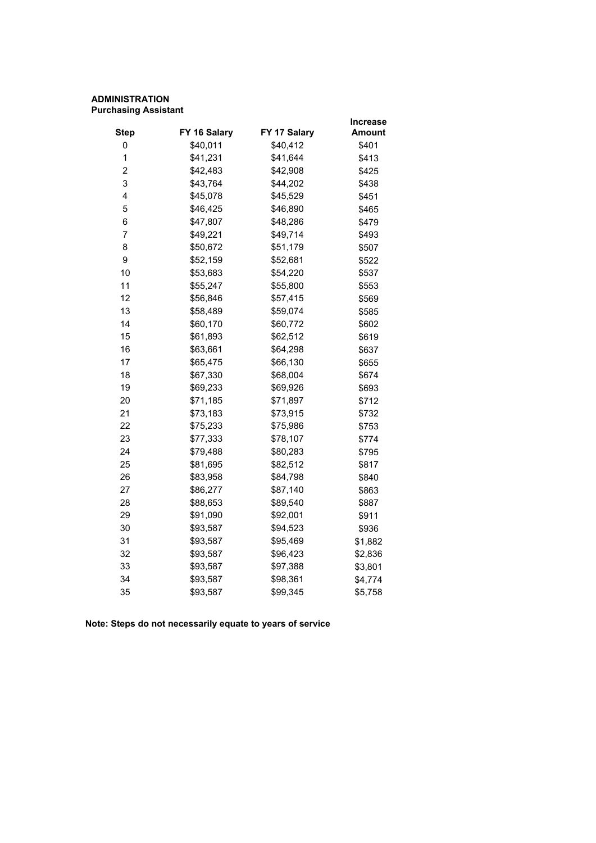# **ADMINISTRATION Purchasing Assistant**

|              |              | <b>Increase</b> |
|--------------|--------------|-----------------|
| FY 16 Salary | FY 17 Salary | <b>Amount</b>   |
| \$40,011     | \$40,412     | \$401           |
| \$41,231     | \$41,644     | \$413           |
| \$42,483     | \$42,908     | \$425           |
| \$43,764     | \$44,202     | \$438           |
| \$45,078     | \$45,529     | \$451           |
| \$46,425     | \$46,890     | \$465           |
| \$47,807     | \$48,286     | \$479           |
| \$49,221     | \$49,714     | \$493           |
| \$50,672     | \$51,179     | \$507           |
| \$52,159     | \$52,681     | \$522           |
| \$53,683     | \$54,220     | \$537           |
| \$55,247     | \$55,800     | \$553           |
| \$56,846     | \$57,415     | \$569           |
| \$58,489     | \$59,074     | \$585           |
| \$60,170     | \$60,772     | \$602           |
| \$61,893     | \$62,512     | \$619           |
| \$63,661     | \$64,298     | \$637           |
| \$65,475     | \$66,130     | \$655           |
| \$67,330     | \$68,004     | \$674           |
| \$69,233     | \$69,926     | \$693           |
| \$71,185     | \$71,897     | \$712           |
| \$73,183     | \$73,915     | \$732           |
| \$75,233     | \$75,986     | \$753           |
| \$77,333     | \$78,107     | \$774           |
| \$79,488     | \$80,283     | \$795           |
| \$81,695     | \$82,512     | \$817           |
| \$83,958     | \$84,798     | \$840           |
| \$86,277     | \$87,140     | \$863           |
| \$88,653     | \$89,540     | \$887           |
| \$91,090     | \$92,001     | \$911           |
| \$93,587     | \$94,523     | \$936           |
| \$93,587     | \$95,469     | \$1,882         |
| \$93,587     | \$96,423     | \$2,836         |
| \$93,587     | \$97,388     | \$3,801         |
| \$93,587     | \$98,361     | \$4,774         |
| \$93,587     | \$99,345     | \$5,758         |
|              |              |                 |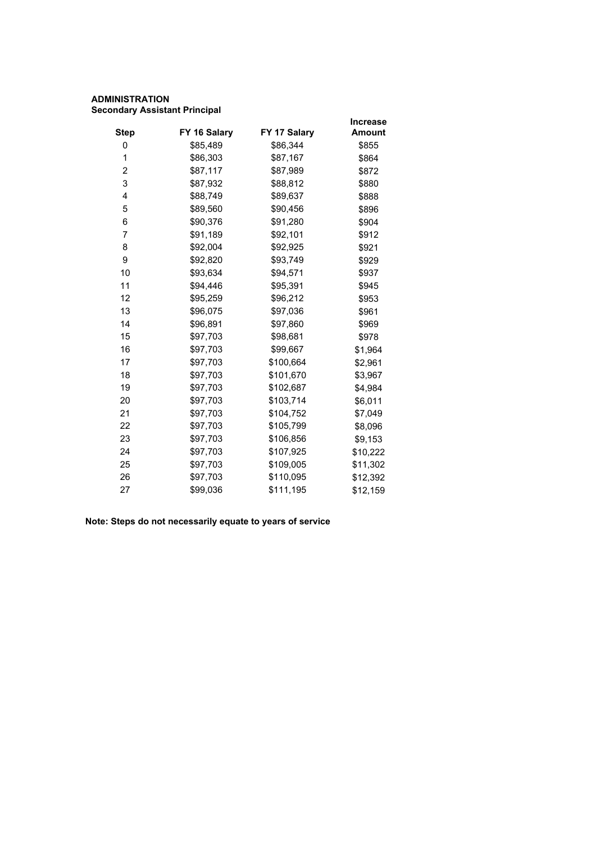# **ADMINISTRATION Secondary Assistant Principal**

|                |              |              | <b>Increase</b> |
|----------------|--------------|--------------|-----------------|
| <b>Step</b>    | FY 16 Salary | FY 17 Salary | <b>Amount</b>   |
| 0              | \$85,489     | \$86,344     | \$855           |
| 1              | \$86,303     | \$87,167     | \$864           |
| $\overline{c}$ | \$87,117     | \$87,989     | \$872           |
| 3              | \$87,932     | \$88,812     | \$880           |
| 4              | \$88,749     | \$89,637     | \$888           |
| 5              | \$89,560     | \$90,456     | \$896           |
| 6              | \$90,376     | \$91,280     | \$904           |
| 7              | \$91,189     | \$92,101     | \$912           |
| 8              | \$92,004     | \$92,925     | \$921           |
| 9              | \$92,820     | \$93,749     | \$929           |
| 10             | \$93,634     | \$94,571     | \$937           |
| 11             | \$94,446     | \$95,391     | \$945           |
| 12             | \$95,259     | \$96,212     | \$953           |
| 13             | \$96,075     | \$97,036     | \$961           |
| 14             | \$96,891     | \$97,860     | \$969           |
| 15             | \$97,703     | \$98,681     | \$978           |
| 16             | \$97,703     | \$99,667     | \$1,964         |
| 17             | \$97,703     | \$100,664    | \$2,961         |
| 18             | \$97,703     | \$101,670    | \$3,967         |
| 19             | \$97,703     | \$102,687    | \$4,984         |
| 20             | \$97,703     | \$103,714    | \$6,011         |
| 21             | \$97,703     | \$104,752    | \$7,049         |
| 22             | \$97,703     | \$105,799    | \$8,096         |
| 23             | \$97,703     | \$106,856    | \$9,153         |
| 24             | \$97,703     | \$107,925    | \$10,222        |
| 25             | \$97,703     | \$109,005    | \$11,302        |
| 26             | \$97,703     | \$110,095    | \$12,392        |
| 27             | \$99,036     | \$111,195    | \$12,159        |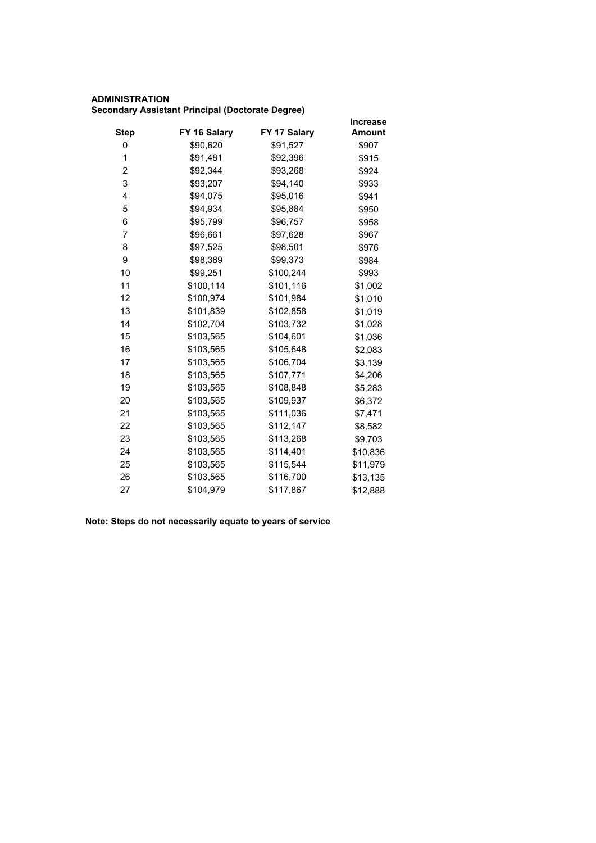# **ADMINISTRATION Secondary Assistant Principal (Doctorate Degree)**

|             |              |              | <b>Increase</b> |
|-------------|--------------|--------------|-----------------|
| <b>Step</b> | FY 16 Salary | FY 17 Salary | <b>Amount</b>   |
| 0           | \$90,620     | \$91,527     | \$907           |
| 1           | \$91,481     | \$92,396     | \$915           |
| 2           | \$92,344     | \$93,268     | \$924           |
| 3           | \$93,207     | \$94,140     | \$933           |
| 4           | \$94,075     | \$95,016     | \$941           |
| 5           | \$94,934     | \$95,884     | \$950           |
| 6           | \$95,799     | \$96,757     | \$958           |
| 7           | \$96,661     | \$97,628     | \$967           |
| 8           | \$97,525     | \$98,501     | \$976           |
| 9           | \$98,389     | \$99,373     | \$984           |
| 10          | \$99,251     | \$100,244    | \$993           |
| 11          | \$100,114    | \$101,116    | \$1,002         |
| 12          | \$100,974    | \$101,984    | \$1,010         |
| 13          | \$101,839    | \$102,858    | \$1,019         |
| 14          | \$102,704    | \$103,732    | \$1,028         |
| 15          | \$103,565    | \$104,601    | \$1,036         |
| 16          | \$103,565    | \$105,648    | \$2,083         |
| 17          | \$103,565    | \$106,704    | \$3,139         |
| 18          | \$103,565    | \$107,771    | \$4,206         |
| 19          | \$103,565    | \$108,848    | \$5,283         |
| 20          | \$103,565    | \$109,937    | \$6,372         |
| 21          | \$103,565    | \$111,036    | \$7,471         |
| 22          | \$103,565    | \$112,147    | \$8,582         |
| 23          | \$103,565    | \$113,268    | \$9,703         |
| 24          | \$103,565    | \$114,401    | \$10,836        |
| 25          | \$103,565    | \$115,544    | \$11,979        |
| 26          | \$103,565    | \$116,700    | \$13,135        |
| 27          | \$104,979    | \$117,867    | \$12,888        |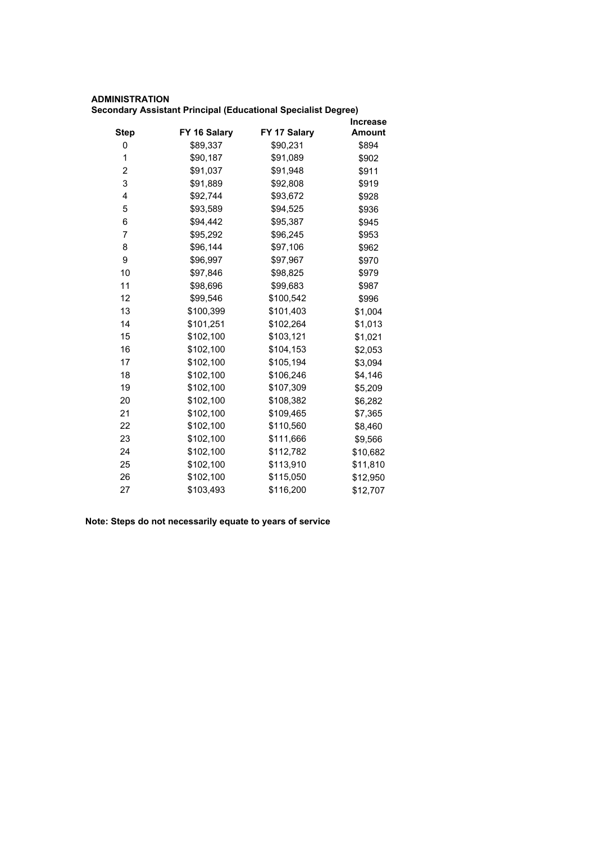## **ADMINISTRATION**

|  |  |  | Secondary Assistant Principal (Educational Specialist Degree) |  |  |
|--|--|--|---------------------------------------------------------------|--|--|
|--|--|--|---------------------------------------------------------------|--|--|

|             |              |              | <b>Increase</b> |
|-------------|--------------|--------------|-----------------|
| <b>Step</b> | FY 16 Salary | FY 17 Salary | <b>Amount</b>   |
| 0           | \$89,337     | \$90,231     | \$894           |
| 1           | \$90,187     | \$91,089     | \$902           |
| 2           | \$91,037     | \$91,948     | \$911           |
| 3           | \$91,889     | \$92,808     | \$919           |
| 4           | \$92,744     | \$93,672     | \$928           |
| 5           | \$93,589     | \$94,525     | \$936           |
| 6           | \$94,442     | \$95,387     | \$945           |
| 7           | \$95,292     | \$96,245     | \$953           |
| 8           | \$96,144     | \$97,106     | \$962           |
| 9           | \$96,997     | \$97,967     | \$970           |
| 10          | \$97,846     | \$98,825     | \$979           |
| 11          | \$98,696     | \$99,683     | \$987           |
| 12          | \$99,546     | \$100,542    | \$996           |
| 13          | \$100,399    | \$101,403    | \$1,004         |
| 14          | \$101,251    | \$102,264    | \$1,013         |
| 15          | \$102,100    | \$103,121    | \$1,021         |
| 16          | \$102,100    | \$104,153    | \$2,053         |
| 17          | \$102,100    | \$105,194    | \$3,094         |
| 18          | \$102,100    | \$106,246    | \$4,146         |
| 19          | \$102,100    | \$107,309    | \$5,209         |
| 20          | \$102,100    | \$108,382    | \$6,282         |
| 21          | \$102,100    | \$109,465    | \$7,365         |
| 22          | \$102,100    | \$110,560    | \$8,460         |
| 23          | \$102,100    | \$111,666    | \$9,566         |
| 24          | \$102,100    | \$112,782    | \$10,682        |
| 25          | \$102,100    | \$113,910    | \$11,810        |
| 26          | \$102,100    | \$115,050    | \$12,950        |
| 27          | \$103,493    | \$116,200    | \$12,707        |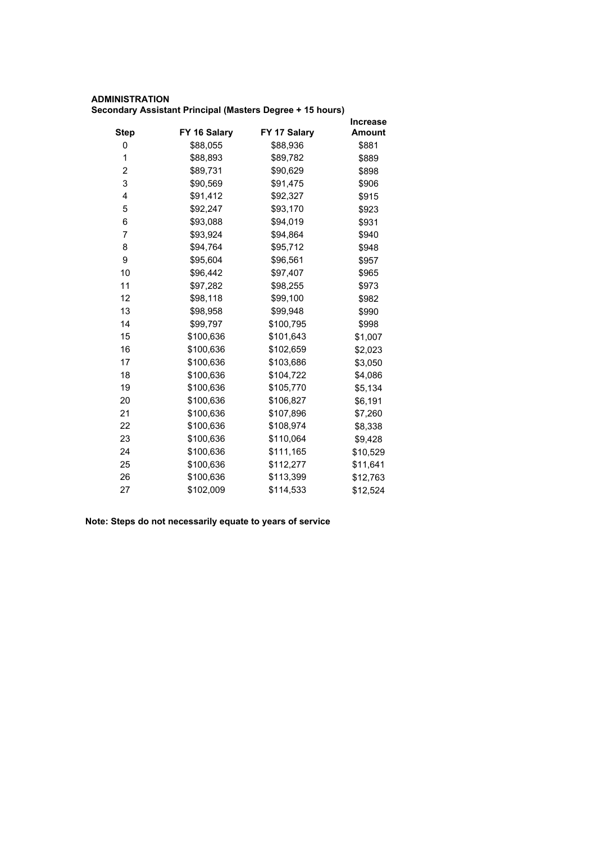#### **ADMINISTRATION Secondary Assistant Principal (Masters Degree + 15 hours)**

|             |              |              | <b>Increase</b> |
|-------------|--------------|--------------|-----------------|
| <b>Step</b> | FY 16 Salary | FY 17 Salary | <b>Amount</b>   |
| 0           | \$88,055     | \$88,936     | \$881           |
| 1           | \$88,893     | \$89,782     | \$889           |
| 2           | \$89,731     | \$90,629     | \$898           |
| 3           | \$90,569     | \$91,475     | \$906           |
| 4           | \$91,412     | \$92,327     | \$915           |
| 5           | \$92,247     | \$93,170     | \$923           |
| 6           | \$93,088     | \$94,019     | \$931           |
| 7           | \$93,924     | \$94,864     | \$940           |
| 8           | \$94,764     | \$95,712     | \$948           |
| 9           | \$95,604     | \$96,561     | \$957           |
| 10          | \$96,442     | \$97,407     | \$965           |
| 11          | \$97,282     | \$98,255     | \$973           |
| 12          | \$98,118     | \$99,100     | \$982           |
| 13          | \$98,958     | \$99,948     | \$990           |
| 14          | \$99,797     | \$100,795    | \$998           |
| 15          | \$100,636    | \$101,643    | \$1,007         |
| 16          | \$100,636    | \$102,659    | \$2,023         |
| 17          | \$100,636    | \$103,686    | \$3,050         |
| 18          | \$100,636    | \$104,722    | \$4,086         |
| 19          | \$100,636    | \$105,770    | \$5,134         |
| 20          | \$100,636    | \$106,827    | \$6,191         |
| 21          | \$100,636    | \$107,896    | \$7,260         |
| 22          | \$100,636    | \$108,974    | \$8,338         |
| 23          | \$100,636    | \$110,064    | \$9,428         |
| 24          | \$100,636    | \$111,165    | \$10,529        |
| 25          | \$100,636    | \$112,277    | \$11,641        |
| 26          | \$100,636    | \$113,399    | \$12,763        |
| 27          | \$102,009    | \$114,533    | \$12,524        |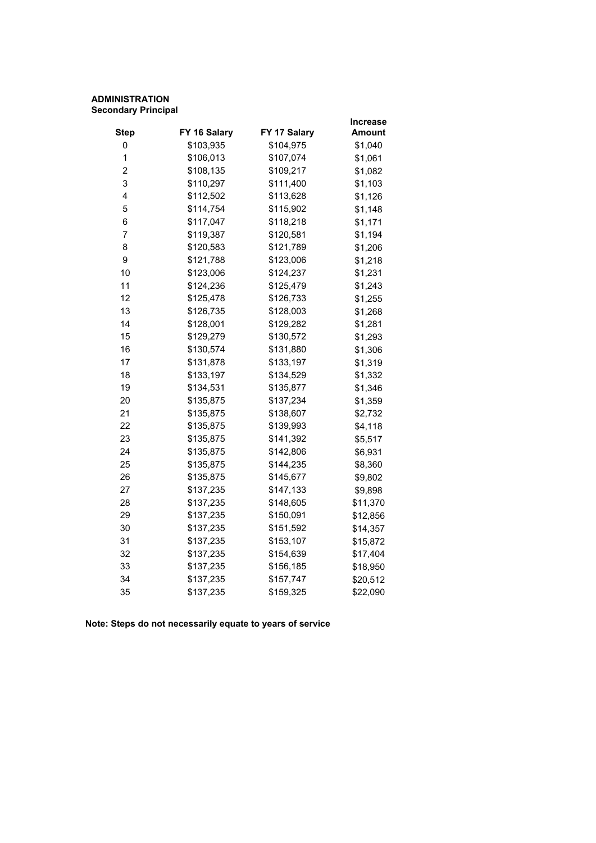#### **ADMINISTRATION Secondary Principal**

|              |              | Increase |
|--------------|--------------|----------|
| FY 16 Salary | FY 17 Salary | Amount   |
| \$103,935    | \$104,975    | \$1,040  |
| \$106,013    | \$107,074    | \$1,061  |
| \$108,135    | \$109,217    | \$1,082  |
| \$110,297    | \$111,400    | \$1,103  |
| \$112,502    | \$113,628    | \$1,126  |
| \$114,754    | \$115,902    | \$1,148  |
| \$117,047    | \$118,218    | \$1,171  |
| \$119,387    | \$120,581    | \$1,194  |
| \$120,583    | \$121,789    | \$1,206  |
| \$121,788    | \$123,006    | \$1,218  |
| \$123,006    | \$124,237    | \$1,231  |
| \$124,236    | \$125,479    | \$1,243  |
| \$125,478    | \$126,733    | \$1,255  |
| \$126,735    | \$128,003    | \$1,268  |
| \$128,001    | \$129,282    | \$1,281  |
| \$129,279    | \$130,572    | \$1,293  |
| \$130,574    | \$131,880    | \$1,306  |
| \$131,878    | \$133,197    | \$1,319  |
| \$133,197    | \$134,529    | \$1,332  |
| \$134,531    | \$135,877    | \$1,346  |
| \$135,875    | \$137,234    | \$1,359  |
| \$135,875    | \$138,607    | \$2,732  |
| \$135,875    | \$139,993    | \$4,118  |
| \$135,875    | \$141,392    | \$5,517  |
| \$135,875    | \$142,806    | \$6,931  |
| \$135,875    | \$144,235    | \$8,360  |
| \$135,875    | \$145,677    | \$9,802  |
| \$137,235    | \$147,133    | \$9,898  |
| \$137,235    | \$148,605    | \$11,370 |
| \$137,235    | \$150,091    | \$12,856 |
| \$137,235    | \$151,592    | \$14,357 |
| \$137,235    | \$153,107    | \$15,872 |
| \$137,235    | \$154,639    | \$17,404 |
| \$137,235    | \$156,185    | \$18,950 |
| \$137,235    | \$157,747    | \$20,512 |
| \$137,235    | \$159,325    | \$22,090 |
|              |              |          |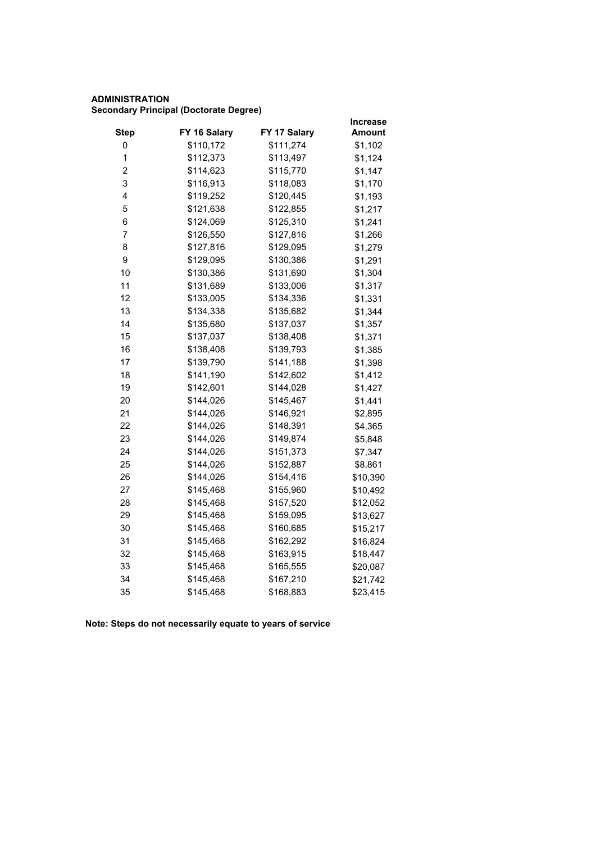## **ADMINISTRATION Secondary Principal (Doctorate Degree)**

|                         |              |              | <b>Increase</b> |
|-------------------------|--------------|--------------|-----------------|
| <b>Step</b>             | FY 16 Salary | FY 17 Salary | <b>Amount</b>   |
| 0                       | \$110,172    | \$111,274    | \$1,102         |
| 1                       | \$112,373    | \$113,497    | \$1,124         |
| $\overline{\mathbf{c}}$ | \$114,623    | \$115,770    | \$1,147         |
| 3                       | \$116,913    | \$118,083    | \$1,170         |
| 4                       | \$119,252    | \$120,445    | \$1,193         |
| 5                       | \$121,638    | \$122,855    | \$1,217         |
| 6                       | \$124,069    | \$125,310    | \$1,241         |
| 7                       | \$126,550    | \$127,816    | \$1,266         |
| 8                       | \$127,816    | \$129,095    | \$1,279         |
| 9                       | \$129,095    | \$130,386    | \$1,291         |
| 10                      | \$130,386    | \$131,690    | \$1,304         |
| 11                      | \$131,689    | \$133,006    | \$1,317         |
| 12                      | \$133,005    | \$134,336    | \$1,331         |
| 13                      | \$134,338    | \$135,682    | \$1,344         |
| 14                      | \$135,680    | \$137,037    | \$1,357         |
| 15                      | \$137,037    | \$138,408    | \$1,371         |
| 16                      | \$138,408    | \$139,793    | \$1,385         |
| 17                      | \$139,790    | \$141,188    | \$1,398         |
| 18                      | \$141,190    | \$142,602    | \$1,412         |
| 19                      | \$142,601    | \$144,028    | \$1,427         |
| 20                      | \$144,026    | \$145,467    | \$1,441         |
| 21                      | \$144,026    | \$146,921    | \$2,895         |
| 22                      | \$144,026    | \$148,391    | \$4,365         |
| 23                      | \$144,026    | \$149,874    | \$5,848         |
| 24                      | \$144,026    | \$151,373    | \$7,347         |
| 25                      | \$144,026    | \$152,887    | \$8,861         |
| 26                      | \$144,026    | \$154,416    | \$10,390        |
| 27                      | \$145,468    | \$155,960    | \$10,492        |
| 28                      | \$145,468    | \$157,520    | \$12,052        |
| 29                      | \$145,468    | \$159,095    | \$13,627        |
| 30                      | \$145,468    | \$160,685    | \$15,217        |
| 31                      | \$145,468    | \$162,292    | \$16,824        |
| 32                      | \$145,468    | \$163,915    | \$18,447        |
| 33                      | \$145,468    | \$165,555    | \$20,087        |
| 34                      | \$145,468    | \$167,210    | \$21,742        |
| 35                      | \$145,468    | \$168,883    | \$23,415        |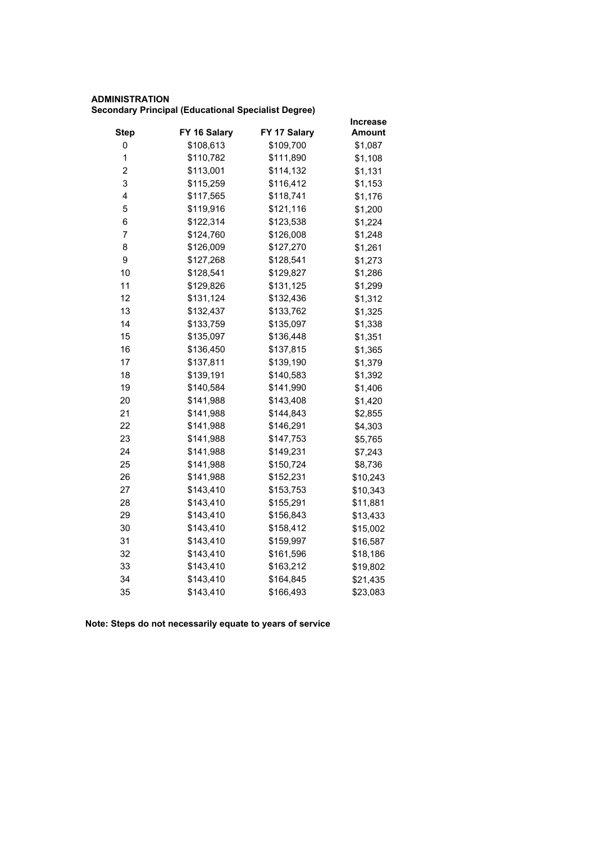# **ADMINISTRATION**

**Secondary Principal (Educational Specialist Degree)**

|                         |              |              | <b>Increase</b> |
|-------------------------|--------------|--------------|-----------------|
| <b>Step</b>             | FY 16 Salary | FY 17 Salary | Amount          |
| 0                       | \$108,613    | \$109,700    | \$1,087         |
| $\mathbf 1$             | \$110,782    | \$111,890    | \$1,108         |
| $\overline{\mathbf{c}}$ | \$113,001    | \$114,132    | \$1,131         |
| 3                       | \$115,259    | \$116,412    | \$1,153         |
| 4                       | \$117,565    | \$118,741    | \$1,176         |
| 5                       | \$119,916    | \$121,116    | \$1,200         |
| 6                       | \$122,314    | \$123,538    | \$1,224         |
| 7                       | \$124,760    | \$126,008    | \$1,248         |
| 8                       | \$126,009    | \$127,270    | \$1,261         |
| 9                       | \$127,268    | \$128,541    | \$1,273         |
| 10                      | \$128,541    | \$129,827    | \$1,286         |
| 11                      | \$129,826    | \$131,125    | \$1,299         |
| 12                      | \$131,124    | \$132,436    | \$1,312         |
| 13                      | \$132,437    | \$133,762    | \$1,325         |
| 14                      | \$133,759    | \$135,097    | \$1,338         |
| 15                      | \$135,097    | \$136,448    | \$1,351         |
| 16                      | \$136,450    | \$137,815    | \$1,365         |
| 17                      | \$137,811    | \$139,190    | \$1,379         |
| 18                      | \$139,191    | \$140,583    | \$1,392         |
| 19                      | \$140,584    | \$141,990    | \$1,406         |
| 20                      | \$141,988    | \$143,408    | \$1,420         |
| 21                      | \$141,988    | \$144,843    | \$2,855         |
| 22                      | \$141,988    | \$146,291    | \$4,303         |
| 23                      | \$141,988    | \$147,753    | \$5,765         |
| 24                      | \$141,988    | \$149,231    | \$7,243         |
| 25                      | \$141,988    | \$150,724    | \$8,736         |
| 26                      | \$141,988    | \$152,231    | \$10,243        |
| 27                      | \$143,410    | \$153,753    | \$10,343        |
| 28                      | \$143,410    | \$155,291    | \$11,881        |
| 29                      | \$143,410    | \$156,843    | \$13,433        |
| 30                      | \$143,410    | \$158,412    | \$15,002        |
| 31                      | \$143,410    | \$159,997    | \$16,587        |
| 32                      | \$143,410    | \$161,596    | \$18,186        |
| 33                      | \$143,410    | \$163,212    | \$19,802        |
| 34                      | \$143,410    | \$164,845    | \$21,435        |
| 35                      | \$143,410    | \$166,493    | \$23,083        |
|                         |              |              |                 |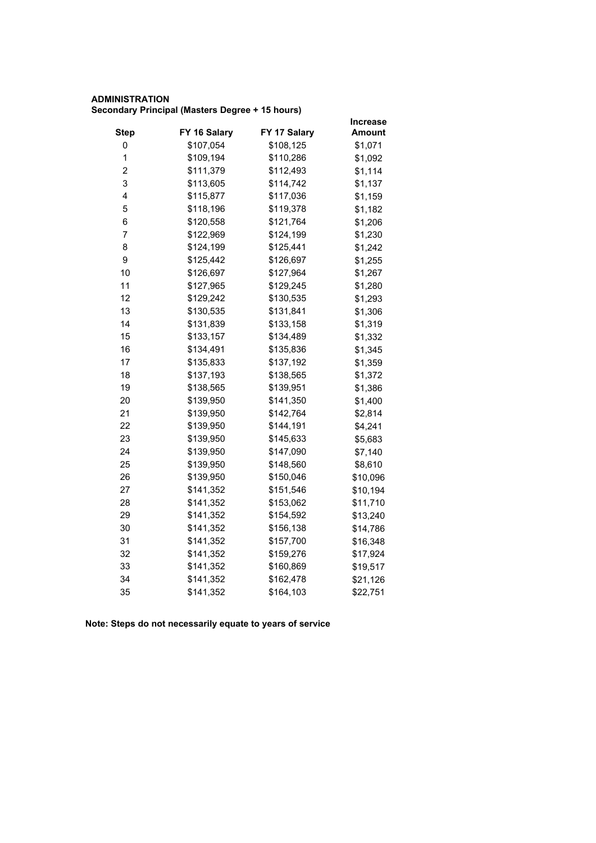## **ADMINISTRATION Secondary Principal (Masters Degree + 15 hours)**

|                         |              |              | Increase      |
|-------------------------|--------------|--------------|---------------|
| <b>Step</b>             | FY 16 Salary | FY 17 Salary | <b>Amount</b> |
| 0                       | \$107,054    | \$108,125    | \$1,071       |
| 1                       | \$109,194    | \$110,286    | \$1,092       |
| $\overline{\mathbf{c}}$ | \$111,379    | \$112,493    | \$1,114       |
| 3                       | \$113,605    | \$114,742    | \$1,137       |
| 4                       | \$115,877    | \$117,036    | \$1,159       |
| 5                       | \$118,196    | \$119,378    | \$1,182       |
| 6                       | \$120,558    | \$121,764    | \$1,206       |
| 7                       | \$122,969    | \$124,199    | \$1,230       |
| 8                       | \$124,199    | \$125,441    | \$1,242       |
| 9                       | \$125,442    | \$126,697    | \$1,255       |
| 10                      | \$126,697    | \$127,964    | \$1,267       |
| 11                      | \$127,965    | \$129,245    | \$1,280       |
| 12                      | \$129,242    | \$130,535    | \$1,293       |
| 13                      | \$130,535    | \$131,841    | \$1,306       |
| 14                      | \$131,839    | \$133,158    | \$1,319       |
| 15                      | \$133,157    | \$134,489    | \$1,332       |
| 16                      | \$134,491    | \$135,836    | \$1,345       |
| 17                      | \$135,833    | \$137,192    | \$1,359       |
| 18                      | \$137,193    | \$138,565    | \$1,372       |
| 19                      | \$138,565    | \$139,951    | \$1,386       |
| 20                      | \$139,950    | \$141,350    | \$1,400       |
| 21                      | \$139,950    | \$142,764    | \$2,814       |
| 22                      | \$139,950    | \$144,191    | \$4,241       |
| 23                      | \$139,950    | \$145,633    | \$5,683       |
| 24                      | \$139,950    | \$147,090    | \$7,140       |
| 25                      | \$139,950    | \$148,560    | \$8,610       |
| 26                      | \$139,950    | \$150,046    | \$10,096      |
| 27                      | \$141,352    | \$151,546    | \$10,194      |
| 28                      | \$141,352    | \$153,062    | \$11,710      |
| 29                      | \$141,352    | \$154,592    | \$13,240      |
| 30                      | \$141,352    | \$156,138    | \$14,786      |
| 31                      | \$141,352    | \$157,700    | \$16,348      |
| 32                      | \$141,352    | \$159,276    | \$17,924      |
| 33                      | \$141,352    | \$160,869    | \$19,517      |
| 34                      | \$141,352    | \$162,478    | \$21,126      |
| 35                      | \$141,352    | \$164,103    | \$22,751      |
|                         |              |              |               |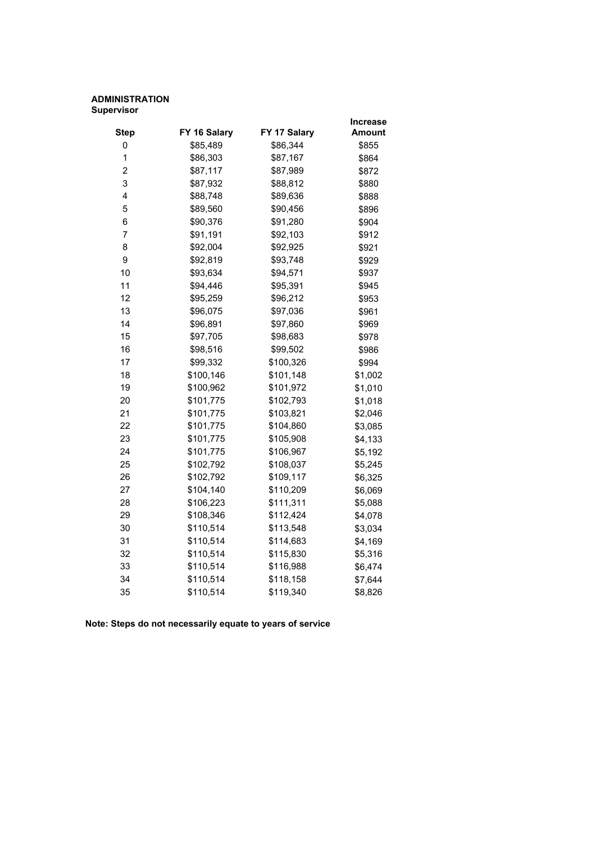## **ADMINISTRATION Supervisor**

|                |              |              | Increase      |
|----------------|--------------|--------------|---------------|
| <b>Step</b>    | FY 16 Salary | FY 17 Salary | <b>Amount</b> |
| 0              | \$85,489     | \$86,344     | \$855         |
| 1              | \$86,303     | \$87,167     | \$864         |
| $\overline{2}$ | \$87,117     | \$87,989     | \$872         |
| 3              | \$87,932     | \$88,812     | \$880         |
| 4              | \$88,748     | \$89,636     | \$888         |
| 5              | \$89,560     | \$90,456     | \$896         |
| 6              | \$90,376     | \$91,280     | \$904         |
| $\overline{7}$ | \$91,191     | \$92,103     | \$912         |
| 8              | \$92,004     | \$92,925     | \$921         |
| 9              | \$92,819     | \$93,748     | \$929         |
| 10             | \$93,634     | \$94,571     | \$937         |
| 11             | \$94,446     | \$95,391     | \$945         |
| 12             | \$95,259     | \$96,212     | \$953         |
| 13             | \$96,075     | \$97,036     | \$961         |
| 14             | \$96,891     | \$97,860     | \$969         |
| 15             | \$97,705     | \$98,683     | \$978         |
| 16             | \$98,516     | \$99,502     | \$986         |
| 17             | \$99,332     | \$100,326    | \$994         |
| 18             | \$100,146    | \$101,148    | \$1,002       |
| 19             | \$100,962    | \$101,972    | \$1,010       |
| 20             | \$101,775    | \$102,793    | \$1,018       |
| 21             | \$101,775    | \$103,821    | \$2,046       |
| 22             | \$101,775    | \$104,860    | \$3,085       |
| 23             | \$101,775    | \$105,908    | \$4,133       |
| 24             | \$101,775    | \$106,967    | \$5,192       |
| 25             | \$102,792    | \$108,037    | \$5,245       |
| 26             | \$102,792    | \$109,117    | \$6,325       |
| 27             | \$104,140    | \$110,209    | \$6,069       |
| 28             | \$106,223    | \$111,311    | \$5,088       |
| 29             | \$108,346    | \$112,424    | \$4,078       |
| 30             | \$110,514    | \$113,548    | \$3,034       |
| 31             | \$110,514    | \$114,683    | \$4,169       |
| 32             | \$110,514    | \$115,830    | \$5,316       |
| 33             | \$110,514    | \$116,988    | \$6,474       |
| 34             | \$110,514    | \$118,158    | \$7,644       |
| 35             | \$110,514    | \$119,340    | \$8,826       |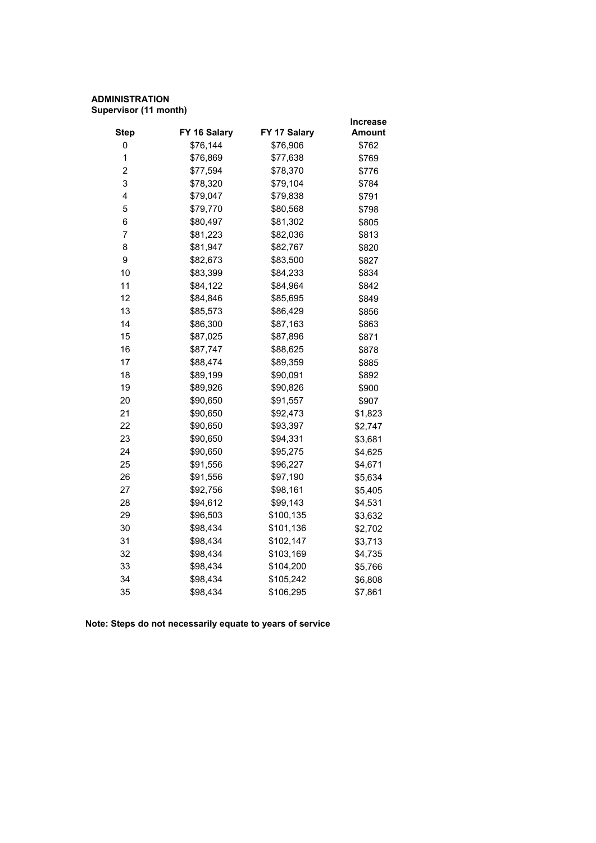## **ADMINISTRATION Supervisor (11 month)**

|              |              | Increase |
|--------------|--------------|----------|
| FY 16 Salary | FY 17 Salary | Amount   |
|              | \$76,906     | \$762    |
| \$76,869     | \$77,638     | \$769    |
| \$77,594     | \$78,370     | \$776    |
| \$78,320     | \$79,104     | \$784    |
| \$79,047     | \$79,838     | \$791    |
| \$79,770     | \$80,568     | \$798    |
| \$80,497     | \$81,302     | \$805    |
| \$81,223     | \$82,036     | \$813    |
| \$81,947     | \$82,767     | \$820    |
| \$82,673     | \$83,500     | \$827    |
| \$83,399     | \$84,233     | \$834    |
| \$84,122     | \$84,964     | \$842    |
| \$84,846     | \$85,695     | \$849    |
| \$85,573     | \$86,429     | \$856    |
| \$86,300     | \$87,163     | \$863    |
| \$87,025     | \$87,896     | \$871    |
| \$87,747     | \$88,625     | \$878    |
| \$88,474     | \$89,359     | \$885    |
| \$89,199     | \$90,091     | \$892    |
| \$89,926     | \$90,826     | \$900    |
| \$90,650     | \$91,557     | \$907    |
| \$90,650     | \$92,473     | \$1,823  |
| \$90,650     | \$93,397     | \$2,747  |
| \$90,650     | \$94,331     | \$3,681  |
| \$90,650     | \$95,275     | \$4,625  |
| \$91,556     | \$96,227     | \$4,671  |
| \$91,556     | \$97,190     | \$5,634  |
| \$92,756     | \$98,161     | \$5,405  |
| \$94,612     | \$99,143     | \$4,531  |
| \$96,503     | \$100,135    | \$3,632  |
| \$98,434     | \$101,136    | \$2,702  |
| \$98,434     | \$102,147    | \$3,713  |
| \$98,434     | \$103,169    | \$4,735  |
| \$98,434     | \$104,200    | \$5,766  |
| \$98,434     | \$105,242    | \$6,808  |
| \$98,434     | \$106,295    | \$7,861  |
|              | \$76,144     |          |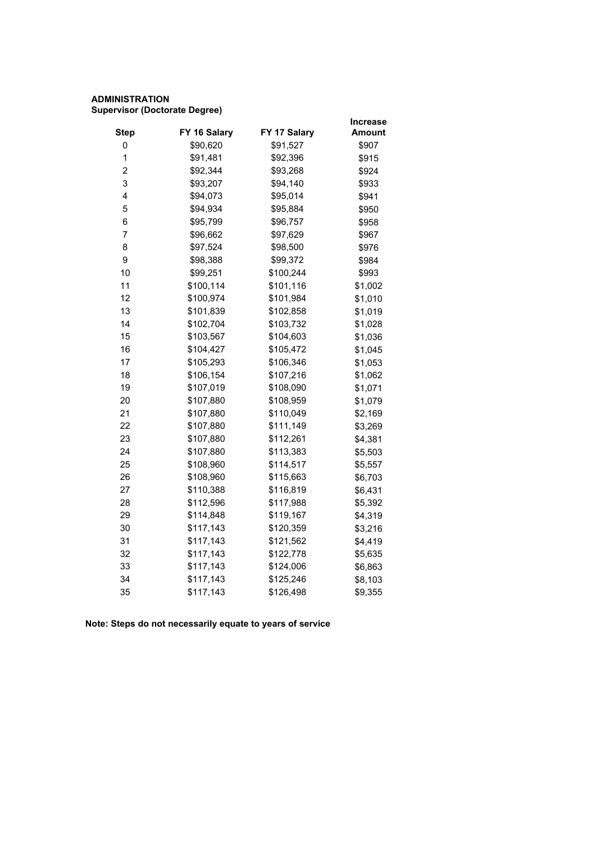## **ADMINISTRATION Supervisor (Doctorate Degree)**

|                         |              |              | Increase      |
|-------------------------|--------------|--------------|---------------|
| <b>Step</b>             | FY 16 Salary | FY 17 Salary | <b>Amount</b> |
| 0                       | \$90,620     | \$91,527     | \$907         |
| 1                       | \$91,481     | \$92,396     | \$915         |
| $\overline{\mathbf{c}}$ | \$92,344     | \$93,268     | \$924         |
| 3                       | \$93,207     | \$94,140     | \$933         |
| 4                       | \$94,073     | \$95,014     | \$941         |
| 5                       | \$94,934     | \$95,884     | \$950         |
| 6                       | \$95,799     | \$96,757     | \$958         |
| 7                       | \$96,662     | \$97,629     | \$967         |
| 8                       | \$97,524     | \$98,500     | \$976         |
| 9                       | \$98,388     | \$99,372     | \$984         |
| 10                      | \$99,251     | \$100,244    | \$993         |
| 11                      | \$100,114    | \$101,116    | \$1,002       |
| 12                      | \$100,974    | \$101,984    | \$1,010       |
| 13                      | \$101,839    | \$102,858    | \$1,019       |
| 14                      | \$102,704    | \$103,732    | \$1,028       |
| 15                      | \$103,567    | \$104,603    | \$1,036       |
| 16                      | \$104,427    | \$105,472    | \$1,045       |
| 17                      | \$105,293    | \$106,346    | \$1,053       |
| 18                      | \$106,154    | \$107,216    | \$1,062       |
| 19                      | \$107,019    | \$108,090    | \$1,071       |
| 20                      | \$107,880    | \$108,959    | \$1,079       |
| 21                      | \$107,880    | \$110,049    | \$2,169       |
| 22                      | \$107,880    | \$111,149    | \$3,269       |
| 23                      | \$107,880    | \$112,261    | \$4,381       |
| 24                      | \$107,880    | \$113,383    | \$5,503       |
| 25                      | \$108,960    | \$114,517    | \$5,557       |
| 26                      | \$108,960    | \$115,663    | \$6,703       |
| 27                      | \$110,388    | \$116,819    | \$6,431       |
| 28                      | \$112,596    | \$117,988    | \$5,392       |
| 29                      | \$114,848    | \$119,167    | \$4,319       |
| 30                      | \$117,143    | \$120,359    | \$3,216       |
| 31                      | \$117,143    | \$121,562    | \$4,419       |
| 32                      | \$117,143    | \$122,778    | \$5,635       |
| 33                      | \$117,143    | \$124,006    | \$6,863       |
| 34                      | \$117,143    | \$125,246    | \$8,103       |
| 35                      | \$117,143    | \$126,498    | \$9,355       |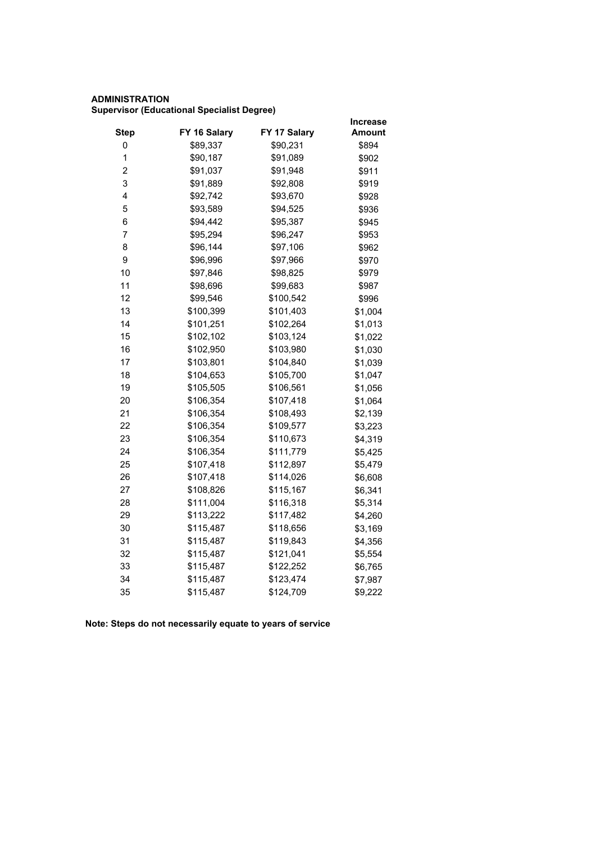## **ADMINISTRATION Supervisor (Educational Specialist Degree)**

|              |              | <b>Increase</b> |
|--------------|--------------|-----------------|
| FY 16 Salary | FY 17 Salary | Amount          |
| \$89,337     | \$90,231     | \$894           |
| \$90,187     | \$91,089     | \$902           |
| \$91,037     | \$91,948     | \$911           |
| \$91,889     | \$92,808     | \$919           |
| \$92,742     | \$93,670     | \$928           |
| \$93,589     | \$94,525     | \$936           |
| \$94,442     | \$95,387     | \$945           |
| \$95,294     | \$96,247     | \$953           |
| \$96,144     | \$97,106     | \$962           |
| \$96,996     | \$97,966     | \$970           |
| \$97,846     | \$98,825     | \$979           |
| \$98,696     | \$99,683     | \$987           |
| \$99,546     | \$100,542    | \$996           |
| \$100,399    | \$101,403    | \$1,004         |
| \$101,251    | \$102,264    | \$1,013         |
| \$102,102    | \$103,124    | \$1,022         |
| \$102,950    | \$103,980    | \$1,030         |
| \$103,801    | \$104,840    | \$1,039         |
| \$104,653    | \$105,700    | \$1,047         |
| \$105,505    | \$106,561    | \$1,056         |
| \$106,354    | \$107,418    | \$1,064         |
| \$106,354    | \$108,493    | \$2,139         |
| \$106,354    | \$109,577    | \$3,223         |
| \$106,354    | \$110,673    | \$4,319         |
| \$106,354    | \$111,779    | \$5,425         |
| \$107,418    | \$112,897    | \$5,479         |
| \$107,418    | \$114,026    | \$6,608         |
| \$108,826    | \$115,167    | \$6,341         |
| \$111,004    | \$116,318    | \$5,314         |
| \$113,222    | \$117,482    | \$4,260         |
| \$115,487    | \$118,656    | \$3,169         |
| \$115,487    | \$119,843    | \$4,356         |
| \$115,487    | \$121,041    | \$5,554         |
| \$115,487    | \$122,252    | \$6,765         |
| \$115,487    | \$123,474    | \$7,987         |
| \$115,487    | \$124,709    | \$9,222         |
|              |              |                 |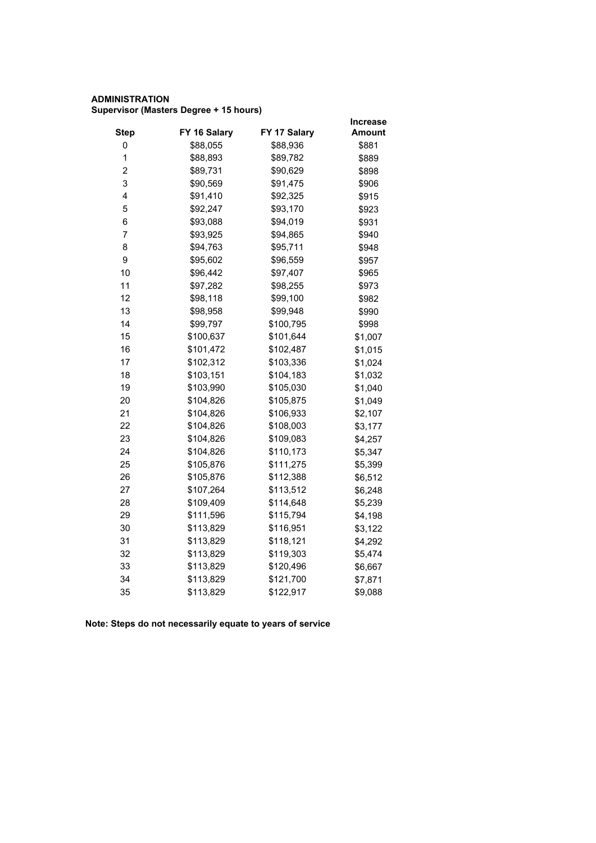## **ADMINISTRATION Supervisor (Masters Degree + 15 hours)**

|              |              | <b>Increase</b> |
|--------------|--------------|-----------------|
| FY 16 Salary | FY 17 Salary | <b>Amount</b>   |
| \$88,055     | \$88,936     | \$881           |
| \$88,893     | \$89,782     | \$889           |
| \$89,731     | \$90,629     | \$898           |
| \$90,569     | \$91,475     | \$906           |
| \$91,410     | \$92,325     | \$915           |
| \$92,247     | \$93,170     | \$923           |
| \$93,088     | \$94,019     | \$931           |
| \$93,925     | \$94,865     | \$940           |
| \$94,763     | \$95,711     | \$948           |
| \$95,602     | \$96,559     | \$957           |
| \$96,442     | \$97,407     | \$965           |
| \$97,282     | \$98,255     | \$973           |
| \$98,118     | \$99,100     | \$982           |
| \$98,958     | \$99,948     | \$990           |
| \$99,797     | \$100,795    | \$998           |
| \$100,637    | \$101,644    | \$1,007         |
| \$101,472    | \$102,487    | \$1,015         |
| \$102,312    | \$103,336    | \$1,024         |
| \$103,151    | \$104,183    | \$1,032         |
| \$103,990    | \$105,030    | \$1,040         |
| \$104,826    | \$105,875    | \$1,049         |
| \$104,826    | \$106,933    | \$2,107         |
| \$104,826    | \$108,003    | \$3,177         |
| \$104,826    | \$109,083    | \$4,257         |
| \$104,826    | \$110,173    | \$5,347         |
| \$105,876    | \$111,275    | \$5,399         |
| \$105,876    | \$112,388    | \$6,512         |
| \$107,264    | \$113,512    | \$6,248         |
| \$109,409    | \$114,648    | \$5,239         |
| \$111,596    | \$115,794    | \$4,198         |
| \$113,829    | \$116,951    | \$3,122         |
| \$113,829    | \$118,121    | \$4,292         |
| \$113,829    | \$119,303    | \$5,474         |
| \$113,829    | \$120,496    | \$6,667         |
| \$113,829    | \$121,700    | \$7,871         |
| \$113,829    | \$122,917    | \$9,088         |
|              |              |                 |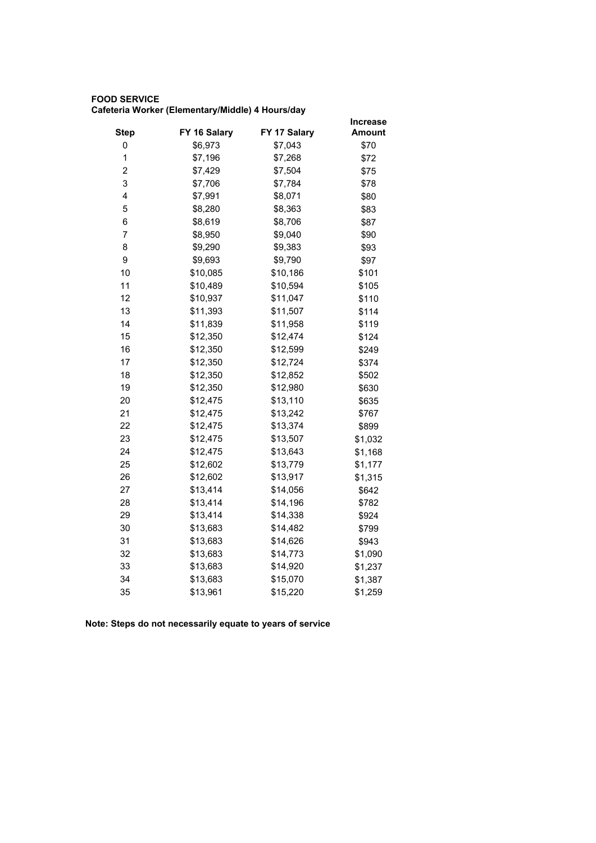## **FOOD SERVICE Cafeteria Worker (Elementary/Middle) 4 Hours/day**

|                |              |              | <b>Increase</b> |
|----------------|--------------|--------------|-----------------|
| <b>Step</b>    | FY 16 Salary | FY 17 Salary | Amount          |
| 0              | \$6,973      | \$7,043      | \$70            |
| $\mathbf 1$    | \$7,196      | \$7,268      | \$72            |
| $\overline{c}$ | \$7,429      | \$7,504      | \$75            |
| 3              | \$7,706      | \$7,784      | \$78            |
| 4              | \$7,991      | \$8,071      | \$80            |
| 5              | \$8,280      | \$8,363      | \$83            |
| 6              | \$8,619      | \$8,706      | \$87            |
| $\overline{7}$ | \$8,950      | \$9,040      | \$90            |
| 8              | \$9,290      | \$9,383      | \$93            |
| 9              | \$9,693      | \$9,790      | \$97            |
| 10             | \$10,085     | \$10,186     | \$101           |
| 11             | \$10,489     | \$10,594     | \$105           |
| 12             | \$10,937     | \$11,047     | \$110           |
| 13             | \$11,393     | \$11,507     | \$114           |
| 14             | \$11,839     | \$11,958     | \$119           |
| 15             | \$12,350     | \$12,474     | \$124           |
| 16             | \$12,350     | \$12,599     | \$249           |
| 17             | \$12,350     | \$12,724     | \$374           |
| 18             | \$12,350     | \$12,852     | \$502           |
| 19             | \$12,350     | \$12,980     | \$630           |
| 20             | \$12,475     | \$13,110     | \$635           |
| 21             | \$12,475     | \$13,242     | \$767           |
| 22             | \$12,475     | \$13,374     | \$899           |
| 23             | \$12,475     | \$13,507     | \$1,032         |
| 24             | \$12,475     | \$13,643     | \$1,168         |
| 25             | \$12,602     | \$13,779     | \$1,177         |
| 26             | \$12,602     | \$13,917     | \$1,315         |
| 27             | \$13,414     | \$14,056     | \$642           |
| 28             | \$13,414     | \$14,196     | \$782           |
| 29             | \$13,414     | \$14,338     | \$924           |
| 30             | \$13,683     | \$14,482     | \$799           |
| 31             | \$13,683     | \$14,626     | \$943           |
| 32             | \$13,683     | \$14,773     | \$1,090         |
| 33             | \$13,683     | \$14,920     | \$1,237         |
| 34             | \$13,683     | \$15,070     | \$1,387         |
| 35             | \$13,961     | \$15,220     | \$1,259         |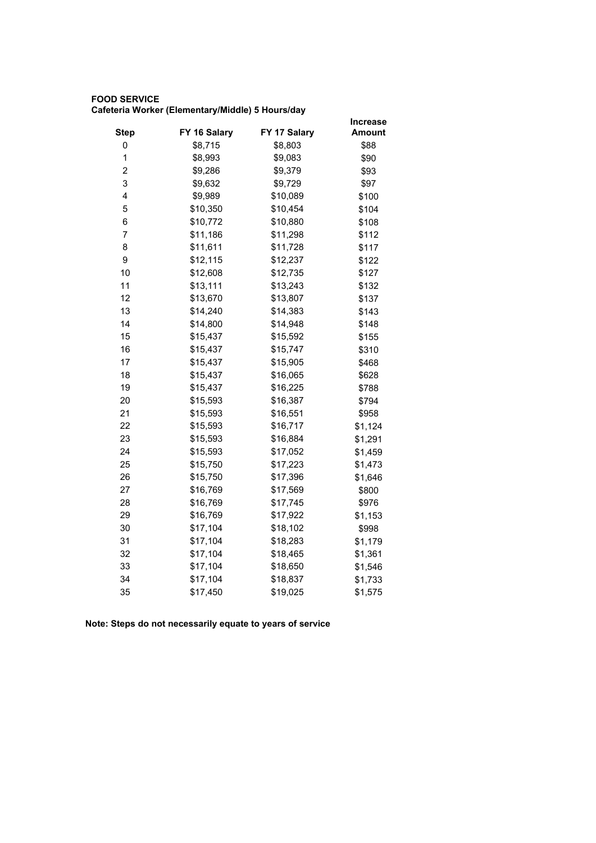## **FOOD SERVICE Cafeteria Worker (Elementary/Middle) 5 Hours/day**

|                         |              |              | <b>Increase</b> |
|-------------------------|--------------|--------------|-----------------|
| <b>Step</b>             | FY 16 Salary | FY 17 Salary | <b>Amount</b>   |
| 0                       | \$8,715      | \$8,803      | \$88            |
| 1                       | \$8,993      | \$9,083      | \$90            |
| $\overline{\mathbf{c}}$ | \$9,286      | \$9,379      | \$93            |
| 3                       | \$9,632      | \$9,729      | \$97            |
| 4                       | \$9,989      | \$10,089     | \$100           |
| 5                       | \$10,350     | \$10,454     | \$104           |
| 6                       | \$10,772     | \$10,880     | \$108           |
| 7                       | \$11,186     | \$11,298     | \$112           |
| 8                       | \$11,611     | \$11,728     | \$117           |
| 9                       | \$12,115     | \$12,237     | \$122           |
| 10                      | \$12,608     | \$12,735     | \$127           |
| 11                      | \$13,111     | \$13,243     | \$132           |
| 12                      | \$13,670     | \$13,807     | \$137           |
| 13                      | \$14,240     | \$14,383     | \$143           |
| 14                      | \$14,800     | \$14,948     | \$148           |
| 15                      | \$15,437     | \$15,592     | \$155           |
| 16                      | \$15,437     | \$15,747     | \$310           |
| 17                      | \$15,437     | \$15,905     | \$468           |
| 18                      | \$15,437     | \$16,065     | \$628           |
| 19                      | \$15,437     | \$16,225     | \$788           |
| 20                      | \$15,593     | \$16,387     | \$794           |
| 21                      | \$15,593     | \$16,551     | \$958           |
| 22                      | \$15,593     | \$16,717     | \$1,124         |
| 23                      | \$15,593     | \$16,884     | \$1,291         |
| 24                      | \$15,593     | \$17,052     | \$1,459         |
| 25                      | \$15,750     | \$17,223     | \$1,473         |
| 26                      | \$15,750     | \$17,396     | \$1,646         |
| 27                      | \$16,769     | \$17,569     | \$800           |
| 28                      | \$16,769     | \$17,745     | \$976           |
| 29                      | \$16,769     | \$17,922     | \$1,153         |
| 30                      | \$17,104     | \$18,102     | \$998           |
| 31                      | \$17,104     | \$18,283     | \$1,179         |
| 32                      | \$17,104     | \$18,465     | \$1,361         |
| 33                      | \$17,104     | \$18,650     | \$1,546         |
| 34                      | \$17,104     | \$18,837     | \$1,733         |
| 35                      | \$17,450     | \$19,025     | \$1,575         |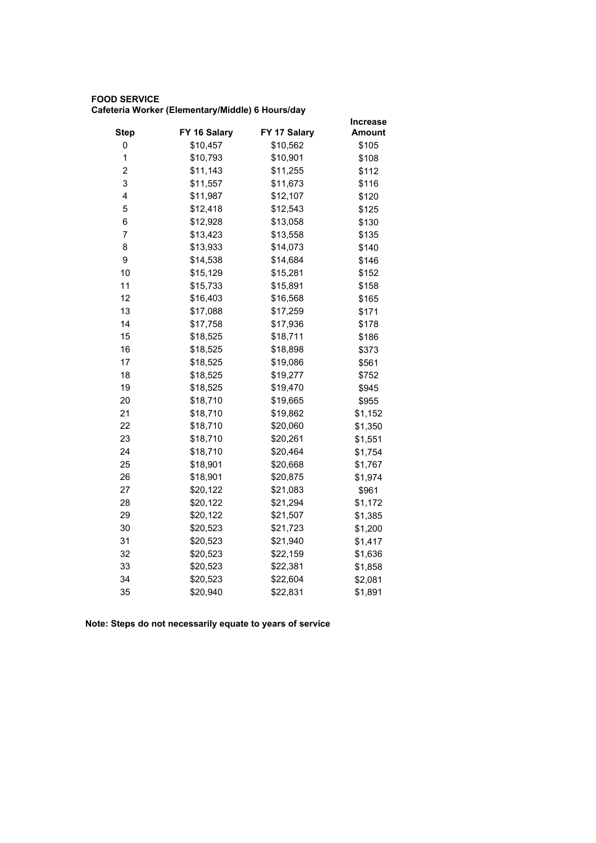## **FOOD SERVICE Cafeteria Worker (Elementary/Middle) 6 Hours/day**

|                         |              |              | <b>Increase</b> |
|-------------------------|--------------|--------------|-----------------|
| <b>Step</b>             | FY 16 Salary | FY 17 Salary | Amount          |
| 0                       | \$10,457     | \$10,562     | \$105           |
| 1                       | \$10,793     | \$10,901     | \$108           |
| $\overline{\mathbf{c}}$ | \$11,143     | \$11,255     | \$112           |
| 3                       | \$11,557     | \$11,673     | \$116           |
| 4                       | \$11,987     | \$12,107     | \$120           |
| 5                       | \$12,418     | \$12,543     | \$125           |
| 6                       | \$12,928     | \$13,058     | \$130           |
| 7                       | \$13,423     | \$13,558     | \$135           |
| 8                       | \$13,933     | \$14,073     | \$140           |
| 9                       | \$14,538     | \$14,684     | \$146           |
| 10                      | \$15,129     | \$15,281     | \$152           |
| 11                      | \$15,733     | \$15,891     | \$158           |
| 12                      | \$16,403     | \$16,568     | \$165           |
| 13                      | \$17,088     | \$17,259     | \$171           |
| 14                      | \$17,758     | \$17,936     | \$178           |
| 15                      | \$18,525     | \$18,711     | \$186           |
| 16                      | \$18,525     | \$18,898     | \$373           |
| 17                      | \$18,525     | \$19,086     | \$561           |
| 18                      | \$18,525     | \$19,277     | \$752           |
| 19                      | \$18,525     | \$19,470     | \$945           |
| 20                      | \$18,710     | \$19,665     | \$955           |
| 21                      | \$18,710     | \$19,862     | \$1,152         |
| 22                      | \$18,710     | \$20,060     | \$1,350         |
| 23                      | \$18,710     | \$20,261     | \$1,551         |
| 24                      | \$18,710     | \$20,464     | \$1,754         |
| 25                      | \$18,901     | \$20,668     | \$1,767         |
| 26                      | \$18,901     | \$20,875     | \$1,974         |
| 27                      | \$20,122     | \$21,083     | \$961           |
| 28                      | \$20,122     | \$21,294     | \$1,172         |
| 29                      | \$20,122     | \$21,507     | \$1,385         |
| 30                      | \$20,523     | \$21,723     | \$1,200         |
| 31                      | \$20,523     | \$21,940     | \$1,417         |
| 32                      | \$20,523     | \$22,159     | \$1,636         |
| 33                      | \$20,523     | \$22,381     | \$1,858         |
| 34                      | \$20,523     | \$22,604     | \$2,081         |
| 35                      | \$20,940     | \$22,831     | \$1,891         |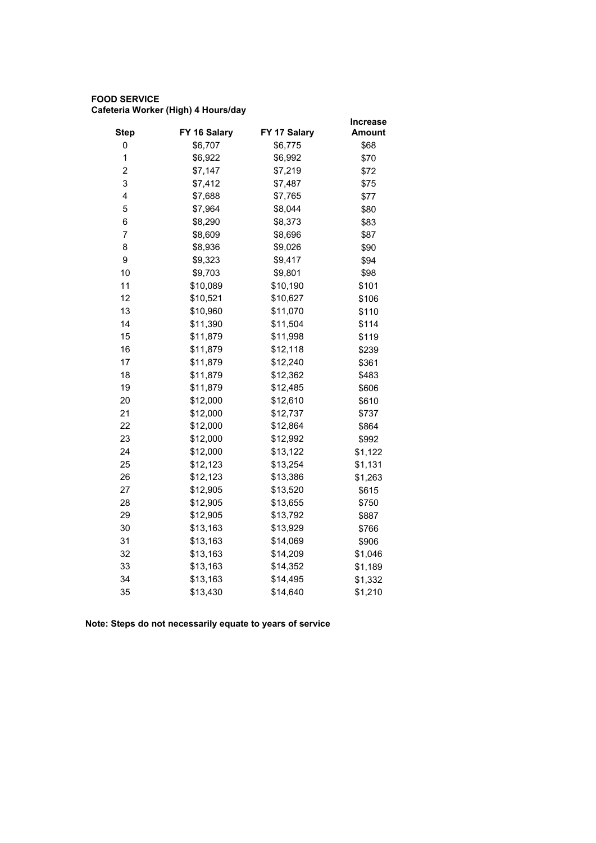## **FOOD SERVICE Cafeteria Worker (High) 4 Hours/day**

|                         |              |              | <b>Increase</b> |
|-------------------------|--------------|--------------|-----------------|
| <b>Step</b>             | FY 16 Salary | FY 17 Salary | <b>Amount</b>   |
| 0                       | \$6,707      | \$6,775      | \$68            |
| 1                       | \$6,922      | \$6,992      | \$70            |
| $\overline{\mathbf{c}}$ | \$7,147      | \$7,219      | \$72            |
| 3                       | \$7,412      | \$7,487      | \$75            |
| 4                       | \$7,688      | \$7,765      | \$77            |
| 5                       | \$7,964      | \$8,044      | \$80            |
| 6                       | \$8,290      | \$8,373      | \$83            |
| $\overline{7}$          | \$8,609      | \$8,696      | \$87            |
| 8                       | \$8,936      | \$9,026      | \$90            |
| 9                       | \$9,323      | \$9,417      | \$94            |
| 10                      | \$9,703      | \$9,801      | \$98            |
| 11                      | \$10,089     | \$10,190     | \$101           |
| 12                      | \$10,521     | \$10,627     | \$106           |
| 13                      | \$10,960     | \$11,070     | \$110           |
| 14                      | \$11,390     | \$11,504     | \$114           |
| 15                      | \$11,879     | \$11,998     | \$119           |
| 16                      | \$11,879     | \$12,118     | \$239           |
| 17                      | \$11,879     | \$12,240     | \$361           |
| 18                      | \$11,879     | \$12,362     | \$483           |
| 19                      | \$11,879     | \$12,485     | \$606           |
| 20                      | \$12,000     | \$12,610     | \$610           |
| 21                      | \$12,000     | \$12,737     | \$737           |
| 22                      | \$12,000     | \$12,864     | \$864           |
| 23                      | \$12,000     | \$12,992     | \$992           |
| 24                      | \$12,000     | \$13,122     | \$1,122         |
| 25                      | \$12,123     | \$13,254     | \$1,131         |
| 26                      | \$12,123     | \$13,386     | \$1,263         |
| 27                      | \$12,905     | \$13,520     | \$615           |
| 28                      | \$12,905     | \$13,655     | \$750           |
| 29                      | \$12,905     | \$13,792     | \$887           |
| 30                      | \$13,163     | \$13,929     | \$766           |
| 31                      | \$13,163     | \$14,069     | \$906           |
| 32                      | \$13,163     | \$14,209     | \$1,046         |
| 33                      | \$13,163     | \$14,352     | \$1,189         |
| 34                      | \$13,163     | \$14,495     | \$1,332         |
| 35                      | \$13,430     | \$14,640     | \$1,210         |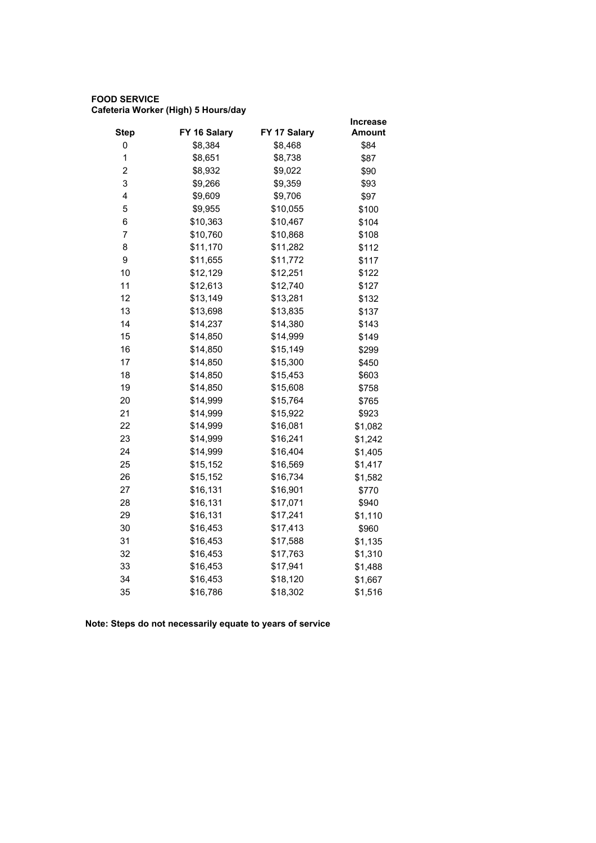## **FOOD SERVICE Cafeteria Worker (High) 5 Hours/day**

|              |              | <b>Increase</b> |
|--------------|--------------|-----------------|
| FY 16 Salary | FY 17 Salary | Amount          |
| \$8,384      | \$8,468      | \$84            |
| \$8,651      | \$8,738      | \$87            |
| \$8,932      | \$9,022      | \$90            |
| \$9,266      | \$9,359      | \$93            |
| \$9,609      | \$9,706      | \$97            |
| \$9,955      | \$10,055     | \$100           |
| \$10,363     | \$10,467     | \$104           |
| \$10,760     | \$10,868     | \$108           |
| \$11,170     | \$11,282     | \$112           |
| \$11,655     | \$11,772     | \$117           |
| \$12,129     | \$12,251     | \$122           |
| \$12,613     | \$12,740     | \$127           |
| \$13,149     | \$13,281     | \$132           |
| \$13,698     | \$13,835     | \$137           |
| \$14,237     | \$14,380     | \$143           |
| \$14,850     | \$14,999     | \$149           |
| \$14,850     | \$15,149     | \$299           |
| \$14,850     | \$15,300     | \$450           |
| \$14,850     | \$15,453     | \$603           |
| \$14,850     | \$15,608     | \$758           |
| \$14,999     | \$15,764     | \$765           |
| \$14,999     | \$15,922     | \$923           |
| \$14,999     | \$16,081     | \$1,082         |
| \$14,999     | \$16,241     | \$1,242         |
| \$14,999     | \$16,404     | \$1,405         |
| \$15,152     | \$16,569     | \$1,417         |
| \$15,152     | \$16,734     | \$1,582         |
| \$16,131     | \$16,901     | \$770           |
| \$16,131     | \$17,071     | \$940           |
| \$16,131     | \$17,241     | \$1,110         |
| \$16,453     | \$17,413     | \$960           |
| \$16,453     | \$17,588     | \$1,135         |
| \$16,453     | \$17,763     | \$1,310         |
| \$16,453     | \$17,941     | \$1,488         |
| \$16,453     | \$18,120     | \$1,667         |
| \$16,786     | \$18,302     | \$1,516         |
|              |              |                 |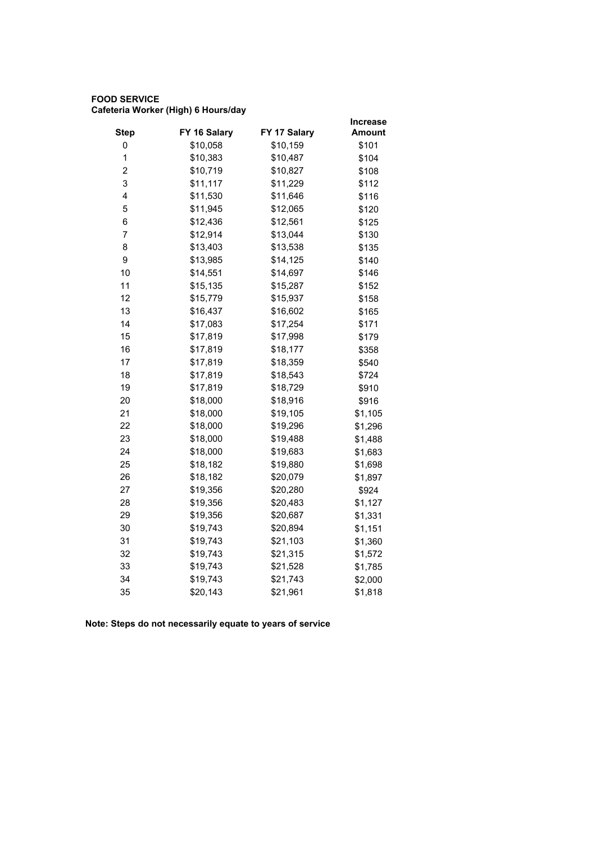## **FOOD SERVICE Cafeteria Worker (High) 6 Hours/day**

|                |              |              | <b>Increase</b> |
|----------------|--------------|--------------|-----------------|
| <b>Step</b>    | FY 16 Salary | FY 17 Salary | <b>Amount</b>   |
| 0              | \$10,058     | \$10,159     | \$101           |
| $\mathbf 1$    | \$10,383     | \$10,487     | \$104           |
| $\overline{2}$ | \$10,719     | \$10,827     | \$108           |
| 3              | \$11,117     | \$11,229     | \$112           |
| 4              | \$11,530     | \$11,646     | \$116           |
| 5              | \$11,945     | \$12,065     | \$120           |
| 6              | \$12,436     | \$12,561     | \$125           |
| $\overline{7}$ | \$12,914     | \$13,044     | \$130           |
| 8              | \$13,403     | \$13,538     | \$135           |
| 9              | \$13,985     | \$14,125     | \$140           |
| 10             | \$14,551     | \$14,697     | \$146           |
| 11             | \$15,135     | \$15,287     | \$152           |
| 12             | \$15,779     | \$15,937     | \$158           |
| 13             | \$16,437     | \$16,602     | \$165           |
| 14             | \$17,083     | \$17,254     | \$171           |
| 15             | \$17,819     | \$17,998     | \$179           |
| 16             | \$17,819     | \$18,177     | \$358           |
| 17             | \$17,819     | \$18,359     | \$540           |
| 18             | \$17,819     | \$18,543     | \$724           |
| 19             | \$17,819     | \$18,729     | \$910           |
| 20             | \$18,000     | \$18,916     | \$916           |
| 21             | \$18,000     | \$19,105     | \$1,105         |
| 22             | \$18,000     | \$19,296     | \$1,296         |
| 23             | \$18,000     | \$19,488     | \$1,488         |
| 24             | \$18,000     | \$19,683     | \$1,683         |
| 25             | \$18,182     | \$19,880     | \$1,698         |
| 26             | \$18,182     | \$20,079     | \$1,897         |
| 27             | \$19,356     | \$20,280     | \$924           |
| 28             | \$19,356     | \$20,483     | \$1,127         |
| 29             | \$19,356     | \$20,687     | \$1,331         |
| 30             | \$19,743     | \$20,894     | \$1,151         |
| 31             | \$19,743     | \$21,103     | \$1,360         |
| 32             | \$19,743     | \$21,315     | \$1,572         |
| 33             | \$19,743     | \$21,528     | \$1,785         |
| 34             | \$19,743     | \$21,743     | \$2,000         |
| 35             | \$20,143     | \$21,961     | \$1,818         |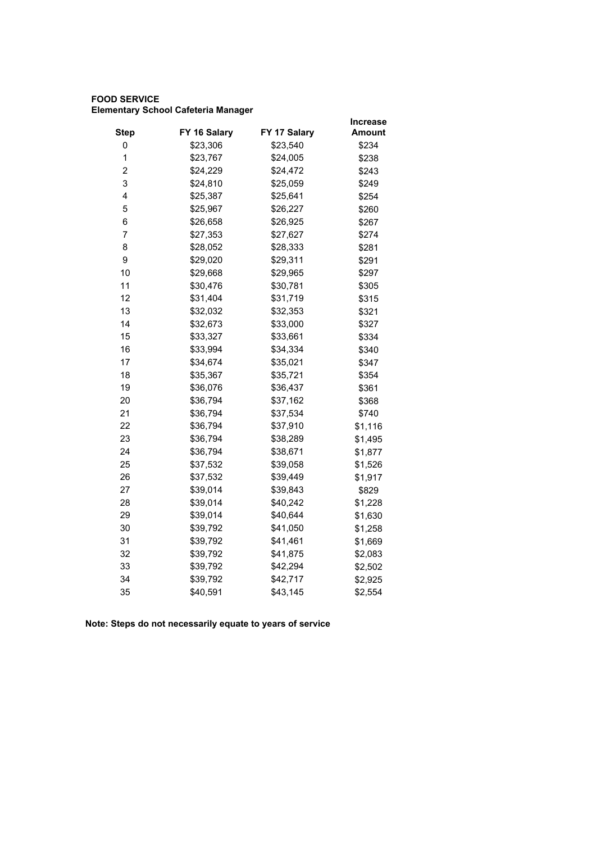## **FOOD SERVICE Elementary School Cafeteria Manager**

|                         |              |              | <b>Increase</b> |
|-------------------------|--------------|--------------|-----------------|
| <b>Step</b>             | FY 16 Salary | FY 17 Salary | Amount          |
| 0                       | \$23,306     | \$23,540     | \$234           |
| 1                       | \$23,767     | \$24,005     | \$238           |
| $\overline{\mathbf{c}}$ | \$24,229     | \$24,472     | \$243           |
| 3                       | \$24,810     | \$25,059     | \$249           |
| 4                       | \$25,387     | \$25,641     | \$254           |
| 5                       | \$25,967     | \$26,227     | \$260           |
| 6                       | \$26,658     | \$26,925     | \$267           |
| $\overline{7}$          | \$27,353     | \$27,627     | \$274           |
| 8                       | \$28,052     | \$28,333     | \$281           |
| 9                       | \$29,020     | \$29,311     | \$291           |
| 10                      | \$29,668     | \$29,965     | \$297           |
| 11                      | \$30,476     | \$30,781     | \$305           |
| 12                      | \$31,404     | \$31,719     | \$315           |
| 13                      | \$32,032     | \$32,353     | \$321           |
| 14                      | \$32,673     | \$33,000     | \$327           |
| 15                      | \$33,327     | \$33,661     | \$334           |
| 16                      | \$33,994     | \$34,334     | \$340           |
| 17                      | \$34,674     | \$35,021     | \$347           |
| 18                      | \$35,367     | \$35,721     | \$354           |
| 19                      | \$36,076     | \$36,437     | \$361           |
| 20                      | \$36,794     | \$37,162     | \$368           |
| 21                      | \$36,794     | \$37,534     | \$740           |
| 22                      | \$36,794     | \$37,910     | \$1,116         |
| 23                      | \$36,794     | \$38,289     | \$1,495         |
| 24                      | \$36,794     | \$38,671     | \$1,877         |
| 25                      | \$37,532     | \$39,058     | \$1,526         |
| 26                      | \$37,532     | \$39,449     | \$1,917         |
| 27                      | \$39,014     | \$39,843     | \$829           |
| 28                      | \$39,014     | \$40,242     | \$1,228         |
| 29                      | \$39,014     | \$40,644     | \$1,630         |
| 30                      | \$39,792     | \$41,050     | \$1,258         |
| 31                      | \$39,792     | \$41,461     | \$1,669         |
| 32                      | \$39,792     | \$41,875     | \$2,083         |
| 33                      | \$39,792     | \$42,294     | \$2,502         |
| 34                      | \$39,792     | \$42,717     | \$2,925         |
| 35                      | \$40,591     | \$43,145     | \$2,554         |
|                         |              |              |                 |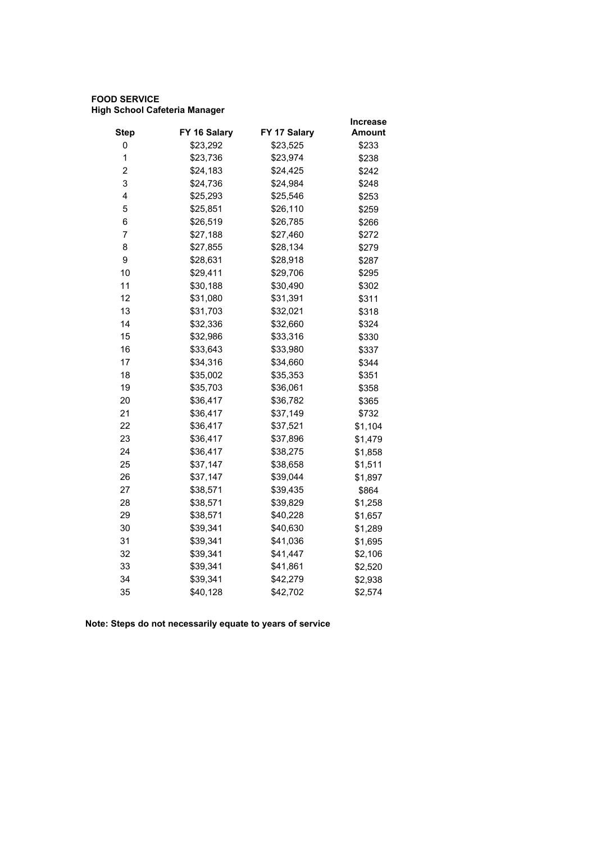## **FOOD SERVICE High School Cafeteria Manager**

|                |              |              | <b>Increase</b> |
|----------------|--------------|--------------|-----------------|
| <b>Step</b>    | FY 16 Salary | FY 17 Salary | Amount          |
| 0              | \$23,292     | \$23,525     | \$233           |
| 1              | \$23,736     | \$23,974     | \$238           |
| $\overline{2}$ | \$24,183     | \$24,425     | \$242           |
| 3              | \$24,736     | \$24,984     | \$248           |
| 4              | \$25,293     | \$25,546     | \$253           |
| 5              | \$25,851     | \$26,110     | \$259           |
| 6              | \$26,519     | \$26,785     | \$266           |
| 7              | \$27,188     | \$27,460     | \$272           |
| 8              | \$27,855     | \$28,134     | \$279           |
| 9              | \$28,631     | \$28,918     | \$287           |
| 10             | \$29,411     | \$29,706     | \$295           |
| 11             | \$30,188     | \$30,490     | \$302           |
| 12             | \$31,080     | \$31,391     | \$311           |
| 13             | \$31,703     | \$32,021     | \$318           |
| 14             | \$32,336     | \$32,660     | \$324           |
| 15             | \$32,986     | \$33,316     | \$330           |
| 16             | \$33,643     | \$33,980     | \$337           |
| 17             | \$34,316     | \$34,660     | \$344           |
| 18             | \$35,002     | \$35,353     | \$351           |
| 19             | \$35,703     | \$36,061     | \$358           |
| 20             | \$36,417     | \$36,782     | \$365           |
| 21             | \$36,417     | \$37,149     | \$732           |
| 22             | \$36,417     | \$37,521     | \$1,104         |
| 23             | \$36,417     | \$37,896     | \$1,479         |
| 24             | \$36,417     | \$38,275     | \$1,858         |
| 25             | \$37,147     | \$38,658     | \$1,511         |
| 26             | \$37,147     | \$39,044     | \$1,897         |
| 27             | \$38,571     | \$39,435     | \$864           |
| 28             | \$38,571     | \$39,829     | \$1,258         |
| 29             | \$38,571     | \$40,228     | \$1,657         |
| 30             | \$39,341     | \$40,630     | \$1,289         |
| 31             | \$39,341     | \$41,036     | \$1,695         |
| 32             | \$39,341     | \$41,447     | \$2,106         |
| 33             | \$39,341     | \$41,861     | \$2,520         |
| 34             | \$39,341     | \$42,279     | \$2,938         |
| 35             | \$40,128     | \$42,702     | \$2,574         |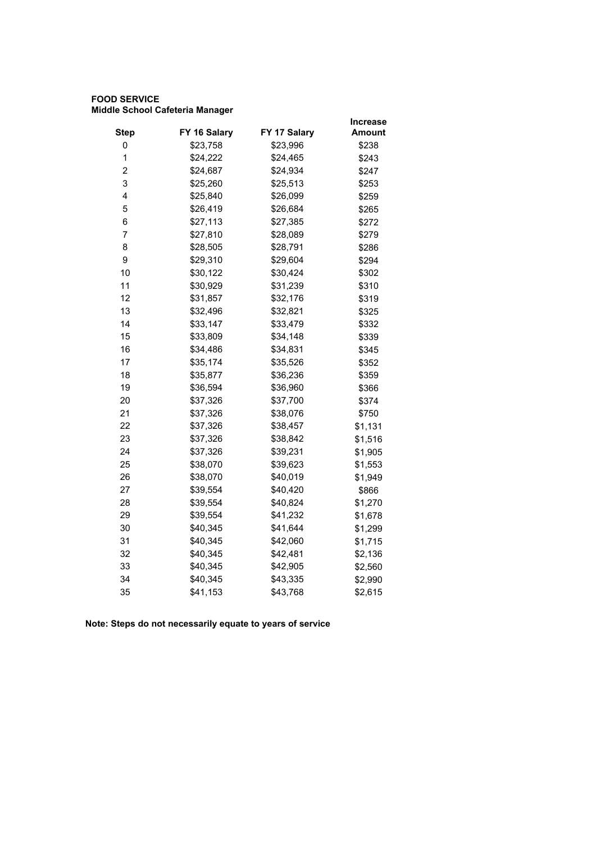## **FOOD SERVICE Middle School Cafeteria Manager**

|                         |              |              | <b>Increase</b> |
|-------------------------|--------------|--------------|-----------------|
| <b>Step</b>             | FY 16 Salary | FY 17 Salary | Amount          |
| 0                       | \$23,758     | \$23,996     | \$238           |
| 1                       | \$24,222     | \$24,465     | \$243           |
| $\overline{\mathbf{c}}$ | \$24,687     | \$24,934     | \$247           |
| 3                       | \$25,260     | \$25,513     | \$253           |
| 4                       | \$25,840     | \$26,099     | \$259           |
| 5                       | \$26,419     | \$26,684     | \$265           |
| 6                       | \$27,113     | \$27,385     | \$272           |
| $\overline{7}$          | \$27,810     | \$28,089     | \$279           |
| 8                       | \$28,505     | \$28,791     | \$286           |
| 9                       | \$29,310     | \$29,604     | \$294           |
| 10                      | \$30,122     | \$30,424     | \$302           |
| 11                      | \$30,929     | \$31,239     | \$310           |
| 12                      | \$31,857     | \$32,176     | \$319           |
| 13                      | \$32,496     | \$32,821     | \$325           |
| 14                      | \$33,147     | \$33,479     | \$332           |
| 15                      | \$33,809     | \$34,148     | \$339           |
| 16                      | \$34,486     | \$34,831     | \$345           |
| 17                      | \$35,174     | \$35,526     | \$352           |
| 18                      | \$35,877     | \$36,236     | \$359           |
| 19                      | \$36,594     | \$36,960     | \$366           |
| 20                      | \$37,326     | \$37,700     | \$374           |
| 21                      | \$37,326     | \$38,076     | \$750           |
| 22                      | \$37,326     | \$38,457     | \$1,131         |
| 23                      | \$37,326     | \$38,842     | \$1,516         |
| 24                      | \$37,326     | \$39,231     | \$1,905         |
| 25                      | \$38,070     | \$39,623     | \$1,553         |
| 26                      | \$38,070     | \$40,019     | \$1,949         |
| 27                      | \$39,554     | \$40,420     | \$866           |
| 28                      | \$39,554     | \$40,824     | \$1,270         |
| 29                      | \$39,554     | \$41,232     | \$1,678         |
| 30                      | \$40,345     | \$41,644     | \$1,299         |
| 31                      | \$40,345     | \$42,060     | \$1,715         |
| 32                      | \$40,345     | \$42,481     | \$2,136         |
| 33                      | \$40,345     | \$42,905     | \$2,560         |
| 34                      | \$40,345     | \$43,335     | \$2,990         |
| 35                      | \$41,153     | \$43,768     | \$2,615         |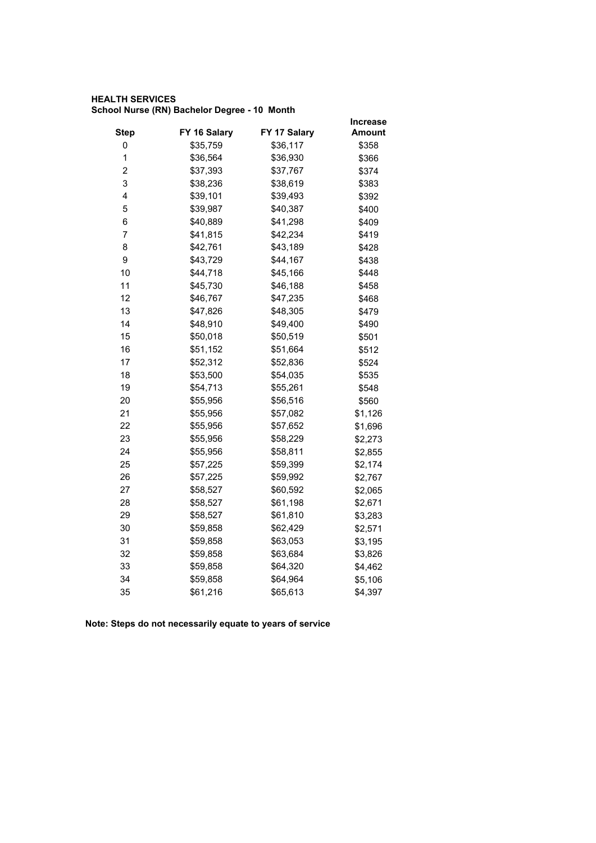## **HEALTH SERVICES School Nurse (RN) Bachelor Degree - 10 Month**

|                |              |              | Increase |
|----------------|--------------|--------------|----------|
| <b>Step</b>    | FY 16 Salary | FY 17 Salary | Amount   |
| 0              | \$35,759     | \$36,117     | \$358    |
| $\mathbf 1$    | \$36,564     | \$36,930     | \$366    |
| 2              | \$37,393     | \$37,767     | \$374    |
| 3              | \$38,236     | \$38,619     | \$383    |
| 4              | \$39,101     | \$39,493     | \$392    |
| 5              | \$39,987     | \$40,387     | \$400    |
| 6              | \$40,889     | \$41,298     | \$409    |
| $\overline{7}$ | \$41,815     | \$42,234     | \$419    |
| 8              | \$42,761     | \$43,189     | \$428    |
| 9              | \$43,729     | \$44,167     | \$438    |
| 10             | \$44,718     | \$45,166     | \$448    |
| 11             | \$45,730     | \$46,188     | \$458    |
| 12             | \$46,767     | \$47,235     | \$468    |
| 13             | \$47,826     | \$48,305     | \$479    |
| 14             | \$48,910     | \$49,400     | \$490    |
| 15             | \$50,018     | \$50,519     | \$501    |
| 16             | \$51,152     | \$51,664     | \$512    |
| 17             | \$52,312     | \$52,836     | \$524    |
| 18             | \$53,500     | \$54,035     | \$535    |
| 19             | \$54,713     | \$55,261     | \$548    |
| 20             | \$55,956     | \$56,516     | \$560    |
| 21             | \$55,956     | \$57,082     | \$1,126  |
| 22             | \$55,956     | \$57,652     | \$1,696  |
| 23             | \$55,956     | \$58,229     | \$2,273  |
| 24             | \$55,956     | \$58,811     | \$2,855  |
| 25             | \$57,225     | \$59,399     | \$2,174  |
| 26             | \$57,225     | \$59,992     | \$2,767  |
| 27             | \$58,527     | \$60,592     | \$2,065  |
| 28             | \$58,527     | \$61,198     | \$2,671  |
| 29             | \$58,527     | \$61,810     | \$3,283  |
| 30             | \$59,858     | \$62,429     | \$2,571  |
| 31             | \$59,858     | \$63,053     | \$3,195  |
| 32             | \$59,858     | \$63,684     | \$3,826  |
| 33             | \$59,858     | \$64,320     | \$4,462  |
| 34             | \$59,858     | \$64,964     | \$5,106  |
| 35             | \$61,216     | \$65,613     | \$4,397  |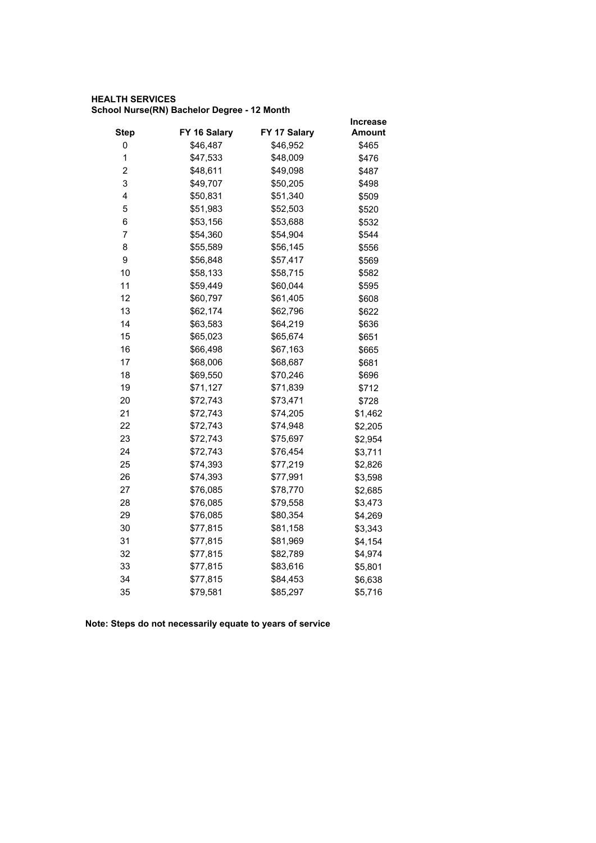## **HEALTH SERVICES School Nurse(RN) Bachelor Degree - 12 Month**

|              |              | <b>Increase</b> |
|--------------|--------------|-----------------|
| FY 16 Salary | FY 17 Salary | <b>Amount</b>   |
| \$46,487     | \$46,952     | \$465           |
| \$47,533     | \$48,009     | \$476           |
| \$48,611     | \$49,098     | \$487           |
| \$49,707     | \$50,205     | \$498           |
| \$50,831     | \$51,340     | \$509           |
| \$51,983     | \$52,503     | \$520           |
| \$53,156     | \$53,688     | \$532           |
| \$54,360     | \$54,904     | \$544           |
| \$55,589     | \$56,145     | \$556           |
| \$56,848     | \$57,417     | \$569           |
| \$58,133     | \$58,715     | \$582           |
| \$59,449     | \$60,044     | \$595           |
| \$60,797     | \$61,405     | \$608           |
| \$62,174     | \$62,796     | \$622           |
| \$63,583     | \$64,219     | \$636           |
| \$65,023     | \$65,674     | \$651           |
| \$66,498     | \$67,163     | \$665           |
| \$68,006     | \$68,687     | \$681           |
| \$69,550     | \$70,246     | \$696           |
| \$71,127     | \$71,839     | \$712           |
| \$72,743     | \$73,471     | \$728           |
| \$72,743     | \$74,205     | \$1,462         |
| \$72,743     | \$74,948     | \$2,205         |
| \$72,743     | \$75,697     | \$2,954         |
| \$72,743     | \$76,454     | \$3,711         |
| \$74,393     | \$77,219     | \$2,826         |
| \$74,393     | \$77,991     | \$3,598         |
| \$76,085     | \$78,770     | \$2,685         |
| \$76,085     | \$79,558     | \$3,473         |
| \$76,085     | \$80,354     | \$4,269         |
| \$77,815     | \$81,158     | \$3,343         |
| \$77,815     | \$81,969     | \$4,154         |
| \$77,815     | \$82,789     | \$4,974         |
| \$77,815     | \$83,616     | \$5,801         |
| \$77,815     | \$84,453     | \$6,638         |
| \$79,581     | \$85,297     | \$5,716         |
|              |              |                 |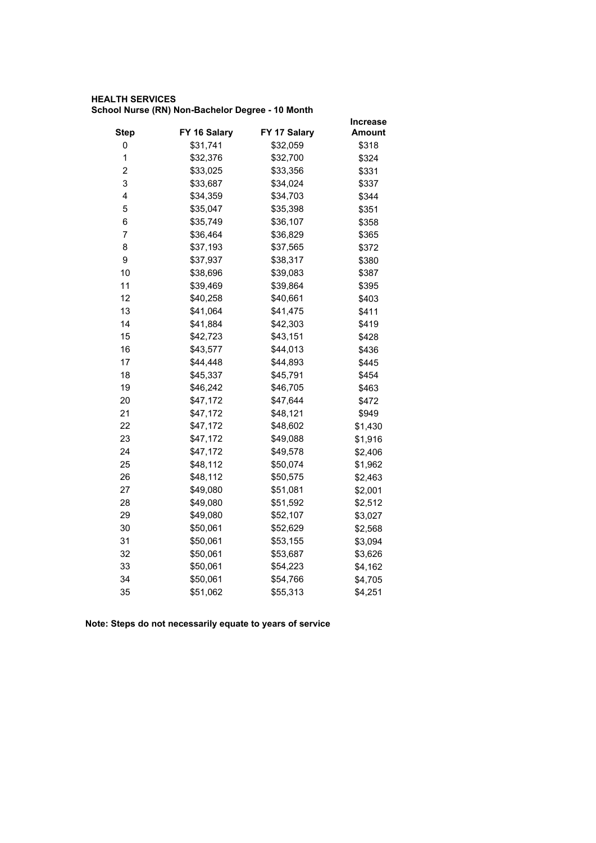#### **HEALTH SERVICES School Nurse (RN) Non-Bachelor Degree - 10 Month**

|                         |              |              | <b>Increase</b> |
|-------------------------|--------------|--------------|-----------------|
| <b>Step</b>             | FY 16 Salary | FY 17 Salary | Amount          |
| 0                       | \$31,741     | \$32,059     | \$318           |
| 1                       | \$32,376     | \$32,700     | \$324           |
| $\overline{\mathbf{c}}$ | \$33,025     | \$33,356     | \$331           |
| 3                       | \$33,687     | \$34,024     | \$337           |
| 4                       | \$34,359     | \$34,703     | \$344           |
| 5                       | \$35,047     | \$35,398     | \$351           |
| 6                       | \$35,749     | \$36,107     | \$358           |
| $\overline{7}$          | \$36,464     | \$36,829     | \$365           |
| 8                       | \$37,193     | \$37,565     | \$372           |
| 9                       | \$37,937     | \$38,317     | \$380           |
| 10                      | \$38,696     | \$39,083     | \$387           |
| 11                      | \$39,469     | \$39,864     | \$395           |
| 12                      | \$40,258     | \$40,661     | \$403           |
| 13                      | \$41,064     | \$41,475     | \$411           |
| 14                      | \$41,884     | \$42,303     | \$419           |
| 15                      | \$42,723     | \$43,151     | \$428           |
| 16                      | \$43,577     | \$44,013     | \$436           |
| 17                      | \$44,448     | \$44,893     | \$445           |
| 18                      | \$45,337     | \$45,791     | \$454           |
| 19                      | \$46,242     | \$46,705     | \$463           |
| 20                      | \$47,172     | \$47,644     | \$472           |
| 21                      | \$47,172     | \$48,121     | \$949           |
| 22                      | \$47,172     | \$48,602     | \$1,430         |
| 23                      | \$47,172     | \$49,088     | \$1,916         |
| 24                      | \$47,172     | \$49,578     | \$2,406         |
| 25                      | \$48,112     | \$50,074     | \$1,962         |
| 26                      | \$48,112     | \$50,575     | \$2,463         |
| 27                      | \$49,080     | \$51,081     | \$2,001         |
| 28                      | \$49,080     | \$51,592     | \$2,512         |
| 29                      | \$49,080     | \$52,107     | \$3,027         |
| 30                      | \$50,061     | \$52,629     | \$2,568         |
| 31                      | \$50,061     | \$53,155     | \$3,094         |
| 32                      | \$50,061     | \$53,687     | \$3,626         |
| 33                      | \$50,061     | \$54,223     | \$4,162         |
| 34                      | \$50,061     | \$54,766     | \$4,705         |
| 35                      | \$51,062     | \$55,313     | \$4,251         |
|                         |              |              |                 |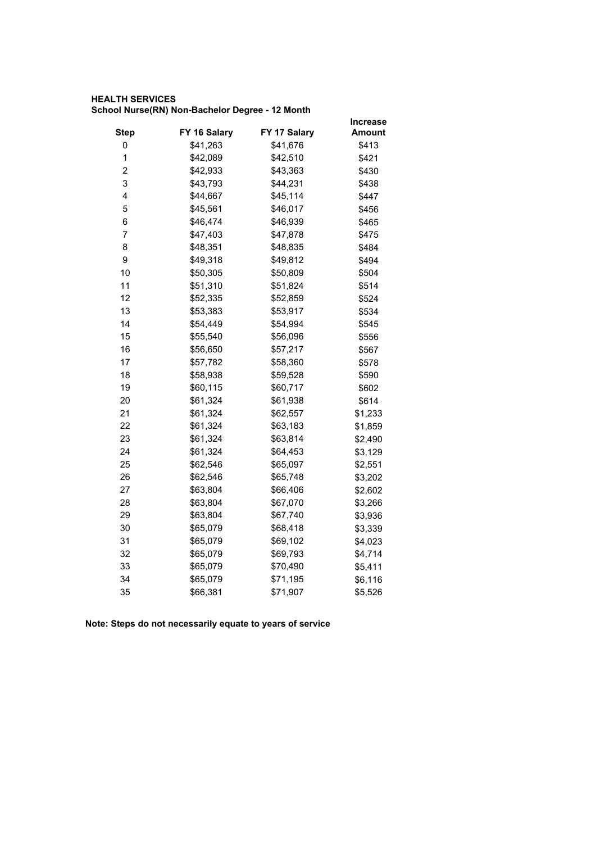## **HEALTH SERVICES School Nurse(RN) Non-Bachelor Degree - 12 Month**

|              |              | <b>Increase</b> |
|--------------|--------------|-----------------|
| FY 16 Salary | FY 17 Salary | Amount          |
| \$41,263     | \$41,676     | \$413           |
| \$42,089     | \$42,510     | \$421           |
| \$42,933     | \$43,363     | \$430           |
| \$43,793     | \$44,231     | \$438           |
| \$44,667     | \$45,114     | \$447           |
| \$45,561     | \$46,017     | \$456           |
| \$46,474     | \$46,939     | \$465           |
| \$47,403     | \$47,878     | \$475           |
| \$48,351     | \$48,835     | \$484           |
| \$49,318     | \$49,812     | \$494           |
| \$50,305     | \$50,809     | \$504           |
| \$51,310     | \$51,824     | \$514           |
| \$52,335     | \$52,859     | \$524           |
| \$53,383     | \$53,917     | \$534           |
| \$54,449     | \$54,994     | \$545           |
| \$55,540     | \$56,096     | \$556           |
| \$56,650     | \$57,217     | \$567           |
| \$57,782     | \$58,360     | \$578           |
| \$58,938     | \$59,528     | \$590           |
| \$60,115     | \$60,717     | \$602           |
| \$61,324     | \$61,938     | \$614           |
| \$61,324     | \$62,557     | \$1,233         |
| \$61,324     | \$63,183     | \$1,859         |
| \$61,324     | \$63,814     | \$2,490         |
| \$61,324     | \$64,453     | \$3,129         |
| \$62,546     | \$65,097     | \$2,551         |
| \$62,546     | \$65,748     | \$3,202         |
| \$63,804     | \$66,406     | \$2,602         |
| \$63,804     | \$67,070     | \$3,266         |
| \$63,804     | \$67,740     | \$3,936         |
| \$65,079     | \$68,418     | \$3,339         |
| \$65,079     | \$69,102     | \$4,023         |
| \$65,079     | \$69,793     | \$4,714         |
| \$65,079     | \$70,490     | \$5,411         |
| \$65,079     | \$71,195     | \$6,116         |
| \$66,381     | \$71,907     | \$5,526         |
|              |              |                 |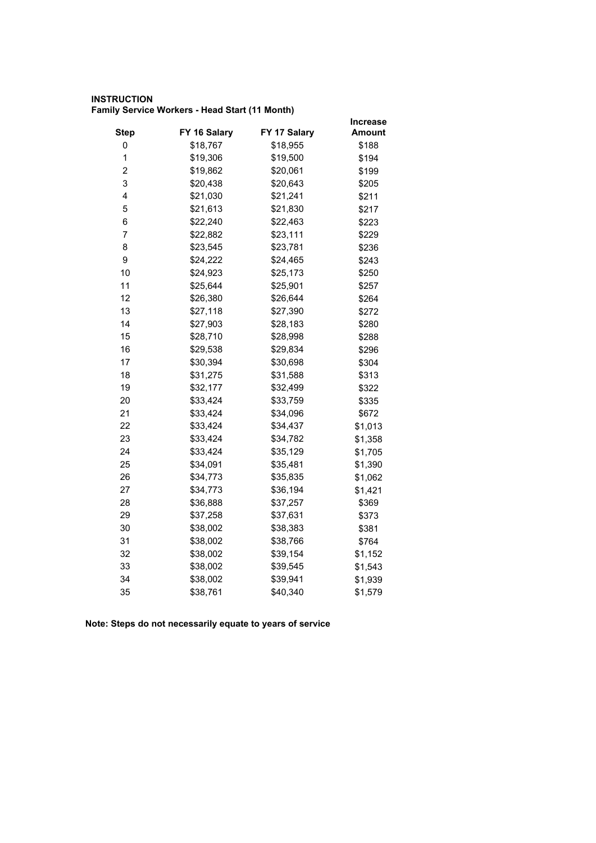#### **INSTRUCTION Family Service Workers - Head Start (11 Month)**

|                         |              |              | <b>Increase</b> |
|-------------------------|--------------|--------------|-----------------|
| <b>Step</b>             | FY 16 Salary | FY 17 Salary | Amount          |
| 0                       | \$18,767     | \$18,955     | \$188           |
| 1                       | \$19,306     | \$19,500     | \$194           |
| $\overline{\mathbf{c}}$ | \$19,862     | \$20,061     | \$199           |
| 3                       | \$20,438     | \$20,643     | \$205           |
| 4                       | \$21,030     | \$21,241     | \$211           |
| 5                       | \$21,613     | \$21,830     | \$217           |
| 6                       | \$22,240     | \$22,463     | \$223           |
| $\overline{7}$          | \$22,882     | \$23,111     | \$229           |
| 8                       | \$23,545     | \$23,781     | \$236           |
| 9                       | \$24,222     | \$24,465     | \$243           |
| 10                      | \$24,923     | \$25,173     | \$250           |
| 11                      | \$25,644     | \$25,901     | \$257           |
| 12                      | \$26,380     | \$26,644     | \$264           |
| 13                      | \$27,118     | \$27,390     | \$272           |
| 14                      | \$27,903     | \$28,183     | \$280           |
| 15                      | \$28,710     | \$28,998     | \$288           |
| 16                      | \$29,538     | \$29,834     | \$296           |
| 17                      | \$30,394     | \$30,698     | \$304           |
| 18                      | \$31,275     | \$31,588     | \$313           |
| 19                      | \$32,177     | \$32,499     | \$322           |
| 20                      | \$33,424     | \$33,759     | \$335           |
| 21                      | \$33,424     | \$34,096     | \$672           |
| 22                      | \$33,424     | \$34,437     | \$1,013         |
| 23                      | \$33,424     | \$34,782     | \$1,358         |
| 24                      | \$33,424     | \$35,129     | \$1,705         |
| 25                      | \$34,091     | \$35,481     | \$1,390         |
| 26                      | \$34,773     | \$35,835     | \$1,062         |
| 27                      | \$34,773     | \$36,194     | \$1,421         |
| 28                      | \$36,888     | \$37,257     | \$369           |
| 29                      | \$37,258     | \$37,631     | \$373           |
| 30                      | \$38,002     | \$38,383     | \$381           |
| 31                      | \$38,002     | \$38,766     | \$764           |
| 32                      | \$38,002     | \$39,154     | \$1,152         |
| 33                      | \$38,002     | \$39,545     | \$1,543         |
| 34                      | \$38,002     | \$39,941     | \$1,939         |
| 35                      | \$38,761     | \$40,340     | \$1,579         |
|                         |              |              |                 |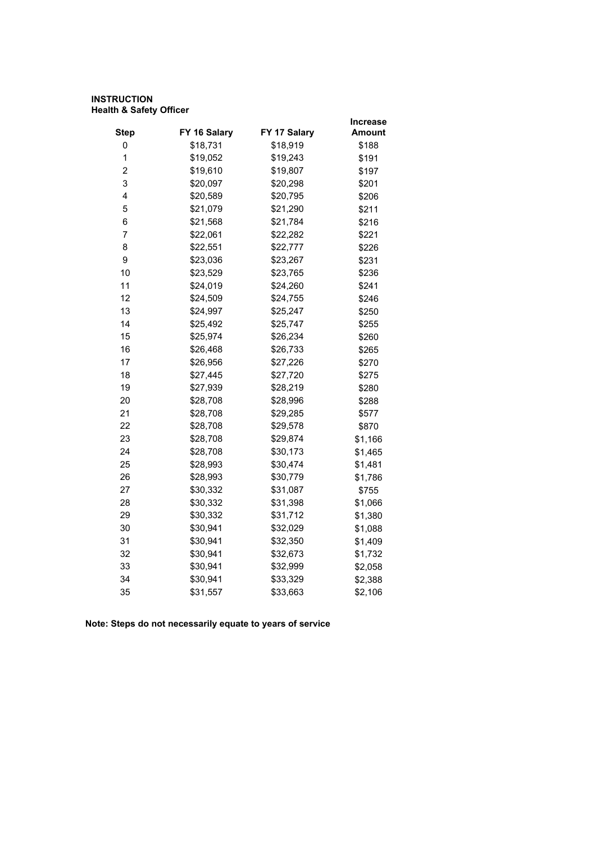#### **INSTRUCTION Health & Safety Officer**

|              |              | Increase |
|--------------|--------------|----------|
| FY 16 Salary | FY 17 Salary | Amount   |
|              |              | \$188    |
| \$19,052     | \$19,243     | \$191    |
| \$19,610     | \$19,807     | \$197    |
| \$20,097     | \$20,298     | \$201    |
| \$20,589     | \$20,795     | \$206    |
| \$21,079     | \$21,290     | \$211    |
| \$21,568     | \$21,784     | \$216    |
| \$22,061     | \$22,282     | \$221    |
| \$22,551     | \$22,777     | \$226    |
| \$23,036     | \$23,267     | \$231    |
| \$23,529     | \$23,765     | \$236    |
| \$24,019     | \$24,260     | \$241    |
| \$24,509     | \$24,755     | \$246    |
| \$24,997     | \$25,247     | \$250    |
| \$25,492     | \$25,747     | \$255    |
| \$25,974     | \$26,234     | \$260    |
| \$26,468     | \$26,733     | \$265    |
| \$26,956     | \$27,226     | \$270    |
| \$27,445     | \$27,720     | \$275    |
| \$27,939     | \$28,219     | \$280    |
| \$28,708     | \$28,996     | \$288    |
| \$28,708     | \$29,285     | \$577    |
| \$28,708     | \$29,578     | \$870    |
| \$28,708     | \$29,874     | \$1,166  |
| \$28,708     | \$30,173     | \$1,465  |
| \$28,993     | \$30,474     | \$1,481  |
| \$28,993     | \$30,779     | \$1,786  |
| \$30,332     | \$31,087     | \$755    |
| \$30,332     | \$31,398     | \$1,066  |
| \$30,332     | \$31,712     | \$1,380  |
| \$30,941     | \$32,029     | \$1,088  |
| \$30,941     | \$32,350     | \$1,409  |
| \$30,941     | \$32,673     | \$1,732  |
| \$30,941     | \$32,999     | \$2,058  |
| \$30,941     | \$33,329     | \$2,388  |
| \$31,557     | \$33,663     | \$2,106  |
|              | \$18,731     | \$18,919 |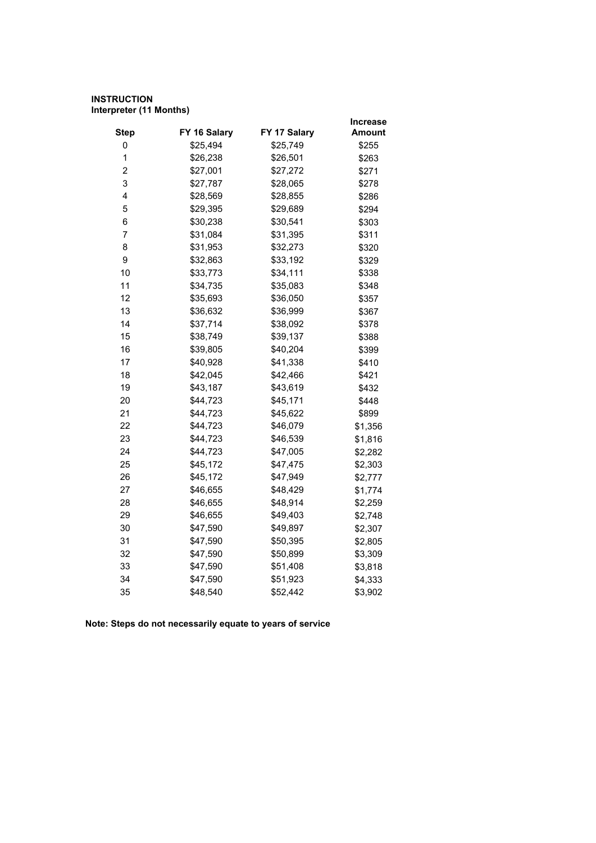## **INSTRUCTION Interpreter (11 Months)**

|                         |              |              | Increase      |
|-------------------------|--------------|--------------|---------------|
| <b>Step</b>             | FY 16 Salary | FY 17 Salary | <b>Amount</b> |
| 0                       | \$25,494     | \$25,749     | \$255         |
| 1                       | \$26,238     | \$26,501     | \$263         |
| $\overline{\mathbf{c}}$ | \$27,001     | \$27,272     | \$271         |
| 3                       | \$27,787     | \$28,065     | \$278         |
| 4                       | \$28,569     | \$28,855     | \$286         |
| 5                       | \$29,395     | \$29,689     | \$294         |
| 6                       | \$30,238     | \$30,541     | \$303         |
| $\overline{7}$          | \$31,084     | \$31,395     | \$311         |
| 8                       | \$31,953     | \$32,273     | \$320         |
| 9                       | \$32,863     | \$33,192     | \$329         |
| 10                      | \$33,773     | \$34,111     | \$338         |
| 11                      | \$34,735     | \$35,083     | \$348         |
| 12                      | \$35,693     | \$36,050     | \$357         |
| 13                      | \$36,632     | \$36,999     | \$367         |
| 14                      | \$37,714     | \$38,092     | \$378         |
| 15                      | \$38,749     | \$39,137     | \$388         |
| 16                      | \$39,805     | \$40,204     | \$399         |
| 17                      | \$40,928     | \$41,338     | \$410         |
| 18                      | \$42,045     | \$42,466     | \$421         |
| 19                      | \$43,187     | \$43,619     | \$432         |
| 20                      | \$44,723     | \$45,171     | \$448         |
| 21                      | \$44,723     | \$45,622     | \$899         |
| 22                      | \$44,723     | \$46,079     | \$1,356       |
| 23                      | \$44,723     | \$46,539     | \$1,816       |
| 24                      | \$44,723     | \$47,005     | \$2,282       |
| 25                      | \$45,172     | \$47,475     | \$2,303       |
| 26                      | \$45,172     | \$47,949     | \$2,777       |
| 27                      | \$46,655     | \$48,429     | \$1,774       |
| 28                      | \$46,655     | \$48,914     | \$2,259       |
| 29                      | \$46,655     | \$49,403     | \$2,748       |
| 30                      | \$47,590     | \$49,897     | \$2,307       |
| 31                      | \$47,590     | \$50,395     | \$2,805       |
| 32                      | \$47,590     | \$50,899     | \$3,309       |
| 33                      | \$47,590     | \$51,408     | \$3,818       |
| 34                      | \$47,590     | \$51,923     | \$4,333       |
| 35                      | \$48,540     | \$52,442     | \$3,902       |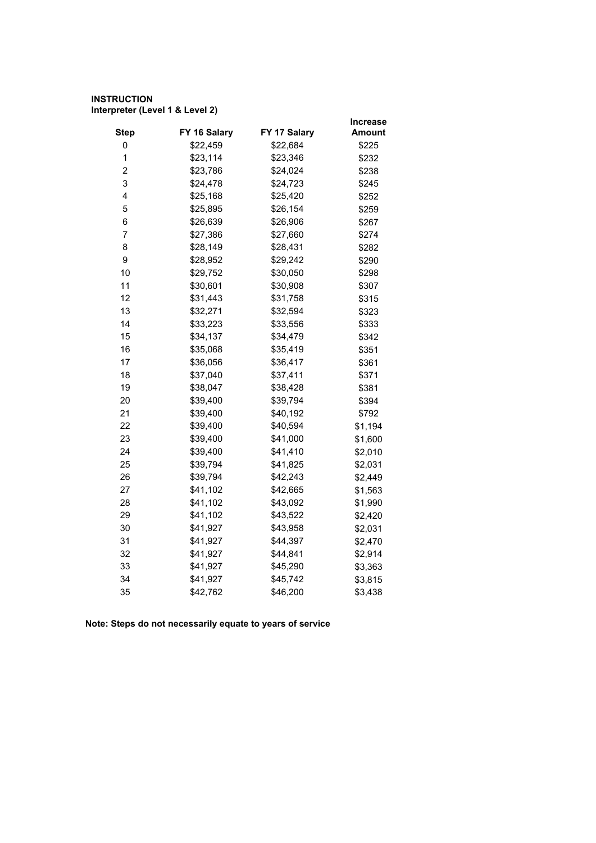## **INSTRUCTION Interpreter (Level 1 & Level 2)**

|                |              |              | Increase      |
|----------------|--------------|--------------|---------------|
| <b>Step</b>    | FY 16 Salary | FY 17 Salary | <b>Amount</b> |
| 0              | \$22,459     | \$22,684     | \$225         |
| $\mathbf 1$    | \$23,114     | \$23,346     | \$232         |
| $\overline{2}$ | \$23,786     | \$24,024     | \$238         |
| 3              | \$24,478     | \$24,723     | \$245         |
| 4              | \$25,168     | \$25,420     | \$252         |
| 5              | \$25,895     | \$26,154     | \$259         |
| 6              | \$26,639     | \$26,906     | \$267         |
| $\overline{7}$ | \$27,386     | \$27,660     | \$274         |
| 8              | \$28,149     | \$28,431     | \$282         |
| 9              | \$28,952     | \$29,242     | \$290         |
| 10             | \$29,752     | \$30,050     | \$298         |
| 11             | \$30,601     | \$30,908     | \$307         |
| 12             | \$31,443     | \$31,758     | \$315         |
| 13             | \$32,271     | \$32,594     | \$323         |
| 14             | \$33,223     | \$33,556     | \$333         |
| 15             | \$34,137     | \$34,479     | \$342         |
| 16             | \$35,068     | \$35,419     | \$351         |
| 17             | \$36,056     | \$36,417     | \$361         |
| 18             | \$37,040     | \$37,411     | \$371         |
| 19             | \$38,047     | \$38,428     | \$381         |
| 20             | \$39,400     | \$39,794     | \$394         |
| 21             | \$39,400     | \$40,192     | \$792         |
| 22             | \$39,400     | \$40,594     | \$1,194       |
| 23             | \$39,400     | \$41,000     | \$1,600       |
| 24             | \$39,400     | \$41,410     | \$2,010       |
| 25             | \$39,794     | \$41,825     | \$2,031       |
| 26             | \$39,794     | \$42,243     | \$2,449       |
| 27             | \$41,102     | \$42,665     | \$1,563       |
| 28             | \$41,102     | \$43,092     | \$1,990       |
| 29             | \$41,102     | \$43,522     | \$2,420       |
| 30             | \$41,927     | \$43,958     | \$2,031       |
| 31             | \$41,927     | \$44,397     | \$2,470       |
| 32             | \$41,927     | \$44,841     | \$2,914       |
| 33             | \$41,927     | \$45,290     | \$3,363       |
| 34             | \$41,927     | \$45,742     | \$3,815       |
| 35             | \$42,762     | \$46,200     | \$3,438       |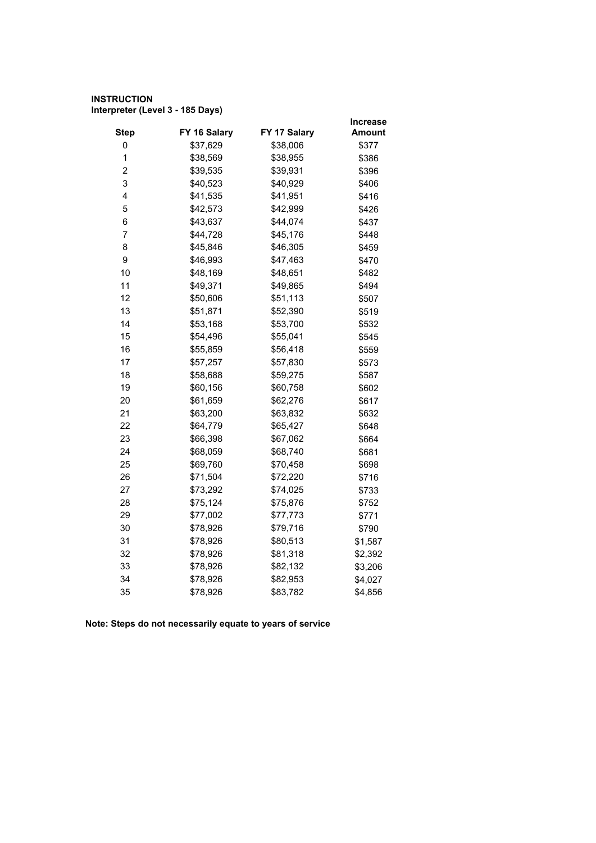## **INSTRUCTION Interpreter (Level 3 - 185 Days)**

|                         |              |              | <b>Increase</b> |
|-------------------------|--------------|--------------|-----------------|
| <b>Step</b>             | FY 16 Salary | FY 17 Salary | <b>Amount</b>   |
| 0                       | \$37,629     | \$38,006     | \$377           |
| 1                       | \$38,569     | \$38,955     | \$386           |
| $\overline{\mathbf{c}}$ | \$39,535     | \$39,931     | \$396           |
| 3                       | \$40,523     | \$40,929     | \$406           |
| 4                       | \$41,535     | \$41,951     | \$416           |
| 5                       | \$42,573     | \$42,999     | \$426           |
| 6                       | \$43,637     | \$44,074     | \$437           |
| $\overline{7}$          | \$44,728     | \$45,176     | \$448           |
| 8                       | \$45,846     | \$46,305     | \$459           |
| 9                       | \$46,993     | \$47,463     | \$470           |
| 10                      | \$48,169     | \$48,651     | \$482           |
| 11                      | \$49,371     | \$49,865     | \$494           |
| 12                      | \$50,606     | \$51,113     | \$507           |
| 13                      | \$51,871     | \$52,390     | \$519           |
| 14                      | \$53,168     | \$53,700     | \$532           |
| 15                      | \$54,496     | \$55,041     | \$545           |
| 16                      | \$55,859     | \$56,418     | \$559           |
| 17                      | \$57,257     | \$57,830     | \$573           |
| 18                      | \$58,688     | \$59,275     | \$587           |
| 19                      | \$60,156     | \$60,758     | \$602           |
| 20                      | \$61,659     | \$62,276     | \$617           |
| 21                      | \$63,200     | \$63,832     | \$632           |
| 22                      | \$64,779     | \$65,427     | \$648           |
| 23                      | \$66,398     | \$67,062     | \$664           |
| 24                      | \$68,059     | \$68,740     | \$681           |
| 25                      | \$69,760     | \$70,458     | \$698           |
| 26                      | \$71,504     | \$72,220     | \$716           |
| 27                      | \$73,292     | \$74,025     | \$733           |
| 28                      | \$75,124     | \$75,876     | \$752           |
| 29                      | \$77,002     | \$77,773     | \$771           |
| 30                      | \$78,926     | \$79,716     | \$790           |
| 31                      | \$78,926     | \$80,513     | \$1,587         |
| 32                      | \$78,926     | \$81,318     | \$2,392         |
| 33                      | \$78,926     | \$82,132     | \$3,206         |
| 34                      | \$78,926     | \$82,953     | \$4,027         |
| 35                      | \$78,926     | \$83,782     | \$4,856         |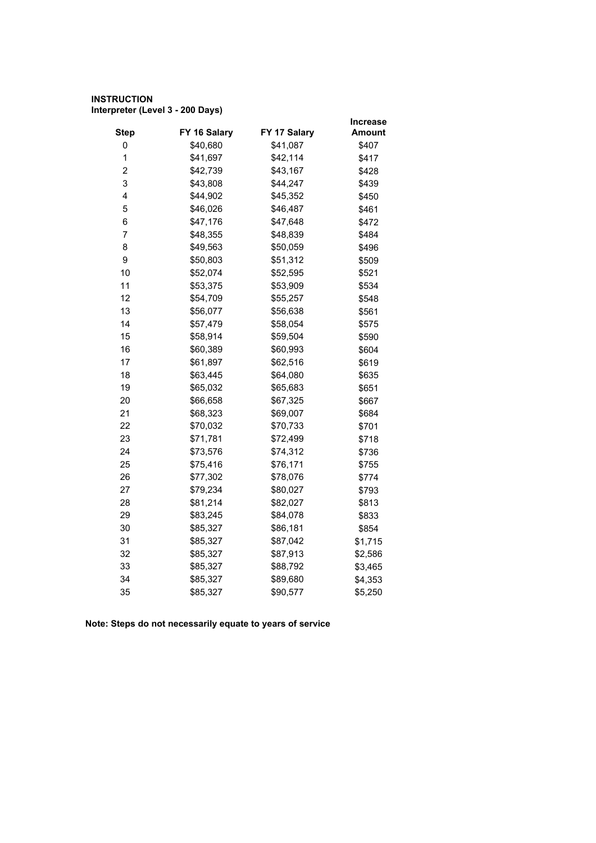## **INSTRUCTION Interpreter (Level 3 - 200 Days)**

|              |              | <b>Increase</b>      |
|--------------|--------------|----------------------|
| FY 16 Salary | FY 17 Salary | <b>Amount</b>        |
| \$40,680     | \$41,087     | \$407                |
| \$41,697     | \$42,114     | \$417                |
| \$42,739     | \$43,167     | \$428                |
| \$43,808     | \$44,247     | \$439                |
| \$44,902     | \$45,352     | \$450                |
| \$46,026     | \$46,487     | \$461                |
| \$47,176     | \$47,648     | \$472                |
| \$48,355     | \$48,839     | \$484                |
| \$49,563     | \$50,059     | \$496                |
| \$50,803     | \$51,312     | \$509                |
| \$52,074     | \$52,595     | \$521                |
| \$53,375     | \$53,909     | \$534                |
| \$54,709     | \$55,257     | \$548                |
| \$56,077     | \$56,638     | \$561                |
| \$57,479     | \$58,054     | \$575                |
| \$58,914     | \$59,504     | \$590                |
| \$60,389     | \$60,993     | \$604                |
| \$61,897     | \$62,516     | \$619                |
| \$63,445     | \$64,080     | \$635                |
| \$65,032     | \$65,683     | \$651                |
| \$66,658     | \$67,325     | \$667                |
| \$68,323     | \$69,007     | \$684                |
| \$70,032     | \$70,733     | \$701                |
| \$71,781     | \$72,499     | \$718                |
| \$73,576     | \$74,312     | \$736                |
| \$75,416     | \$76,171     | \$755                |
| \$77,302     | \$78,076     | \$774                |
| \$79,234     | \$80,027     | \$793                |
| \$81,214     |              | \$813                |
| \$83,245     | \$84,078     | \$833                |
| \$85,327     | \$86,181     | \$854                |
| \$85,327     |              | \$1,715              |
| \$85,327     | \$87,913     | \$2,586              |
| \$85,327     | \$88,792     | \$3,465              |
| \$85,327     | \$89,680     | \$4,353              |
| \$85,327     | \$90,577     | \$5,250              |
|              |              | \$82,027<br>\$87,042 |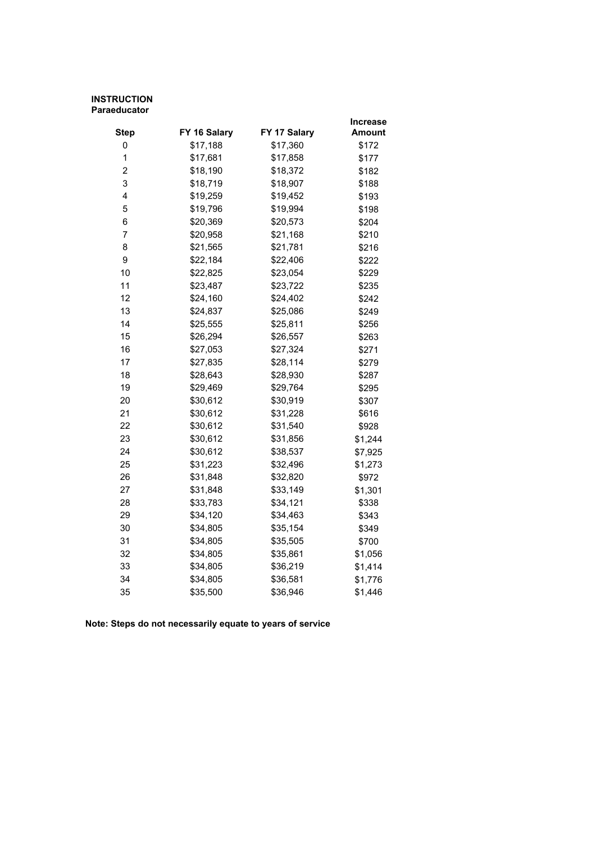#### **INSTRUCTION Paraeducator**

|                |              |              | Increase |
|----------------|--------------|--------------|----------|
| <b>Step</b>    | FY 16 Salary | FY 17 Salary | Amount   |
| 0              | \$17,188     | \$17,360     | \$172    |
| 1              | \$17,681     | \$17,858     | \$177    |
| $\overline{c}$ | \$18,190     | \$18,372     | \$182    |
| 3              | \$18,719     | \$18,907     | \$188    |
| 4              | \$19,259     | \$19,452     | \$193    |
| 5              | \$19,796     | \$19,994     | \$198    |
| 6              | \$20,369     | \$20,573     | \$204    |
| $\overline{7}$ | \$20,958     | \$21,168     | \$210    |
| 8              | \$21,565     | \$21,781     | \$216    |
| 9              | \$22,184     | \$22,406     | \$222    |
| 10             | \$22,825     | \$23,054     | \$229    |
| 11             | \$23,487     | \$23,722     | \$235    |
| 12             | \$24,160     | \$24,402     | \$242    |
| 13             | \$24,837     | \$25,086     | \$249    |
| 14             | \$25,555     | \$25,811     | \$256    |
| 15             | \$26,294     | \$26,557     | \$263    |
| 16             | \$27,053     | \$27,324     | \$271    |
| 17             | \$27,835     | \$28,114     | \$279    |
| 18             | \$28,643     | \$28,930     | \$287    |
| 19             | \$29,469     | \$29,764     | \$295    |
| 20             | \$30,612     | \$30,919     | \$307    |
| 21             | \$30,612     | \$31,228     | \$616    |
| 22             | \$30,612     | \$31,540     | \$928    |
| 23             | \$30,612     | \$31,856     | \$1,244  |
| 24             | \$30,612     | \$38,537     | \$7,925  |
| 25             | \$31,223     | \$32,496     | \$1,273  |
| 26             | \$31,848     | \$32,820     | \$972    |
| 27             | \$31,848     | \$33,149     | \$1,301  |
| 28             | \$33,783     | \$34,121     | \$338    |
| 29             | \$34,120     | \$34,463     | \$343    |
| 30             | \$34,805     | \$35,154     | \$349    |
| 31             | \$34,805     | \$35,505     | \$700    |
| 32             | \$34,805     | \$35,861     | \$1,056  |
| 33             | \$34,805     | \$36,219     | \$1,414  |
| 34             | \$34,805     | \$36,581     | \$1,776  |
| 35             | \$35,500     | \$36,946     | \$1,446  |
|                |              |              |          |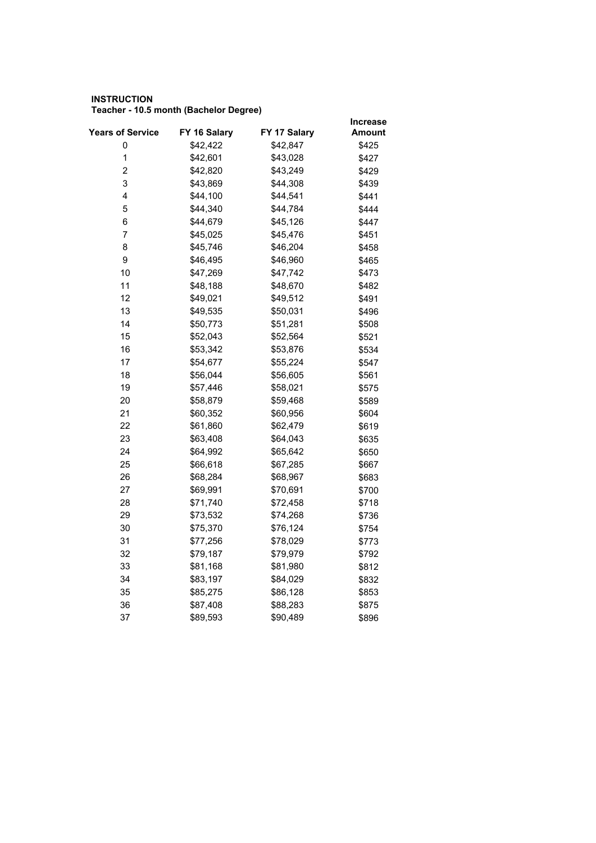#### **INSTRUCTION Teacher - 10.5 month (Bachelor Degree)**

|                  |              |              | <b>Increase</b> |
|------------------|--------------|--------------|-----------------|
| Years of Service | FY 16 Salary | FY 17 Salary | Amount          |
| 0                | \$42,422     | \$42,847     | \$425           |
| $\mathbf 1$      | \$42,601     | \$43,028     | \$427           |
| $\overline{2}$   | \$42,820     | \$43,249     | \$429           |
| 3                | \$43,869     | \$44,308     | \$439           |
| 4                | \$44,100     | \$44,541     | \$441           |
| 5                | \$44,340     | \$44,784     | \$444           |
| 6                | \$44,679     | \$45,126     | \$447           |
| 7                | \$45,025     | \$45,476     | \$451           |
| 8                | \$45,746     | \$46,204     | \$458           |
| 9                | \$46,495     | \$46,960     | \$465           |
| 10               | \$47,269     | \$47,742     | \$473           |
| 11               | \$48,188     | \$48,670     | \$482           |
| 12               | \$49,021     | \$49,512     | \$491           |
| 13               | \$49,535     | \$50,031     | \$496           |
| 14               | \$50,773     | \$51,281     | \$508           |
| 15               | \$52,043     | \$52,564     | \$521           |
| 16               | \$53,342     | \$53,876     | \$534           |
| 17               | \$54,677     | \$55,224     | \$547           |
| 18               | \$56,044     | \$56,605     | \$561           |
| 19               | \$57,446     | \$58,021     | \$575           |
| 20               | \$58,879     | \$59,468     | \$589           |
| 21               | \$60,352     | \$60,956     | \$604           |
| 22               | \$61,860     | \$62,479     | \$619           |
| 23               | \$63,408     | \$64,043     | \$635           |
| 24               | \$64,992     | \$65,642     | \$650           |
| 25               | \$66,618     | \$67,285     | \$667           |
| 26               | \$68,284     | \$68,967     | \$683           |
| 27               | \$69,991     | \$70,691     | \$700           |
| 28               | \$71,740     | \$72,458     | \$718           |
| 29               | \$73,532     | \$74,268     | \$736           |
| 30               | \$75,370     | \$76,124     | \$754           |
| 31               | \$77,256     | \$78,029     | \$773           |
| 32               | \$79,187     | \$79,979     | \$792           |
| 33               | \$81,168     | \$81,980     | \$812           |
| 34               | \$83,197     | \$84,029     | \$832           |
| 35               | \$85,275     | \$86,128     | \$853           |
| 36               | \$87,408     | \$88,283     | \$875           |
| 37               | \$89,593     | \$90,489     | \$896           |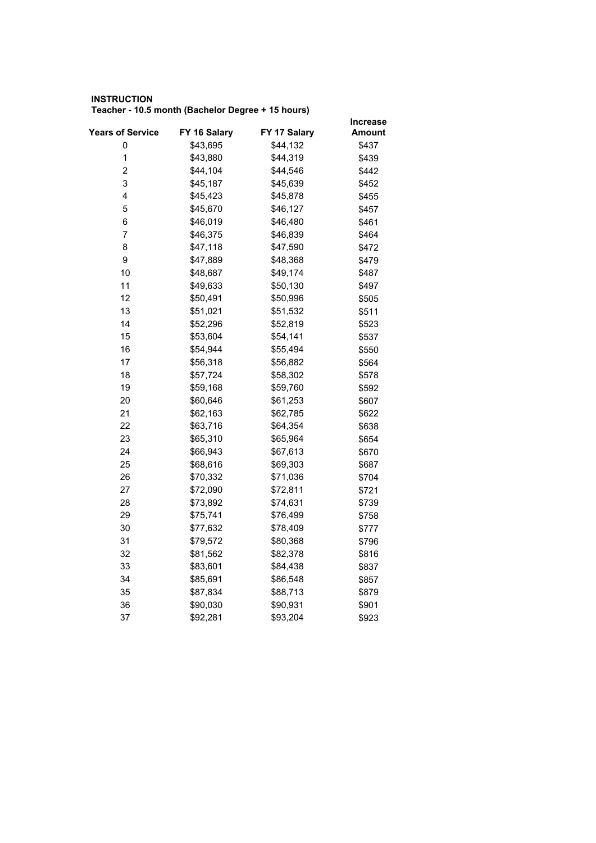#### **INSTRUCTION Teacher - 10.5 month (Bachelor Degree + 15 hours)**

|                         |              |              | <b>Increase</b> |
|-------------------------|--------------|--------------|-----------------|
| <b>Years of Service</b> | FY 16 Salary | FY 17 Salary | Amount          |
| 0                       | \$43,695     | \$44,132     | \$437           |
| $\mathbf 1$             | \$43,880     | \$44,319     | \$439           |
| 2                       | \$44,104     | \$44,546     | \$442           |
| 3                       | \$45,187     | \$45,639     | \$452           |
| 4                       | \$45,423     | \$45,878     | \$455           |
| 5                       | \$45,670     | \$46,127     | \$457           |
| 6                       | \$46,019     | \$46,480     | \$461           |
| 7                       | \$46,375     | \$46,839     | \$464           |
| 8                       | \$47,118     | \$47,590     | \$472           |
| 9                       | \$47,889     | \$48,368     | \$479           |
| 10                      | \$48,687     | \$49,174     | \$487           |
| 11                      | \$49,633     | \$50,130     | \$497           |
| 12                      | \$50,491     | \$50,996     | \$505           |
| 13                      | \$51,021     | \$51,532     | \$511           |
| 14                      | \$52,296     | \$52,819     | \$523           |
| 15                      | \$53,604     | \$54,141     | \$537           |
| 16                      | \$54,944     | \$55,494     | \$550           |
| 17                      | \$56,318     | \$56,882     | \$564           |
| 18                      | \$57,724     | \$58,302     | \$578           |
| 19                      | \$59,168     | \$59,760     | \$592           |
| 20                      | \$60,646     | \$61,253     | \$607           |
| 21                      | \$62,163     | \$62,785     | \$622           |
| 22                      | \$63,716     | \$64,354     | \$638           |
| 23                      | \$65,310     | \$65,964     | \$654           |
| 24                      | \$66,943     | \$67,613     | \$670           |
| 25                      | \$68,616     | \$69,303     | \$687           |
| 26                      | \$70,332     | \$71,036     | \$704           |
| 27                      | \$72,090     | \$72,811     | \$721           |
| 28                      | \$73,892     | \$74,631     | \$739           |
| 29                      | \$75,741     | \$76,499     | \$758           |
| 30                      | \$77,632     | \$78,409     | \$777           |
| 31                      | \$79,572     | \$80,368     | \$796           |
| 32                      | \$81,562     | \$82,378     | \$816           |
| 33                      | \$83,601     | \$84,438     | \$837           |
| 34                      | \$85,691     | \$86,548     | \$857           |
| 35                      | \$87,834     | \$88,713     | \$879           |
| 36                      | \$90,030     | \$90,931     | \$901           |
| 37                      | \$92,281     | \$93,204     | \$923           |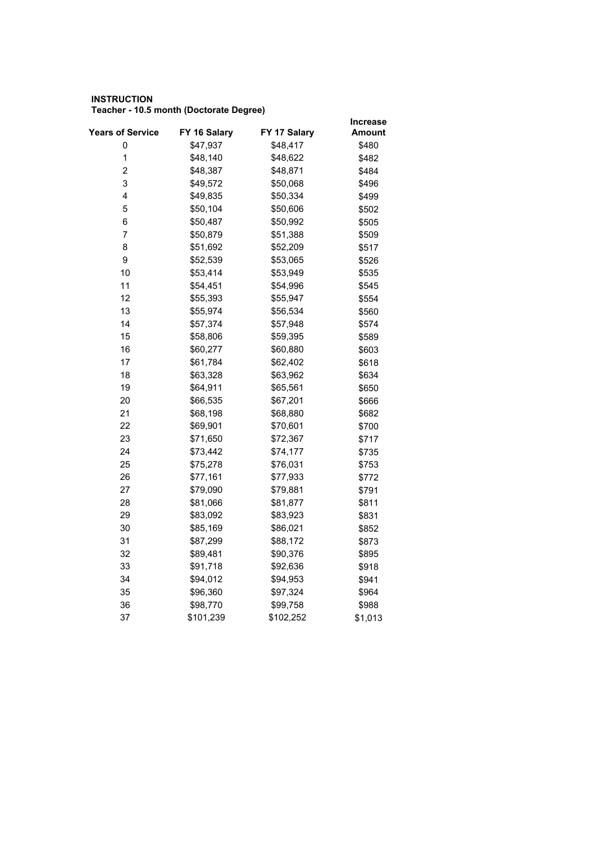#### **INSTRUCTION Teacher - 10.5 month (Doctorate Degree)**

|                         |              |              | <b>Increase</b> |
|-------------------------|--------------|--------------|-----------------|
| <b>Years of Service</b> | FY 16 Salary | FY 17 Salary | Amount          |
| 0                       | \$47,937     | \$48,417     | \$480           |
| $\mathbf 1$             | \$48,140     | \$48,622     | \$482           |
| 2                       | \$48,387     | \$48,871     | \$484           |
| 3                       | \$49,572     | \$50,068     | \$496           |
| 4                       | \$49,835     | \$50,334     | \$499           |
| 5                       | \$50,104     | \$50,606     | \$502           |
| 6                       | \$50,487     | \$50,992     | \$505           |
| 7                       | \$50,879     | \$51,388     | \$509           |
| 8                       | \$51,692     | \$52,209     | \$517           |
| 9                       | \$52,539     | \$53,065     | \$526           |
| 10                      | \$53,414     | \$53,949     | \$535           |
| 11                      | \$54,451     | \$54,996     | \$545           |
| 12                      | \$55,393     | \$55,947     | \$554           |
| 13                      | \$55,974     | \$56,534     | \$560           |
| 14                      | \$57,374     | \$57,948     | \$574           |
| 15                      | \$58,806     | \$59,395     | \$589           |
| 16                      | \$60,277     | \$60,880     | \$603           |
| 17                      | \$61,784     | \$62,402     | \$618           |
| 18                      | \$63,328     | \$63,962     | \$634           |
| 19                      | \$64,911     | \$65,561     | \$650           |
| 20                      | \$66,535     | \$67,201     | \$666           |
| 21                      | \$68,198     | \$68,880     | \$682           |
| 22                      | \$69,901     | \$70,601     | \$700           |
| 23                      | \$71,650     | \$72,367     | \$717           |
| 24                      | \$73,442     | \$74,177     | \$735           |
| 25                      | \$75,278     | \$76,031     | \$753           |
| 26                      | \$77,161     | \$77,933     | \$772           |
| 27                      | \$79,090     | \$79,881     | \$791           |
| 28                      | \$81,066     | \$81,877     | \$811           |
| 29                      | \$83,092     | \$83,923     | \$831           |
| 30                      | \$85,169     | \$86,021     | \$852           |
| 31                      | \$87,299     | \$88,172     | \$873           |
| 32                      | \$89,481     | \$90,376     | \$895           |
| 33                      | \$91,718     | \$92,636     | \$918           |
| 34                      | \$94,012     | \$94,953     | \$941           |
| 35                      | \$96,360     | \$97,324     | \$964           |
| 36                      | \$98,770     | \$99,758     | \$988           |
| 37                      | \$101,239    | \$102,252    | \$1,013         |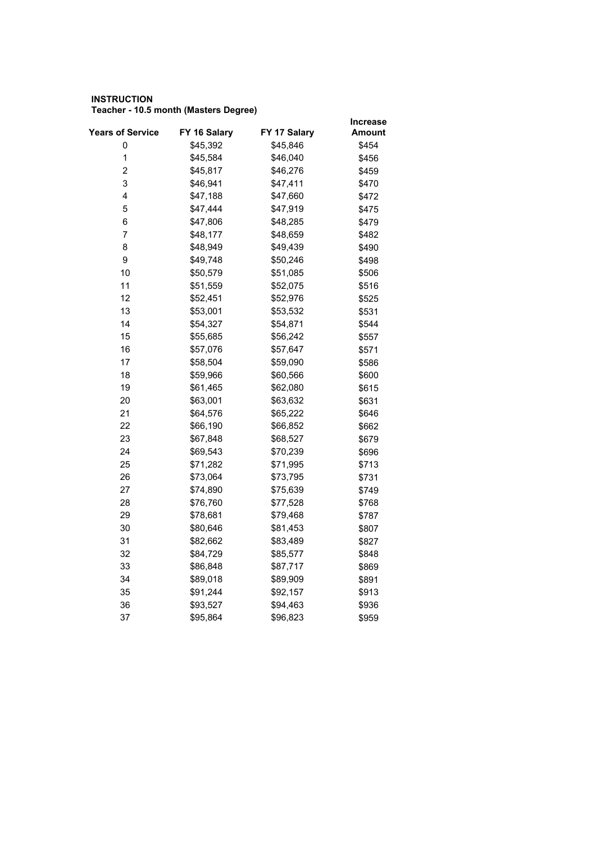#### **INSTRUCTION Teacher - 10.5 month (Masters Degree)**

|                         |              |              | <b>Increase</b> |
|-------------------------|--------------|--------------|-----------------|
| <b>Years of Service</b> | FY 16 Salary | FY 17 Salary | Amount          |
| 0                       | \$45,392     | \$45,846     | \$454           |
| $\mathbf 1$             | \$45,584     | \$46,040     | \$456           |
| 2                       | \$45,817     | \$46,276     | \$459           |
| 3                       | \$46,941     | \$47,411     | \$470           |
| 4                       | \$47,188     | \$47,660     | \$472           |
| 5                       | \$47,444     | \$47,919     | \$475           |
| 6                       | \$47,806     | \$48,285     | \$479           |
| 7                       | \$48,177     | \$48,659     | \$482           |
| 8                       | \$48,949     | \$49,439     | \$490           |
| 9                       | \$49,748     | \$50,246     | \$498           |
| 10                      | \$50,579     | \$51,085     | \$506           |
| 11                      | \$51,559     | \$52,075     | \$516           |
| 12                      | \$52,451     | \$52,976     | \$525           |
| 13                      | \$53,001     | \$53,532     | \$531           |
| 14                      | \$54,327     | \$54,871     | \$544           |
| 15                      | \$55,685     | \$56,242     | \$557           |
| 16                      | \$57,076     | \$57,647     | \$571           |
| 17                      | \$58,504     | \$59,090     | \$586           |
| 18                      | \$59,966     | \$60,566     | \$600           |
| 19                      | \$61,465     | \$62,080     | \$615           |
| 20                      | \$63,001     | \$63,632     | \$631           |
| 21                      | \$64,576     | \$65,222     | \$646           |
| 22                      | \$66,190     | \$66,852     | \$662           |
| 23                      | \$67,848     | \$68,527     | \$679           |
| 24                      | \$69,543     | \$70,239     | \$696           |
| 25                      | \$71,282     | \$71,995     | \$713           |
| 26                      | \$73,064     | \$73,795     | \$731           |
| 27                      | \$74,890     | \$75,639     | \$749           |
| 28                      | \$76,760     | \$77,528     | \$768           |
| 29                      | \$78,681     | \$79,468     | \$787           |
| 30                      | \$80,646     | \$81,453     | \$807           |
| 31                      | \$82,662     | \$83,489     | \$827           |
| 32                      | \$84,729     | \$85,577     | \$848           |
| 33                      | \$86,848     | \$87,717     | \$869           |
| 34                      | \$89,018     | \$89,909     | \$891           |
| 35                      | \$91,244     | \$92,157     | \$913           |
| 36                      | \$93,527     | \$94,463     | \$936           |
| 37                      | \$95,864     | \$96,823     | \$959           |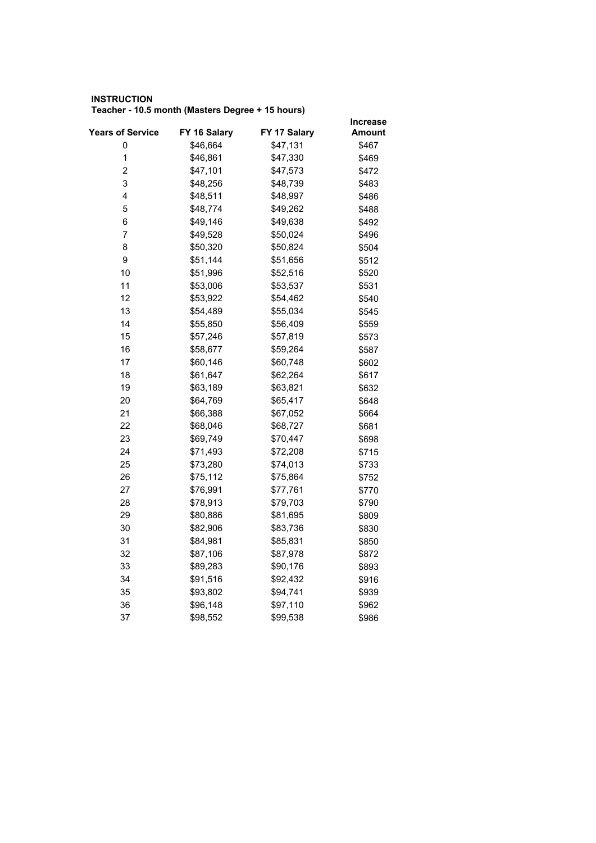#### **INSTRUCTION Teacher - 10.5 month (Masters Degree + 15 hours)**

|                         |              |              | <b>Increase</b> |
|-------------------------|--------------|--------------|-----------------|
| <b>Years of Service</b> | FY 16 Salary | FY 17 Salary | Amount          |
| 0                       | \$46,664     | \$47,131     | \$467           |
| $\mathbf 1$             | \$46,861     | \$47,330     | \$469           |
| 2                       | \$47,101     | \$47,573     | \$472           |
| 3                       | \$48,256     | \$48,739     | \$483           |
| 4                       | \$48,511     | \$48,997     | \$486           |
| 5                       | \$48,774     | \$49,262     | \$488           |
| 6                       | \$49,146     | \$49,638     | \$492           |
| 7                       | \$49,528     | \$50,024     | \$496           |
| 8                       | \$50,320     | \$50,824     | \$504           |
| 9                       | \$51,144     | \$51,656     | \$512           |
| 10                      | \$51,996     | \$52,516     | \$520           |
| 11                      | \$53,006     | \$53,537     | \$531           |
| 12                      | \$53,922     | \$54,462     | \$540           |
| 13                      | \$54,489     | \$55,034     | \$545           |
| 14                      | \$55,850     | \$56,409     | \$559           |
| 15                      | \$57,246     | \$57,819     | \$573           |
| 16                      | \$58,677     | \$59,264     | \$587           |
| 17                      | \$60,146     | \$60,748     | \$602           |
| 18                      | \$61,647     | \$62,264     | \$617           |
| 19                      | \$63,189     | \$63,821     | \$632           |
| 20                      | \$64,769     | \$65,417     | \$648           |
| 21                      | \$66,388     | \$67,052     | \$664           |
| 22                      | \$68,046     | \$68,727     | \$681           |
| 23                      | \$69,749     | \$70,447     | \$698           |
| 24                      | \$71,493     | \$72,208     | \$715           |
| 25                      | \$73,280     | \$74,013     | \$733           |
| 26                      | \$75,112     | \$75,864     | \$752           |
| 27                      | \$76,991     | \$77,761     | \$770           |
| 28                      | \$78,913     | \$79,703     | \$790           |
| 29                      | \$80,886     | \$81,695     | \$809           |
| 30                      | \$82,906     | \$83,736     | \$830           |
| 31                      | \$84,981     | \$85,831     | \$850           |
| 32                      | \$87,106     | \$87,978     | \$872           |
| 33                      | \$89,283     | \$90,176     | \$893           |
| 34                      | \$91,516     | \$92,432     | \$916           |
| 35                      | \$93,802     | \$94,741     | \$939           |
| 36                      | \$96,148     | \$97,110     | \$962           |
| 37                      | \$98,552     | \$99,538     | \$986           |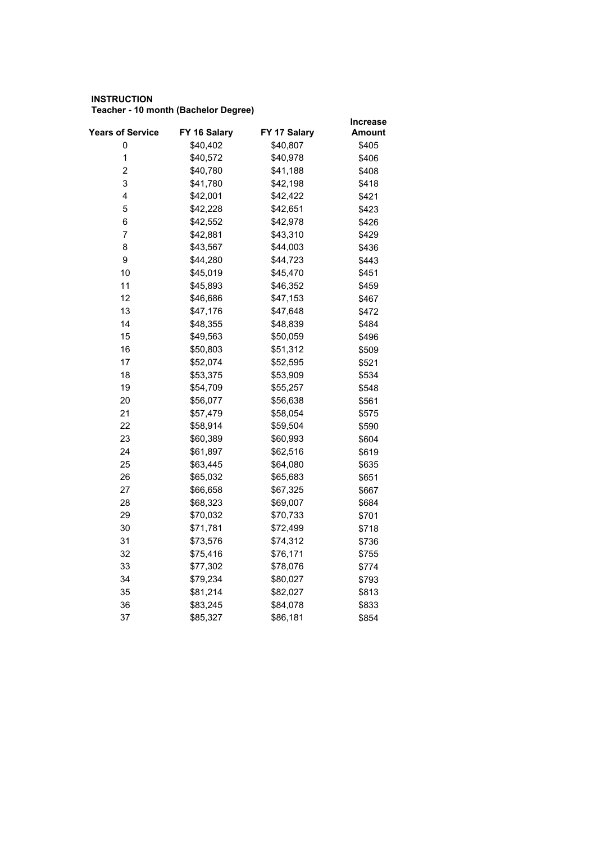## **INSTRUCTION Teacher - 10 month (Bachelor Degree)**

|                         |              |              | <b>Increase</b> |
|-------------------------|--------------|--------------|-----------------|
| <b>Years of Service</b> | FY 16 Salary | FY 17 Salary | Amount          |
| 0                       | \$40,402     | \$40,807     | \$405           |
| $\mathbf 1$             | \$40,572     | \$40,978     | \$406           |
| 2                       | \$40,780     | \$41,188     | \$408           |
| 3                       | \$41,780     | \$42,198     | \$418           |
| 4                       | \$42,001     | \$42,422     | \$421           |
| 5                       | \$42,228     | \$42,651     | \$423           |
| 6                       | \$42,552     | \$42,978     | \$426           |
| 7                       | \$42,881     | \$43,310     | \$429           |
| 8                       | \$43,567     | \$44,003     | \$436           |
| 9                       | \$44,280     | \$44,723     | \$443           |
| 10                      | \$45,019     | \$45,470     | \$451           |
| 11                      | \$45,893     | \$46,352     | \$459           |
| 12                      | \$46,686     | \$47,153     | \$467           |
| 13                      | \$47,176     | \$47,648     | \$472           |
| 14                      | \$48,355     | \$48,839     | \$484           |
| 15                      | \$49,563     | \$50,059     | \$496           |
| 16                      | \$50,803     | \$51,312     | \$509           |
| 17                      | \$52,074     | \$52,595     | \$521           |
| 18                      | \$53,375     | \$53,909     | \$534           |
| 19                      | \$54,709     | \$55,257     | \$548           |
| 20                      | \$56,077     | \$56,638     | \$561           |
| 21                      | \$57,479     | \$58,054     | \$575           |
| 22                      | \$58,914     | \$59,504     | \$590           |
| 23                      | \$60,389     | \$60,993     | \$604           |
| 24                      | \$61,897     | \$62,516     | \$619           |
| 25                      | \$63,445     | \$64,080     | \$635           |
| 26                      | \$65,032     | \$65,683     | \$651           |
| 27                      | \$66,658     | \$67,325     | \$667           |
| 28                      | \$68,323     | \$69,007     | \$684           |
| 29                      | \$70,032     | \$70,733     | \$701           |
| 30                      | \$71,781     | \$72,499     | \$718           |
| 31                      | \$73,576     | \$74,312     | \$736           |
| 32                      | \$75,416     | \$76,171     | \$755           |
| 33                      | \$77,302     | \$78,076     | \$774           |
| 34                      | \$79,234     | \$80,027     | \$793           |
| 35                      | \$81,214     | \$82,027     | \$813           |
| 36                      | \$83,245     | \$84,078     | \$833           |
| 37                      | \$85,327     | \$86,181     | \$854           |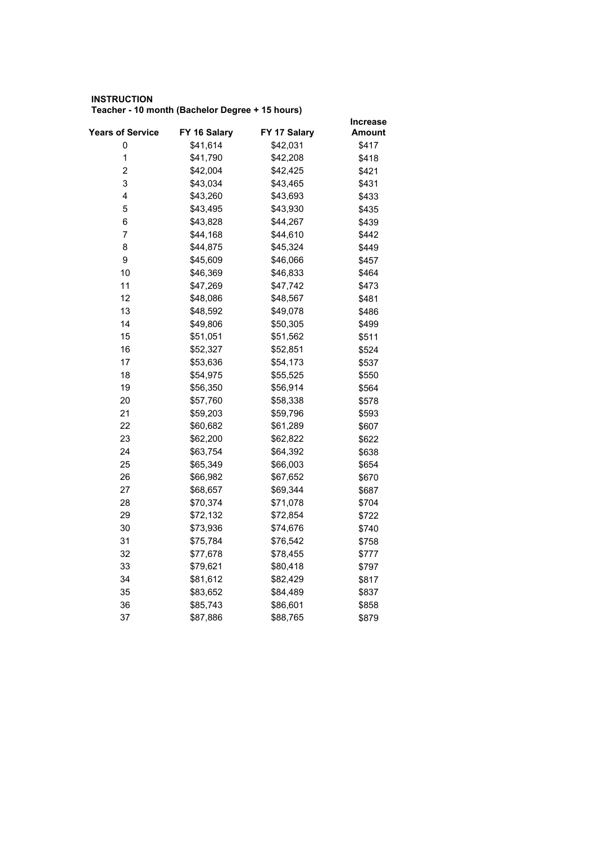## **INSTRUCTION Teacher - 10 month (Bachelor Degree + 15 hours)**

|                         |              |              | Increase |
|-------------------------|--------------|--------------|----------|
| <b>Years of Service</b> | FY 16 Salary | FY 17 Salary | Amount   |
| 0                       | \$41,614     | \$42,031     | \$417    |
| $\mathbf 1$             | \$41,790     | \$42,208     | \$418    |
| $\overline{c}$          | \$42,004     | \$42,425     | \$421    |
| 3                       | \$43,034     | \$43,465     | \$431    |
| 4                       | \$43,260     | \$43,693     | \$433    |
| 5                       | \$43,495     | \$43,930     | \$435    |
| 6                       | \$43,828     | \$44,267     | \$439    |
| 7                       | \$44,168     | \$44,610     | \$442    |
| 8                       | \$44,875     | \$45,324     | \$449    |
| 9                       | \$45,609     | \$46,066     | \$457    |
| 10                      | \$46,369     | \$46,833     | \$464    |
| 11                      | \$47,269     | \$47,742     | \$473    |
| 12                      | \$48,086     | \$48,567     | \$481    |
| 13                      | \$48,592     | \$49,078     | \$486    |
| 14                      | \$49,806     | \$50,305     | \$499    |
| 15                      | \$51,051     | \$51,562     | \$511    |
| 16                      | \$52,327     | \$52,851     | \$524    |
| 17                      | \$53,636     | \$54,173     | \$537    |
| 18                      | \$54,975     | \$55,525     | \$550    |
| 19                      | \$56,350     | \$56,914     | \$564    |
| 20                      | \$57,760     | \$58,338     | \$578    |
| 21                      | \$59,203     | \$59,796     | \$593    |
| 22                      | \$60,682     | \$61,289     | \$607    |
| 23                      | \$62,200     | \$62,822     | \$622    |
| 24                      | \$63,754     | \$64,392     | \$638    |
| 25                      | \$65,349     | \$66,003     | \$654    |
| 26                      | \$66,982     | \$67,652     | \$670    |
| 27                      | \$68,657     | \$69,344     | \$687    |
| 28                      | \$70,374     | \$71,078     | \$704    |
| 29                      | \$72,132     | \$72,854     | \$722    |
| 30                      | \$73,936     | \$74,676     | \$740    |
| 31                      | \$75,784     | \$76,542     | \$758    |
| 32                      | \$77,678     | \$78,455     | \$777    |
| 33                      | \$79,621     | \$80,418     | \$797    |
| 34                      | \$81,612     | \$82,429     | \$817    |
| 35                      | \$83,652     | \$84,489     | \$837    |
| 36                      | \$85,743     | \$86,601     | \$858    |
| 37                      | \$87,886     | \$88,765     | \$879    |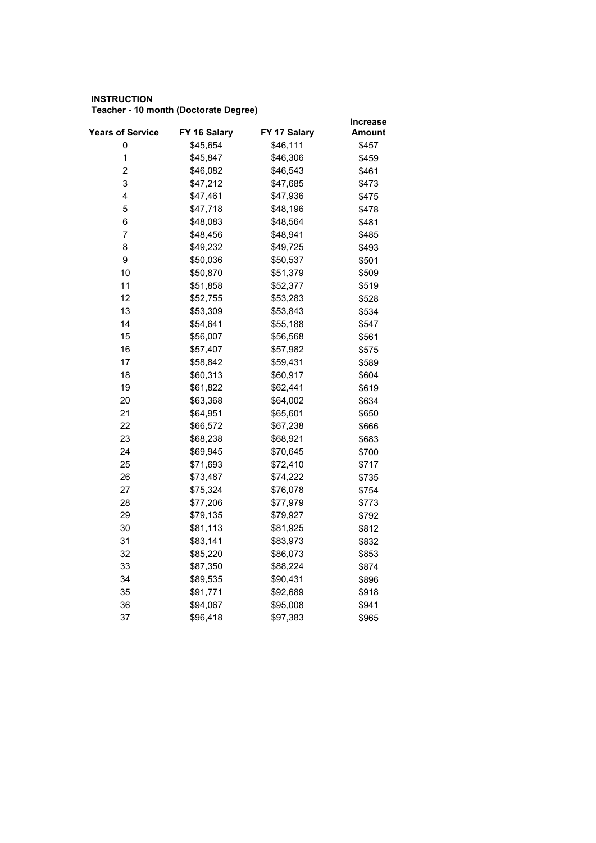## **INSTRUCTION Teacher - 10 month (Doctorate Degree)**

| FY 17 Salary<br><b>Years of Service</b><br>FY 16 Salary<br>Amount<br>\$46,111<br>0<br>\$45,654<br>\$457<br>$\mathbf{1}$<br>\$45,847<br>\$46,306<br>\$459<br>$\overline{\mathbf{c}}$<br>\$46,082<br>\$46,543<br>\$461<br>3<br>\$47,212<br>\$47,685<br>\$473<br>4<br>\$47,461<br>\$47,936<br>\$475<br>5<br>\$47,718<br>\$48,196<br>\$478<br>6<br>\$48,083<br>\$48,564<br>\$481<br>7<br>\$48,456<br>\$48,941<br>\$485<br>8<br>\$49,232<br>\$49,725<br>\$493<br>9<br>\$50,036<br>\$50,537<br>\$501<br>10<br>\$50,870<br>\$51,379<br>\$509<br>11<br>\$51,858<br>\$52,377<br>\$519<br>12<br>\$52,755<br>\$53,283<br>\$528<br>13<br>\$53,309<br>\$53,843<br>\$534<br>14<br>\$54,641<br>\$55,188<br>\$547<br>15<br>\$56,007<br>\$56,568<br>\$561<br>16<br>\$57,407<br>\$57,982<br>\$575<br>17<br>\$58,842<br>\$59,431<br>\$589<br>18<br>\$60,313<br>\$60,917<br>\$604<br>19<br>\$61,822<br>\$62,441<br>\$619<br>20<br>\$63,368<br>\$64,002<br>\$634<br>21<br>\$64,951<br>\$65,601<br>\$650<br>22<br>\$66,572<br>\$67,238<br>\$666<br>23<br>\$68,238<br>\$68,921<br>\$683<br>24<br>\$69,945<br>\$70,645<br>\$700<br>25<br>\$71,693<br>\$72,410<br>\$717<br>26<br>\$74,222<br>\$73,487<br>\$735<br>27<br>\$75,324<br>\$76,078<br>\$754<br>28<br>\$77,206<br>\$77,979<br>\$773<br>29<br>\$79,135<br>\$79,927<br>\$792 |  |
|------------------------------------------------------------------------------------------------------------------------------------------------------------------------------------------------------------------------------------------------------------------------------------------------------------------------------------------------------------------------------------------------------------------------------------------------------------------------------------------------------------------------------------------------------------------------------------------------------------------------------------------------------------------------------------------------------------------------------------------------------------------------------------------------------------------------------------------------------------------------------------------------------------------------------------------------------------------------------------------------------------------------------------------------------------------------------------------------------------------------------------------------------------------------------------------------------------------------------------------------------------------------------------------------------------|--|
|                                                                                                                                                                                                                                                                                                                                                                                                                                                                                                                                                                                                                                                                                                                                                                                                                                                                                                                                                                                                                                                                                                                                                                                                                                                                                                            |  |
|                                                                                                                                                                                                                                                                                                                                                                                                                                                                                                                                                                                                                                                                                                                                                                                                                                                                                                                                                                                                                                                                                                                                                                                                                                                                                                            |  |
|                                                                                                                                                                                                                                                                                                                                                                                                                                                                                                                                                                                                                                                                                                                                                                                                                                                                                                                                                                                                                                                                                                                                                                                                                                                                                                            |  |
|                                                                                                                                                                                                                                                                                                                                                                                                                                                                                                                                                                                                                                                                                                                                                                                                                                                                                                                                                                                                                                                                                                                                                                                                                                                                                                            |  |
|                                                                                                                                                                                                                                                                                                                                                                                                                                                                                                                                                                                                                                                                                                                                                                                                                                                                                                                                                                                                                                                                                                                                                                                                                                                                                                            |  |
|                                                                                                                                                                                                                                                                                                                                                                                                                                                                                                                                                                                                                                                                                                                                                                                                                                                                                                                                                                                                                                                                                                                                                                                                                                                                                                            |  |
|                                                                                                                                                                                                                                                                                                                                                                                                                                                                                                                                                                                                                                                                                                                                                                                                                                                                                                                                                                                                                                                                                                                                                                                                                                                                                                            |  |
|                                                                                                                                                                                                                                                                                                                                                                                                                                                                                                                                                                                                                                                                                                                                                                                                                                                                                                                                                                                                                                                                                                                                                                                                                                                                                                            |  |
|                                                                                                                                                                                                                                                                                                                                                                                                                                                                                                                                                                                                                                                                                                                                                                                                                                                                                                                                                                                                                                                                                                                                                                                                                                                                                                            |  |
|                                                                                                                                                                                                                                                                                                                                                                                                                                                                                                                                                                                                                                                                                                                                                                                                                                                                                                                                                                                                                                                                                                                                                                                                                                                                                                            |  |
|                                                                                                                                                                                                                                                                                                                                                                                                                                                                                                                                                                                                                                                                                                                                                                                                                                                                                                                                                                                                                                                                                                                                                                                                                                                                                                            |  |
|                                                                                                                                                                                                                                                                                                                                                                                                                                                                                                                                                                                                                                                                                                                                                                                                                                                                                                                                                                                                                                                                                                                                                                                                                                                                                                            |  |
|                                                                                                                                                                                                                                                                                                                                                                                                                                                                                                                                                                                                                                                                                                                                                                                                                                                                                                                                                                                                                                                                                                                                                                                                                                                                                                            |  |
|                                                                                                                                                                                                                                                                                                                                                                                                                                                                                                                                                                                                                                                                                                                                                                                                                                                                                                                                                                                                                                                                                                                                                                                                                                                                                                            |  |
|                                                                                                                                                                                                                                                                                                                                                                                                                                                                                                                                                                                                                                                                                                                                                                                                                                                                                                                                                                                                                                                                                                                                                                                                                                                                                                            |  |
|                                                                                                                                                                                                                                                                                                                                                                                                                                                                                                                                                                                                                                                                                                                                                                                                                                                                                                                                                                                                                                                                                                                                                                                                                                                                                                            |  |
|                                                                                                                                                                                                                                                                                                                                                                                                                                                                                                                                                                                                                                                                                                                                                                                                                                                                                                                                                                                                                                                                                                                                                                                                                                                                                                            |  |
|                                                                                                                                                                                                                                                                                                                                                                                                                                                                                                                                                                                                                                                                                                                                                                                                                                                                                                                                                                                                                                                                                                                                                                                                                                                                                                            |  |
|                                                                                                                                                                                                                                                                                                                                                                                                                                                                                                                                                                                                                                                                                                                                                                                                                                                                                                                                                                                                                                                                                                                                                                                                                                                                                                            |  |
|                                                                                                                                                                                                                                                                                                                                                                                                                                                                                                                                                                                                                                                                                                                                                                                                                                                                                                                                                                                                                                                                                                                                                                                                                                                                                                            |  |
|                                                                                                                                                                                                                                                                                                                                                                                                                                                                                                                                                                                                                                                                                                                                                                                                                                                                                                                                                                                                                                                                                                                                                                                                                                                                                                            |  |
|                                                                                                                                                                                                                                                                                                                                                                                                                                                                                                                                                                                                                                                                                                                                                                                                                                                                                                                                                                                                                                                                                                                                                                                                                                                                                                            |  |
|                                                                                                                                                                                                                                                                                                                                                                                                                                                                                                                                                                                                                                                                                                                                                                                                                                                                                                                                                                                                                                                                                                                                                                                                                                                                                                            |  |
|                                                                                                                                                                                                                                                                                                                                                                                                                                                                                                                                                                                                                                                                                                                                                                                                                                                                                                                                                                                                                                                                                                                                                                                                                                                                                                            |  |
|                                                                                                                                                                                                                                                                                                                                                                                                                                                                                                                                                                                                                                                                                                                                                                                                                                                                                                                                                                                                                                                                                                                                                                                                                                                                                                            |  |
|                                                                                                                                                                                                                                                                                                                                                                                                                                                                                                                                                                                                                                                                                                                                                                                                                                                                                                                                                                                                                                                                                                                                                                                                                                                                                                            |  |
|                                                                                                                                                                                                                                                                                                                                                                                                                                                                                                                                                                                                                                                                                                                                                                                                                                                                                                                                                                                                                                                                                                                                                                                                                                                                                                            |  |
|                                                                                                                                                                                                                                                                                                                                                                                                                                                                                                                                                                                                                                                                                                                                                                                                                                                                                                                                                                                                                                                                                                                                                                                                                                                                                                            |  |
|                                                                                                                                                                                                                                                                                                                                                                                                                                                                                                                                                                                                                                                                                                                                                                                                                                                                                                                                                                                                                                                                                                                                                                                                                                                                                                            |  |
|                                                                                                                                                                                                                                                                                                                                                                                                                                                                                                                                                                                                                                                                                                                                                                                                                                                                                                                                                                                                                                                                                                                                                                                                                                                                                                            |  |
|                                                                                                                                                                                                                                                                                                                                                                                                                                                                                                                                                                                                                                                                                                                                                                                                                                                                                                                                                                                                                                                                                                                                                                                                                                                                                                            |  |
| 30<br>\$81,113<br>\$81,925<br>\$812                                                                                                                                                                                                                                                                                                                                                                                                                                                                                                                                                                                                                                                                                                                                                                                                                                                                                                                                                                                                                                                                                                                                                                                                                                                                        |  |
| 31<br>\$83,141<br>\$83,973<br>\$832                                                                                                                                                                                                                                                                                                                                                                                                                                                                                                                                                                                                                                                                                                                                                                                                                                                                                                                                                                                                                                                                                                                                                                                                                                                                        |  |
| 32<br>\$85,220<br>\$86,073<br>\$853                                                                                                                                                                                                                                                                                                                                                                                                                                                                                                                                                                                                                                                                                                                                                                                                                                                                                                                                                                                                                                                                                                                                                                                                                                                                        |  |
| 33<br>\$87,350<br>\$88,224<br>\$874                                                                                                                                                                                                                                                                                                                                                                                                                                                                                                                                                                                                                                                                                                                                                                                                                                                                                                                                                                                                                                                                                                                                                                                                                                                                        |  |
| 34<br>\$89,535<br>\$90,431<br>\$896                                                                                                                                                                                                                                                                                                                                                                                                                                                                                                                                                                                                                                                                                                                                                                                                                                                                                                                                                                                                                                                                                                                                                                                                                                                                        |  |
| 35<br>\$91,771<br>\$92,689<br>\$918                                                                                                                                                                                                                                                                                                                                                                                                                                                                                                                                                                                                                                                                                                                                                                                                                                                                                                                                                                                                                                                                                                                                                                                                                                                                        |  |
| 36<br>\$94,067<br>\$95,008<br>\$941                                                                                                                                                                                                                                                                                                                                                                                                                                                                                                                                                                                                                                                                                                                                                                                                                                                                                                                                                                                                                                                                                                                                                                                                                                                                        |  |
| 37<br>\$96,418<br>\$97,383<br>\$965                                                                                                                                                                                                                                                                                                                                                                                                                                                                                                                                                                                                                                                                                                                                                                                                                                                                                                                                                                                                                                                                                                                                                                                                                                                                        |  |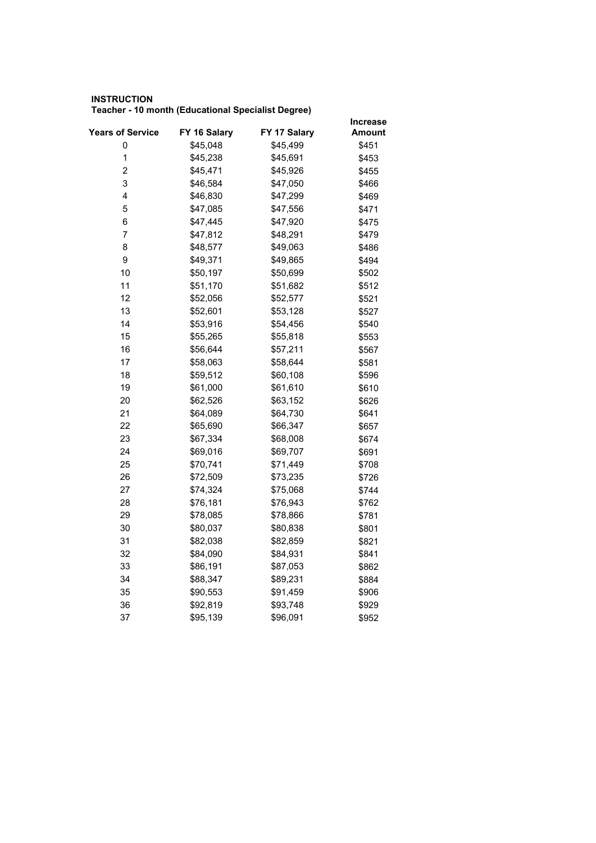## **INSTRUCTION Teacher - 10 month (Educational Specialist Degree)**

|                         |              |              | <b>Increase</b> |
|-------------------------|--------------|--------------|-----------------|
| <b>Years of Service</b> | FY 16 Salary | FY 17 Salary | Amount          |
| 0                       | \$45,048     | \$45,499     | \$451           |
| $\mathbf 1$             | \$45,238     | \$45,691     | \$453           |
| 2                       | \$45,471     | \$45,926     | \$455           |
| 3                       | \$46,584     | \$47,050     | \$466           |
| 4                       | \$46,830     | \$47,299     | \$469           |
| 5                       | \$47,085     | \$47,556     | \$471           |
| 6                       | \$47,445     | \$47,920     | \$475           |
| 7                       | \$47,812     | \$48,291     | \$479           |
| 8                       | \$48,577     | \$49,063     | \$486           |
| 9                       | \$49,371     | \$49,865     | \$494           |
| 10                      | \$50,197     | \$50,699     | \$502           |
| 11                      | \$51,170     | \$51,682     | \$512           |
| 12                      | \$52,056     | \$52,577     | \$521           |
| 13                      | \$52,601     | \$53,128     | \$527           |
| 14                      | \$53,916     | \$54,456     | \$540           |
| 15                      | \$55,265     | \$55,818     | \$553           |
| 16                      | \$56,644     | \$57,211     | \$567           |
| 17                      | \$58,063     | \$58,644     | \$581           |
| 18                      | \$59,512     | \$60,108     | \$596           |
| 19                      | \$61,000     | \$61,610     | \$610           |
| 20                      | \$62,526     | \$63,152     | \$626           |
| 21                      | \$64,089     | \$64,730     | \$641           |
| 22                      | \$65,690     | \$66,347     | \$657           |
| 23                      | \$67,334     | \$68,008     | \$674           |
| 24                      | \$69,016     | \$69,707     | \$691           |
| 25                      | \$70,741     | \$71,449     | \$708           |
| 26                      | \$72,509     | \$73,235     | \$726           |
| 27                      | \$74,324     | \$75,068     | \$744           |
| 28                      | \$76,181     | \$76,943     | \$762           |
| 29                      | \$78,085     | \$78,866     | \$781           |
| 30                      | \$80,037     | \$80,838     | \$801           |
| 31                      | \$82,038     | \$82,859     | \$821           |
| 32                      | \$84,090     | \$84,931     | \$841           |
| 33                      | \$86,191     | \$87,053     | \$862           |
| 34                      | \$88,347     | \$89,231     | \$884           |
| 35                      | \$90,553     | \$91,459     | \$906           |
| 36                      | \$92,819     | \$93,748     | \$929           |
| 37                      | \$95,139     | \$96,091     | \$952           |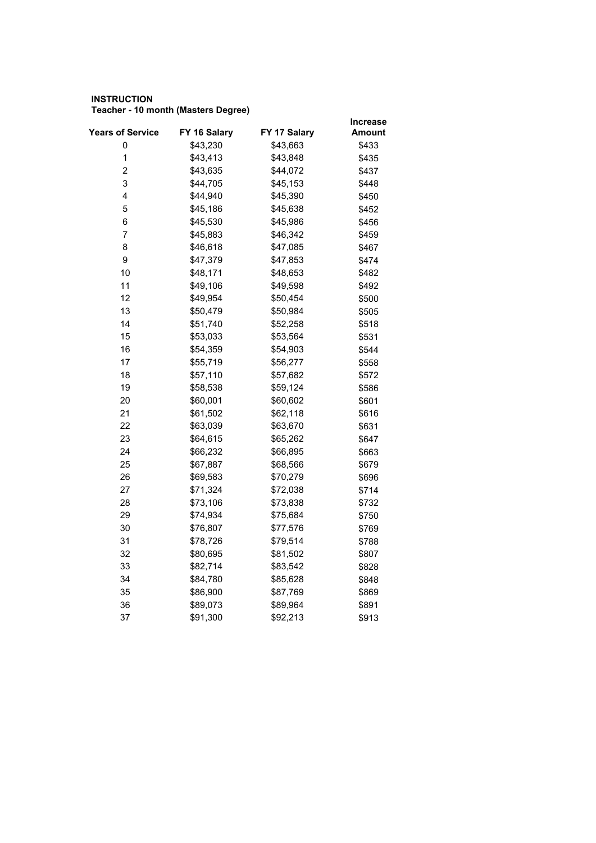## **INSTRUCTION Teacher - 10 month (Masters Degree)**

|                         | FY 16 Salary | FY 17 Salary | Increase |
|-------------------------|--------------|--------------|----------|
| <b>Years of Service</b> |              |              | Amount   |
| 0<br>$\mathbf{1}$       | \$43,230     | \$43,663     | \$433    |
|                         | \$43,413     | \$43,848     | \$435    |
| $\overline{\mathbf{c}}$ | \$43,635     | \$44,072     | \$437    |
| 3                       | \$44,705     | \$45,153     | \$448    |
| 4                       | \$44,940     | \$45,390     | \$450    |
| 5                       | \$45,186     | \$45,638     | \$452    |
| 6                       | \$45,530     | \$45,986     | \$456    |
| 7                       | \$45,883     | \$46,342     | \$459    |
| 8                       | \$46,618     | \$47,085     | \$467    |
| 9                       | \$47,379     | \$47,853     | \$474    |
| 10                      | \$48,171     | \$48,653     | \$482    |
| 11                      | \$49,106     | \$49,598     | \$492    |
| 12                      | \$49,954     | \$50,454     | \$500    |
| 13                      | \$50,479     | \$50,984     | \$505    |
| 14                      | \$51,740     | \$52,258     | \$518    |
| 15                      | \$53,033     | \$53,564     | \$531    |
| 16                      | \$54,359     | \$54,903     | \$544    |
| 17                      | \$55,719     | \$56,277     | \$558    |
| 18                      | \$57,110     | \$57,682     | \$572    |
| 19                      | \$58,538     | \$59,124     | \$586    |
| 20                      | \$60,001     | \$60,602     | \$601    |
| 21                      | \$61,502     | \$62,118     | \$616    |
| 22                      | \$63,039     | \$63,670     | \$631    |
| 23                      | \$64,615     | \$65,262     | \$647    |
| 24                      | \$66,232     | \$66,895     | \$663    |
| 25                      | \$67,887     | \$68,566     | \$679    |
| 26                      | \$69,583     | \$70,279     | \$696    |
| 27                      | \$71,324     | \$72,038     | \$714    |
| 28                      | \$73,106     | \$73,838     | \$732    |
| 29                      | \$74,934     | \$75,684     | \$750    |
| 30                      | \$76,807     | \$77,576     | \$769    |
| 31                      | \$78,726     | \$79,514     | \$788    |
| 32                      | \$80,695     | \$81,502     | \$807    |
| 33                      | \$82,714     | \$83,542     | \$828    |
| 34                      | \$84,780     | \$85,628     | \$848    |
| 35                      | \$86,900     | \$87,769     | \$869    |
| 36                      | \$89,073     | \$89,964     | \$891    |
| 37                      | \$91,300     | \$92,213     | \$913    |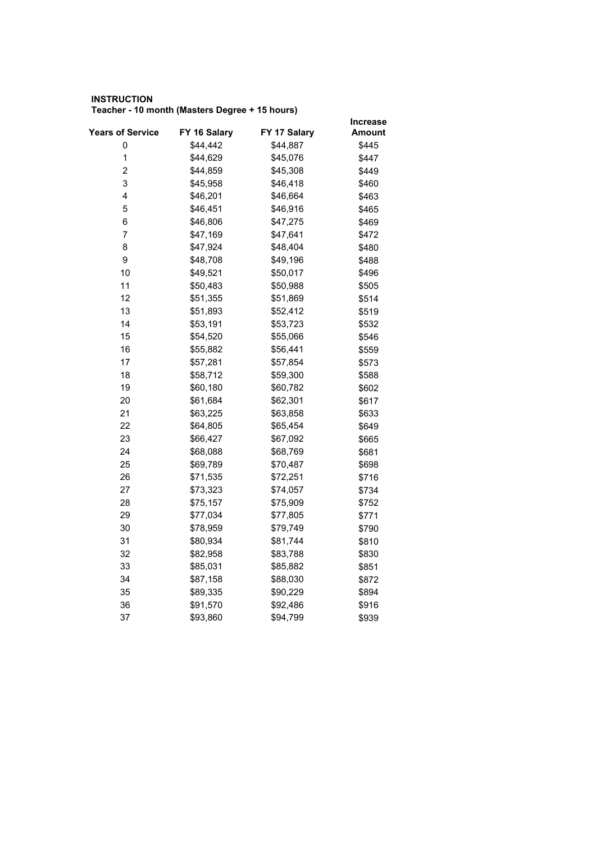## **INSTRUCTION Teacher - 10 month (Masters Degree + 15 hours)**

|                         |              |              | <b>Increase</b> |
|-------------------------|--------------|--------------|-----------------|
| <b>Years of Service</b> | FY 16 Salary | FY 17 Salary | Amount          |
| 0                       | \$44,442     | \$44,887     | \$445           |
| $\mathbf 1$             | \$44,629     | \$45,076     | \$447           |
| 2                       | \$44,859     | \$45,308     | \$449           |
| 3                       | \$45,958     | \$46,418     | \$460           |
| 4                       | \$46,201     | \$46,664     | \$463           |
| 5                       | \$46,451     | \$46,916     | \$465           |
| 6                       | \$46,806     | \$47,275     | \$469           |
| 7                       | \$47,169     | \$47,641     | \$472           |
| 8                       | \$47,924     | \$48,404     | \$480           |
| 9                       | \$48,708     | \$49,196     | \$488           |
| 10                      | \$49,521     | \$50,017     | \$496           |
| 11                      | \$50,483     | \$50,988     | \$505           |
| 12                      | \$51,355     | \$51,869     | \$514           |
| 13                      | \$51,893     | \$52,412     | \$519           |
| 14                      | \$53,191     | \$53,723     | \$532           |
| 15                      | \$54,520     | \$55,066     | \$546           |
| 16                      | \$55,882     | \$56,441     | \$559           |
| 17                      | \$57,281     | \$57,854     | \$573           |
| 18                      | \$58,712     | \$59,300     | \$588           |
| 19                      | \$60,180     | \$60,782     | \$602           |
| 20                      | \$61,684     | \$62,301     | \$617           |
| 21                      | \$63,225     | \$63,858     | \$633           |
| 22                      | \$64,805     | \$65,454     | \$649           |
| 23                      | \$66,427     | \$67,092     | \$665           |
| 24                      | \$68,088     | \$68,769     | \$681           |
| 25                      | \$69,789     | \$70,487     | \$698           |
| 26                      | \$71,535     | \$72,251     | \$716           |
| 27                      | \$73,323     | \$74,057     | \$734           |
| 28                      | \$75,157     | \$75,909     | \$752           |
| 29                      | \$77,034     | \$77,805     | \$771           |
| 30                      | \$78,959     | \$79,749     | \$790           |
| 31                      | \$80,934     | \$81,744     | \$810           |
| 32                      | \$82,958     | \$83,788     | \$830           |
| 33                      | \$85,031     | \$85,882     | \$851           |
| 34                      | \$87,158     | \$88,030     | \$872           |
| 35                      | \$89,335     | \$90,229     | \$894           |
| 36                      | \$91,570     | \$92,486     | \$916           |
| 37                      | \$93,860     | \$94,799     | \$939           |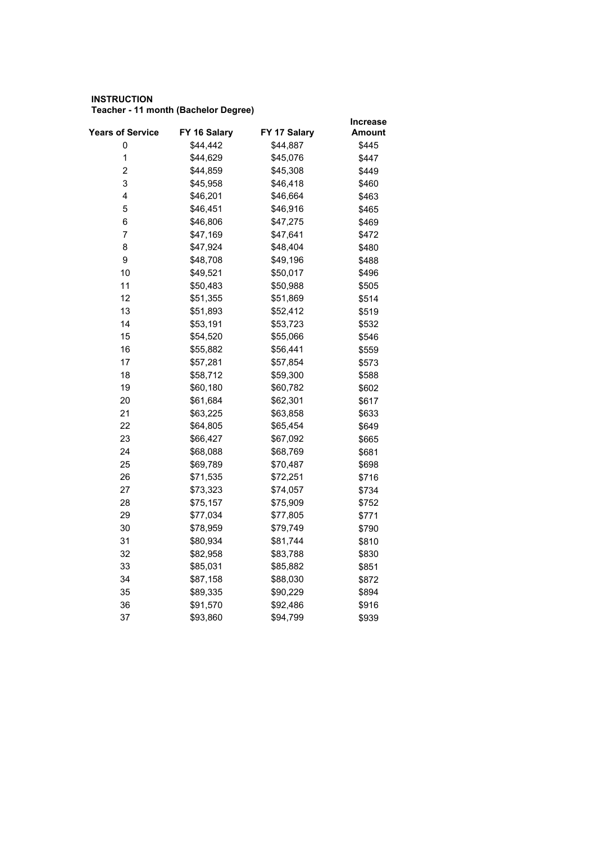## **INSTRUCTION Teacher - 11 month (Bachelor Degree)**

|                  |              |              | <b>Increase</b> |
|------------------|--------------|--------------|-----------------|
| Years of Service | FY 16 Salary | FY 17 Salary | Amount          |
| 0                | \$44,442     | \$44,887     | \$445           |
| $\mathbf 1$      | \$44,629     | \$45,076     | \$447           |
| 2                | \$44,859     | \$45,308     | \$449           |
| 3                | \$45,958     | \$46,418     | \$460           |
| 4                | \$46,201     | \$46,664     | \$463           |
| 5                | \$46,451     | \$46,916     | \$465           |
| 6                | \$46,806     | \$47,275     | \$469           |
| 7                | \$47,169     | \$47,641     | \$472           |
| 8                | \$47,924     | \$48,404     | \$480           |
| 9                | \$48,708     | \$49,196     | \$488           |
| 10               | \$49,521     | \$50,017     | \$496           |
| 11               | \$50,483     | \$50,988     | \$505           |
| 12               | \$51,355     | \$51,869     | \$514           |
| 13               | \$51,893     | \$52,412     | \$519           |
| 14               | \$53,191     | \$53,723     | \$532           |
| 15               | \$54,520     | \$55,066     | \$546           |
| 16               | \$55,882     | \$56,441     | \$559           |
| 17               | \$57,281     | \$57,854     | \$573           |
| 18               | \$58,712     | \$59,300     | \$588           |
| 19               | \$60,180     | \$60,782     | \$602           |
| 20               | \$61,684     | \$62,301     | \$617           |
| 21               | \$63,225     | \$63,858     | \$633           |
| 22               | \$64,805     | \$65,454     | \$649           |
| 23               | \$66,427     | \$67,092     | \$665           |
| 24               | \$68,088     | \$68,769     | \$681           |
| 25               | \$69,789     | \$70,487     | \$698           |
| 26               | \$71,535     | \$72,251     | \$716           |
| 27               | \$73,323     | \$74,057     | \$734           |
| 28               | \$75,157     | \$75,909     | \$752           |
| 29               | \$77,034     | \$77,805     | \$771           |
| 30               | \$78,959     | \$79,749     | \$790           |
| 31               | \$80,934     | \$81,744     | \$810           |
| 32               | \$82,958     | \$83,788     | \$830           |
| 33               | \$85,031     | \$85,882     | \$851           |
| 34               | \$87,158     | \$88,030     | \$872           |
| 35               | \$89,335     | \$90,229     | \$894           |
| 36               | \$91,570     | \$92,486     | \$916           |
| 37               | \$93,860     | \$94,799     | \$939           |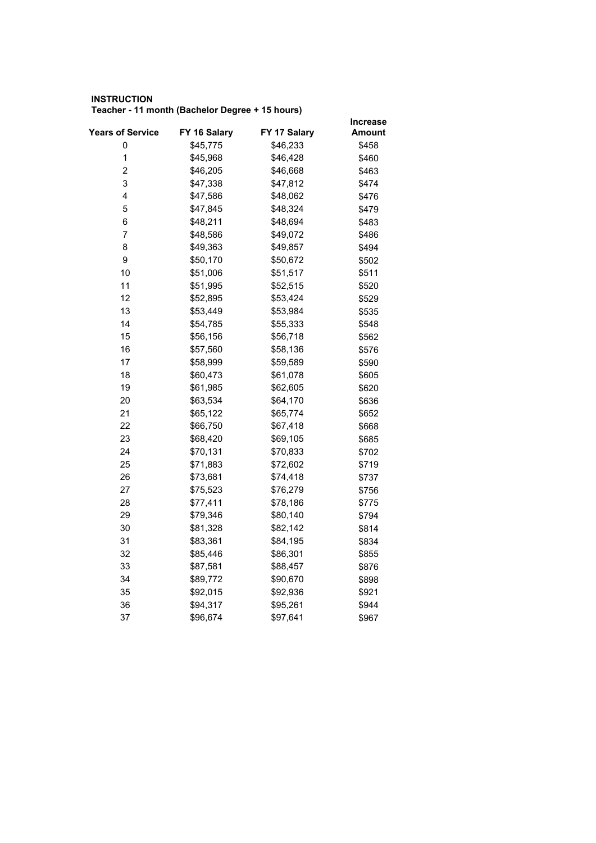## **INSTRUCTION Teacher - 11 month (Bachelor Degree + 15 hours)**

|                  |              |              | <b>Increase</b> |
|------------------|--------------|--------------|-----------------|
| Years of Service | FY 16 Salary | FY 17 Salary | Amount          |
| 0                | \$45,775     | \$46,233     | \$458           |
| $\mathbf 1$      | \$45,968     | \$46,428     | \$460           |
| 2                | \$46,205     | \$46,668     | \$463           |
| 3                | \$47,338     | \$47,812     | \$474           |
| 4                | \$47,586     | \$48,062     | \$476           |
| 5                | \$47,845     | \$48,324     | \$479           |
| 6                | \$48,211     | \$48,694     | \$483           |
| 7                | \$48,586     | \$49,072     | \$486           |
| 8                | \$49,363     | \$49,857     | \$494           |
| 9                | \$50,170     | \$50,672     | \$502           |
| 10               | \$51,006     | \$51,517     | \$511           |
| 11               | \$51,995     | \$52,515     | \$520           |
| 12               | \$52,895     | \$53,424     | \$529           |
| 13               | \$53,449     | \$53,984     | \$535           |
| 14               | \$54,785     | \$55,333     | \$548           |
| 15               | \$56,156     | \$56,718     | \$562           |
| 16               | \$57,560     | \$58,136     | \$576           |
| 17               | \$58,999     | \$59,589     | \$590           |
| 18               | \$60,473     | \$61,078     | \$605           |
| 19               | \$61,985     | \$62,605     | \$620           |
| 20               | \$63,534     | \$64,170     | \$636           |
| 21               | \$65,122     | \$65,774     | \$652           |
| 22               | \$66,750     | \$67,418     | \$668           |
| 23               | \$68,420     | \$69,105     | \$685           |
| 24               | \$70,131     | \$70,833     | \$702           |
| 25               | \$71,883     | \$72,602     | \$719           |
| 26               | \$73,681     | \$74,418     | \$737           |
| 27               | \$75,523     | \$76,279     | \$756           |
| 28               | \$77,411     | \$78,186     | \$775           |
| 29               | \$79,346     | \$80,140     | \$794           |
| 30               | \$81,328     | \$82,142     | \$814           |
| 31               | \$83,361     | \$84,195     | \$834           |
| 32               | \$85,446     | \$86,301     | \$855           |
| 33               | \$87,581     | \$88,457     | \$876           |
| 34               | \$89,772     | \$90,670     | \$898           |
| 35               | \$92,015     | \$92,936     | \$921           |
| 36               | \$94,317     | \$95,261     | \$944           |
| 37               | \$96,674     | \$97,641     | \$967           |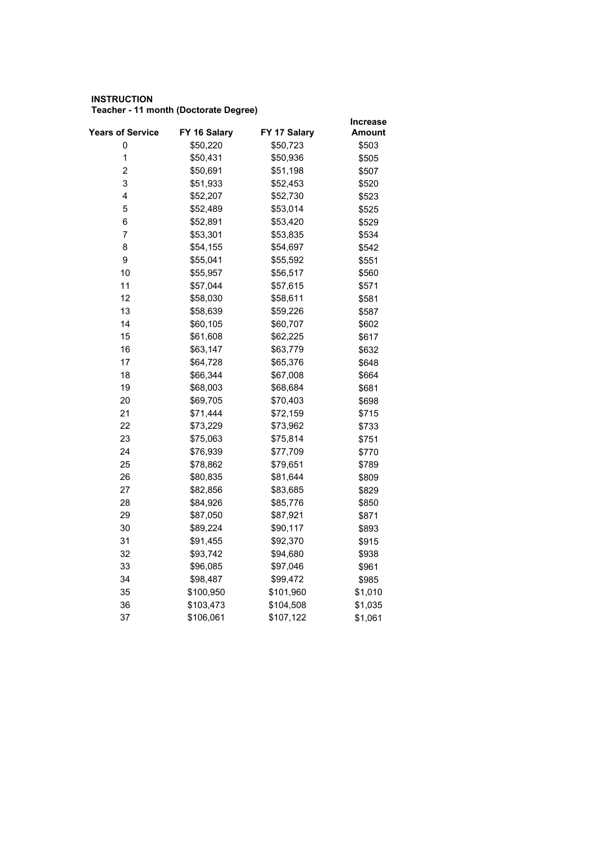## **INSTRUCTION Teacher - 11 month (Doctorate Degree)**

|                         |              |              | <b>Increase</b> |
|-------------------------|--------------|--------------|-----------------|
| <b>Years of Service</b> | FY 16 Salary | FY 17 Salary | Amount          |
| 0                       | \$50,220     | \$50,723     | \$503           |
| $\mathbf 1$             | \$50,431     | \$50,936     | \$505           |
| 2                       | \$50,691     | \$51,198     | \$507           |
| 3                       | \$51,933     | \$52,453     | \$520           |
| 4                       | \$52,207     | \$52,730     | \$523           |
| 5                       | \$52,489     | \$53,014     | \$525           |
| 6                       | \$52,891     | \$53,420     | \$529           |
| 7                       | \$53,301     | \$53,835     | \$534           |
| 8                       | \$54,155     | \$54,697     | \$542           |
| 9                       | \$55,041     | \$55,592     | \$551           |
| 10                      | \$55,957     | \$56,517     | \$560           |
| 11                      | \$57,044     | \$57,615     | \$571           |
| 12                      | \$58,030     | \$58,611     | \$581           |
| 13                      | \$58,639     | \$59,226     | \$587           |
| 14                      | \$60,105     | \$60,707     | \$602           |
| 15                      | \$61,608     | \$62,225     | \$617           |
| 16                      | \$63,147     | \$63,779     | \$632           |
| 17                      | \$64,728     | \$65,376     | \$648           |
| 18                      | \$66,344     | \$67,008     | \$664           |
| 19                      | \$68,003     | \$68,684     | \$681           |
| 20                      | \$69,705     | \$70,403     | \$698           |
| 21                      | \$71,444     | \$72,159     | \$715           |
| 22                      | \$73,229     | \$73,962     | \$733           |
| 23                      | \$75,063     | \$75,814     | \$751           |
| 24                      | \$76,939     | \$77,709     | \$770           |
| 25                      | \$78,862     | \$79,651     | \$789           |
| 26                      | \$80,835     | \$81,644     | \$809           |
| 27                      | \$82,856     | \$83,685     | \$829           |
| 28                      | \$84,926     | \$85,776     | \$850           |
| 29                      | \$87,050     | \$87,921     | \$871           |
| 30                      | \$89,224     | \$90,117     | \$893           |
| 31                      | \$91,455     | \$92,370     | \$915           |
| 32                      | \$93,742     | \$94,680     | \$938           |
| 33                      | \$96,085     | \$97,046     | \$961           |
| 34                      | \$98,487     | \$99,472     | \$985           |
| 35                      | \$100,950    | \$101,960    | \$1,010         |
| 36                      | \$103,473    | \$104,508    | \$1,035         |
| 37                      | \$106,061    | \$107,122    | \$1,061         |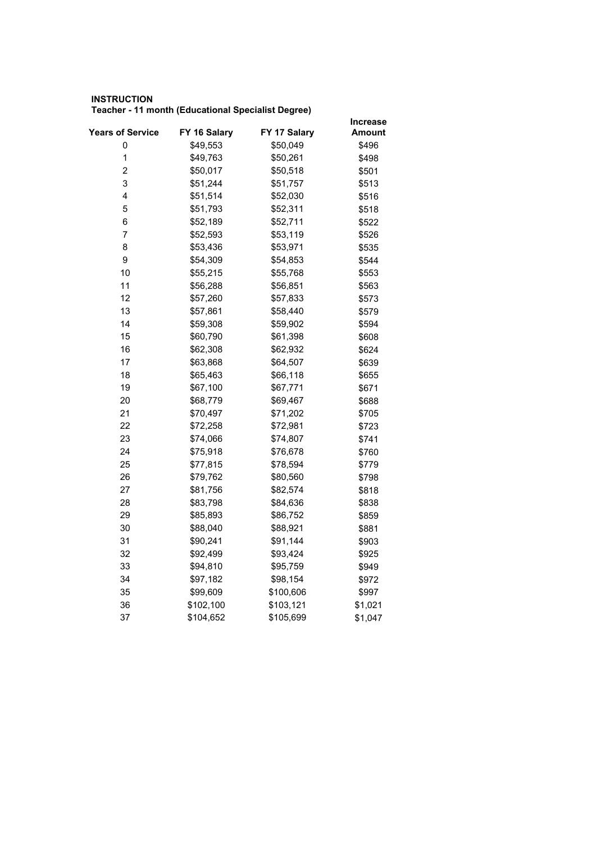## **INSTRUCTION Teacher - 11 month (Educational Specialist Degree)**

|                         |              |              | <b>Increase</b> |
|-------------------------|--------------|--------------|-----------------|
| <b>Years of Service</b> | FY 16 Salary | FY 17 Salary | Amount          |
| 0                       | \$49,553     | \$50,049     | \$496           |
| $\mathbf 1$             | \$49,763     | \$50,261     | \$498           |
| 2                       | \$50,017     | \$50,518     | \$501           |
| 3                       | \$51,244     | \$51,757     | \$513           |
| 4                       | \$51,514     | \$52,030     | \$516           |
| 5                       | \$51,793     | \$52,311     | \$518           |
| 6                       | \$52,189     | \$52,711     | \$522           |
| 7                       | \$52,593     | \$53,119     | \$526           |
| 8                       | \$53,436     | \$53,971     | \$535           |
| 9                       | \$54,309     | \$54,853     | \$544           |
| 10                      | \$55,215     | \$55,768     | \$553           |
| 11                      | \$56,288     | \$56,851     | \$563           |
| 12                      | \$57,260     | \$57,833     | \$573           |
| 13                      | \$57,861     | \$58,440     | \$579           |
| 14                      | \$59,308     | \$59,902     | \$594           |
| 15                      | \$60,790     | \$61,398     | \$608           |
| 16                      | \$62,308     | \$62,932     | \$624           |
| 17                      | \$63,868     | \$64,507     | \$639           |
| 18                      | \$65,463     | \$66,118     | \$655           |
| 19                      | \$67,100     | \$67,771     | \$671           |
| 20                      | \$68,779     | \$69,467     | \$688           |
| 21                      | \$70,497     | \$71,202     | \$705           |
| 22                      | \$72,258     | \$72,981     | \$723           |
| 23                      | \$74,066     | \$74,807     | \$741           |
| 24                      | \$75,918     | \$76,678     | \$760           |
| 25                      | \$77,815     | \$78,594     | \$779           |
| 26                      | \$79,762     | \$80,560     | \$798           |
| 27                      | \$81,756     | \$82,574     | \$818           |
| 28                      | \$83,798     | \$84,636     | \$838           |
| 29                      | \$85,893     | \$86,752     | \$859           |
| 30                      | \$88,040     | \$88,921     | \$881           |
| 31                      | \$90,241     | \$91,144     | \$903           |
| 32                      | \$92,499     | \$93,424     | \$925           |
| 33                      | \$94,810     | \$95,759     | \$949           |
| 34                      | \$97,182     | \$98,154     | \$972           |
| 35                      | \$99,609     | \$100,606    | \$997           |
| 36                      | \$102,100    | \$103,121    | \$1,021         |
| 37                      | \$104,652    | \$105,699    | \$1,047         |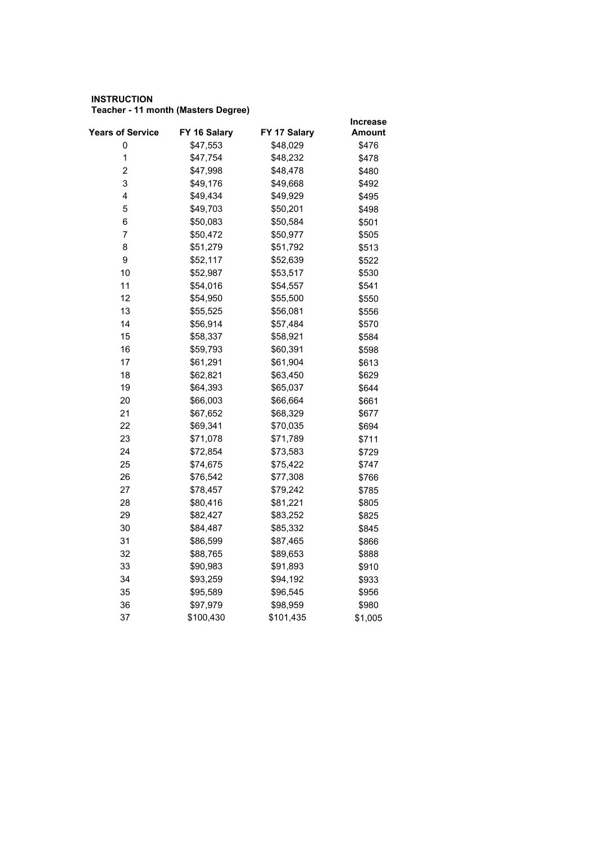## **INSTRUCTION Teacher - 11 month (Masters Degree)**

|                         |              |              | <b>Increase</b> |
|-------------------------|--------------|--------------|-----------------|
| <b>Years of Service</b> | FY 16 Salary | FY 17 Salary | Amount          |
| 0                       | \$47,553     | \$48,029     | \$476           |
| $\mathbf 1$             | \$47,754     | \$48,232     | \$478           |
| 2                       | \$47,998     | \$48,478     | \$480           |
| 3                       | \$49,176     | \$49,668     | \$492           |
| 4                       | \$49,434     | \$49,929     | \$495           |
| 5                       | \$49,703     | \$50,201     | \$498           |
| 6                       | \$50,083     | \$50,584     | \$501           |
| 7                       | \$50,472     | \$50,977     | \$505           |
| 8                       | \$51,279     | \$51,792     | \$513           |
| 9                       | \$52,117     | \$52,639     | \$522           |
| 10                      | \$52,987     | \$53,517     | \$530           |
| 11                      | \$54,016     | \$54,557     | \$541           |
| 12                      | \$54,950     | \$55,500     | \$550           |
| 13                      | \$55,525     | \$56,081     | \$556           |
| 14                      | \$56,914     | \$57,484     | \$570           |
| 15                      | \$58,337     | \$58,921     | \$584           |
| 16                      | \$59,793     | \$60,391     | \$598           |
| 17                      | \$61,291     | \$61,904     | \$613           |
| 18                      | \$62,821     | \$63,450     | \$629           |
| 19                      | \$64,393     | \$65,037     | \$644           |
| 20                      | \$66,003     | \$66,664     | \$661           |
| 21                      | \$67,652     | \$68,329     | \$677           |
| 22                      | \$69,341     | \$70,035     | \$694           |
| 23                      | \$71,078     | \$71,789     | \$711           |
| 24                      | \$72,854     | \$73,583     | \$729           |
| 25                      | \$74,675     | \$75,422     | \$747           |
| 26                      | \$76,542     | \$77,308     | \$766           |
| 27                      | \$78,457     | \$79,242     | \$785           |
| 28                      | \$80,416     | \$81,221     | \$805           |
| 29                      | \$82,427     | \$83,252     | \$825           |
| 30                      | \$84,487     | \$85,332     | \$845           |
| 31                      | \$86,599     | \$87,465     | \$866           |
| 32                      | \$88,765     | \$89,653     | \$888           |
| 33                      | \$90,983     | \$91,893     | \$910           |
| 34                      | \$93,259     | \$94,192     | \$933           |
| 35                      | \$95,589     | \$96,545     | \$956           |
| 36                      | \$97,979     | \$98,959     | \$980           |
| 37                      | \$100,430    | \$101,435    | \$1,005         |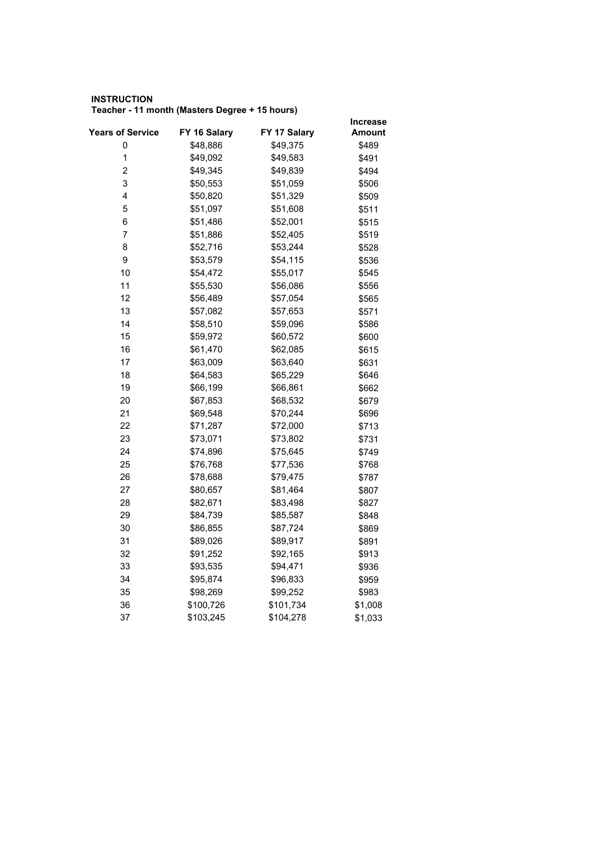## **INSTRUCTION Teacher - 11 month (Masters Degree + 15 hours)**

|                         |              |              | <b>Increase</b> |
|-------------------------|--------------|--------------|-----------------|
| <b>Years of Service</b> | FY 16 Salary | FY 17 Salary | Amount          |
| 0                       | \$48,886     | \$49,375     | \$489           |
| $\mathbf 1$             | \$49,092     | \$49,583     | \$491           |
| 2                       | \$49,345     | \$49,839     | \$494           |
| 3                       | \$50,553     | \$51,059     | \$506           |
| 4                       | \$50,820     | \$51,329     | \$509           |
| 5                       | \$51,097     | \$51,608     | \$511           |
| 6                       | \$51,486     | \$52,001     | \$515           |
| 7                       | \$51,886     | \$52,405     | \$519           |
| 8                       | \$52,716     | \$53,244     | \$528           |
| 9                       | \$53,579     | \$54,115     | \$536           |
| 10                      | \$54,472     | \$55,017     | \$545           |
| 11                      | \$55,530     | \$56,086     | \$556           |
| 12                      | \$56,489     | \$57,054     | \$565           |
| 13                      | \$57,082     | \$57,653     | \$571           |
| 14                      | \$58,510     | \$59,096     | \$586           |
| 15                      | \$59,972     | \$60,572     | \$600           |
| 16                      | \$61,470     | \$62,085     | \$615           |
| 17                      | \$63,009     | \$63,640     | \$631           |
| 18                      | \$64,583     | \$65,229     | \$646           |
| 19                      | \$66,199     | \$66,861     | \$662           |
| 20                      | \$67,853     | \$68,532     | \$679           |
| 21                      | \$69,548     | \$70,244     | \$696           |
| 22                      | \$71,287     | \$72,000     | \$713           |
| 23                      | \$73,071     | \$73,802     | \$731           |
| 24                      | \$74,896     | \$75,645     | \$749           |
| 25                      | \$76,768     | \$77,536     | \$768           |
| 26                      | \$78,688     | \$79,475     | \$787           |
| 27                      | \$80,657     | \$81,464     | \$807           |
| 28                      | \$82,671     | \$83,498     | \$827           |
| 29                      | \$84,739     | \$85,587     | \$848           |
| 30                      | \$86,855     | \$87,724     | \$869           |
| 31                      | \$89,026     | \$89,917     | \$891           |
| 32                      | \$91,252     | \$92,165     | \$913           |
| 33                      | \$93,535     | \$94,471     | \$936           |
| 34                      | \$95,874     | \$96,833     | \$959           |
| 35                      | \$98,269     | \$99,252     | \$983           |
| 36                      | \$100,726    | \$101,734    | \$1,008         |
| 37                      | \$103,245    | \$104,278    | \$1,033         |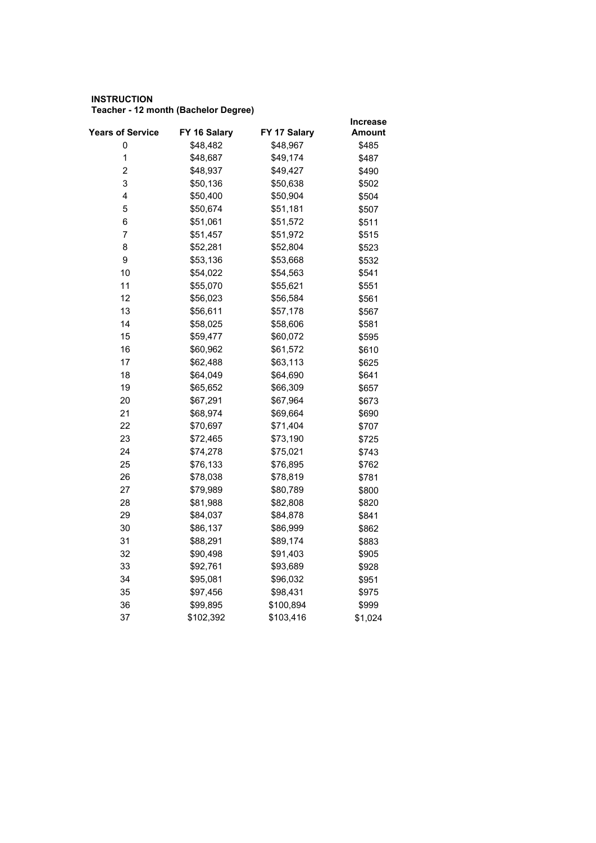## **INSTRUCTION Teacher - 12 month (Bachelor Degree)**

|                         |              |              | Increase |
|-------------------------|--------------|--------------|----------|
| <b>Years of Service</b> | FY 16 Salary | FY 17 Salary | Amount   |
| 0                       | \$48,482     | \$48,967     | \$485    |
| $\mathbf 1$             | \$48,687     | \$49,174     | \$487    |
| 2                       | \$48,937     | \$49,427     | \$490    |
| 3                       | \$50,136     | \$50,638     | \$502    |
| 4                       | \$50,400     | \$50,904     | \$504    |
| 5                       | \$50,674     | \$51,181     | \$507    |
| 6                       | \$51,061     | \$51,572     | \$511    |
| $\overline{7}$          | \$51,457     | \$51,972     | \$515    |
| 8                       | \$52,281     | \$52,804     | \$523    |
| 9                       | \$53,136     | \$53,668     | \$532    |
| 10                      | \$54,022     | \$54,563     | \$541    |
| 11                      | \$55,070     | \$55,621     | \$551    |
| 12                      | \$56,023     | \$56,584     | \$561    |
| 13                      | \$56,611     | \$57,178     | \$567    |
| 14                      | \$58,025     | \$58,606     | \$581    |
| 15                      | \$59,477     | \$60,072     | \$595    |
| 16                      | \$60,962     | \$61,572     | \$610    |
| 17                      | \$62,488     | \$63,113     | \$625    |
| 18                      | \$64,049     | \$64,690     | \$641    |
| 19                      | \$65,652     | \$66,309     | \$657    |
| 20                      | \$67,291     | \$67,964     | \$673    |
| 21                      | \$68,974     | \$69,664     | \$690    |
| 22                      | \$70,697     | \$71,404     | \$707    |
| 23                      | \$72,465     | \$73,190     | \$725    |
| 24                      | \$74,278     | \$75,021     | \$743    |
| 25                      | \$76,133     | \$76,895     | \$762    |
| 26                      | \$78,038     | \$78,819     | \$781    |
| 27                      | \$79,989     | \$80,789     | \$800    |
| 28                      | \$81,988     | \$82,808     | \$820    |
| 29                      | \$84,037     | \$84,878     | \$841    |
| 30                      | \$86,137     | \$86,999     | \$862    |
| 31                      | \$88,291     | \$89,174     | \$883    |
| 32                      | \$90,498     | \$91,403     | \$905    |
| 33                      | \$92,761     | \$93,689     | \$928    |
| 34                      | \$95,081     | \$96,032     | \$951    |
| 35                      | \$97,456     | \$98,431     | \$975    |
| 36                      | \$99,895     | \$100,894    | \$999    |
| 37                      | \$102,392    | \$103,416    | \$1,024  |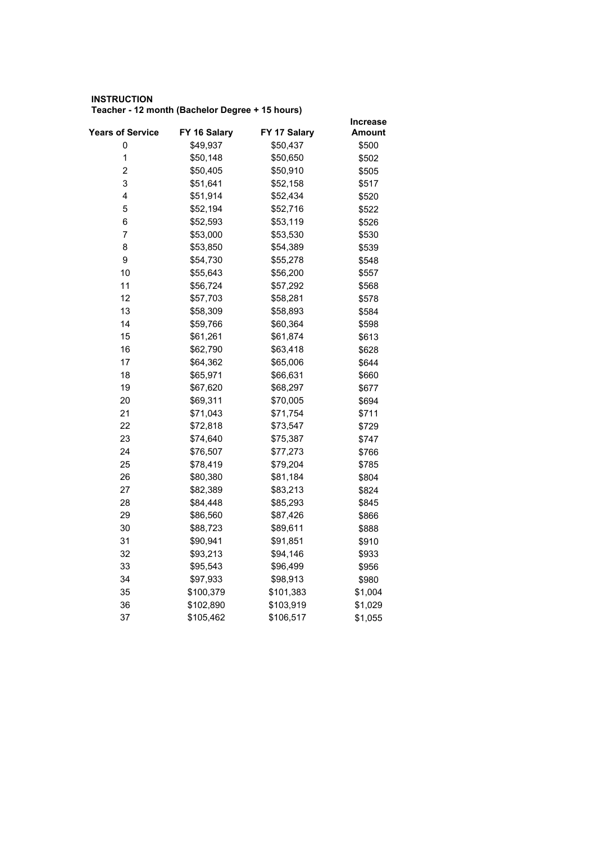## **INSTRUCTION Teacher - 12 month (Bachelor Degree + 15 hours)**

|                         |              |              | <b>Increase</b> |
|-------------------------|--------------|--------------|-----------------|
| <b>Years of Service</b> | FY 16 Salary | FY 17 Salary | Amount          |
| 0                       | \$49,937     | \$50,437     | \$500           |
| $\mathbf 1$             | \$50,148     | \$50,650     | \$502           |
| 2                       | \$50,405     | \$50,910     | \$505           |
| 3                       | \$51,641     | \$52,158     | \$517           |
| 4                       | \$51,914     | \$52,434     | \$520           |
| 5                       | \$52,194     | \$52,716     | \$522           |
| 6                       | \$52,593     | \$53,119     | \$526           |
| 7                       | \$53,000     | \$53,530     | \$530           |
| 8                       | \$53,850     | \$54,389     | \$539           |
| 9                       | \$54,730     | \$55,278     | \$548           |
| 10                      | \$55,643     | \$56,200     | \$557           |
| 11                      | \$56,724     | \$57,292     | \$568           |
| 12                      | \$57,703     | \$58,281     | \$578           |
| 13                      | \$58,309     | \$58,893     | \$584           |
| 14                      | \$59,766     | \$60,364     | \$598           |
| 15                      | \$61,261     | \$61,874     | \$613           |
| 16                      | \$62,790     | \$63,418     | \$628           |
| 17                      | \$64,362     | \$65,006     | \$644           |
| 18                      | \$65,971     | \$66,631     | \$660           |
| 19                      | \$67,620     | \$68,297     | \$677           |
| 20                      | \$69,311     | \$70,005     | \$694           |
| 21                      | \$71,043     | \$71,754     | \$711           |
| 22                      | \$72,818     | \$73,547     | \$729           |
| 23                      | \$74,640     | \$75,387     | \$747           |
| 24                      | \$76,507     | \$77,273     | \$766           |
| 25                      | \$78,419     | \$79,204     | \$785           |
| 26                      | \$80,380     | \$81,184     | \$804           |
| 27                      | \$82,389     | \$83,213     | \$824           |
| 28                      | \$84,448     | \$85,293     | \$845           |
| 29                      | \$86,560     | \$87,426     | \$866           |
| 30                      | \$88,723     | \$89,611     | \$888           |
| 31                      | \$90,941     | \$91,851     | \$910           |
| 32                      | \$93,213     | \$94,146     | \$933           |
| 33                      | \$95,543     | \$96,499     | \$956           |
| 34                      | \$97,933     | \$98,913     | \$980           |
| 35                      | \$100,379    | \$101,383    | \$1,004         |
| 36                      | \$102,890    | \$103,919    | \$1,029         |
| 37                      | \$105,462    | \$106,517    | \$1,055         |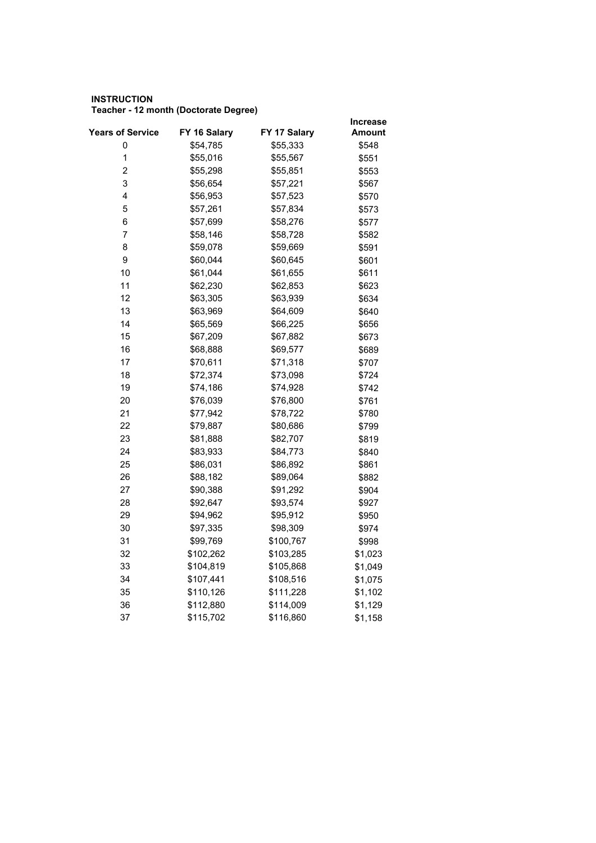## **INSTRUCTION Teacher - 12 month (Doctorate Degree)**

|                         |              |              | Increase |
|-------------------------|--------------|--------------|----------|
| <b>Years of Service</b> | FY 16 Salary | FY 17 Salary | Amount   |
| 0                       | \$54,785     | \$55,333     | \$548    |
| $\mathbf 1$             | \$55,016     | \$55,567     | \$551    |
| $\overline{\mathbf{c}}$ | \$55,298     | \$55,851     | \$553    |
| 3                       | \$56,654     | \$57,221     | \$567    |
| 4                       | \$56,953     | \$57,523     | \$570    |
| 5                       | \$57,261     | \$57,834     | \$573    |
| 6                       | \$57,699     | \$58,276     | \$577    |
| 7                       | \$58,146     | \$58,728     | \$582    |
| 8                       | \$59,078     | \$59,669     | \$591    |
| 9                       | \$60,044     | \$60,645     | \$601    |
| 10                      | \$61,044     | \$61,655     | \$611    |
| 11                      | \$62,230     | \$62,853     | \$623    |
| 12                      | \$63,305     | \$63,939     | \$634    |
| 13                      | \$63,969     | \$64,609     | \$640    |
| 14                      | \$65,569     | \$66,225     | \$656    |
| 15                      | \$67,209     | \$67,882     | \$673    |
| 16                      | \$68,888     | \$69,577     | \$689    |
| 17                      | \$70,611     | \$71,318     | \$707    |
| 18                      | \$72,374     | \$73,098     | \$724    |
| 19                      | \$74,186     | \$74,928     | \$742    |
| 20                      | \$76,039     | \$76,800     | \$761    |
| 21                      | \$77,942     | \$78,722     | \$780    |
| 22                      | \$79,887     | \$80,686     | \$799    |
| 23                      | \$81,888     | \$82,707     | \$819    |
| 24                      | \$83,933     | \$84,773     | \$840    |
| 25                      | \$86,031     | \$86,892     | \$861    |
| 26                      | \$88,182     | \$89,064     | \$882    |
| 27                      | \$90,388     | \$91,292     | \$904    |
| 28                      | \$92,647     | \$93,574     | \$927    |
| 29                      | \$94,962     | \$95,912     | \$950    |
| 30                      | \$97,335     | \$98,309     | \$974    |
| 31                      | \$99,769     | \$100,767    | \$998    |
| 32                      | \$102,262    | \$103,285    | \$1,023  |
| 33                      | \$104,819    | \$105,868    | \$1,049  |
| 34                      | \$107,441    | \$108,516    | \$1,075  |
| 35                      | \$110,126    | \$111,228    | \$1,102  |
| 36                      | \$112,880    | \$114,009    | \$1,129  |
| 37                      | \$115,702    | \$116,860    | \$1,158  |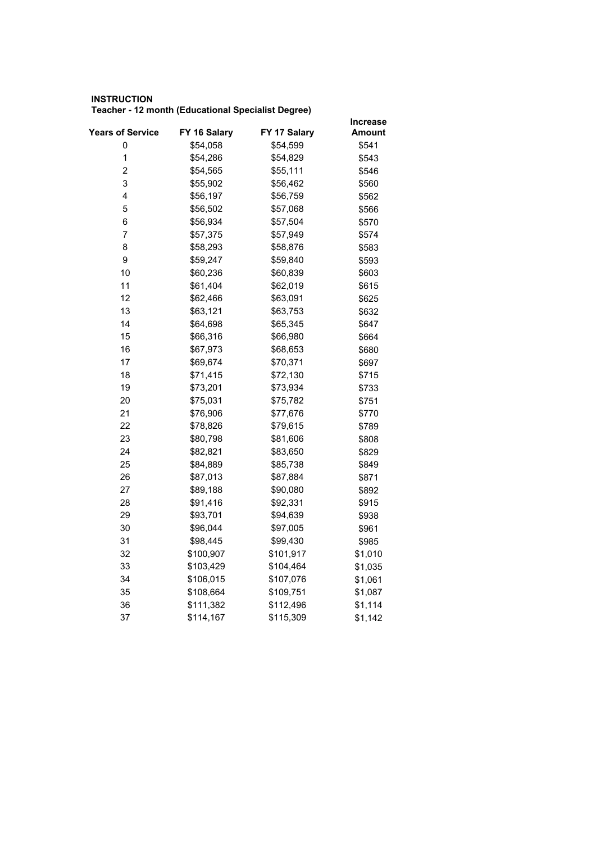## **INSTRUCTION Teacher - 12 month (Educational Specialist Degree)**

|                         |              |              | <b>Increase</b> |
|-------------------------|--------------|--------------|-----------------|
| <b>Years of Service</b> | FY 16 Salary | FY 17 Salary | Amount          |
| 0                       | \$54,058     | \$54,599     | \$541           |
| $\mathbf 1$             | \$54,286     | \$54,829     | \$543           |
| 2                       | \$54,565     | \$55,111     | \$546           |
| 3                       | \$55,902     | \$56,462     | \$560           |
| 4                       | \$56,197     | \$56,759     | \$562           |
| 5                       | \$56,502     | \$57,068     | \$566           |
| 6                       | \$56,934     | \$57,504     | \$570           |
| 7                       | \$57,375     | \$57,949     | \$574           |
| 8                       | \$58,293     | \$58,876     | \$583           |
| 9                       | \$59,247     | \$59,840     | \$593           |
| 10                      | \$60,236     | \$60,839     | \$603           |
| 11                      | \$61,404     | \$62,019     | \$615           |
| 12                      | \$62,466     | \$63,091     | \$625           |
| 13                      | \$63,121     | \$63,753     | \$632           |
| 14                      | \$64,698     | \$65,345     | \$647           |
| 15                      | \$66,316     | \$66,980     | \$664           |
| 16                      | \$67,973     | \$68,653     | \$680           |
| 17                      | \$69,674     | \$70,371     | \$697           |
| 18                      | \$71,415     | \$72,130     | \$715           |
| 19                      | \$73,201     | \$73,934     | \$733           |
| 20                      | \$75,031     | \$75,782     | \$751           |
| 21                      | \$76,906     | \$77,676     | \$770           |
| 22                      | \$78,826     | \$79,615     | \$789           |
| 23                      | \$80,798     | \$81,606     | \$808           |
| 24                      | \$82,821     | \$83,650     | \$829           |
| 25                      | \$84,889     | \$85,738     | \$849           |
| 26                      | \$87,013     | \$87,884     | \$871           |
| 27                      | \$89,188     | \$90,080     | \$892           |
| 28                      | \$91,416     | \$92,331     | \$915           |
| 29                      | \$93,701     | \$94,639     | \$938           |
| 30                      | \$96,044     | \$97,005     | \$961           |
| 31                      | \$98,445     | \$99,430     | \$985           |
| 32                      | \$100,907    | \$101,917    | \$1,010         |
| 33                      | \$103,429    | \$104,464    | \$1,035         |
| 34                      | \$106,015    | \$107,076    | \$1,061         |
| 35                      | \$108,664    | \$109,751    | \$1,087         |
| 36                      | \$111,382    | \$112,496    | \$1,114         |
| 37                      | \$114,167    | \$115,309    | \$1,142         |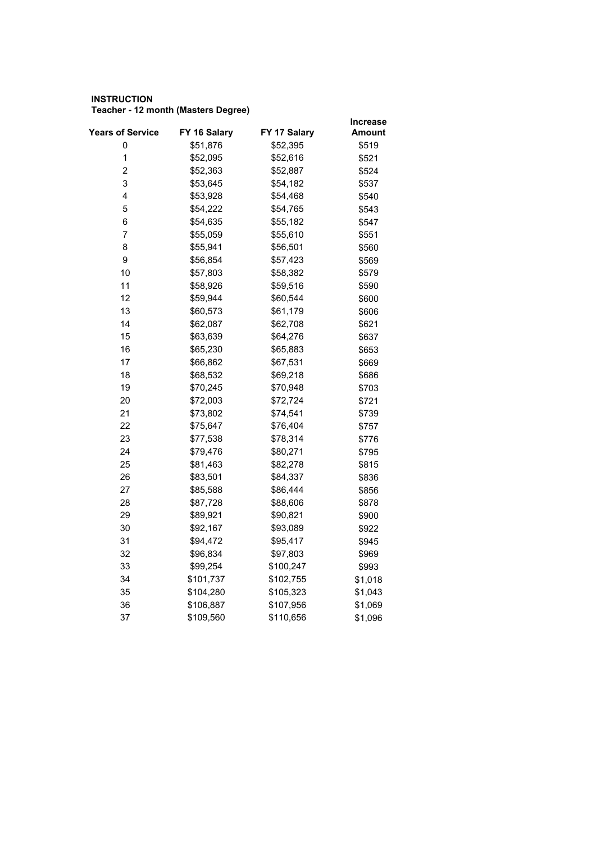## **INSTRUCTION Teacher - 12 month (Masters Degree)**

|                         |              |              | Increase |
|-------------------------|--------------|--------------|----------|
| <b>Years of Service</b> | FY 16 Salary | FY 17 Salary | Amount   |
| 0                       | \$51,876     | \$52,395     | \$519    |
| $\mathbf 1$             | \$52,095     | \$52,616     | \$521    |
| 2                       | \$52,363     | \$52,887     | \$524    |
| 3                       | \$53,645     | \$54,182     | \$537    |
| 4                       | \$53,928     | \$54,468     | \$540    |
| 5                       | \$54,222     | \$54,765     | \$543    |
| 6                       | \$54,635     | \$55,182     | \$547    |
| $\overline{7}$          | \$55,059     | \$55,610     | \$551    |
| 8                       | \$55,941     | \$56,501     | \$560    |
| 9                       | \$56,854     | \$57,423     | \$569    |
| 10                      | \$57,803     | \$58,382     | \$579    |
| 11                      | \$58,926     | \$59,516     | \$590    |
| 12                      | \$59,944     | \$60,544     | \$600    |
| 13                      | \$60,573     | \$61,179     | \$606    |
| 14                      | \$62,087     | \$62,708     | \$621    |
| 15                      | \$63,639     | \$64,276     | \$637    |
| 16                      | \$65,230     | \$65,883     | \$653    |
| 17                      | \$66,862     | \$67,531     | \$669    |
| 18                      | \$68,532     | \$69,218     | \$686    |
| 19                      | \$70,245     | \$70,948     | \$703    |
| 20                      | \$72,003     | \$72,724     | \$721    |
| 21                      | \$73,802     | \$74,541     | \$739    |
| 22                      | \$75,647     | \$76,404     | \$757    |
| 23                      | \$77,538     | \$78,314     | \$776    |
| 24                      | \$79,476     | \$80,271     | \$795    |
| 25                      | \$81,463     | \$82,278     | \$815    |
| 26                      | \$83,501     | \$84,337     | \$836    |
| 27                      | \$85,588     | \$86,444     | \$856    |
| 28                      | \$87,728     | \$88,606     | \$878    |
| 29                      | \$89,921     | \$90,821     | \$900    |
| 30                      | \$92,167     | \$93,089     | \$922    |
| 31                      | \$94,472     | \$95,417     | \$945    |
| 32                      | \$96,834     | \$97,803     | \$969    |
| 33                      | \$99,254     | \$100,247    | \$993    |
| 34                      | \$101,737    | \$102,755    | \$1,018  |
| 35                      | \$104,280    | \$105,323    | \$1,043  |
| 36                      | \$106,887    | \$107,956    | \$1,069  |
| 37                      | \$109,560    | \$110,656    | \$1,096  |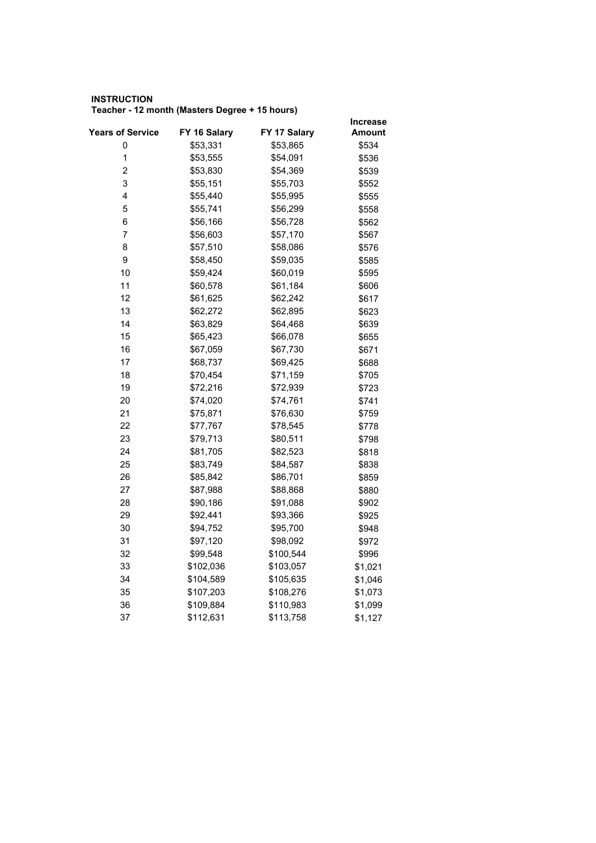## **INSTRUCTION Teacher - 12 month (Masters Degree + 15 hours)**

|                         |              |              | <b>Increase</b> |  |
|-------------------------|--------------|--------------|-----------------|--|
| <b>Years of Service</b> | FY 16 Salary | FY 17 Salary | Amount          |  |
| 0                       | \$53,331     | \$53,865     | \$534           |  |
| $\mathbf 1$             | \$53,555     | \$54,091     | \$536           |  |
| 2                       | \$53,830     | \$54,369     | \$539           |  |
| 3                       | \$55,151     | \$55,703     | \$552           |  |
| 4                       | \$55,440     | \$55,995     | \$555           |  |
| 5                       | \$55,741     | \$56,299     | \$558           |  |
| 6                       | \$56,166     | \$56,728     | \$562           |  |
| 7                       | \$56,603     | \$57,170     | \$567           |  |
| 8                       | \$57,510     | \$58,086     | \$576           |  |
| 9                       | \$58,450     | \$59,035     | \$585           |  |
| 10                      | \$59,424     | \$60,019     | \$595           |  |
| 11                      | \$60,578     | \$61,184     | \$606           |  |
| 12                      | \$61,625     | \$62,242     | \$617           |  |
| 13                      | \$62,272     | \$62,895     | \$623           |  |
| 14                      | \$63,829     | \$64,468     | \$639           |  |
| 15                      | \$65,423     | \$66,078     | \$655           |  |
| 16                      | \$67,059     | \$67,730     | \$671           |  |
| 17                      | \$68,737     | \$69,425     | \$688           |  |
| 18                      | \$70,454     | \$71,159     | \$705           |  |
| 19                      | \$72,216     | \$72,939     | \$723           |  |
| 20                      | \$74,020     | \$74,761     | \$741           |  |
| 21                      | \$75,871     | \$76,630     | \$759           |  |
| 22                      | \$77,767     | \$78,545     | \$778           |  |
| 23                      | \$79,713     | \$80,511     | \$798           |  |
| 24                      | \$81,705     | \$82,523     | \$818           |  |
| 25                      | \$83,749     | \$84,587     | \$838           |  |
| 26                      | \$85,842     | \$86,701     | \$859           |  |
| 27                      | \$87,988     | \$88,868     | \$880           |  |
| 28                      | \$90,186     | \$91,088     | \$902           |  |
| 29                      | \$92,441     | \$93,366     | \$925           |  |
| 30                      | \$94,752     | \$95,700     | \$948           |  |
| 31                      | \$97,120     | \$98,092     | \$972           |  |
| 32                      | \$99,548     | \$100,544    | \$996           |  |
| 33                      | \$102,036    | \$103,057    | \$1,021         |  |
| 34                      | \$104,589    | \$105,635    | \$1,046         |  |
| 35                      | \$107,203    | \$108,276    | \$1,073         |  |
| 36                      | \$109,884    | \$110,983    | \$1,099         |  |
| 37                      | \$112,631    | \$113,758    | \$1,127         |  |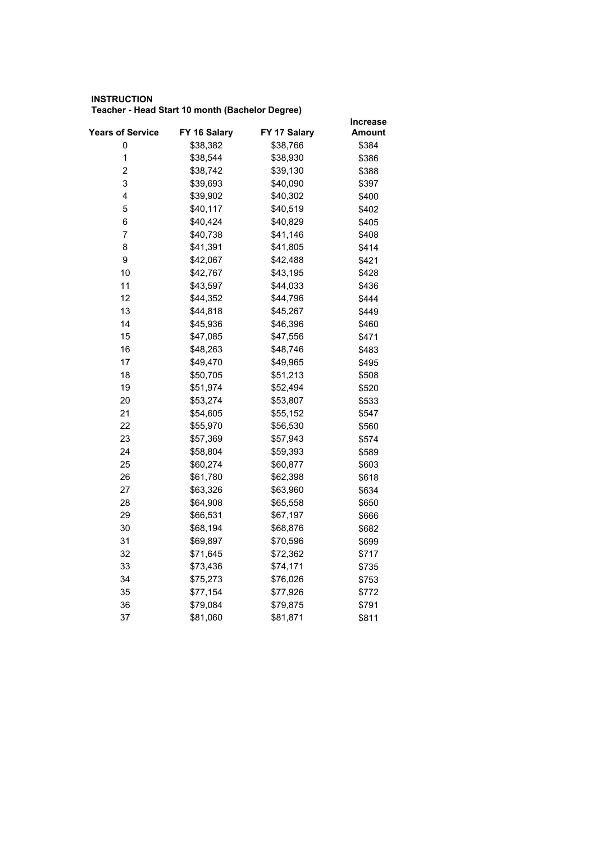## **INSTRUCTION Teacher - Head Start 10 month (Bachelor Degree)**

|                         |              |              | Increase |
|-------------------------|--------------|--------------|----------|
| <b>Years of Service</b> | FY 16 Salary | FY 17 Salary | Amount   |
| 0                       | \$38,382     | \$38,766     | \$384    |
| $\mathbf 1$             | \$38,544     | \$38,930     | \$386    |
| 2                       | \$38,742     | \$39,130     | \$388    |
| 3                       | \$39,693     | \$40,090     | \$397    |
| 4                       | \$39,902     | \$40,302     | \$400    |
| 5                       | \$40,117     | \$40,519     | \$402    |
| 6                       | \$40,424     | \$40,829     | \$405    |
| $\overline{7}$          | \$40,738     | \$41,146     | \$408    |
| 8                       | \$41,391     | \$41,805     | \$414    |
| 9                       | \$42,067     | \$42,488     | \$421    |
| 10                      | \$42,767     | \$43,195     | \$428    |
| 11                      | \$43,597     | \$44,033     | \$436    |
| 12                      | \$44,352     | \$44,796     | \$444    |
| 13                      | \$44,818     | \$45,267     | \$449    |
| 14                      | \$45,936     | \$46,396     | \$460    |
| 15                      | \$47,085     | \$47,556     | \$471    |
| 16                      | \$48,263     | \$48,746     | \$483    |
| 17                      | \$49,470     | \$49,965     | \$495    |
| 18                      | \$50,705     | \$51,213     | \$508    |
| 19                      | \$51,974     | \$52,494     | \$520    |
| 20                      | \$53,274     | \$53,807     | \$533    |
| 21                      | \$54,605     | \$55,152     | \$547    |
| 22                      | \$55,970     | \$56,530     | \$560    |
| 23                      | \$57,369     | \$57,943     | \$574    |
| 24                      | \$58,804     | \$59,393     | \$589    |
| 25                      | \$60,274     | \$60,877     | \$603    |
| 26                      | \$61,780     | \$62,398     | \$618    |
| 27                      | \$63,326     | \$63,960     | \$634    |
| 28                      | \$64,908     | \$65,558     | \$650    |
| 29                      | \$66,531     | \$67,197     | \$666    |
| 30                      | \$68,194     | \$68,876     | \$682    |
| 31                      | \$69,897     | \$70,596     | \$699    |
| 32                      | \$71,645     | \$72,362     | \$717    |
| 33                      | \$73,436     | \$74,171     | \$735    |
| 34                      | \$75,273     | \$76,026     | \$753    |
| 35                      | \$77,154     | \$77,926     | \$772    |
| 36                      | \$79,084     | \$79,875     | \$791    |
| 37                      | \$81,060     | \$81,871     | \$811    |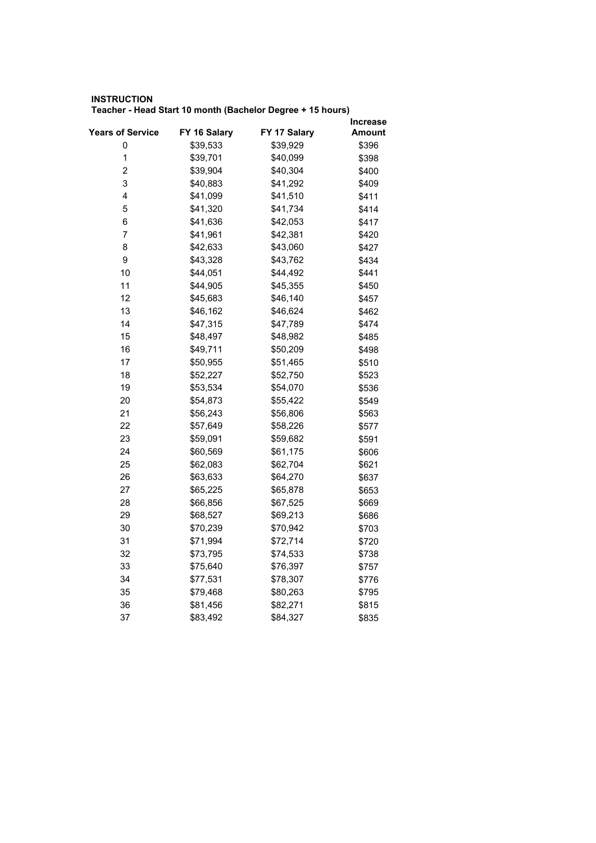## **INSTRUCTION Teacher - Head Start 10 month (Bachelor Degree + 15 hours)**

| <b>Years of Service</b> | FY 16 Salary | FY 17 Salary | Increase<br>Amount |
|-------------------------|--------------|--------------|--------------------|
| 0                       | \$39,533     | \$39,929     | \$396              |
| $\mathbf 1$             | \$39,701     | \$40,099     | \$398              |
| $\overline{\mathbf{c}}$ | \$39,904     | \$40,304     | \$400              |
| 3                       | \$40,883     | \$41,292     | \$409              |
| 4                       | \$41,099     | \$41,510     | \$411              |
| 5                       | \$41,320     | \$41,734     | \$414              |
| 6                       | \$41,636     | \$42,053     | \$417              |
| 7                       | \$41,961     | \$42,381     | \$420              |
| 8                       | \$42,633     | \$43,060     | \$427              |
| 9                       | \$43,328     | \$43,762     | \$434              |
| 10                      | \$44,051     | \$44,492     | \$441              |
| 11                      | \$44,905     | \$45,355     | \$450              |
| 12                      | \$45,683     | \$46,140     | \$457              |
| 13                      | \$46,162     | \$46,624     | \$462              |
| 14                      | \$47,315     | \$47,789     | \$474              |
| 15                      | \$48,497     | \$48,982     | \$485              |
| 16                      | \$49,711     | \$50,209     | \$498              |
| 17                      | \$50,955     | \$51,465     | \$510              |
| 18                      | \$52,227     | \$52,750     | \$523              |
| 19                      | \$53,534     | \$54,070     | \$536              |
| 20                      | \$54,873     | \$55,422     | \$549              |
| 21                      | \$56,243     | \$56,806     | \$563              |
| 22                      | \$57,649     | \$58,226     | \$577              |
| 23                      | \$59,091     | \$59,682     | \$591              |
| 24                      | \$60,569     | \$61,175     | \$606              |
| 25                      | \$62,083     | \$62,704     | \$621              |
| 26                      | \$63,633     | \$64,270     | \$637              |
| 27                      | \$65,225     | \$65,878     | \$653              |
| 28                      | \$66,856     | \$67,525     | \$669              |
| 29                      | \$68,527     | \$69,213     | \$686              |
| 30                      | \$70,239     | \$70,942     | \$703              |
| 31                      | \$71,994     | \$72,714     | \$720              |
| 32                      | \$73,795     | \$74,533     | \$738              |
| 33                      | \$75,640     | \$76,397     | \$757              |
| 34                      | \$77,531     | \$78,307     | \$776              |
| 35                      | \$79,468     | \$80,263     | \$795              |
| 36                      | \$81,456     | \$82,271     | \$815              |
| 37                      | \$83,492     | \$84,327     | \$835              |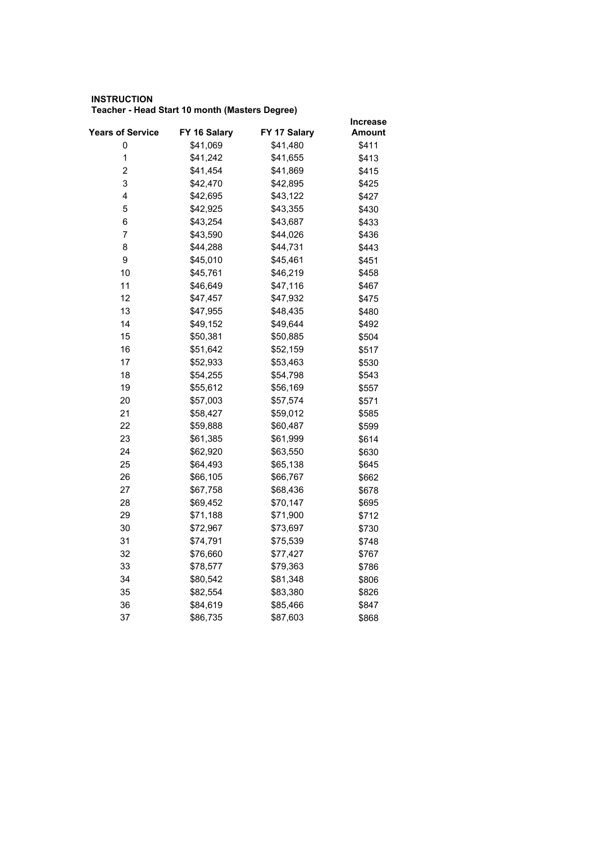## **INSTRUCTION Teacher - Head Start 10 month (Masters Degree)**

|                         |              |              | <b>Increase</b> |
|-------------------------|--------------|--------------|-----------------|
| <b>Years of Service</b> | FY 16 Salary | FY 17 Salary | Amount          |
| 0                       | \$41,069     | \$41,480     | \$411           |
| $\mathbf 1$             | \$41,242     | \$41,655     | \$413           |
| $\overline{\mathbf{c}}$ | \$41,454     | \$41,869     | \$415           |
| 3                       | \$42,470     | \$42,895     | \$425           |
| 4                       | \$42,695     | \$43,122     | \$427           |
| 5                       | \$42,925     | \$43,355     | \$430           |
| 6                       | \$43,254     | \$43,687     | \$433           |
| 7                       | \$43,590     | \$44,026     | \$436           |
| 8                       | \$44,288     | \$44,731     | \$443           |
| 9                       | \$45,010     | \$45,461     | \$451           |
| 10                      | \$45,761     | \$46,219     | \$458           |
| 11                      | \$46,649     | \$47,116     | \$467           |
| 12                      | \$47,457     | \$47,932     | \$475           |
| 13                      | \$47,955     | \$48,435     | \$480           |
| 14                      | \$49,152     | \$49,644     | \$492           |
| 15                      | \$50,381     | \$50,885     | \$504           |
| 16                      | \$51,642     | \$52,159     | \$517           |
| 17                      | \$52,933     | \$53,463     | \$530           |
| 18                      | \$54,255     | \$54,798     | \$543           |
| 19                      | \$55,612     | \$56,169     | \$557           |
| 20                      | \$57,003     | \$57,574     | \$571           |
| 21                      | \$58,427     | \$59,012     | \$585           |
| 22                      | \$59,888     | \$60,487     | \$599           |
| 23                      | \$61,385     | \$61,999     | \$614           |
| 24                      | \$62,920     | \$63,550     | \$630           |
| 25                      | \$64,493     | \$65,138     | \$645           |
| 26                      | \$66,105     | \$66,767     | \$662           |
| 27                      | \$67,758     | \$68,436     | \$678           |
| 28                      | \$69,452     | \$70,147     | \$695           |
| 29                      | \$71,188     | \$71,900     | \$712           |
| 30                      | \$72,967     | \$73,697     | \$730           |
| 31                      | \$74,791     | \$75,539     | \$748           |
| 32                      | \$76,660     | \$77,427     | \$767           |
| 33                      | \$78,577     | \$79,363     | \$786           |
| 34                      | \$80,542     | \$81,348     | \$806           |
| 35                      | \$82,554     | \$83,380     | \$826           |
| 36                      | \$84,619     | \$85,466     | \$847           |
| 37                      | \$86,735     | \$87,603     | \$868           |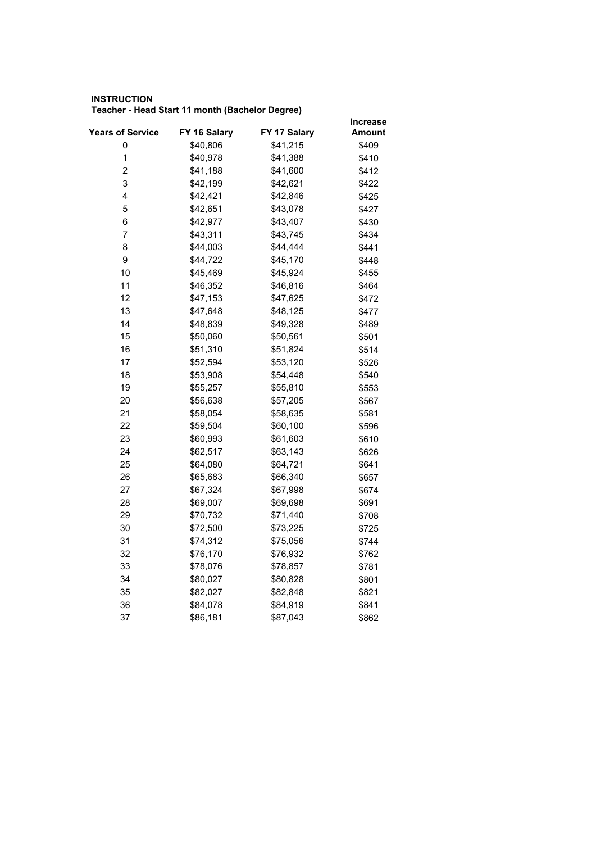## **INSTRUCTION Teacher - Head Start 11 month (Bachelor Degree)**

|                         |              |              | <b>Increase</b> |
|-------------------------|--------------|--------------|-----------------|
| Years of Service        | FY 16 Salary | FY 17 Salary | Amount          |
| 0                       | \$40,806     | \$41,215     | \$409           |
| $\mathbf 1$             | \$40,978     | \$41,388     | \$410           |
| $\overline{\mathbf{c}}$ | \$41,188     | \$41,600     | \$412           |
| 3                       | \$42,199     | \$42,621     | \$422           |
| 4                       | \$42,421     | \$42,846     | \$425           |
| 5                       | \$42,651     | \$43,078     | \$427           |
| 6                       | \$42,977     | \$43,407     | \$430           |
| 7                       | \$43,311     | \$43,745     | \$434           |
| 8                       | \$44,003     | \$44,444     | \$441           |
| 9                       | \$44,722     | \$45,170     | \$448           |
| 10                      | \$45,469     | \$45,924     | \$455           |
| 11                      | \$46,352     | \$46,816     | \$464           |
| 12                      | \$47,153     | \$47,625     | \$472           |
| 13                      | \$47,648     | \$48,125     | \$477           |
| 14                      | \$48,839     | \$49,328     | \$489           |
| 15                      | \$50,060     | \$50,561     | \$501           |
| 16                      | \$51,310     | \$51,824     | \$514           |
| 17                      | \$52,594     | \$53,120     | \$526           |
| 18                      | \$53,908     | \$54,448     | \$540           |
| 19                      | \$55,257     | \$55,810     | \$553           |
| 20                      | \$56,638     | \$57,205     | \$567           |
| 21                      | \$58,054     | \$58,635     | \$581           |
| 22                      | \$59,504     | \$60,100     | \$596           |
| 23                      | \$60,993     | \$61,603     | \$610           |
| 24                      | \$62,517     | \$63,143     | \$626           |
| 25                      | \$64,080     | \$64,721     | \$641           |
| 26                      | \$65,683     | \$66,340     | \$657           |
| 27                      | \$67,324     | \$67,998     | \$674           |
| 28                      | \$69,007     | \$69,698     | \$691           |
| 29                      | \$70,732     | \$71,440     | \$708           |
| 30                      | \$72,500     | \$73,225     | \$725           |
| 31                      | \$74,312     | \$75,056     | \$744           |
| 32                      | \$76,170     | \$76,932     | \$762           |
| 33                      | \$78,076     | \$78,857     | \$781           |
| 34                      | \$80,027     | \$80,828     | \$801           |
| 35                      | \$82,027     | \$82,848     | \$821           |
| 36                      | \$84,078     | \$84,919     | \$841           |
| 37                      | \$86,181     | \$87,043     | \$862           |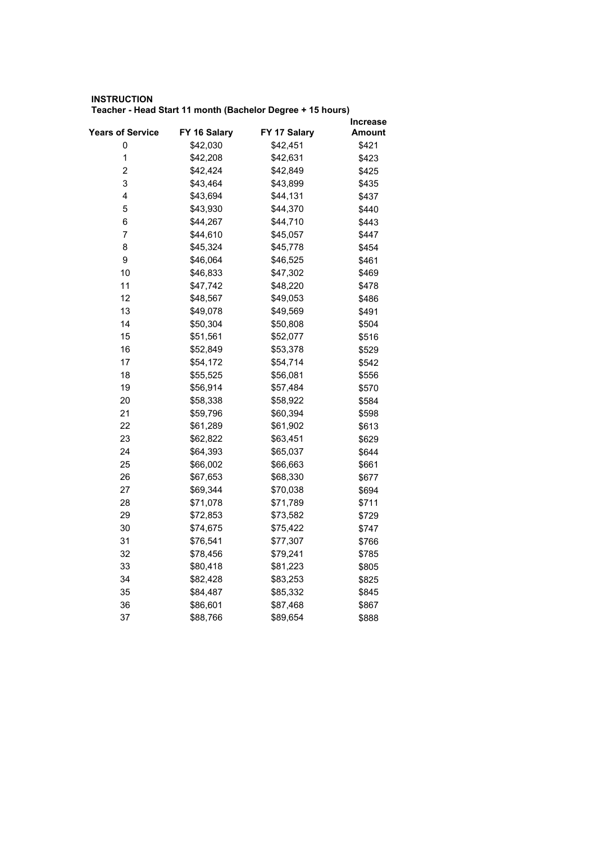## **INSTRUCTION Teacher - Head Start 11 month (Bachelor Degree + 15 hours)**

| <b>Years of Service</b> | FY 16 Salary | FY 17 Salary | Increase |
|-------------------------|--------------|--------------|----------|
|                         |              |              | Amount   |
| 0<br>$\mathbf{1}$       | \$42,030     | \$42,451     | \$421    |
|                         | \$42,208     | \$42,631     | \$423    |
| $\overline{\mathbf{c}}$ | \$42,424     | \$42,849     | \$425    |
| 3                       | \$43,464     | \$43,899     | \$435    |
| 4                       | \$43,694     | \$44,131     | \$437    |
| 5                       | \$43,930     | \$44,370     | \$440    |
| 6                       | \$44,267     | \$44,710     | \$443    |
| 7                       | \$44,610     | \$45,057     | \$447    |
| 8                       | \$45,324     | \$45,778     | \$454    |
| 9                       | \$46,064     | \$46,525     | \$461    |
| 10                      | \$46,833     | \$47,302     | \$469    |
| 11                      | \$47,742     | \$48,220     | \$478    |
| 12                      | \$48,567     | \$49,053     | \$486    |
| 13                      | \$49,078     | \$49,569     | \$491    |
| 14                      | \$50,304     | \$50,808     | \$504    |
| 15                      | \$51,561     | \$52,077     | \$516    |
| 16                      | \$52,849     | \$53,378     | \$529    |
| 17                      | \$54,172     | \$54,714     | \$542    |
| 18                      | \$55,525     | \$56,081     | \$556    |
| 19                      | \$56,914     | \$57,484     | \$570    |
| 20                      | \$58,338     | \$58,922     | \$584    |
| 21                      | \$59,796     | \$60,394     | \$598    |
| 22                      | \$61,289     | \$61,902     | \$613    |
| 23                      | \$62,822     | \$63,451     | \$629    |
| 24                      | \$64,393     | \$65,037     | \$644    |
| 25                      | \$66,002     | \$66,663     | \$661    |
| 26                      | \$67,653     | \$68,330     | \$677    |
| 27                      | \$69,344     | \$70,038     | \$694    |
| 28                      | \$71,078     | \$71,789     | \$711    |
| 29                      | \$72,853     | \$73,582     | \$729    |
| 30                      | \$74,675     | \$75,422     | \$747    |
| 31                      | \$76,541     | \$77,307     | \$766    |
| 32                      | \$78,456     | \$79,241     | \$785    |
| 33                      | \$80,418     | \$81,223     | \$805    |
| 34                      | \$82,428     | \$83,253     | \$825    |
| 35                      | \$84,487     | \$85,332     | \$845    |
| 36                      | \$86,601     | \$87,468     | \$867    |
| 37                      | \$88,766     | \$89,654     | \$888    |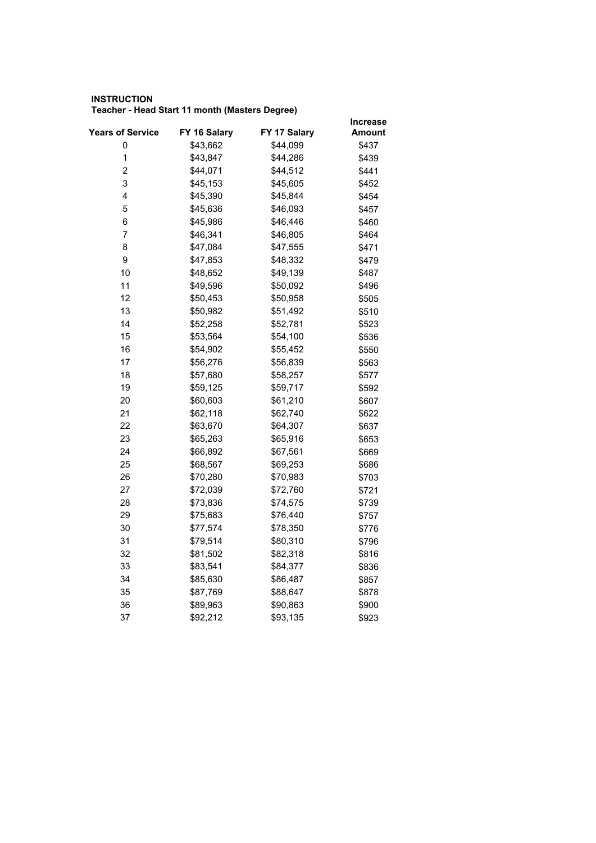## **INSTRUCTION Teacher - Head Start 11 month (Masters Degree)**

|                  |              |              | <b>Increase</b> |
|------------------|--------------|--------------|-----------------|
| Years of Service | FY 16 Salary | FY 17 Salary | Amount          |
| 0                | \$43,662     | \$44,099     | \$437           |
| $\mathbf 1$      | \$43,847     | \$44,286     | \$439           |
| $\overline{2}$   | \$44,071     | \$44,512     | \$441           |
| 3                | \$45,153     | \$45,605     | \$452           |
| 4                | \$45,390     | \$45,844     | \$454           |
| 5                | \$45,636     | \$46,093     | \$457           |
| 6                | \$45,986     | \$46,446     | \$460           |
| 7                | \$46,341     | \$46,805     | \$464           |
| 8                | \$47,084     | \$47,555     | \$471           |
| 9                | \$47,853     | \$48,332     | \$479           |
| 10               | \$48,652     | \$49,139     | \$487           |
| 11               | \$49,596     | \$50,092     | \$496           |
| 12               | \$50,453     | \$50,958     | \$505           |
| 13               | \$50,982     | \$51,492     | \$510           |
| 14               | \$52,258     | \$52,781     | \$523           |
| 15               | \$53,564     | \$54,100     | \$536           |
| 16               | \$54,902     | \$55,452     | \$550           |
| 17               | \$56,276     | \$56,839     | \$563           |
| 18               | \$57,680     | \$58,257     | \$577           |
| 19               | \$59,125     | \$59,717     | \$592           |
| 20               | \$60,603     | \$61,210     | \$607           |
| 21               | \$62,118     | \$62,740     | \$622           |
| 22               | \$63,670     | \$64,307     | \$637           |
| 23               | \$65,263     | \$65,916     | \$653           |
| 24               | \$66,892     | \$67,561     | \$669           |
| 25               | \$68,567     | \$69,253     | \$686           |
| 26               | \$70,280     | \$70,983     | \$703           |
| 27               | \$72,039     | \$72,760     | \$721           |
| 28               | \$73,836     | \$74,575     | \$739           |
| 29               | \$75,683     | \$76,440     | \$757           |
| 30               | \$77,574     | \$78,350     | \$776           |
| 31               | \$79,514     | \$80,310     | \$796           |
| 32               | \$81,502     | \$82,318     | \$816           |
| 33               | \$83,541     | \$84,377     | \$836           |
| 34               | \$85,630     | \$86,487     | \$857           |
| 35               | \$87,769     | \$88,647     | \$878           |
| 36               | \$89,963     | \$90,863     | \$900           |
| 37               | \$92,212     | \$93,135     | \$923           |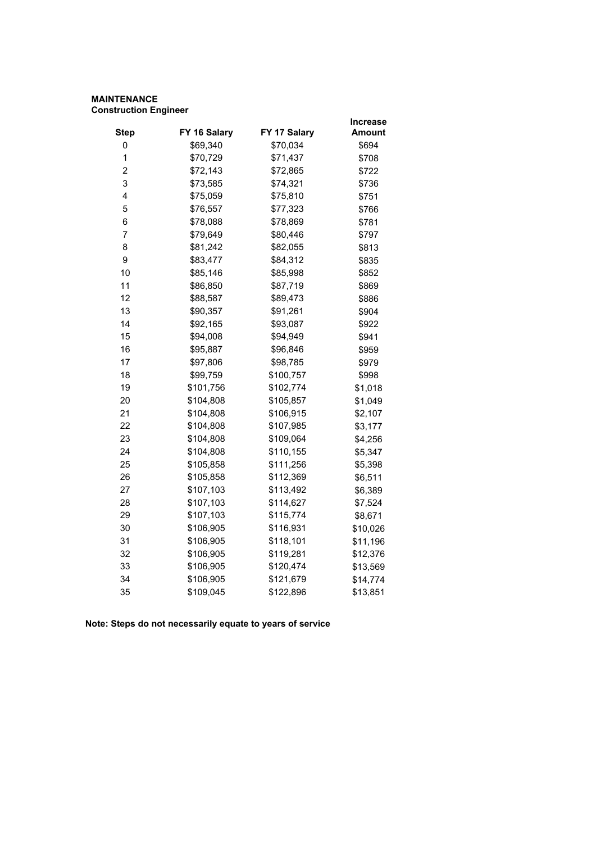## **MAINTENANCE Construction Engineer**

|                         |              |              | <b>Increase</b> |
|-------------------------|--------------|--------------|-----------------|
| <b>Step</b>             | FY 16 Salary | FY 17 Salary | <b>Amount</b>   |
| 0                       | \$69,340     | \$70,034     | \$694           |
| 1                       | \$70,729     | \$71,437     | \$708           |
| $\overline{\mathbf{c}}$ | \$72,143     | \$72,865     | \$722           |
| 3                       | \$73,585     | \$74,321     | \$736           |
| 4                       | \$75,059     | \$75,810     | \$751           |
| 5                       | \$76,557     | \$77,323     | \$766           |
| 6                       | \$78,088     | \$78,869     | \$781           |
| 7                       | \$79,649     | \$80,446     | \$797           |
| 8                       | \$81,242     | \$82,055     | \$813           |
| 9                       | \$83,477     | \$84,312     | \$835           |
| 10                      | \$85,146     | \$85,998     | \$852           |
| 11                      | \$86,850     | \$87,719     | \$869           |
| 12                      | \$88,587     | \$89,473     | \$886           |
| 13                      | \$90,357     | \$91,261     | \$904           |
| 14                      | \$92,165     | \$93,087     | \$922           |
| 15                      | \$94,008     | \$94,949     | \$941           |
| 16                      | \$95,887     | \$96,846     | \$959           |
| 17                      | \$97,806     | \$98,785     | \$979           |
| 18                      | \$99,759     | \$100,757    | \$998           |
| 19                      | \$101,756    | \$102,774    | \$1,018         |
| 20                      | \$104,808    | \$105,857    | \$1,049         |
| 21                      | \$104,808    | \$106,915    | \$2,107         |
| 22                      | \$104,808    | \$107,985    | \$3,177         |
| 23                      | \$104,808    | \$109,064    | \$4,256         |
| 24                      | \$104,808    | \$110,155    | \$5,347         |
| 25                      | \$105,858    | \$111,256    | \$5,398         |
| 26                      | \$105,858    | \$112,369    | \$6,511         |
| 27                      | \$107,103    | \$113,492    | \$6,389         |
| 28                      | \$107,103    | \$114,627    | \$7,524         |
| 29                      | \$107,103    | \$115,774    | \$8,671         |
| 30                      | \$106,905    | \$116,931    | \$10,026        |
| 31                      | \$106,905    | \$118,101    | \$11,196        |
| 32                      | \$106,905    | \$119,281    | \$12,376        |
| 33                      | \$106,905    | \$120,474    | \$13,569        |
| 34                      | \$106,905    | \$121,679    | \$14,774        |
| 35                      | \$109,045    | \$122,896    | \$13,851        |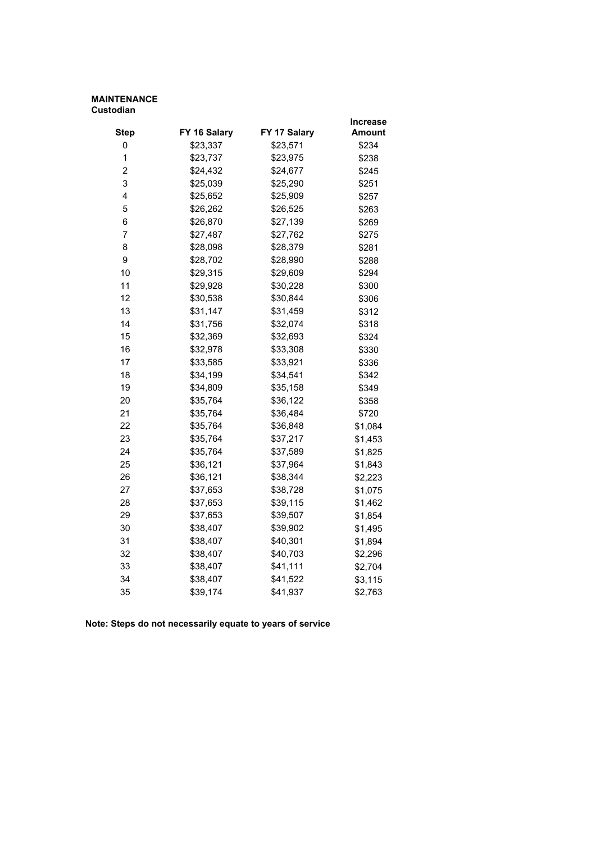#### **MAINTENANCE Custodian**

|                |              |              | Increase      |
|----------------|--------------|--------------|---------------|
| <b>Step</b>    | FY 16 Salary | FY 17 Salary | <b>Amount</b> |
| 0              | \$23,337     | \$23,571     | \$234         |
| 1              | \$23,737     | \$23,975     | \$238         |
| $\overline{2}$ | \$24,432     | \$24,677     | \$245         |
| 3              | \$25,039     | \$25,290     | \$251         |
| 4              | \$25,652     | \$25,909     | \$257         |
| 5              | \$26,262     | \$26,525     | \$263         |
| 6              | \$26,870     | \$27,139     | \$269         |
| $\overline{7}$ | \$27,487     | \$27,762     | \$275         |
| 8              | \$28,098     | \$28,379     | \$281         |
| 9              | \$28,702     | \$28,990     | \$288         |
| 10             | \$29,315     | \$29,609     | \$294         |
| 11             | \$29,928     | \$30,228     | \$300         |
| 12             | \$30,538     | \$30,844     | \$306         |
| 13             | \$31,147     | \$31,459     | \$312         |
| 14             | \$31,756     | \$32,074     | \$318         |
| 15             | \$32,369     | \$32,693     | \$324         |
| 16             | \$32,978     | \$33,308     | \$330         |
| 17             | \$33,585     | \$33,921     | \$336         |
| 18             | \$34,199     | \$34,541     | \$342         |
| 19             | \$34,809     | \$35,158     | \$349         |
| 20             | \$35,764     | \$36,122     | \$358         |
| 21             | \$35,764     | \$36,484     | \$720         |
| 22             | \$35,764     | \$36,848     | \$1,084       |
| 23             | \$35,764     | \$37,217     | \$1,453       |
| 24             | \$35,764     | \$37,589     | \$1,825       |
| 25             | \$36,121     | \$37,964     | \$1,843       |
| 26             | \$36,121     | \$38,344     | \$2,223       |
| 27             | \$37,653     | \$38,728     | \$1,075       |
| 28             | \$37,653     | \$39,115     | \$1,462       |
| 29             | \$37,653     | \$39,507     | \$1,854       |
| 30             | \$38,407     | \$39,902     | \$1,495       |
| 31             | \$38,407     | \$40,301     | \$1,894       |
| 32             | \$38,407     | \$40,703     | \$2,296       |
| 33             | \$38,407     | \$41,111     | \$2,704       |
| 34             | \$38,407     | \$41,522     | \$3,115       |
| 35             | \$39,174     | \$41,937     | \$2,763       |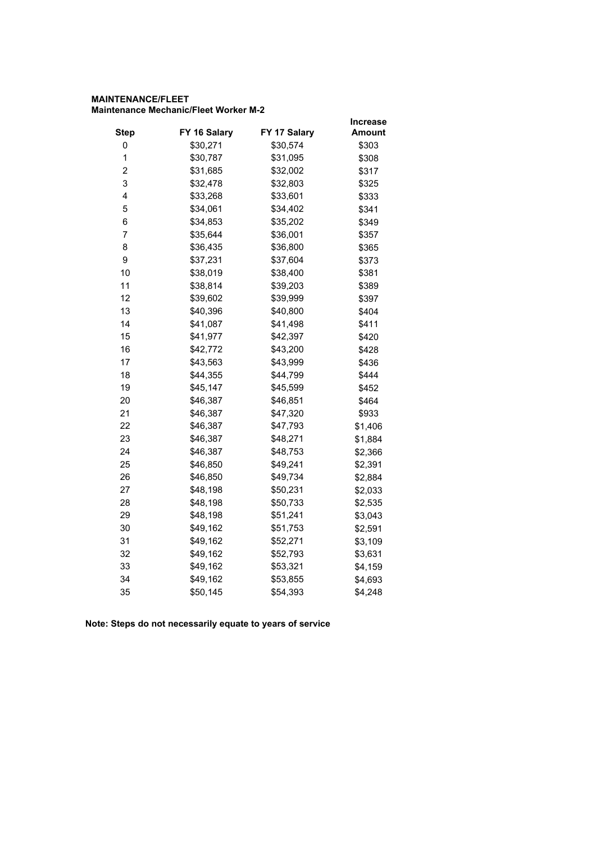## **MAINTENANCE/FLEET Maintenance Mechanic/Fleet Worker M-2**

|          |              | <b>Increase</b>                      |
|----------|--------------|--------------------------------------|
|          |              | Amount                               |
| \$30,271 | \$30,574     | \$303                                |
| \$30,787 | \$31,095     | \$308                                |
| \$31,685 | \$32,002     | \$317                                |
| \$32,478 | \$32,803     | \$325                                |
| \$33,268 | \$33,601     | \$333                                |
| \$34,061 | \$34,402     | \$341                                |
| \$34,853 | \$35,202     | \$349                                |
| \$35,644 | \$36,001     | \$357                                |
| \$36,435 | \$36,800     | \$365                                |
| \$37,231 | \$37,604     | \$373                                |
| \$38,019 | \$38,400     | \$381                                |
| \$38,814 | \$39,203     | \$389                                |
| \$39,602 | \$39,999     | \$397                                |
| \$40,396 | \$40,800     | \$404                                |
| \$41,087 | \$41,498     | \$411                                |
| \$41,977 | \$42,397     | \$420                                |
| \$42,772 | \$43,200     | \$428                                |
| \$43,563 | \$43,999     | \$436                                |
| \$44,355 | \$44,799     | \$444                                |
| \$45,147 | \$45,599     | \$452                                |
| \$46,387 | \$46,851     | \$464                                |
| \$46,387 | \$47,320     | \$933                                |
| \$46,387 | \$47,793     | \$1,406                              |
| \$46,387 | \$48,271     | \$1,884                              |
| \$46,387 | \$48,753     | \$2,366                              |
| \$46,850 | \$49,241     | \$2,391                              |
| \$46,850 | \$49,734     | \$2,884                              |
| \$48,198 | \$50,231     | \$2,033                              |
| \$48,198 |              | \$2,535                              |
| \$48,198 | \$51,241     | \$3,043                              |
| \$49,162 | \$51,753     | \$2,591                              |
| \$49,162 |              | \$3,109                              |
| \$49,162 | \$52,793     | \$3,631                              |
| \$49,162 | \$53,321     | \$4,159                              |
| \$49,162 | \$53,855     | \$4,693                              |
| \$50,145 | \$54,393     | \$4,248                              |
|          | FY 16 Salary | FY 17 Salary<br>\$50,733<br>\$52,271 |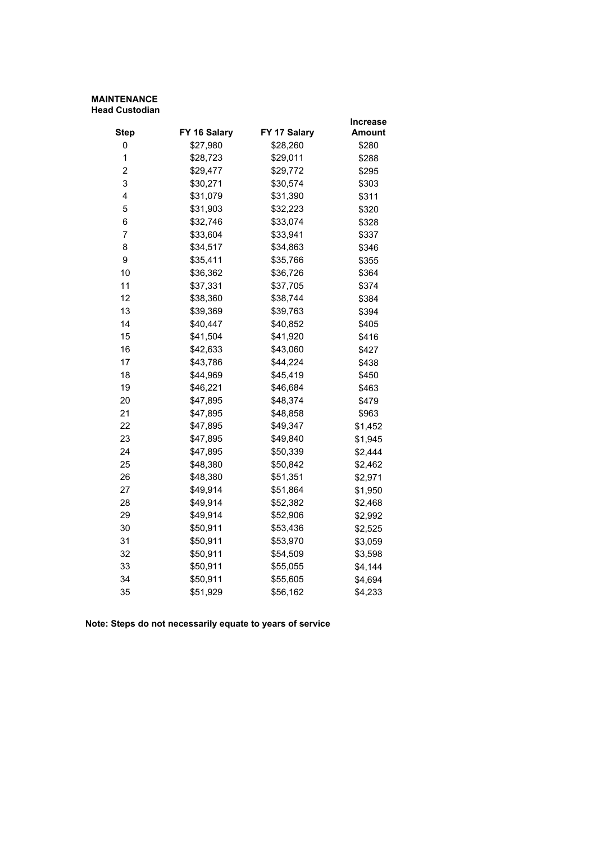#### **MAINTENANCE Head Custodian**

|                |              |              | Increase      |
|----------------|--------------|--------------|---------------|
| <b>Step</b>    | FY 16 Salary | FY 17 Salary | <b>Amount</b> |
| 0              | \$27,980     | \$28,260     | \$280         |
| 1              | \$28,723     | \$29,011     | \$288         |
| $\overline{2}$ | \$29,477     | \$29,772     | \$295         |
| 3              | \$30,271     | \$30,574     | \$303         |
| 4              | \$31,079     | \$31,390     | \$311         |
| 5              | \$31,903     | \$32,223     | \$320         |
| 6              | \$32,746     | \$33,074     | \$328         |
| $\overline{7}$ | \$33,604     | \$33,941     | \$337         |
| 8              | \$34,517     | \$34,863     | \$346         |
| 9              | \$35,411     | \$35,766     | \$355         |
| 10             | \$36,362     | \$36,726     | \$364         |
| 11             | \$37,331     | \$37,705     | \$374         |
| 12             | \$38,360     | \$38,744     | \$384         |
| 13             | \$39,369     | \$39,763     | \$394         |
| 14             | \$40,447     | \$40,852     | \$405         |
| 15             | \$41,504     | \$41,920     | \$416         |
| 16             | \$42,633     | \$43,060     | \$427         |
| 17             | \$43,786     | \$44,224     | \$438         |
| 18             | \$44,969     | \$45,419     | \$450         |
| 19             | \$46,221     | \$46,684     | \$463         |
| 20             | \$47,895     | \$48,374     | \$479         |
| 21             | \$47,895     | \$48,858     | \$963         |
| 22             | \$47,895     | \$49,347     | \$1,452       |
| 23             | \$47,895     | \$49,840     | \$1,945       |
| 24             | \$47,895     | \$50,339     | \$2,444       |
| 25             | \$48,380     | \$50,842     | \$2,462       |
| 26             | \$48,380     | \$51,351     | \$2,971       |
| 27             | \$49,914     | \$51,864     | \$1,950       |
| 28             | \$49,914     | \$52,382     | \$2,468       |
| 29             | \$49,914     | \$52,906     | \$2,992       |
| 30             | \$50,911     | \$53,436     | \$2,525       |
| 31             | \$50,911     | \$53,970     | \$3,059       |
| 32             | \$50,911     | \$54,509     | \$3,598       |
| 33             | \$50,911     | \$55,055     | \$4,144       |
| 34             | \$50,911     | \$55,605     | \$4,694       |
| 35             | \$51,929     | \$56,162     | \$4,233       |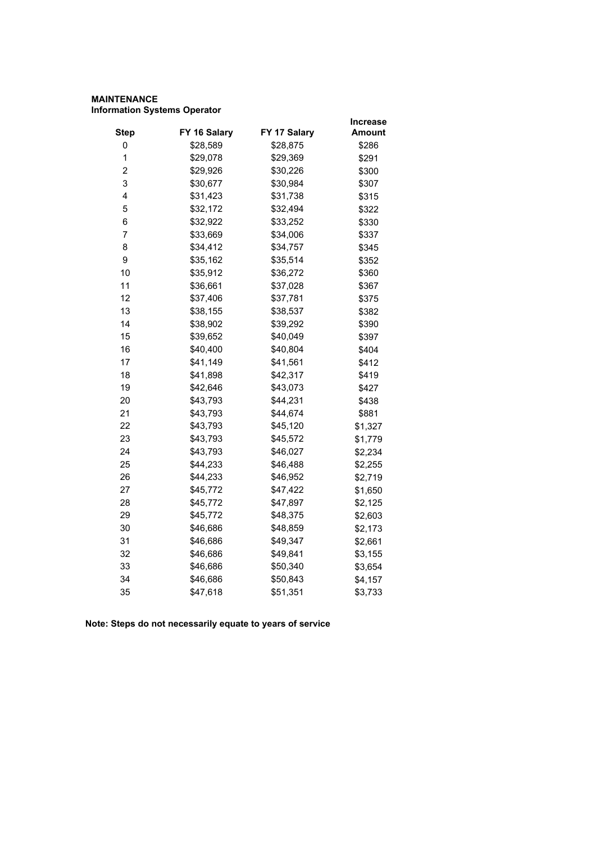## **MAINTENANCE Information Systems Operator**

|                         |              |              | <b>Increase</b> |
|-------------------------|--------------|--------------|-----------------|
| <b>Step</b>             | FY 16 Salary | FY 17 Salary | <b>Amount</b>   |
| 0                       | \$28,589     | \$28,875     | \$286           |
| 1                       | \$29,078     | \$29,369     | \$291           |
| $\overline{\mathbf{c}}$ | \$29,926     | \$30,226     | \$300           |
| 3                       | \$30,677     | \$30,984     | \$307           |
| 4                       | \$31,423     | \$31,738     | \$315           |
| 5                       | \$32,172     | \$32,494     | \$322           |
| 6                       | \$32,922     | \$33,252     | \$330           |
| $\overline{7}$          | \$33,669     | \$34,006     | \$337           |
| 8                       | \$34,412     | \$34,757     | \$345           |
| 9                       | \$35,162     | \$35,514     | \$352           |
| 10                      | \$35,912     | \$36,272     | \$360           |
| 11                      | \$36,661     | \$37,028     | \$367           |
| 12                      | \$37,406     | \$37,781     | \$375           |
| 13                      | \$38,155     | \$38,537     | \$382           |
| 14                      | \$38,902     | \$39,292     | \$390           |
| 15                      | \$39,652     | \$40,049     | \$397           |
| 16                      | \$40,400     | \$40,804     | \$404           |
| 17                      | \$41,149     | \$41,561     | \$412           |
| 18                      | \$41,898     | \$42,317     | \$419           |
| 19                      | \$42,646     | \$43,073     | \$427           |
| 20                      | \$43,793     | \$44,231     | \$438           |
| 21                      | \$43,793     | \$44,674     | \$881           |
| 22                      | \$43,793     | \$45,120     | \$1,327         |
| 23                      | \$43,793     | \$45,572     | \$1,779         |
| 24                      | \$43,793     | \$46,027     | \$2,234         |
| 25                      | \$44,233     | \$46,488     | \$2,255         |
| 26                      | \$44,233     | \$46,952     | \$2,719         |
| 27                      | \$45,772     | \$47,422     | \$1,650         |
| 28                      | \$45,772     | \$47,897     | \$2,125         |
| 29                      | \$45,772     | \$48,375     | \$2,603         |
| 30                      | \$46,686     | \$48,859     | \$2,173         |
| 31                      | \$46,686     | \$49,347     | \$2,661         |
| 32                      | \$46,686     | \$49,841     | \$3,155         |
| 33                      | \$46,686     | \$50,340     | \$3,654         |
| 34                      | \$46,686     | \$50,843     | \$4,157         |
| 35                      | \$47,618     | \$51,351     | \$3,733         |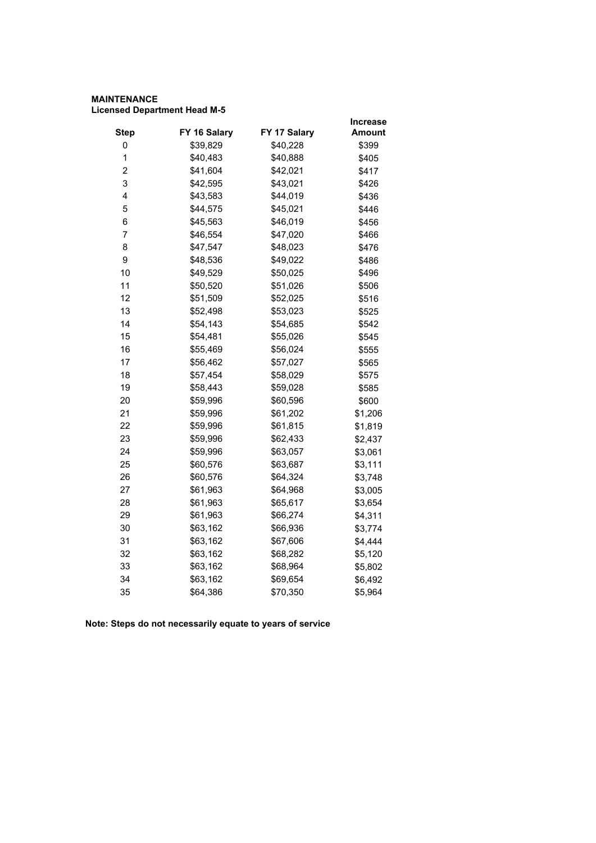## **MAINTENANCE Licensed Department Head M-5**

|                         |              |              | Increase |
|-------------------------|--------------|--------------|----------|
| <b>Step</b>             | FY 16 Salary | FY 17 Salary | Amount   |
| 0                       | \$39,829     | \$40,228     | \$399    |
| 1                       | \$40,483     | \$40,888     | \$405    |
| $\overline{\mathbf{c}}$ | \$41,604     | \$42,021     | \$417    |
| 3                       | \$42,595     | \$43,021     | \$426    |
| 4                       | \$43,583     | \$44,019     | \$436    |
| 5                       | \$44,575     | \$45,021     | \$446    |
| 6                       | \$45,563     | \$46,019     | \$456    |
| $\overline{7}$          | \$46,554     | \$47,020     | \$466    |
| 8                       | \$47,547     | \$48,023     | \$476    |
| 9                       | \$48,536     | \$49,022     | \$486    |
| 10                      | \$49,529     | \$50,025     | \$496    |
| 11                      | \$50,520     | \$51,026     | \$506    |
| 12                      | \$51,509     | \$52,025     | \$516    |
| 13                      | \$52,498     | \$53,023     | \$525    |
| 14                      | \$54,143     | \$54,685     | \$542    |
| 15                      | \$54,481     | \$55,026     | \$545    |
| 16                      | \$55,469     | \$56,024     | \$555    |
| 17                      | \$56,462     | \$57,027     | \$565    |
| 18                      | \$57,454     | \$58,029     | \$575    |
| 19                      | \$58,443     | \$59,028     | \$585    |
| 20                      | \$59,996     | \$60,596     | \$600    |
| 21                      | \$59,996     | \$61,202     | \$1,206  |
| 22                      | \$59,996     | \$61,815     | \$1,819  |
| 23                      | \$59,996     | \$62,433     | \$2,437  |
| 24                      | \$59,996     | \$63,057     | \$3,061  |
| 25                      | \$60,576     | \$63,687     | \$3,111  |
| 26                      | \$60,576     | \$64,324     | \$3,748  |
| 27                      | \$61,963     | \$64,968     | \$3,005  |
| 28                      | \$61,963     | \$65,617     | \$3,654  |
| 29                      | \$61,963     | \$66,274     | \$4,311  |
| 30                      | \$63,162     | \$66,936     | \$3,774  |
| 31                      | \$63,162     | \$67,606     | \$4,444  |
| 32                      | \$63,162     | \$68,282     | \$5,120  |
| 33                      | \$63,162     | \$68,964     | \$5,802  |
| 34                      | \$63,162     | \$69,654     | \$6,492  |
| 35                      | \$64,386     | \$70,350     | \$5,964  |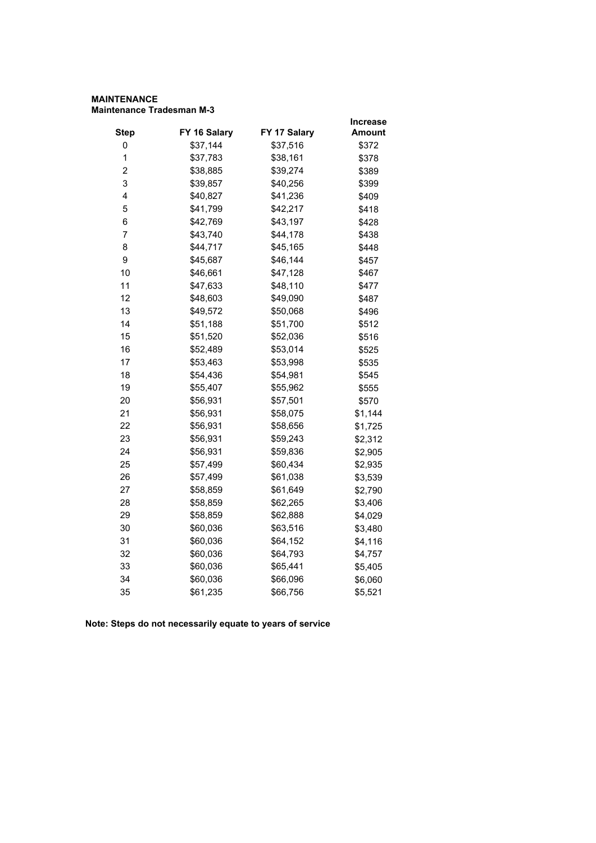#### **MAINTENANCE Maintenance Tradesman M-3**

|                |              |              | <b>Increase</b> |
|----------------|--------------|--------------|-----------------|
| <b>Step</b>    | FY 16 Salary | FY 17 Salary | <b>Amount</b>   |
| 0              | \$37,144     | \$37,516     | \$372           |
| 1              | \$37,783     | \$38,161     | \$378           |
| $\overline{2}$ | \$38,885     | \$39,274     | \$389           |
| 3              | \$39,857     | \$40,256     | \$399           |
| 4              | \$40,827     | \$41,236     | \$409           |
| 5              | \$41,799     | \$42,217     | \$418           |
| 6              | \$42,769     | \$43,197     | \$428           |
| $\overline{7}$ | \$43,740     | \$44,178     | \$438           |
| 8              | \$44,717     | \$45,165     | \$448           |
| 9              | \$45,687     | \$46,144     | \$457           |
| 10             | \$46,661     | \$47,128     | \$467           |
| 11             | \$47,633     | \$48,110     | \$477           |
| 12             | \$48,603     | \$49,090     | \$487           |
| 13             | \$49,572     | \$50,068     | \$496           |
| 14             | \$51,188     | \$51,700     | \$512           |
| 15             | \$51,520     | \$52,036     | \$516           |
| 16             | \$52,489     | \$53,014     | \$525           |
| 17             | \$53,463     | \$53,998     | \$535           |
| 18             | \$54,436     | \$54,981     | \$545           |
| 19             | \$55,407     | \$55,962     | \$555           |
| 20             | \$56,931     | \$57,501     | \$570           |
| 21             | \$56,931     | \$58,075     | \$1,144         |
| 22             | \$56,931     | \$58,656     | \$1,725         |
| 23             | \$56,931     | \$59,243     | \$2,312         |
| 24             | \$56,931     | \$59,836     | \$2,905         |
| 25             | \$57,499     | \$60,434     | \$2,935         |
| 26             | \$57,499     | \$61,038     | \$3,539         |
| 27             | \$58,859     | \$61,649     | \$2,790         |
| 28             | \$58,859     | \$62,265     | \$3,406         |
| 29             | \$58,859     | \$62,888     | \$4,029         |
| 30             | \$60,036     | \$63,516     | \$3,480         |
| 31             | \$60,036     | \$64,152     | \$4,116         |
| 32             | \$60,036     | \$64,793     | \$4,757         |
| 33             | \$60,036     | \$65,441     | \$5,405         |
| 34             | \$60,036     | \$66,096     | \$6,060         |
| 35             | \$61,235     | \$66,756     | \$5,521         |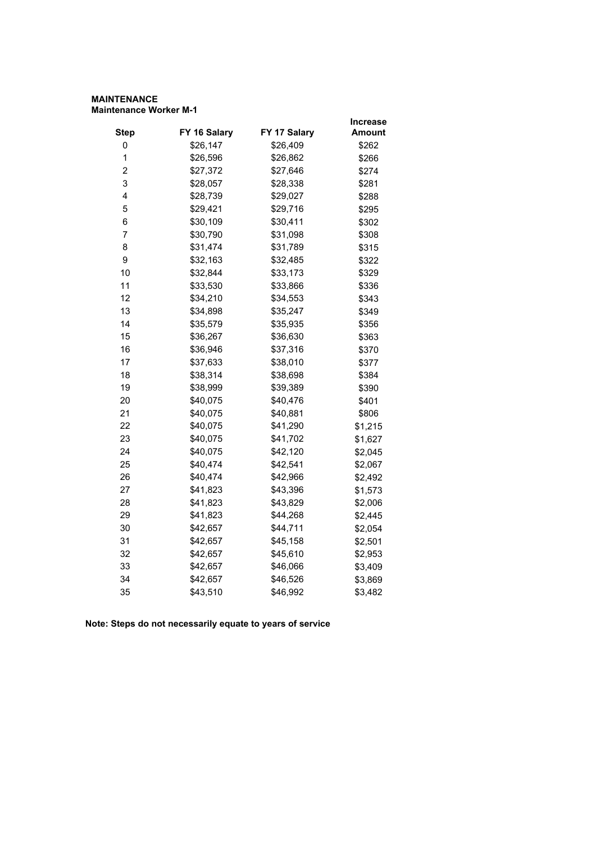## **MAINTENANCE Maintenance Worker M-1**

|                         |              |              | <b>Increase</b> |
|-------------------------|--------------|--------------|-----------------|
| <b>Step</b>             | FY 16 Salary | FY 17 Salary | Amount          |
| 0                       | \$26,147     | \$26,409     | \$262           |
| 1                       | \$26,596     | \$26,862     | \$266           |
| $\overline{\mathbf{c}}$ | \$27,372     | \$27,646     | \$274           |
| 3                       | \$28,057     | \$28,338     | \$281           |
| 4                       | \$28,739     | \$29,027     | \$288           |
| 5                       | \$29,421     | \$29,716     | \$295           |
| 6                       | \$30,109     | \$30,411     | \$302           |
| $\overline{7}$          | \$30,790     | \$31,098     | \$308           |
| 8                       | \$31,474     | \$31,789     | \$315           |
| 9                       | \$32,163     | \$32,485     | \$322           |
| 10                      | \$32,844     | \$33,173     | \$329           |
| 11                      | \$33,530     | \$33,866     | \$336           |
| 12                      | \$34,210     | \$34,553     | \$343           |
| 13                      | \$34,898     | \$35,247     | \$349           |
| 14                      | \$35,579     | \$35,935     | \$356           |
| 15                      | \$36,267     | \$36,630     | \$363           |
| 16                      | \$36,946     | \$37,316     | \$370           |
| 17                      | \$37,633     | \$38,010     | \$377           |
| 18                      | \$38,314     | \$38,698     | \$384           |
| 19                      | \$38,999     | \$39,389     | \$390           |
| 20                      | \$40,075     | \$40,476     | \$401           |
| 21                      | \$40,075     | \$40,881     | \$806           |
| 22                      | \$40,075     | \$41,290     | \$1,215         |
| 23                      | \$40,075     | \$41,702     | \$1,627         |
| 24                      | \$40,075     | \$42,120     | \$2,045         |
| 25                      | \$40,474     | \$42,541     | \$2,067         |
| 26                      | \$40,474     | \$42,966     | \$2,492         |
| 27                      | \$41,823     | \$43,396     | \$1,573         |
| 28                      | \$41,823     | \$43,829     | \$2,006         |
| 29                      | \$41,823     | \$44,268     | \$2,445         |
| 30                      | \$42,657     | \$44,711     | \$2,054         |
| 31                      | \$42,657     | \$45,158     | \$2,501         |
| 32                      | \$42,657     | \$45,610     | \$2,953         |
| 33                      | \$42,657     | \$46,066     | \$3,409         |
| 34                      | \$42,657     | \$46,526     | \$3,869         |
| 35                      | \$43,510     | \$46,992     | \$3,482         |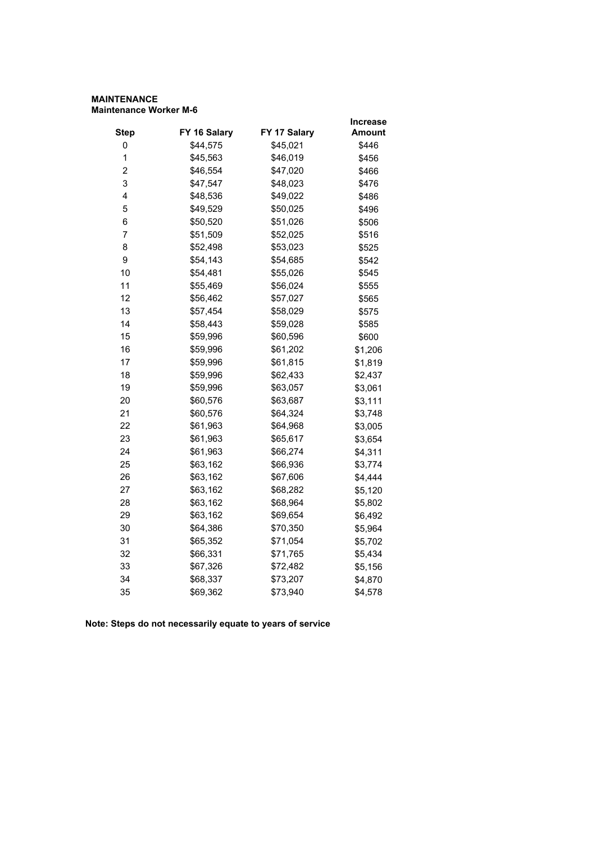#### **MAINTENANCE Maintenance Worker M-6**

|                |              |              | Increase      |
|----------------|--------------|--------------|---------------|
| <b>Step</b>    | FY 16 Salary | FY 17 Salary | <b>Amount</b> |
| 0              | \$44,575     | \$45,021     | \$446         |
| $\mathbf 1$    | \$45,563     | \$46,019     | \$456         |
| $\overline{2}$ | \$46,554     | \$47,020     | \$466         |
| 3              | \$47,547     | \$48,023     | \$476         |
| 4              | \$48,536     | \$49,022     | \$486         |
| 5              | \$49,529     | \$50,025     | \$496         |
| 6              | \$50,520     | \$51,026     | \$506         |
| $\overline{7}$ | \$51,509     | \$52,025     | \$516         |
| 8              | \$52,498     | \$53,023     | \$525         |
| 9              | \$54,143     | \$54,685     | \$542         |
| 10             | \$54,481     | \$55,026     | \$545         |
| 11             | \$55,469     | \$56,024     | \$555         |
| 12             | \$56,462     | \$57,027     | \$565         |
| 13             | \$57,454     | \$58,029     | \$575         |
| 14             | \$58,443     | \$59,028     | \$585         |
| 15             | \$59,996     | \$60,596     | \$600         |
| 16             | \$59,996     | \$61,202     | \$1,206       |
| 17             | \$59,996     | \$61,815     | \$1,819       |
| 18             | \$59,996     | \$62,433     | \$2,437       |
| 19             | \$59,996     | \$63,057     | \$3,061       |
| 20             | \$60,576     | \$63,687     | \$3,111       |
| 21             | \$60,576     | \$64,324     | \$3,748       |
| 22             | \$61,963     | \$64,968     | \$3,005       |
| 23             | \$61,963     | \$65,617     | \$3,654       |
| 24             | \$61,963     | \$66,274     | \$4,311       |
| 25             | \$63,162     | \$66,936     | \$3,774       |
| 26             | \$63,162     | \$67,606     | \$4,444       |
| 27             | \$63,162     | \$68,282     | \$5,120       |
| 28             | \$63,162     | \$68,964     | \$5,802       |
| 29             | \$63,162     | \$69,654     | \$6,492       |
| 30             | \$64,386     | \$70,350     | \$5,964       |
| 31             | \$65,352     | \$71,054     | \$5,702       |
| 32             | \$66,331     | \$71,765     | \$5,434       |
| 33             | \$67,326     | \$72,482     | \$5,156       |
| 34             | \$68,337     | \$73,207     | \$4,870       |
| 35             | \$69,362     | \$73,940     | \$4,578       |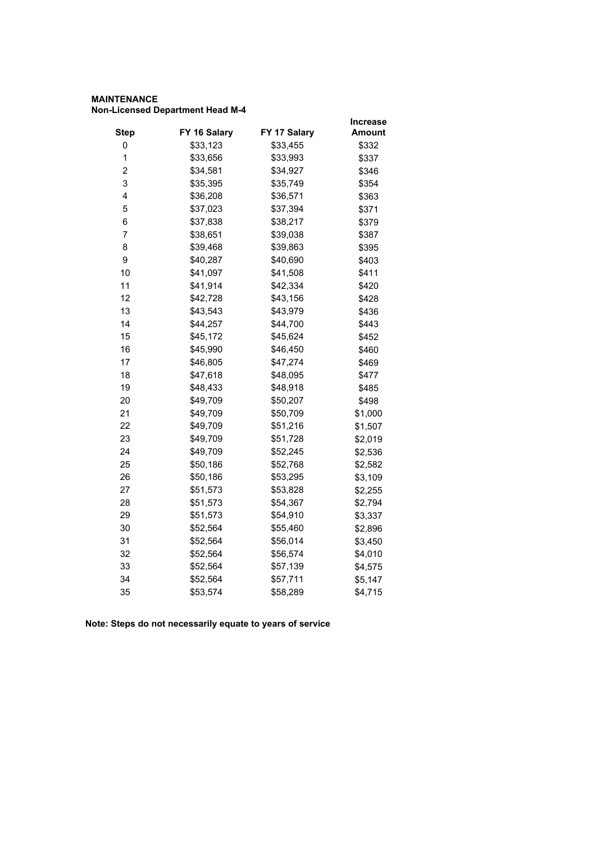# **MAINTENANCE Non-Licensed Department Head M-4**

|                         |              |              | Increase      |
|-------------------------|--------------|--------------|---------------|
| <b>Step</b>             | FY 16 Salary | FY 17 Salary | <b>Amount</b> |
| 0                       | \$33,123     | \$33,455     | \$332         |
| 1                       | \$33,656     | \$33,993     | \$337         |
| $\overline{\mathbf{c}}$ | \$34,581     | \$34,927     | \$346         |
| 3                       | \$35,395     | \$35,749     | \$354         |
| 4                       | \$36,208     | \$36,571     | \$363         |
| 5                       | \$37,023     | \$37,394     | \$371         |
| 6                       | \$37,838     | \$38,217     | \$379         |
| 7                       | \$38,651     | \$39,038     | \$387         |
| 8                       | \$39,468     | \$39,863     | \$395         |
| 9                       | \$40,287     | \$40,690     | \$403         |
| 10                      | \$41,097     | \$41,508     | \$411         |
| 11                      | \$41,914     | \$42,334     | \$420         |
| 12                      | \$42,728     | \$43,156     | \$428         |
| 13                      | \$43,543     | \$43,979     | \$436         |
| 14                      | \$44,257     | \$44,700     | \$443         |
| 15                      | \$45,172     | \$45,624     | \$452         |
| 16                      | \$45,990     | \$46,450     | \$460         |
| 17                      | \$46,805     | \$47,274     | \$469         |
| 18                      | \$47,618     | \$48,095     | \$477         |
| 19                      | \$48,433     | \$48,918     | \$485         |
| 20                      | \$49,709     | \$50,207     | \$498         |
| 21                      | \$49,709     | \$50,709     | \$1,000       |
| 22                      | \$49,709     | \$51,216     | \$1,507       |
| 23                      | \$49,709     | \$51,728     | \$2,019       |
| 24                      | \$49,709     | \$52,245     | \$2,536       |
| 25                      | \$50,186     | \$52,768     | \$2,582       |
| 26                      | \$50,186     | \$53,295     | \$3,109       |
| 27                      | \$51,573     | \$53,828     | \$2,255       |
| 28                      | \$51,573     | \$54,367     | \$2,794       |
| 29                      | \$51,573     | \$54,910     | \$3,337       |
| 30                      | \$52,564     | \$55,460     | \$2,896       |
| 31                      | \$52,564     | \$56,014     | \$3,450       |
| 32                      | \$52,564     | \$56,574     | \$4,010       |
| 33                      | \$52,564     | \$57,139     | \$4,575       |
| 34                      | \$52,564     | \$57,711     | \$5,147       |
| 35                      | \$53,574     | \$58,289     | \$4,715       |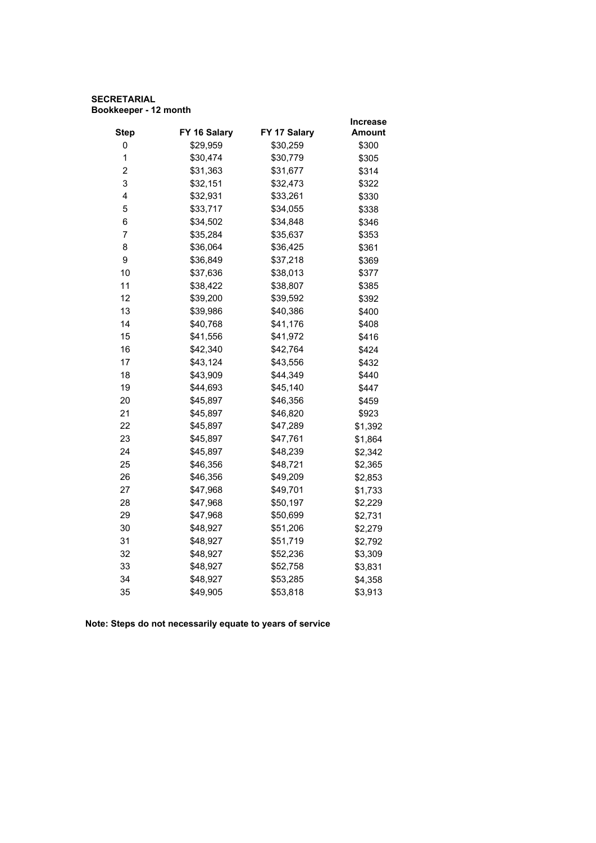## **SECRETARIAL Bookkeeper - 12 month**

|                         |              |              | <b>Increase</b> |
|-------------------------|--------------|--------------|-----------------|
| <b>Step</b>             | FY 16 Salary | FY 17 Salary | Amount          |
| 0                       | \$29,959     | \$30,259     | \$300           |
| 1                       | \$30,474     | \$30,779     | \$305           |
| $\overline{\mathbf{c}}$ | \$31,363     | \$31,677     | \$314           |
| 3                       | \$32,151     | \$32,473     | \$322           |
| 4                       | \$32,931     | \$33,261     | \$330           |
| 5                       | \$33,717     | \$34,055     | \$338           |
| 6                       | \$34,502     | \$34,848     | \$346           |
| $\overline{7}$          | \$35,284     | \$35,637     | \$353           |
| 8                       | \$36,064     | \$36,425     | \$361           |
| 9                       | \$36,849     | \$37,218     | \$369           |
| 10                      | \$37,636     | \$38,013     | \$377           |
| 11                      | \$38,422     | \$38,807     | \$385           |
| 12                      | \$39,200     | \$39,592     | \$392           |
| 13                      | \$39,986     | \$40,386     | \$400           |
| 14                      | \$40,768     | \$41,176     | \$408           |
| 15                      | \$41,556     | \$41,972     | \$416           |
| 16                      | \$42,340     | \$42,764     | \$424           |
| 17                      | \$43,124     | \$43,556     | \$432           |
| 18                      | \$43,909     | \$44,349     | \$440           |
| 19                      | \$44,693     | \$45,140     | \$447           |
| 20                      | \$45,897     | \$46,356     | \$459           |
| 21                      | \$45,897     | \$46,820     | \$923           |
| 22                      | \$45,897     | \$47,289     | \$1,392         |
| 23                      | \$45,897     | \$47,761     | \$1,864         |
| 24                      | \$45,897     | \$48,239     | \$2,342         |
| 25                      | \$46,356     | \$48,721     | \$2,365         |
| 26                      | \$46,356     | \$49,209     | \$2,853         |
| 27                      | \$47,968     | \$49,701     | \$1,733         |
| 28                      | \$47,968     | \$50,197     | \$2,229         |
| 29                      | \$47,968     | \$50,699     | \$2,731         |
| 30                      | \$48,927     | \$51,206     | \$2,279         |
| 31                      | \$48,927     | \$51,719     | \$2,792         |
| 32                      | \$48,927     | \$52,236     | \$3,309         |
| 33                      | \$48,927     | \$52,758     | \$3,831         |
| 34                      | \$48,927     | \$53,285     | \$4,358         |
| 35                      | \$49,905     | \$53,818     | \$3,913         |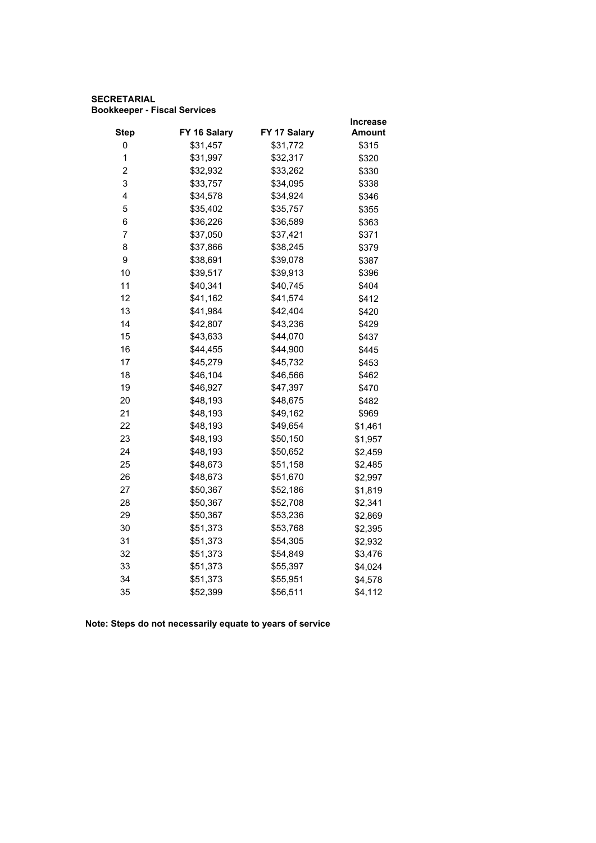## **SECRETARIAL Bookkeeper - Fiscal Services**

|                |              |              | <b>Increase</b> |
|----------------|--------------|--------------|-----------------|
| <b>Step</b>    | FY 16 Salary | FY 17 Salary | <b>Amount</b>   |
| 0              | \$31,457     | \$31,772     | \$315           |
| $\mathbf 1$    | \$31,997     | \$32,317     | \$320           |
| $\overline{2}$ | \$32,932     | \$33,262     | \$330           |
| 3              | \$33,757     | \$34,095     | \$338           |
| 4              | \$34,578     | \$34,924     | \$346           |
| 5              | \$35,402     | \$35,757     | \$355           |
| 6              | \$36,226     | \$36,589     | \$363           |
| $\overline{7}$ | \$37,050     | \$37,421     | \$371           |
| 8              | \$37,866     | \$38,245     | \$379           |
| 9              | \$38,691     | \$39,078     | \$387           |
| 10             | \$39,517     | \$39,913     | \$396           |
| 11             | \$40,341     | \$40,745     | \$404           |
| 12             | \$41,162     | \$41,574     | \$412           |
| 13             | \$41,984     | \$42,404     | \$420           |
| 14             | \$42,807     | \$43,236     | \$429           |
| 15             | \$43,633     | \$44,070     | \$437           |
| 16             | \$44,455     | \$44,900     | \$445           |
| 17             | \$45,279     | \$45,732     | \$453           |
| 18             | \$46,104     | \$46,566     | \$462           |
| 19             | \$46,927     | \$47,397     | \$470           |
| 20             | \$48,193     | \$48,675     | \$482           |
| 21             | \$48,193     | \$49,162     | \$969           |
| 22             | \$48,193     | \$49,654     | \$1,461         |
| 23             | \$48,193     | \$50,150     | \$1,957         |
| 24             | \$48,193     | \$50,652     | \$2,459         |
| 25             | \$48,673     | \$51,158     | \$2,485         |
| 26             | \$48,673     | \$51,670     | \$2,997         |
| 27             | \$50,367     | \$52,186     | \$1,819         |
| 28             | \$50,367     | \$52,708     | \$2,341         |
| 29             | \$50,367     | \$53,236     | \$2,869         |
| 30             | \$51,373     | \$53,768     | \$2,395         |
| 31             | \$51,373     | \$54,305     | \$2,932         |
| 32             | \$51,373     | \$54,849     | \$3,476         |
| 33             | \$51,373     | \$55,397     | \$4,024         |
| 34             | \$51,373     | \$55,951     | \$4,578         |
| 35             | \$52,399     | \$56,511     | \$4,112         |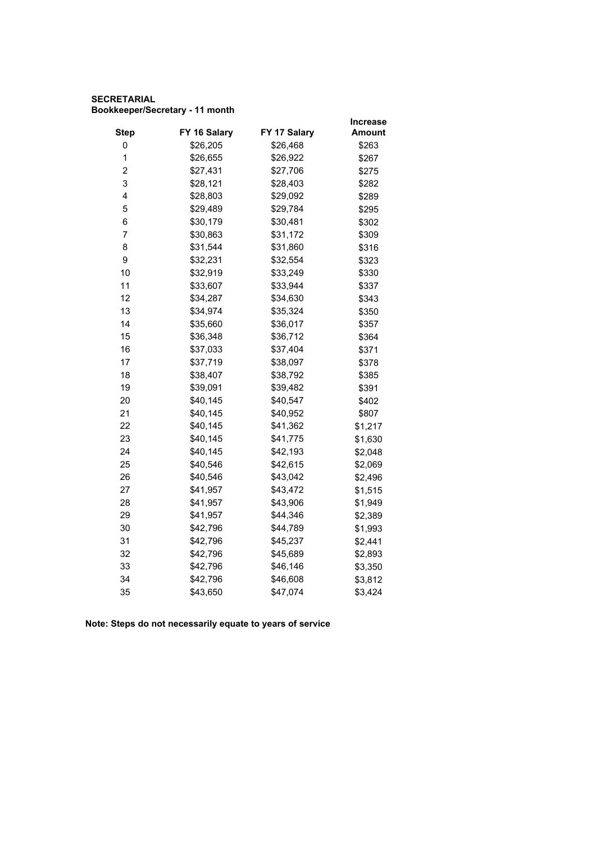# **SECRETARIAL Bookkeeper/Secretary - 11 month**

|                         |              |              | Increase |
|-------------------------|--------------|--------------|----------|
| <b>Step</b>             | FY 16 Salary | FY 17 Salary | Amount   |
| 0                       | \$26,205     | \$26,468     | \$263    |
| 1                       | \$26,655     | \$26,922     | \$267    |
| $\overline{\mathbf{c}}$ | \$27,431     | \$27,706     | \$275    |
| 3                       | \$28,121     | \$28,403     | \$282    |
| 4                       | \$28,803     | \$29,092     | \$289    |
| 5                       | \$29,489     | \$29,784     | \$295    |
| 6                       | \$30,179     | \$30,481     | \$302    |
| 7                       | \$30,863     | \$31,172     | \$309    |
| 8                       | \$31,544     | \$31,860     | \$316    |
| 9                       | \$32,231     | \$32,554     | \$323    |
| 10                      | \$32,919     | \$33,249     | \$330    |
| 11                      | \$33,607     | \$33,944     | \$337    |
| 12                      | \$34,287     | \$34,630     | \$343    |
| 13                      | \$34,974     | \$35,324     | \$350    |
| 14                      | \$35,660     | \$36,017     | \$357    |
| 15                      | \$36,348     | \$36,712     | \$364    |
| 16                      | \$37,033     | \$37,404     | \$371    |
| 17                      | \$37,719     | \$38,097     | \$378    |
| 18                      | \$38,407     | \$38,792     | \$385    |
| 19                      | \$39,091     | \$39,482     | \$391    |
| 20                      | \$40,145     | \$40,547     | \$402    |
| 21                      | \$40,145     | \$40,952     | \$807    |
| 22                      | \$40,145     | \$41,362     | \$1,217  |
| 23                      | \$40,145     | \$41,775     | \$1,630  |
| 24                      | \$40,145     | \$42,193     | \$2,048  |
| 25                      | \$40,546     | \$42,615     | \$2,069  |
| 26                      | \$40,546     | \$43,042     | \$2,496  |
| 27                      | \$41,957     | \$43,472     | \$1,515  |
| 28                      | \$41,957     | \$43,906     | \$1,949  |
| 29                      | \$41,957     | \$44,346     | \$2,389  |
| 30                      | \$42,796     | \$44,789     | \$1,993  |
| 31                      | \$42,796     | \$45,237     | \$2,441  |
| 32                      | \$42,796     | \$45,689     | \$2,893  |
| 33                      | \$42,796     | \$46,146     | \$3,350  |
| 34                      | \$42,796     | \$46,608     | \$3,812  |
| 35                      | \$43,650     | \$47,074     | \$3,424  |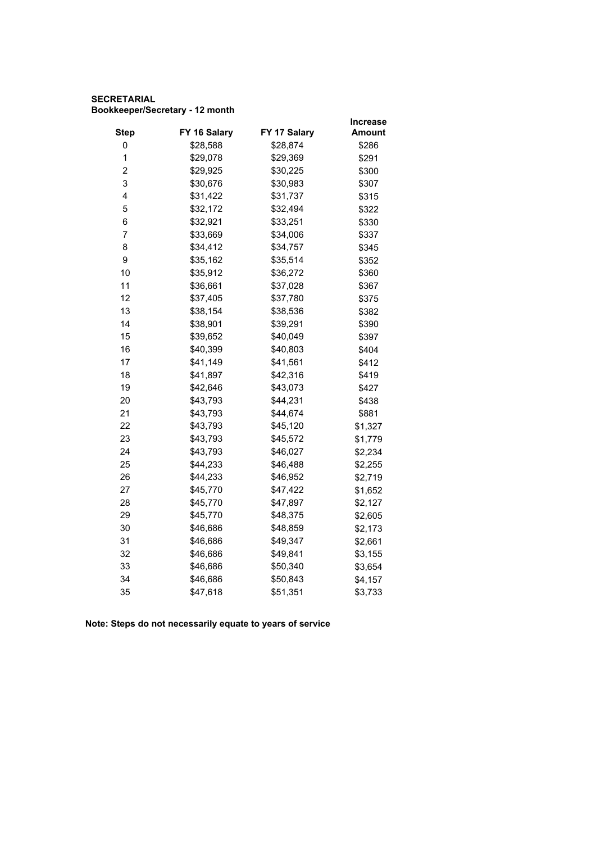# **SECRETARIAL Bookkeeper/Secretary - 12 month**

|                         |              |              | <b>Increase</b> |
|-------------------------|--------------|--------------|-----------------|
| <b>Step</b>             | FY 16 Salary | FY 17 Salary | Amount          |
| 0                       | \$28,588     | \$28,874     | \$286           |
| 1                       | \$29,078     | \$29,369     | \$291           |
| $\overline{\mathbf{c}}$ | \$29,925     | \$30,225     | \$300           |
| 3                       | \$30,676     | \$30,983     | \$307           |
| 4                       | \$31,422     | \$31,737     | \$315           |
| 5                       | \$32,172     | \$32,494     | \$322           |
| 6                       | \$32,921     | \$33,251     | \$330           |
| 7                       | \$33,669     | \$34,006     | \$337           |
| 8                       | \$34,412     | \$34,757     | \$345           |
| 9                       | \$35,162     | \$35,514     | \$352           |
| 10                      | \$35,912     | \$36,272     | \$360           |
| 11                      | \$36,661     | \$37,028     | \$367           |
| 12                      | \$37,405     | \$37,780     | \$375           |
| 13                      | \$38,154     | \$38,536     | \$382           |
| 14                      | \$38,901     | \$39,291     | \$390           |
| 15                      | \$39,652     | \$40,049     | \$397           |
| 16                      | \$40,399     | \$40,803     | \$404           |
| 17                      | \$41,149     | \$41,561     | \$412           |
| 18                      | \$41,897     | \$42,316     | \$419           |
| 19                      | \$42,646     | \$43,073     | \$427           |
| 20                      | \$43,793     | \$44,231     | \$438           |
| 21                      | \$43,793     | \$44,674     | \$881           |
| 22                      | \$43,793     | \$45,120     | \$1,327         |
| 23                      | \$43,793     | \$45,572     | \$1,779         |
| 24                      | \$43,793     | \$46,027     | \$2,234         |
| 25                      | \$44,233     | \$46,488     | \$2,255         |
| 26                      | \$44,233     | \$46,952     | \$2,719         |
| 27                      | \$45,770     | \$47,422     | \$1,652         |
| 28                      | \$45,770     | \$47,897     | \$2,127         |
| 29                      | \$45,770     | \$48,375     | \$2,605         |
| 30                      | \$46,686     | \$48,859     | \$2,173         |
| 31                      | \$46,686     | \$49,347     | \$2,661         |
| 32                      | \$46,686     | \$49,841     | \$3,155         |
| 33                      | \$46,686     | \$50,340     | \$3,654         |
| 34                      | \$46,686     | \$50,843     | \$4,157         |
| 35                      | \$47,618     | \$51,351     | \$3,733         |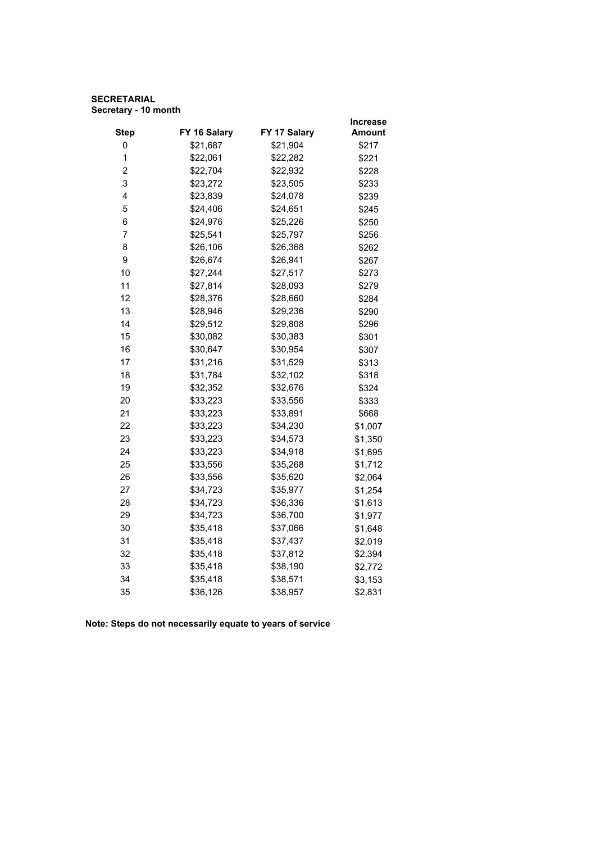# **SECRETARIAL Secretary - 10 month**

|                         |              |              | Increase |
|-------------------------|--------------|--------------|----------|
| <b>Step</b>             | FY 16 Salary | FY 17 Salary | Amount   |
| 0                       | \$21,687     | \$21,904     | \$217    |
| 1                       | \$22,061     | \$22,282     | \$221    |
| $\overline{\mathbf{c}}$ | \$22,704     | \$22,932     | \$228    |
| 3                       | \$23,272     | \$23,505     | \$233    |
| 4                       | \$23,839     | \$24,078     | \$239    |
| 5                       | \$24,406     | \$24,651     | \$245    |
| 6                       | \$24,976     | \$25,226     | \$250    |
| $\overline{7}$          | \$25,541     | \$25,797     | \$256    |
| 8                       | \$26,106     | \$26,368     | \$262    |
| 9                       | \$26,674     | \$26,941     | \$267    |
| 10                      | \$27,244     | \$27,517     | \$273    |
| 11                      | \$27,814     | \$28,093     | \$279    |
| 12                      | \$28,376     | \$28,660     | \$284    |
| 13                      | \$28,946     | \$29,236     | \$290    |
| 14                      | \$29,512     | \$29,808     | \$296    |
| 15                      | \$30,082     | \$30,383     | \$301    |
| 16                      | \$30,647     | \$30,954     | \$307    |
| 17                      | \$31,216     | \$31,529     | \$313    |
| 18                      | \$31,784     | \$32,102     | \$318    |
| 19                      | \$32,352     | \$32,676     | \$324    |
| 20                      | \$33,223     | \$33,556     | \$333    |
| 21                      | \$33,223     | \$33,891     | \$668    |
| 22                      | \$33,223     | \$34,230     | \$1,007  |
| 23                      | \$33,223     | \$34,573     | \$1,350  |
| 24                      | \$33,223     | \$34,918     | \$1,695  |
| 25                      | \$33,556     | \$35,268     | \$1,712  |
| 26                      | \$33,556     | \$35,620     | \$2,064  |
| 27                      | \$34,723     | \$35,977     | \$1,254  |
| 28                      | \$34,723     | \$36,336     | \$1,613  |
| 29                      | \$34,723     | \$36,700     | \$1,977  |
| 30                      | \$35,418     | \$37,066     | \$1,648  |
| 31                      | \$35,418     | \$37,437     | \$2,019  |
| 32                      | \$35,418     | \$37,812     | \$2,394  |
| 33                      | \$35,418     | \$38,190     | \$2,772  |
| 34                      | \$35,418     | \$38,571     | \$3,153  |
| 35                      | \$36,126     | \$38,957     | \$2,831  |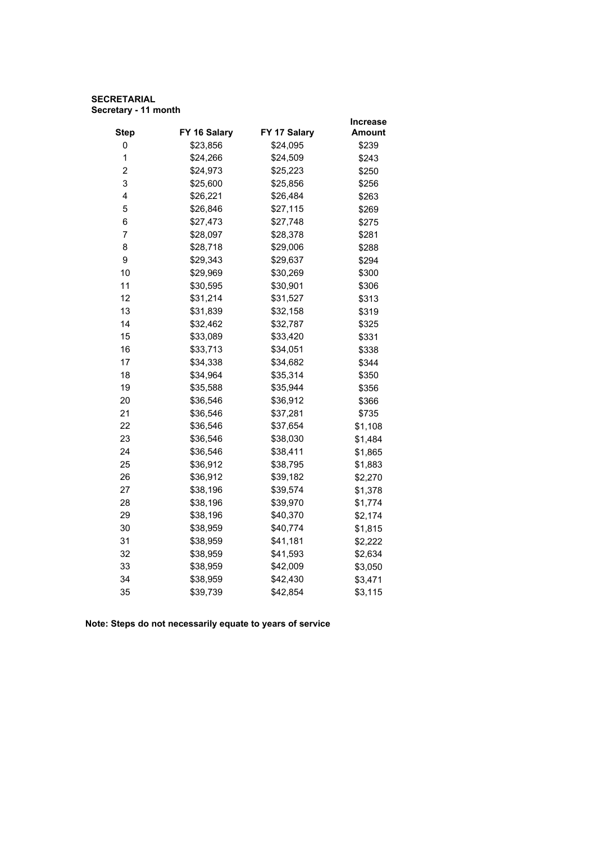# **SECRETARIAL Secretary - 11 month**

|                         |              |              | <b>Increase</b> |
|-------------------------|--------------|--------------|-----------------|
| <b>Step</b>             | FY 16 Salary | FY 17 Salary | Amount          |
| 0                       | \$23,856     | \$24,095     | \$239           |
| 1                       | \$24,266     | \$24,509     | \$243           |
| $\overline{\mathbf{c}}$ | \$24,973     | \$25,223     | \$250           |
| 3                       | \$25,600     | \$25,856     | \$256           |
| 4                       | \$26,221     | \$26,484     | \$263           |
| 5                       | \$26,846     | \$27,115     | \$269           |
| 6                       | \$27,473     | \$27,748     | \$275           |
| $\overline{7}$          | \$28,097     | \$28,378     | \$281           |
| 8                       | \$28,718     | \$29,006     | \$288           |
| 9                       | \$29,343     | \$29,637     | \$294           |
| 10                      | \$29,969     | \$30,269     | \$300           |
| 11                      | \$30,595     | \$30,901     | \$306           |
| 12                      | \$31,214     | \$31,527     | \$313           |
| 13                      | \$31,839     | \$32,158     | \$319           |
| 14                      | \$32,462     | \$32,787     | \$325           |
| 15                      | \$33,089     | \$33,420     | \$331           |
| 16                      | \$33,713     | \$34,051     | \$338           |
| 17                      | \$34,338     | \$34,682     | \$344           |
| 18                      | \$34,964     | \$35,314     | \$350           |
| 19                      | \$35,588     | \$35,944     | \$356           |
| 20                      | \$36,546     | \$36,912     | \$366           |
| 21                      | \$36,546     | \$37,281     | \$735           |
| 22                      | \$36,546     | \$37,654     | \$1,108         |
| 23                      | \$36,546     | \$38,030     | \$1,484         |
| 24                      | \$36,546     | \$38,411     | \$1,865         |
| 25                      | \$36,912     | \$38,795     | \$1,883         |
| 26                      | \$36,912     | \$39,182     | \$2,270         |
| 27                      | \$38,196     | \$39,574     | \$1,378         |
| 28                      | \$38,196     | \$39,970     | \$1,774         |
| 29                      | \$38,196     | \$40,370     | \$2,174         |
| 30                      | \$38,959     | \$40,774     | \$1,815         |
| 31                      | \$38,959     | \$41,181     | \$2,222         |
| 32                      | \$38,959     | \$41,593     | \$2,634         |
| 33                      | \$38,959     | \$42,009     | \$3,050         |
| 34                      | \$38,959     | \$42,430     | \$3,471         |
| 35                      | \$39,739     | \$42,854     | \$3,115         |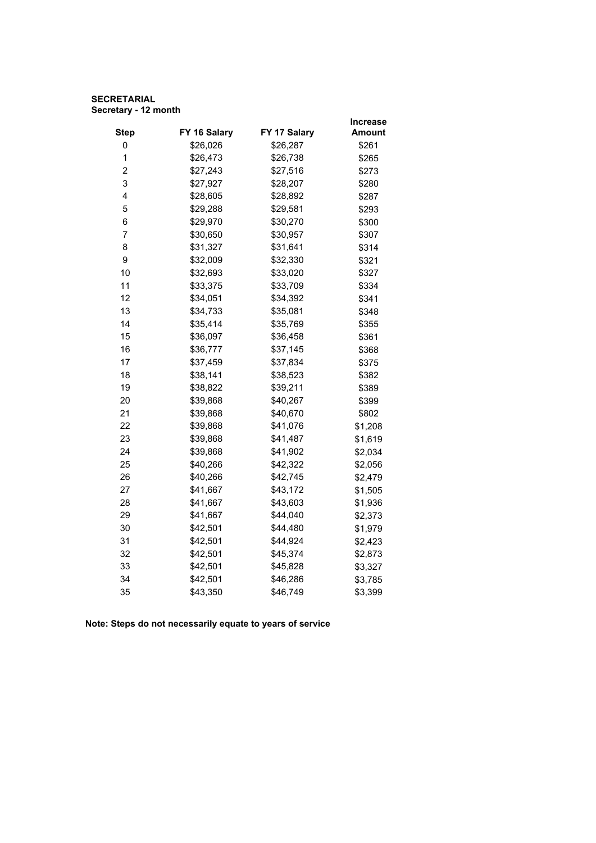# **SECRETARIAL Secretary - 12 month**

|                         |              |              | <b>Increase</b> |
|-------------------------|--------------|--------------|-----------------|
| <b>Step</b>             | FY 16 Salary | FY 17 Salary | <b>Amount</b>   |
| 0                       | \$26,026     | \$26,287     | \$261           |
| 1                       | \$26,473     | \$26,738     | \$265           |
| $\overline{\mathbf{c}}$ | \$27,243     | \$27,516     | \$273           |
| 3                       | \$27,927     | \$28,207     | \$280           |
| 4                       | \$28,605     | \$28,892     | \$287           |
| 5                       | \$29,288     | \$29,581     | \$293           |
| 6                       | \$29,970     | \$30,270     | \$300           |
| $\overline{7}$          | \$30,650     | \$30,957     | \$307           |
| 8                       | \$31,327     | \$31,641     | \$314           |
| 9                       | \$32,009     | \$32,330     | \$321           |
| 10                      | \$32,693     | \$33,020     | \$327           |
| 11                      | \$33,375     | \$33,709     | \$334           |
| 12                      | \$34,051     | \$34,392     | \$341           |
| 13                      | \$34,733     | \$35,081     | \$348           |
| 14                      | \$35,414     | \$35,769     | \$355           |
| 15                      | \$36,097     | \$36,458     | \$361           |
| 16                      | \$36,777     | \$37,145     | \$368           |
| 17                      | \$37,459     | \$37,834     | \$375           |
| 18                      | \$38,141     | \$38,523     | \$382           |
| 19                      | \$38,822     | \$39,211     | \$389           |
| 20                      | \$39,868     | \$40,267     | \$399           |
| 21                      | \$39,868     | \$40,670     | \$802           |
| 22                      | \$39,868     | \$41,076     | \$1,208         |
| 23                      | \$39,868     | \$41,487     | \$1,619         |
| 24                      | \$39,868     | \$41,902     | \$2,034         |
| 25                      | \$40,266     | \$42,322     | \$2,056         |
| 26                      | \$40,266     | \$42,745     | \$2,479         |
| 27                      | \$41,667     | \$43,172     | \$1,505         |
| 28                      | \$41,667     | \$43,603     | \$1,936         |
| 29                      | \$41,667     | \$44,040     | \$2,373         |
| 30                      | \$42,501     | \$44,480     | \$1,979         |
| 31                      | \$42,501     | \$44,924     | \$2,423         |
| 32                      | \$42,501     | \$45,374     | \$2,873         |
| 33                      | \$42,501     | \$45,828     | \$3,327         |
| 34                      | \$42,501     | \$46,286     | \$3,785         |
| 35                      | \$43,350     | \$46,749     | \$3,399         |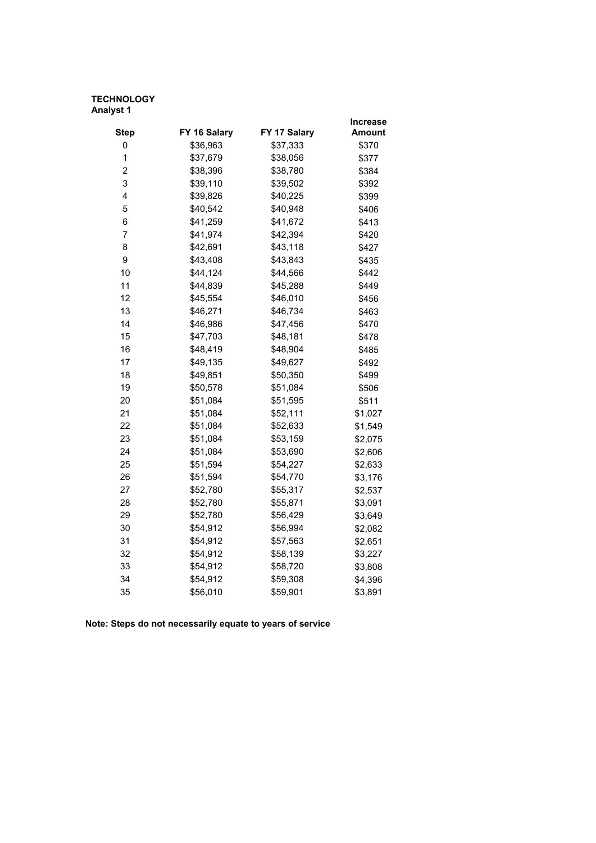|                |              |              | Increase      |
|----------------|--------------|--------------|---------------|
| <b>Step</b>    | FY 16 Salary | FY 17 Salary | <b>Amount</b> |
| 0              | \$36,963     | \$37,333     | \$370         |
| 1              | \$37,679     | \$38,056     | \$377         |
| $\overline{c}$ | \$38,396     | \$38,780     | \$384         |
| 3              | \$39,110     | \$39,502     | \$392         |
| 4              | \$39,826     | \$40,225     | \$399         |
| 5              | \$40,542     | \$40,948     | \$406         |
| 6              | \$41,259     | \$41,672     | \$413         |
| $\overline{7}$ | \$41,974     | \$42,394     | \$420         |
| 8              | \$42,691     | \$43,118     | \$427         |
| 9              | \$43,408     | \$43,843     | \$435         |
| 10             | \$44,124     | \$44,566     | \$442         |
| 11             | \$44,839     | \$45,288     | \$449         |
| 12             | \$45,554     | \$46,010     | \$456         |
| 13             | \$46,271     | \$46,734     | \$463         |
| 14             | \$46,986     | \$47,456     | \$470         |
| 15             | \$47,703     | \$48,181     | \$478         |
| 16             | \$48,419     | \$48,904     | \$485         |
| 17             | \$49,135     | \$49,627     | \$492         |
| 18             | \$49,851     | \$50,350     | \$499         |
| 19             | \$50,578     | \$51,084     | \$506         |
| 20             | \$51,084     | \$51,595     | \$511         |
| 21             | \$51,084     | \$52,111     | \$1,027       |
| 22             | \$51,084     | \$52,633     | \$1,549       |
| 23             | \$51,084     | \$53,159     | \$2,075       |
| 24             | \$51,084     | \$53,690     | \$2,606       |
| 25             | \$51,594     | \$54,227     | \$2,633       |
| 26             | \$51,594     | \$54,770     | \$3,176       |
| 27             | \$52,780     | \$55,317     | \$2,537       |
| 28             | \$52,780     | \$55,871     | \$3,091       |
| 29             | \$52,780     | \$56,429     | \$3,649       |
| 30             | \$54,912     | \$56,994     | \$2,082       |
| 31             | \$54,912     | \$57,563     | \$2,651       |
| 32             | \$54,912     | \$58,139     | \$3,227       |
| 33             | \$54,912     | \$58,720     | \$3,808       |
| 34             | \$54,912     | \$59,308     | \$4,396       |
| 35             | \$56,010     | \$59,901     | \$3,891       |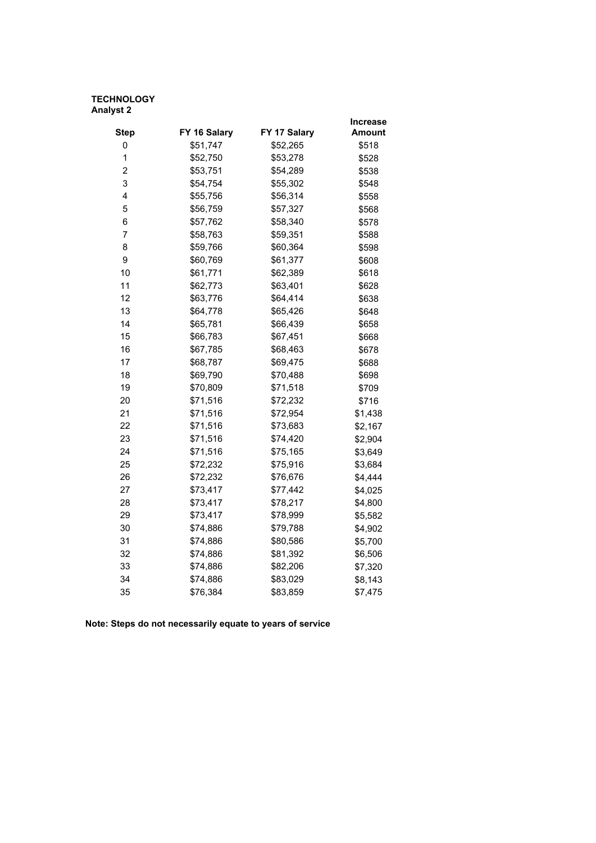|                |              |              | Increase      |
|----------------|--------------|--------------|---------------|
| <b>Step</b>    | FY 16 Salary | FY 17 Salary | <b>Amount</b> |
| 0              | \$51,747     | \$52,265     | \$518         |
| $\mathbf 1$    | \$52,750     | \$53,278     | \$528         |
| $\overline{2}$ | \$53,751     | \$54,289     | \$538         |
| 3              | \$54,754     | \$55,302     | \$548         |
| 4              | \$55,756     | \$56,314     | \$558         |
| 5              | \$56,759     | \$57,327     | \$568         |
| 6              | \$57,762     | \$58,340     | \$578         |
| $\overline{7}$ | \$58,763     | \$59,351     | \$588         |
| 8              | \$59,766     | \$60,364     | \$598         |
| 9              | \$60,769     | \$61,377     | \$608         |
| 10             | \$61,771     | \$62,389     | \$618         |
| 11             | \$62,773     | \$63,401     | \$628         |
| 12             | \$63,776     | \$64,414     | \$638         |
| 13             | \$64,778     | \$65,426     | \$648         |
| 14             | \$65,781     | \$66,439     | \$658         |
| 15             | \$66,783     | \$67,451     | \$668         |
| 16             | \$67,785     | \$68,463     | \$678         |
| 17             | \$68,787     | \$69,475     | \$688         |
| 18             | \$69,790     | \$70,488     | \$698         |
| 19             | \$70,809     | \$71,518     | \$709         |
| 20             | \$71,516     | \$72,232     | \$716         |
| 21             | \$71,516     | \$72,954     | \$1,438       |
| 22             | \$71,516     | \$73,683     | \$2,167       |
| 23             | \$71,516     | \$74,420     | \$2,904       |
| 24             | \$71,516     | \$75,165     | \$3,649       |
| 25             | \$72,232     | \$75,916     | \$3,684       |
| 26             | \$72,232     | \$76,676     | \$4,444       |
| 27             | \$73,417     | \$77,442     | \$4,025       |
| 28             | \$73,417     | \$78,217     | \$4,800       |
| 29             | \$73,417     | \$78,999     | \$5,582       |
| 30             | \$74,886     | \$79,788     | \$4,902       |
| 31             | \$74,886     | \$80,586     | \$5,700       |
| 32             | \$74,886     | \$81,392     | \$6,506       |
| 33             | \$74,886     | \$82,206     | \$7,320       |
| 34             | \$74,886     | \$83,029     | \$8,143       |
| 35             | \$76,384     | \$83,859     | \$7,475       |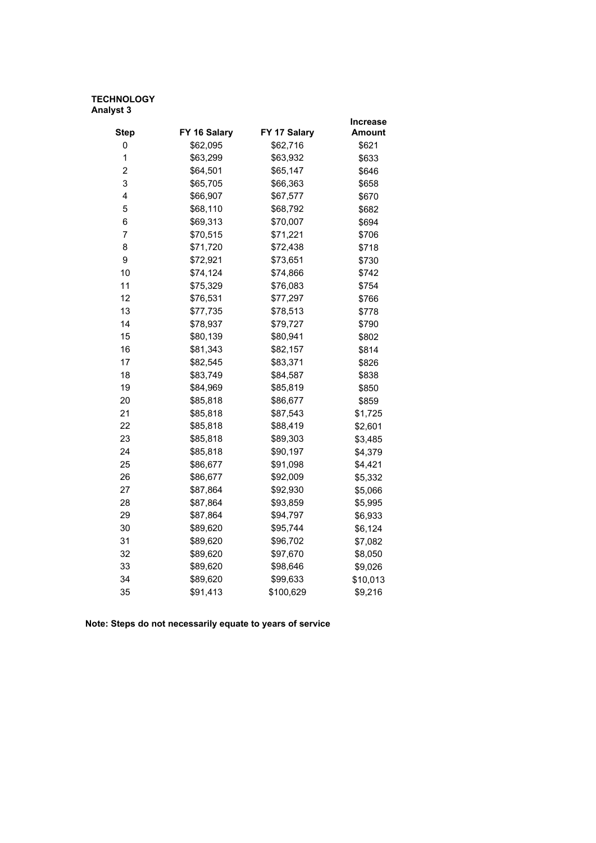|                         |              |              | <b>Increase</b> |
|-------------------------|--------------|--------------|-----------------|
| <b>Step</b>             | FY 16 Salary | FY 17 Salary | Amount          |
| 0                       | \$62,095     | \$62,716     | \$621           |
| 1                       | \$63,299     | \$63,932     | \$633           |
| $\overline{\mathbf{c}}$ | \$64,501     | \$65,147     | \$646           |
| 3                       | \$65,705     | \$66,363     | \$658           |
| 4                       | \$66,907     | \$67,577     | \$670           |
| 5                       | \$68,110     | \$68,792     | \$682           |
| 6                       | \$69,313     | \$70,007     | \$694           |
| 7                       | \$70,515     | \$71,221     | \$706           |
| 8                       | \$71,720     | \$72,438     | \$718           |
| 9                       | \$72,921     | \$73,651     | \$730           |
| 10                      | \$74,124     | \$74,866     | \$742           |
| 11                      | \$75,329     | \$76,083     | \$754           |
| 12                      | \$76,531     | \$77,297     | \$766           |
| 13                      | \$77,735     | \$78,513     | \$778           |
| 14                      | \$78,937     | \$79,727     | \$790           |
| 15                      | \$80,139     | \$80,941     | \$802           |
| 16                      | \$81,343     | \$82,157     | \$814           |
| 17                      | \$82,545     | \$83,371     | \$826           |
| 18                      | \$83,749     | \$84,587     | \$838           |
| 19                      | \$84,969     | \$85,819     | \$850           |
| 20                      | \$85,818     | \$86,677     | \$859           |
| 21                      | \$85,818     | \$87,543     | \$1,725         |
| 22                      | \$85,818     | \$88,419     | \$2,601         |
| 23                      | \$85,818     | \$89,303     | \$3,485         |
| 24                      | \$85,818     | \$90,197     | \$4,379         |
| 25                      | \$86,677     | \$91,098     | \$4,421         |
| 26                      | \$86,677     | \$92,009     | \$5,332         |
| 27                      | \$87,864     | \$92,930     | \$5,066         |
| 28                      | \$87,864     | \$93,859     | \$5,995         |
| 29                      | \$87,864     | \$94,797     | \$6,933         |
| 30                      | \$89,620     | \$95,744     | \$6,124         |
| 31                      | \$89,620     | \$96,702     | \$7,082         |
| 32                      | \$89,620     | \$97,670     | \$8,050         |
| 33                      | \$89,620     | \$98,646     | \$9,026         |
| 34                      | \$89,620     | \$99,633     | \$10,013        |
| 35                      | \$91,413     | \$100,629    | \$9,216         |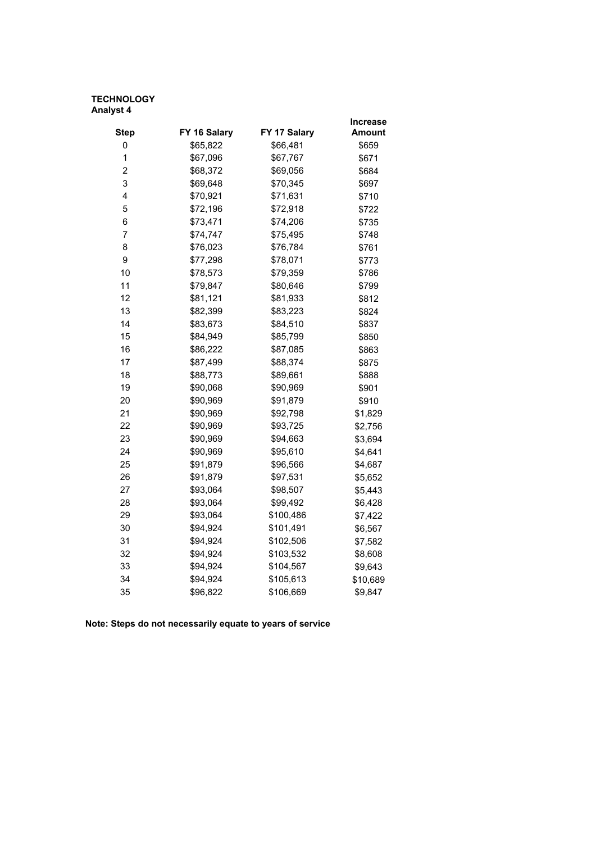|                |              |              | <b>Increase</b> |
|----------------|--------------|--------------|-----------------|
| <b>Step</b>    | FY 16 Salary | FY 17 Salary | Amount          |
| 0              | \$65,822     | \$66,481     | \$659           |
| 1              | \$67,096     | \$67,767     | \$671           |
| $\overline{2}$ | \$68,372     | \$69,056     | \$684           |
| 3              | \$69,648     | \$70,345     | \$697           |
| 4              | \$70,921     | \$71,631     | \$710           |
| 5              | \$72,196     | \$72,918     | \$722           |
| 6              | \$73,471     | \$74,206     | \$735           |
| $\overline{7}$ | \$74,747     | \$75,495     | \$748           |
| 8              | \$76,023     | \$76,784     | \$761           |
| 9              | \$77,298     | \$78,071     | \$773           |
| 10             | \$78,573     | \$79,359     | \$786           |
| 11             | \$79,847     | \$80,646     | \$799           |
| 12             | \$81,121     | \$81,933     | \$812           |
| 13             | \$82,399     | \$83,223     | \$824           |
| 14             | \$83,673     | \$84,510     | \$837           |
| 15             | \$84,949     | \$85,799     | \$850           |
| 16             | \$86,222     | \$87,085     | \$863           |
| 17             | \$87,499     | \$88,374     | \$875           |
| 18             | \$88,773     | \$89,661     | \$888           |
| 19             | \$90,068     | \$90,969     | \$901           |
| 20             | \$90,969     | \$91,879     | \$910           |
| 21             | \$90,969     | \$92,798     | \$1,829         |
| 22             | \$90,969     | \$93,725     | \$2,756         |
| 23             | \$90,969     | \$94,663     | \$3,694         |
| 24             | \$90,969     | \$95,610     | \$4,641         |
| 25             | \$91,879     | \$96,566     | \$4,687         |
| 26             | \$91,879     | \$97,531     | \$5,652         |
| 27             | \$93,064     | \$98,507     | \$5,443         |
| 28             | \$93,064     | \$99,492     | \$6,428         |
| 29             | \$93,064     | \$100,486    | \$7,422         |
| 30             | \$94,924     | \$101,491    | \$6,567         |
| 31             | \$94,924     | \$102,506    | \$7,582         |
| 32             | \$94,924     | \$103,532    | \$8,608         |
| 33             | \$94,924     | \$104,567    | \$9,643         |
| 34             | \$94,924     | \$105,613    | \$10,689        |
| 35             | \$96,822     | \$106,669    | \$9,847         |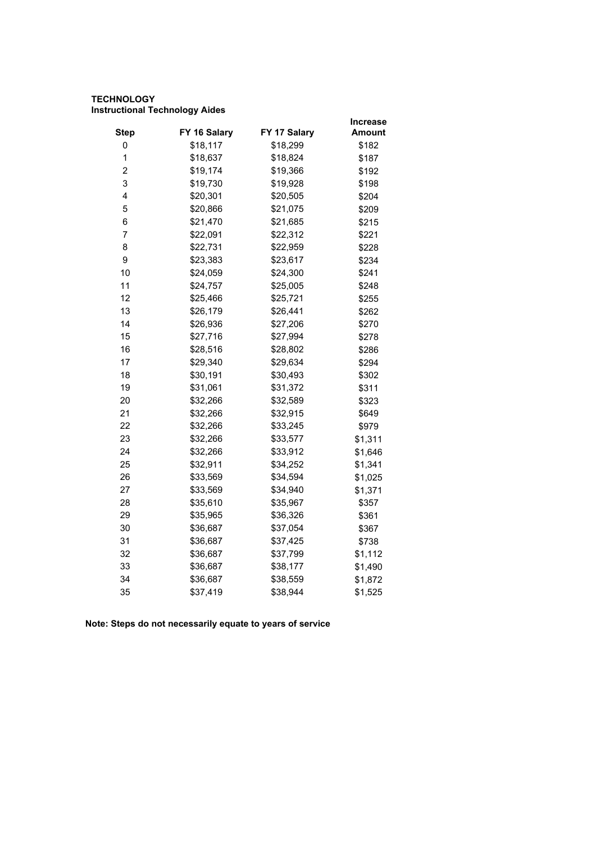# **TECHNOLOGY Instructional Technology Aides**

|                         |              |              | <b>Increase</b> |
|-------------------------|--------------|--------------|-----------------|
| <b>Step</b>             | FY 16 Salary | FY 17 Salary | Amount          |
| 0                       | \$18,117     | \$18,299     | \$182           |
| 1                       | \$18,637     | \$18,824     | \$187           |
| $\overline{\mathbf{c}}$ | \$19,174     | \$19,366     | \$192           |
| 3                       | \$19,730     | \$19,928     | \$198           |
| 4                       | \$20,301     | \$20,505     | \$204           |
| 5                       | \$20,866     | \$21,075     | \$209           |
| 6                       | \$21,470     | \$21,685     | \$215           |
| 7                       | \$22,091     | \$22,312     | \$221           |
| 8                       | \$22,731     | \$22,959     | \$228           |
| 9                       | \$23,383     | \$23,617     | \$234           |
| 10                      | \$24,059     | \$24,300     | \$241           |
| 11                      | \$24,757     | \$25,005     | \$248           |
| 12                      | \$25,466     | \$25,721     | \$255           |
| 13                      | \$26,179     | \$26,441     | \$262           |
| 14                      | \$26,936     | \$27,206     | \$270           |
| 15                      | \$27,716     | \$27,994     | \$278           |
| 16                      | \$28,516     | \$28,802     | \$286           |
| 17                      | \$29,340     | \$29,634     | \$294           |
| 18                      | \$30,191     | \$30,493     | \$302           |
| 19                      | \$31,061     | \$31,372     | \$311           |
| 20                      | \$32,266     | \$32,589     | \$323           |
| 21                      | \$32,266     | \$32,915     | \$649           |
| 22                      | \$32,266     | \$33,245     | \$979           |
| 23                      | \$32,266     | \$33,577     | \$1,311         |
| 24                      | \$32,266     | \$33,912     | \$1,646         |
| 25                      | \$32,911     | \$34,252     | \$1,341         |
| 26                      | \$33,569     | \$34,594     | \$1,025         |
| 27                      | \$33,569     | \$34,940     | \$1,371         |
| 28                      | \$35,610     | \$35,967     | \$357           |
| 29                      | \$35,965     | \$36,326     | \$361           |
| 30                      | \$36,687     | \$37,054     | \$367           |
| 31                      | \$36,687     | \$37,425     | \$738           |
| 32                      | \$36,687     | \$37,799     | \$1,112         |
| 33                      | \$36,687     | \$38,177     | \$1,490         |
| 34                      | \$36,687     | \$38,559     | \$1,872         |
| 35                      | \$37,419     | \$38,944     | \$1,525         |
|                         |              |              |                 |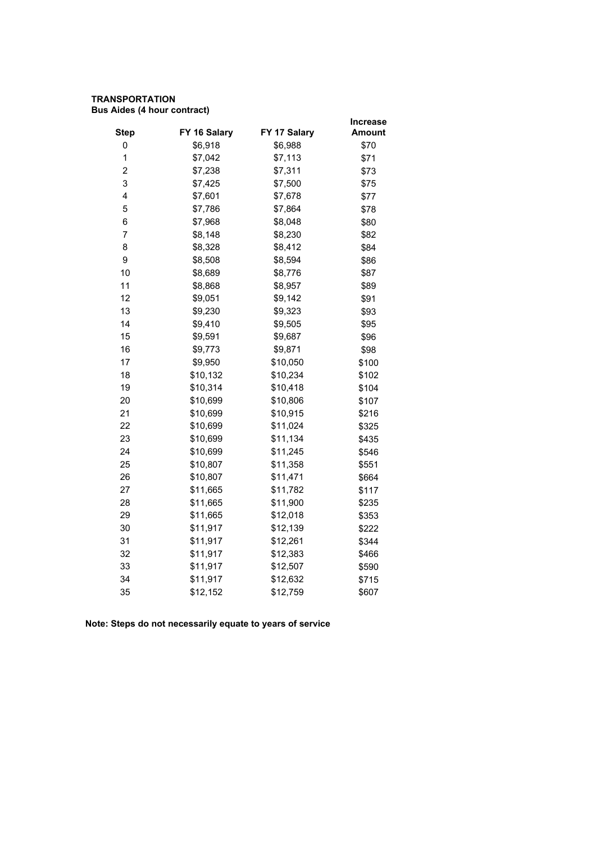# **TRANSPORTATION Bus Aides (4 hour contract)**

|                |              |              | <b>Increase</b> |
|----------------|--------------|--------------|-----------------|
| <b>Step</b>    | FY 16 Salary | FY 17 Salary | <b>Amount</b>   |
| 0              | \$6,918      | \$6,988      | \$70            |
| 1              | \$7,042      | \$7,113      | \$71            |
| $\overline{2}$ | \$7,238      | \$7,311      | \$73            |
| 3              | \$7,425      | \$7,500      | \$75            |
| 4              | \$7,601      | \$7,678      | \$77            |
| 5              | \$7,786      | \$7,864      | \$78            |
| 6              | \$7,968      | \$8,048      | \$80            |
| 7              | \$8,148      | \$8,230      | \$82            |
| 8              | \$8,328      | \$8,412      | \$84            |
| 9              | \$8,508      | \$8,594      | \$86            |
| 10             | \$8,689      | \$8,776      | \$87            |
| 11             | \$8,868      | \$8,957      | \$89            |
| 12             | \$9,051      | \$9,142      | \$91            |
| 13             | \$9,230      | \$9,323      | \$93            |
| 14             | \$9,410      | \$9,505      | \$95            |
| 15             | \$9,591      | \$9,687      | \$96            |
| 16             | \$9,773      | \$9,871      | \$98            |
| 17             | \$9,950      | \$10,050     | \$100           |
| 18             | \$10,132     | \$10,234     | \$102           |
| 19             | \$10,314     | \$10,418     | \$104           |
| 20             | \$10,699     | \$10,806     | \$107           |
| 21             | \$10,699     | \$10,915     | \$216           |
| 22             | \$10,699     | \$11,024     | \$325           |
| 23             | \$10,699     | \$11,134     | \$435           |
| 24             | \$10,699     | \$11,245     | \$546           |
| 25             | \$10,807     | \$11,358     | \$551           |
| 26             | \$10,807     | \$11,471     | \$664           |
| 27             | \$11,665     | \$11,782     | \$117           |
| 28             | \$11,665     | \$11,900     | \$235           |
| 29             | \$11,665     | \$12,018     | \$353           |
| 30             | \$11,917     | \$12,139     | \$222           |
| 31             | \$11,917     | \$12,261     | \$344           |
| 32             | \$11,917     | \$12,383     | \$466           |
| 33             | \$11,917     | \$12,507     | \$590           |
| 34             | \$11,917     | \$12,632     | \$715           |
| 35             | \$12,152     | \$12,759     | \$607           |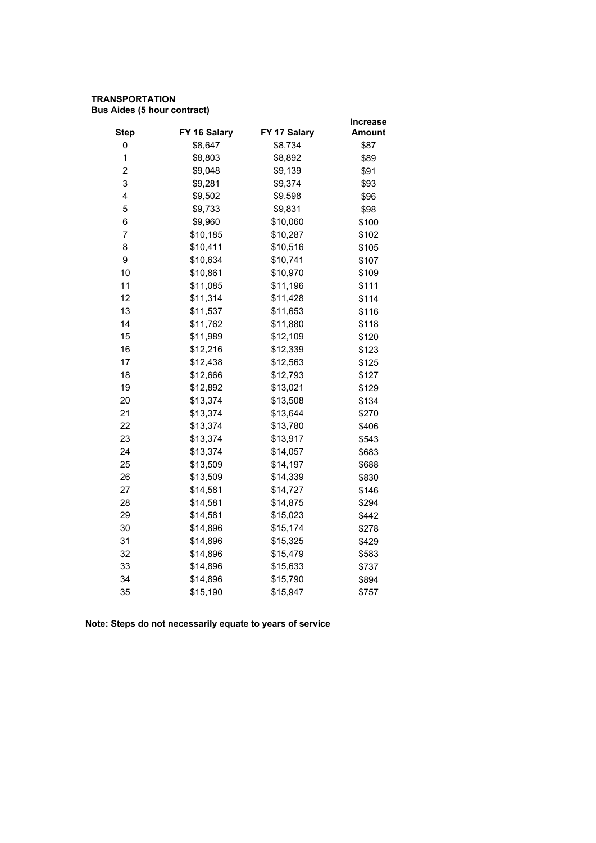# **TRANSPORTATION Bus Aides (5 hour contract)**

|              |              | <b>Increase</b> |
|--------------|--------------|-----------------|
| FY 16 Salary | FY 17 Salary | <b>Amount</b>   |
| \$8,647      | \$8,734      | \$87            |
| \$8,803      | \$8,892      | \$89            |
| \$9,048      | \$9,139      | \$91            |
| \$9,281      | \$9,374      | \$93            |
| \$9,502      | \$9,598      | \$96            |
| \$9,733      | \$9,831      | \$98            |
| \$9,960      | \$10,060     | \$100           |
| \$10,185     | \$10,287     | \$102           |
| \$10,411     | \$10,516     | \$105           |
| \$10,634     | \$10,741     | \$107           |
| \$10,861     | \$10,970     | \$109           |
| \$11,085     | \$11,196     | \$111           |
| \$11,314     | \$11,428     | \$114           |
| \$11,537     | \$11,653     | \$116           |
| \$11,762     | \$11,880     | \$118           |
| \$11,989     | \$12,109     | \$120           |
| \$12,216     | \$12,339     | \$123           |
| \$12,438     | \$12,563     | \$125           |
| \$12,666     | \$12,793     | \$127           |
| \$12,892     | \$13,021     | \$129           |
| \$13,374     | \$13,508     | \$134           |
| \$13,374     | \$13,644     | \$270           |
| \$13,374     | \$13,780     | \$406           |
| \$13,374     | \$13,917     | \$543           |
| \$13,374     | \$14,057     | \$683           |
| \$13,509     | \$14,197     | \$688           |
| \$13,509     | \$14,339     | \$830           |
| \$14,581     | \$14,727     | \$146           |
| \$14,581     | \$14,875     | \$294           |
| \$14,581     | \$15,023     | \$442           |
| \$14,896     | \$15,174     | \$278           |
| \$14,896     | \$15,325     | \$429           |
| \$14,896     | \$15,479     | \$583           |
| \$14,896     | \$15,633     | \$737           |
| \$14,896     | \$15,790     | \$894           |
| \$15,190     | \$15,947     | \$757           |
|              |              |                 |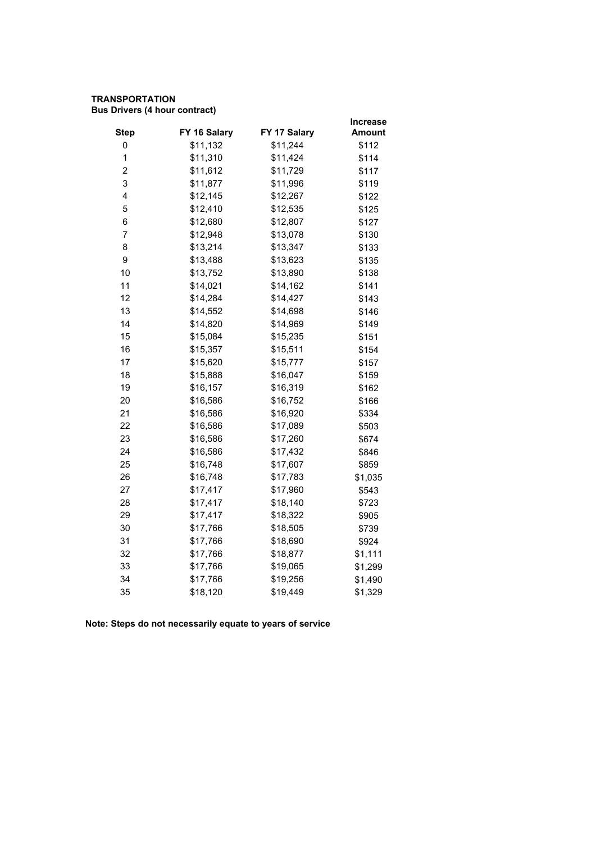# **TRANSPORTATION Bus Drivers (4 hour contract)**

|              |              | <b>Increase</b> |
|--------------|--------------|-----------------|
| FY 16 Salary | FY 17 Salary | Amount          |
| \$11,132     | \$11,244     | \$112           |
| \$11,310     | \$11,424     | \$114           |
| \$11,612     | \$11,729     | \$117           |
| \$11,877     | \$11,996     | \$119           |
| \$12,145     | \$12,267     | \$122           |
| \$12,410     | \$12,535     | \$125           |
| \$12,680     | \$12,807     | \$127           |
| \$12,948     | \$13,078     | \$130           |
| \$13,214     | \$13,347     | \$133           |
| \$13,488     | \$13,623     | \$135           |
| \$13,752     | \$13,890     | \$138           |
| \$14,021     | \$14,162     | \$141           |
| \$14,284     | \$14,427     | \$143           |
| \$14,552     | \$14,698     | \$146           |
| \$14,820     | \$14,969     | \$149           |
| \$15,084     | \$15,235     | \$151           |
| \$15,357     | \$15,511     | \$154           |
| \$15,620     | \$15,777     | \$157           |
| \$15,888     | \$16,047     | \$159           |
| \$16,157     | \$16,319     | \$162           |
| \$16,586     | \$16,752     | \$166           |
| \$16,586     | \$16,920     | \$334           |
| \$16,586     | \$17,089     | \$503           |
| \$16,586     | \$17,260     | \$674           |
| \$16,586     | \$17,432     | \$846           |
| \$16,748     | \$17,607     | \$859           |
| \$16,748     | \$17,783     | \$1,035         |
| \$17,417     | \$17,960     | \$543           |
| \$17,417     | \$18,140     | \$723           |
| \$17,417     | \$18,322     | \$905           |
| \$17,766     | \$18,505     | \$739           |
| \$17,766     | \$18,690     | \$924           |
| \$17,766     | \$18,877     | \$1,111         |
| \$17,766     | \$19,065     | \$1,299         |
| \$17,766     | \$19,256     | \$1,490         |
| \$18,120     | \$19,449     | \$1,329         |
|              |              |                 |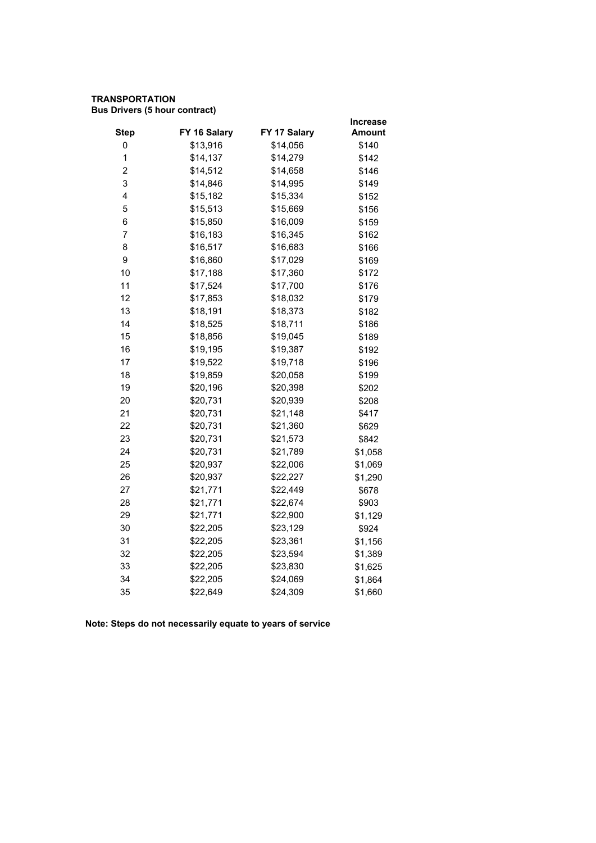# **TRANSPORTATION Bus Drivers (5 hour contract)**

|                         |              |              | Increase      |
|-------------------------|--------------|--------------|---------------|
| <b>Step</b>             | FY 16 Salary | FY 17 Salary | <b>Amount</b> |
| 0                       | \$13,916     | \$14,056     | \$140         |
| 1                       | \$14,137     | \$14,279     | \$142         |
| $\overline{\mathbf{c}}$ | \$14,512     | \$14,658     | \$146         |
| 3                       | \$14,846     | \$14,995     | \$149         |
| 4                       | \$15,182     | \$15,334     | \$152         |
| 5                       | \$15,513     | \$15,669     | \$156         |
| 6                       | \$15,850     | \$16,009     | \$159         |
| $\overline{7}$          | \$16,183     | \$16,345     | \$162         |
| 8                       | \$16,517     | \$16,683     | \$166         |
| 9                       | \$16,860     | \$17,029     | \$169         |
| 10                      | \$17,188     | \$17,360     | \$172         |
| 11                      | \$17,524     | \$17,700     | \$176         |
| 12                      | \$17,853     | \$18,032     | \$179         |
| 13                      | \$18,191     | \$18,373     | \$182         |
| 14                      | \$18,525     | \$18,711     | \$186         |
| 15                      | \$18,856     | \$19,045     | \$189         |
| 16                      | \$19,195     | \$19,387     | \$192         |
| 17                      | \$19,522     | \$19,718     | \$196         |
| 18                      | \$19,859     | \$20,058     | \$199         |
| 19                      | \$20,196     | \$20,398     | \$202         |
| 20                      | \$20,731     | \$20,939     | \$208         |
| 21                      | \$20,731     | \$21,148     | \$417         |
| 22                      | \$20,731     | \$21,360     | \$629         |
| 23                      | \$20,731     | \$21,573     | \$842         |
| 24                      | \$20,731     | \$21,789     | \$1,058       |
| 25                      | \$20,937     | \$22,006     | \$1,069       |
| 26                      | \$20,937     | \$22,227     | \$1,290       |
| 27                      | \$21,771     | \$22,449     | \$678         |
| 28                      | \$21,771     | \$22,674     | \$903         |
| 29                      | \$21,771     | \$22,900     | \$1,129       |
| 30                      | \$22,205     | \$23,129     | \$924         |
| 31                      | \$22,205     | \$23,361     | \$1,156       |
| 32                      | \$22,205     | \$23,594     | \$1,389       |
| 33                      | \$22,205     | \$23,830     | \$1,625       |
| 34                      | \$22,205     | \$24,069     | \$1,864       |
| 35                      | \$22,649     | \$24,309     | \$1,660       |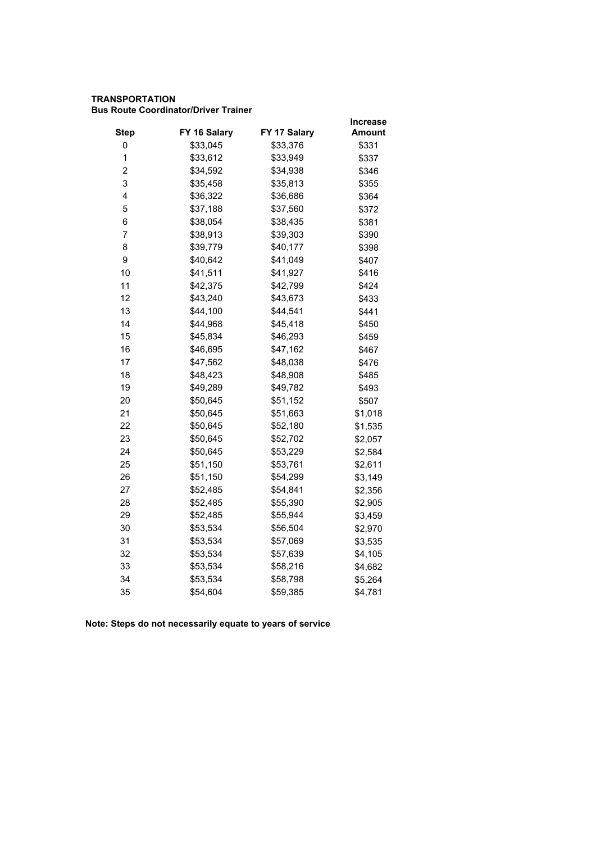# **TRANSPORTATION Bus Route Coordinator/Driver Trainer**

|                         |              |              | Increase      |
|-------------------------|--------------|--------------|---------------|
| <b>Step</b>             | FY 16 Salary | FY 17 Salary | <b>Amount</b> |
| 0                       | \$33,045     | \$33,376     | \$331         |
| 1                       | \$33,612     | \$33,949     | \$337         |
| $\overline{\mathbf{c}}$ | \$34,592     | \$34,938     | \$346         |
| 3                       | \$35,458     | \$35,813     | \$355         |
| 4                       | \$36,322     | \$36,686     | \$364         |
| 5                       | \$37,188     | \$37,560     | \$372         |
| 6                       | \$38,054     | \$38,435     | \$381         |
| $\overline{7}$          | \$38,913     | \$39,303     | \$390         |
| 8                       | \$39,779     | \$40,177     | \$398         |
| 9                       | \$40,642     | \$41,049     | \$407         |
| 10                      | \$41,511     | \$41,927     | \$416         |
| 11                      | \$42,375     | \$42,799     | \$424         |
| 12                      | \$43,240     | \$43,673     | \$433         |
| 13                      | \$44,100     | \$44,541     | \$441         |
| 14                      | \$44,968     | \$45,418     | \$450         |
| 15                      | \$45,834     | \$46,293     | \$459         |
| 16                      | \$46,695     | \$47,162     | \$467         |
| 17                      | \$47,562     | \$48,038     | \$476         |
| 18                      | \$48,423     | \$48,908     | \$485         |
| 19                      | \$49,289     | \$49,782     | \$493         |
| 20                      | \$50,645     | \$51,152     | \$507         |
| 21                      | \$50,645     | \$51,663     | \$1,018       |
| 22                      | \$50,645     | \$52,180     | \$1,535       |
| 23                      | \$50,645     | \$52,702     | \$2,057       |
| 24                      | \$50,645     | \$53,229     | \$2,584       |
| 25                      | \$51,150     | \$53,761     | \$2,611       |
| 26                      | \$51,150     | \$54,299     | \$3,149       |
| 27                      | \$52,485     | \$54,841     | \$2,356       |
| 28                      | \$52,485     | \$55,390     | \$2,905       |
| 29                      | \$52,485     | \$55,944     | \$3,459       |
| 30                      | \$53,534     | \$56,504     | \$2,970       |
| 31                      | \$53,534     | \$57,069     | \$3,535       |
| 32                      | \$53,534     | \$57,639     | \$4,105       |
| 33                      | \$53,534     | \$58,216     | \$4,682       |
| 34                      | \$53,534     | \$58,798     | \$5,264       |
| 35                      | \$54,604     | \$59,385     | \$4,781       |
|                         |              |              |               |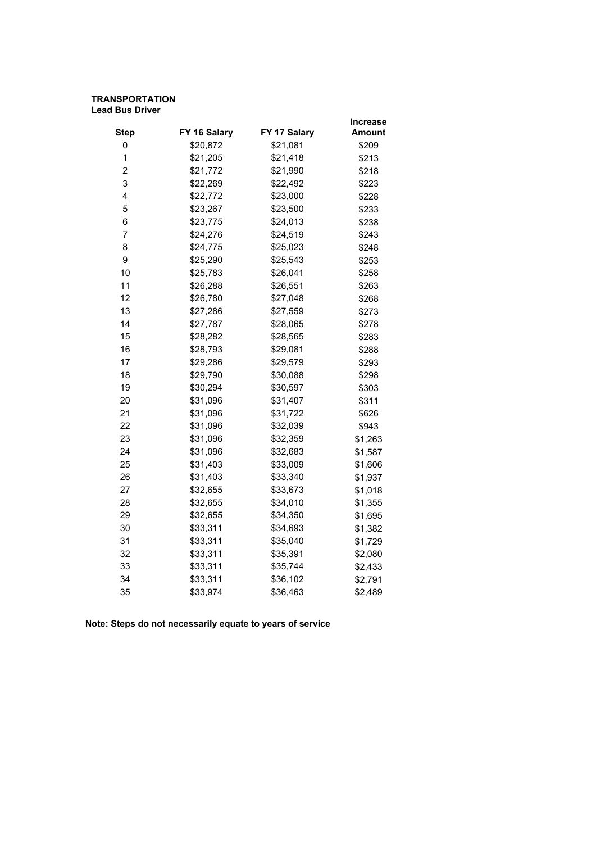### **TRANSPORTATION Lead Bus Driver**

|                |              |              | <b>Increase</b> |
|----------------|--------------|--------------|-----------------|
| <b>Step</b>    | FY 16 Salary | FY 17 Salary | Amount          |
| 0              | \$20,872     | \$21,081     | \$209           |
| $\mathbf{1}$   | \$21,205     | \$21,418     | \$213           |
| $\overline{c}$ | \$21,772     | \$21,990     | \$218           |
| 3              | \$22,269     | \$22,492     | \$223           |
| 4              | \$22,772     | \$23,000     | \$228           |
| 5              | \$23,267     | \$23,500     | \$233           |
| 6              | \$23,775     | \$24,013     | \$238           |
| 7              | \$24,276     | \$24,519     | \$243           |
| 8              | \$24,775     | \$25,023     | \$248           |
| 9              | \$25,290     | \$25,543     | \$253           |
| 10             | \$25,783     | \$26,041     | \$258           |
| 11             | \$26,288     | \$26,551     | \$263           |
| 12             | \$26,780     | \$27,048     | \$268           |
| 13             | \$27,286     | \$27,559     | \$273           |
| 14             | \$27,787     | \$28,065     | \$278           |
| 15             | \$28,282     | \$28,565     | \$283           |
| 16             | \$28,793     | \$29,081     | \$288           |
| 17             | \$29,286     | \$29,579     | \$293           |
| 18             | \$29,790     | \$30,088     | \$298           |
| 19             | \$30,294     | \$30,597     | \$303           |
| 20             | \$31,096     | \$31,407     | \$311           |
| 21             | \$31,096     | \$31,722     | \$626           |
| 22             | \$31,096     | \$32,039     | \$943           |
| 23             | \$31,096     | \$32,359     | \$1,263         |
| 24             | \$31,096     | \$32,683     | \$1,587         |
| 25             | \$31,403     | \$33,009     | \$1,606         |
| 26             | \$31,403     | \$33,340     | \$1,937         |
| 27             | \$32,655     | \$33,673     | \$1,018         |
| 28             | \$32,655     | \$34,010     | \$1,355         |
| 29             | \$32,655     | \$34,350     | \$1,695         |
| 30             | \$33,311     | \$34,693     | \$1,382         |
| 31             | \$33,311     | \$35,040     | \$1,729         |
| 32             | \$33,311     | \$35,391     | \$2,080         |
| 33             | \$33,311     | \$35,744     | \$2,433         |
| 34             | \$33,311     | \$36,102     | \$2,791         |
| 35             | \$33,974     | \$36,463     | \$2,489         |